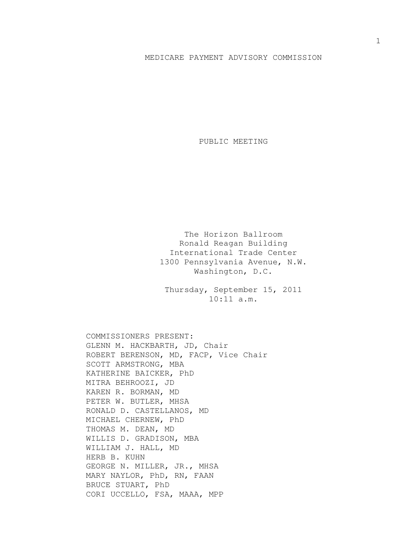## MEDICARE PAYMENT ADVISORY COMMISSION

PUBLIC MEETING

The Horizon Ballroom Ronald Reagan Building International Trade Center 1300 Pennsylvania Avenue, N.W. Washington, D.C.

Thursday, September 15, 2011 10:11 a.m.

COMMISSIONERS PRESENT: GLENN M. HACKBARTH, JD, Chair ROBERT BERENSON, MD, FACP, Vice Chair SCOTT ARMSTRONG, MBA KATHERINE BAICKER, PhD MITRA BEHROOZI, JD KAREN R. BORMAN, MD PETER W. BUTLER, MHSA RONALD D. CASTELLANOS, MD MICHAEL CHERNEW, PhD THOMAS M. DEAN, MD WILLIS D. GRADISON, MBA WILLIAM J. HALL, MD HERB B. KUHN GEORGE N. MILLER, JR., MHSA MARY NAYLOR, PhD, RN, FAAN BRUCE STUART, PhD CORI UCCELLO, FSA, MAAA, MPP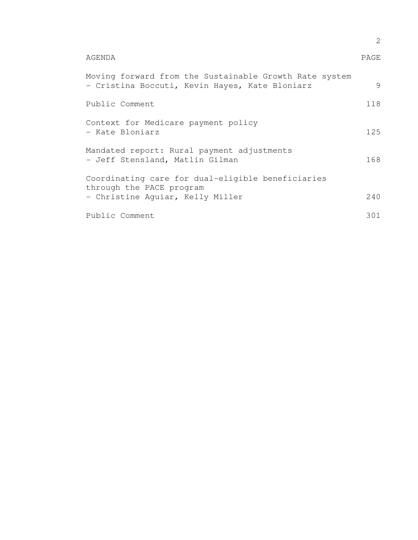|                                                                                                                   | 2    |  |
|-------------------------------------------------------------------------------------------------------------------|------|--|
| AGENDA                                                                                                            | PAGE |  |
| Moving forward from the Sustainable Growth Rate system<br>- Cristina Boccuti, Kevin Hayes, Kate Bloniarz          | 9    |  |
| Public Comment                                                                                                    | 118  |  |
| Context for Medicare payment policy<br>- Kate Bloniarz                                                            | 125  |  |
| Mandated report: Rural payment adjustments<br>- Jeff Stensland, Matlin Gilman                                     | 168  |  |
| Coordinating care for dual-eligible beneficiaries<br>through the PACE program<br>- Christine Aquiar, Kelly Miller | 240  |  |
| Public Comment                                                                                                    | 301  |  |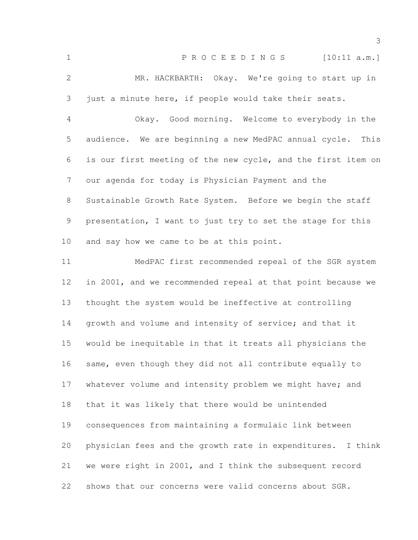| $\mathbf 1$     | PROCEEDINGS [10:11 a.m.]                                      |
|-----------------|---------------------------------------------------------------|
| $\mathbf{2}$    | MR. HACKBARTH: Okay. We're going to start up in               |
| 3               | just a minute here, if people would take their seats.         |
| $\overline{4}$  | Okay. Good morning. Welcome to everybody in the               |
| 5               | audience. We are beginning a new MedPAC annual cycle.<br>This |
| 6               | is our first meeting of the new cycle, and the first item on  |
| $7\phantom{.}$  | our agenda for today is Physician Payment and the             |
| 8               | Sustainable Growth Rate System. Before we begin the staff     |
| 9               | presentation, I want to just try to set the stage for this    |
| 10              | and say how we came to be at this point.                      |
| 11              | MedPAC first recommended repeal of the SGR system             |
| 12 <sup>°</sup> | in 2001, and we recommended repeal at that point because we   |
| 13              | thought the system would be ineffective at controlling        |
| 14              | growth and volume and intensity of service; and that it       |
| 15              | would be inequitable in that it treats all physicians the     |
| 16              | same, even though they did not all contribute equally to      |
| 17              | whatever volume and intensity problem we might have; and      |
| 18              | that it was likely that there would be unintended             |
| 19              | consequences from maintaining a formulaic link between        |
| 20              | physician fees and the growth rate in expenditures. I think   |
| 21              | we were right in 2001, and I think the subsequent record      |
| 22              | shows that our concerns were valid concerns about SGR.        |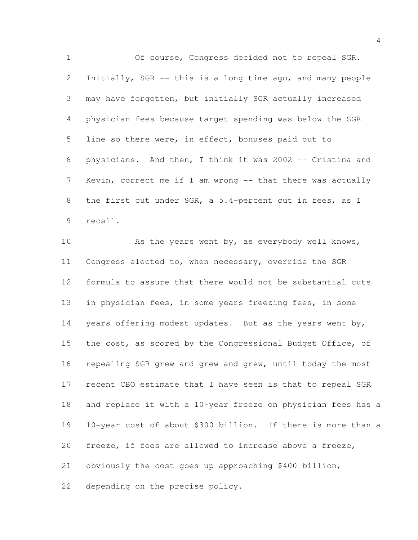Of course, Congress decided not to repeal SGR. Initially, SGR -- this is a long time ago, and many people may have forgotten, but initially SGR actually increased physician fees because target spending was below the SGR line so there were, in effect, bonuses paid out to physicians. And then, I think it was 2002 -- Cristina and 7 Kevin, correct me if I am wrong -- that there was actually the first cut under SGR, a 5.4-percent cut in fees, as I recall.

10 As the years went by, as everybody well knows, Congress elected to, when necessary, override the SGR formula to assure that there would not be substantial cuts in physician fees, in some years freezing fees, in some years offering modest updates. But as the years went by, 15 the cost, as scored by the Congressional Budget Office, of repealing SGR grew and grew and grew, until today the most recent CBO estimate that I have seen is that to repeal SGR and replace it with a 10-year freeze on physician fees has a 10-year cost of about \$300 billion. If there is more than a freeze, if fees are allowed to increase above a freeze, obviously the cost goes up approaching \$400 billion, depending on the precise policy.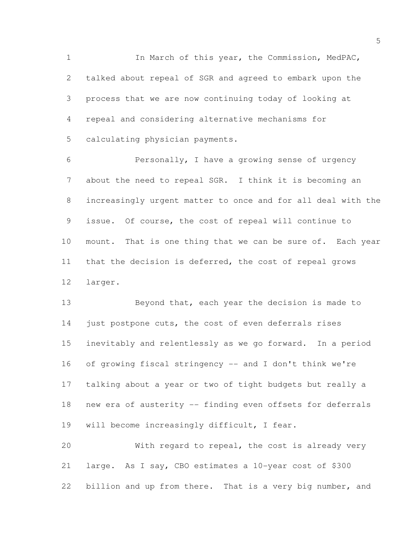In March of this year, the Commission, MedPAC, talked about repeal of SGR and agreed to embark upon the process that we are now continuing today of looking at repeal and considering alternative mechanisms for calculating physician payments.

 Personally, I have a growing sense of urgency about the need to repeal SGR. I think it is becoming an increasingly urgent matter to once and for all deal with the issue. Of course, the cost of repeal will continue to mount. That is one thing that we can be sure of. Each year that the decision is deferred, the cost of repeal grows larger.

13 Beyond that, each year the decision is made to 14 just postpone cuts, the cost of even deferrals rises inevitably and relentlessly as we go forward. In a period of growing fiscal stringency -- and I don't think we're talking about a year or two of tight budgets but really a new era of austerity -- finding even offsets for deferrals will become increasingly difficult, I fear.

 With regard to repeal, the cost is already very large. As I say, CBO estimates a 10-year cost of \$300 22 billion and up from there. That is a very big number, and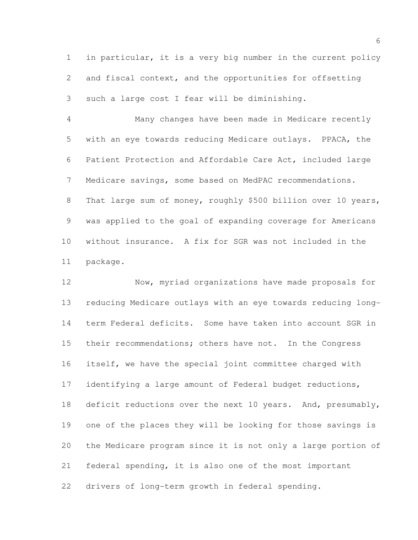in particular, it is a very big number in the current policy and fiscal context, and the opportunities for offsetting such a large cost I fear will be diminishing.

 Many changes have been made in Medicare recently with an eye towards reducing Medicare outlays. PPACA, the Patient Protection and Affordable Care Act, included large Medicare savings, some based on MedPAC recommendations. 8 That large sum of money, roughly \$500 billion over 10 years, was applied to the goal of expanding coverage for Americans without insurance. A fix for SGR was not included in the package.

 Now, myriad organizations have made proposals for reducing Medicare outlays with an eye towards reducing long- term Federal deficits. Some have taken into account SGR in their recommendations; others have not. In the Congress itself, we have the special joint committee charged with identifying a large amount of Federal budget reductions, 18 deficit reductions over the next 10 years. And, presumably, one of the places they will be looking for those savings is the Medicare program since it is not only a large portion of federal spending, it is also one of the most important drivers of long-term growth in federal spending.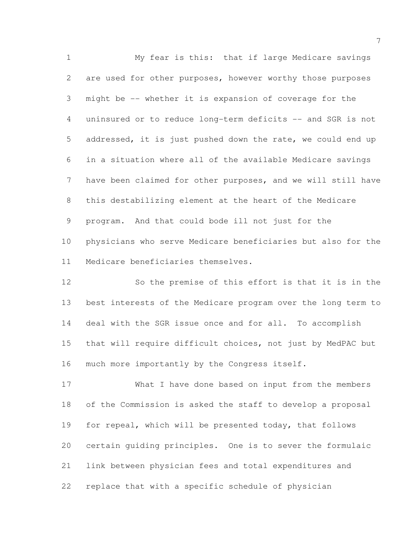My fear is this: that if large Medicare savings are used for other purposes, however worthy those purposes might be -- whether it is expansion of coverage for the uninsured or to reduce long-term deficits -- and SGR is not addressed, it is just pushed down the rate, we could end up in a situation where all of the available Medicare savings have been claimed for other purposes, and we will still have this destabilizing element at the heart of the Medicare program. And that could bode ill not just for the physicians who serve Medicare beneficiaries but also for the Medicare beneficiaries themselves.

 So the premise of this effort is that it is in the best interests of the Medicare program over the long term to deal with the SGR issue once and for all. To accomplish that will require difficult choices, not just by MedPAC but 16 much more importantly by the Congress itself.

 What I have done based on input from the members of the Commission is asked the staff to develop a proposal for repeal, which will be presented today, that follows certain guiding principles. One is to sever the formulaic link between physician fees and total expenditures and replace that with a specific schedule of physician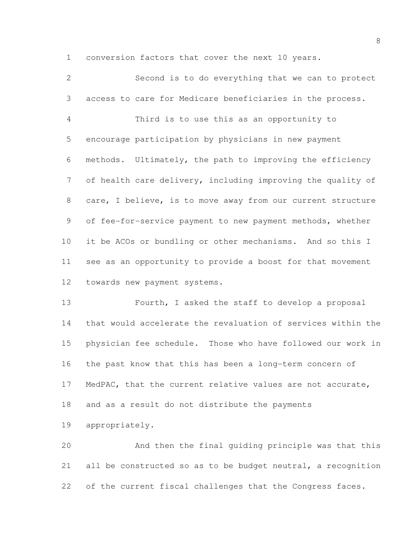conversion factors that cover the next 10 years.

 Second is to do everything that we can to protect access to care for Medicare beneficiaries in the process. Third is to use this as an opportunity to encourage participation by physicians in new payment methods. Ultimately, the path to improving the efficiency of health care delivery, including improving the quality of care, I believe, is to move away from our current structure of fee-for-service payment to new payment methods, whether it be ACOs or bundling or other mechanisms. And so this I see as an opportunity to provide a boost for that movement towards new payment systems.

 Fourth, I asked the staff to develop a proposal that would accelerate the revaluation of services within the physician fee schedule. Those who have followed our work in the past know that this has been a long-term concern of MedPAC, that the current relative values are not accurate, and as a result do not distribute the payments

appropriately.

 And then the final guiding principle was that this all be constructed so as to be budget neutral, a recognition 22 of the current fiscal challenges that the Congress faces.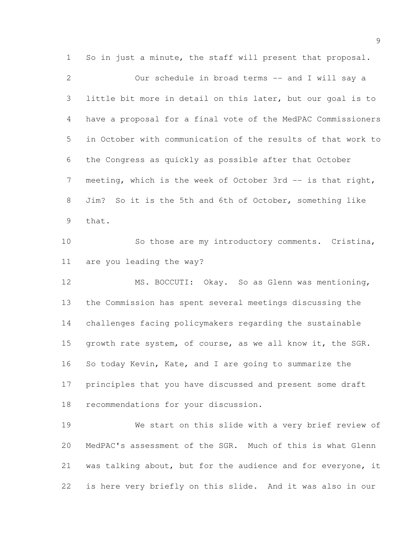So in just a minute, the staff will present that proposal.

 Our schedule in broad terms -- and I will say a little bit more in detail on this later, but our goal is to have a proposal for a final vote of the MedPAC Commissioners in October with communication of the results of that work to the Congress as quickly as possible after that October meeting, which is the week of October 3rd -- is that right, Jim? So it is the 5th and 6th of October, something like that.

 So those are my introductory comments. Cristina, are you leading the way?

 MS. BOCCUTI: Okay. So as Glenn was mentioning, the Commission has spent several meetings discussing the challenges facing policymakers regarding the sustainable 15 growth rate system, of course, as we all know it, the SGR. So today Kevin, Kate, and I are going to summarize the principles that you have discussed and present some draft recommendations for your discussion.

 We start on this slide with a very brief review of MedPAC's assessment of the SGR. Much of this is what Glenn was talking about, but for the audience and for everyone, it is here very briefly on this slide. And it was also in our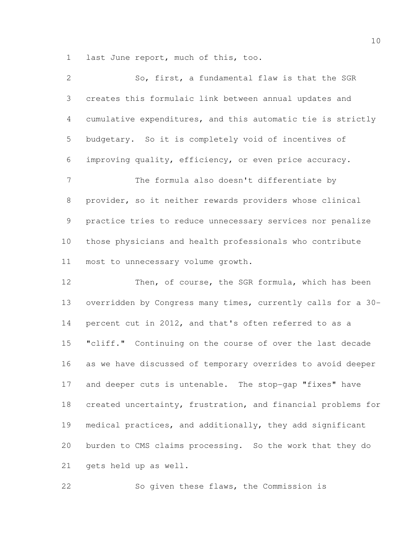last June report, much of this, too.

| $\mathbf{2}$ | So, first, a fundamental flaw is that the SGR                |
|--------------|--------------------------------------------------------------|
| 3            | creates this formulaic link between annual updates and       |
| 4            | cumulative expenditures, and this automatic tie is strictly  |
| 5            | budgetary. So it is completely void of incentives of         |
| 6            | improving quality, efficiency, or even price accuracy.       |
| 7            | The formula also doesn't differentiate by                    |
| 8            | provider, so it neither rewards providers whose clinical     |
| 9            | practice tries to reduce unnecessary services nor penalize   |
| 10           | those physicians and health professionals who contribute     |
| 11           | most to unnecessary volume growth.                           |
| 12           | Then, of course, the SGR formula, which has been             |
| 13           | overridden by Congress many times, currently calls for a 30- |
| 14           | percent cut in 2012, and that's often referred to as a       |

 "cliff." Continuing on the course of over the last decade as we have discussed of temporary overrides to avoid deeper and deeper cuts is untenable. The stop-gap "fixes" have created uncertainty, frustration, and financial problems for medical practices, and additionally, they add significant burden to CMS claims processing. So the work that they do gets held up as well.

So given these flaws, the Commission is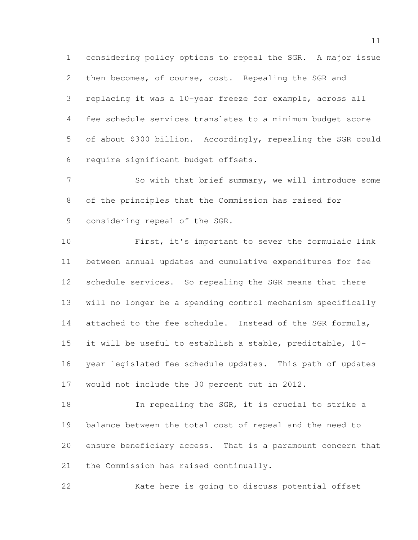considering policy options to repeal the SGR. A major issue 2 then becomes, of course, cost. Repealing the SGR and replacing it was a 10-year freeze for example, across all fee schedule services translates to a minimum budget score of about \$300 billion. Accordingly, repealing the SGR could require significant budget offsets.

7 So with that brief summary, we will introduce some of the principles that the Commission has raised for considering repeal of the SGR.

 First, it's important to sever the formulaic link between annual updates and cumulative expenditures for fee schedule services. So repealing the SGR means that there will no longer be a spending control mechanism specifically 14 attached to the fee schedule. Instead of the SGR formula, it will be useful to establish a stable, predictable, 10- year legislated fee schedule updates. This path of updates would not include the 30 percent cut in 2012.

18 In repealing the SGR, it is crucial to strike a balance between the total cost of repeal and the need to ensure beneficiary access. That is a paramount concern that the Commission has raised continually.

Kate here is going to discuss potential offset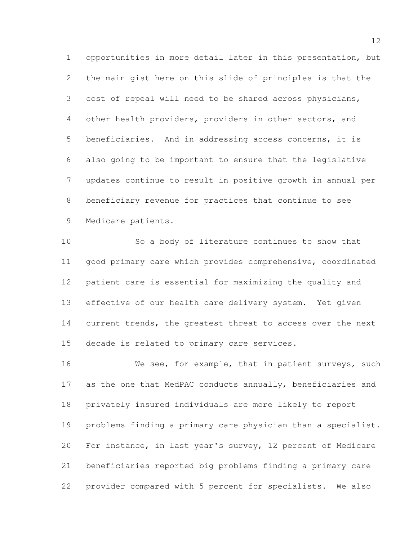opportunities in more detail later in this presentation, but the main gist here on this slide of principles is that the cost of repeal will need to be shared across physicians, other health providers, providers in other sectors, and beneficiaries. And in addressing access concerns, it is also going to be important to ensure that the legislative updates continue to result in positive growth in annual per beneficiary revenue for practices that continue to see Medicare patients.

 So a body of literature continues to show that good primary care which provides comprehensive, coordinated patient care is essential for maximizing the quality and effective of our health care delivery system. Yet given 14 current trends, the greatest threat to access over the next decade is related to primary care services.

 We see, for example, that in patient surveys, such as the one that MedPAC conducts annually, beneficiaries and privately insured individuals are more likely to report problems finding a primary care physician than a specialist. For instance, in last year's survey, 12 percent of Medicare beneficiaries reported big problems finding a primary care provider compared with 5 percent for specialists. We also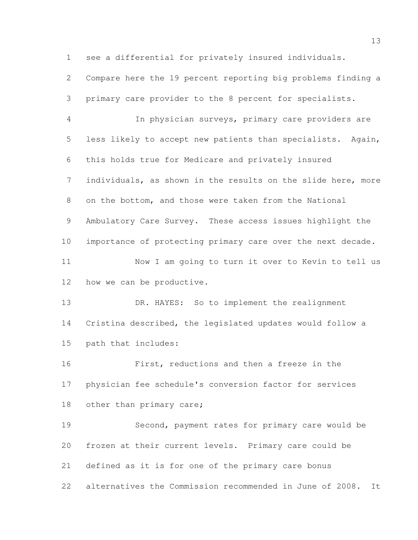see a differential for privately insured individuals.

 Compare here the 19 percent reporting big problems finding a primary care provider to the 8 percent for specialists.

 In physician surveys, primary care providers are less likely to accept new patients than specialists. Again, this holds true for Medicare and privately insured individuals, as shown in the results on the slide here, more on the bottom, and those were taken from the National Ambulatory Care Survey. These access issues highlight the importance of protecting primary care over the next decade. Now I am going to turn it over to Kevin to tell us how we can be productive.

13 DR. HAYES: So to implement the realignment Cristina described, the legislated updates would follow a path that includes:

 First, reductions and then a freeze in the physician fee schedule's conversion factor for services 18 other than primary care;

 Second, payment rates for primary care would be frozen at their current levels. Primary care could be defined as it is for one of the primary care bonus alternatives the Commission recommended in June of 2008. It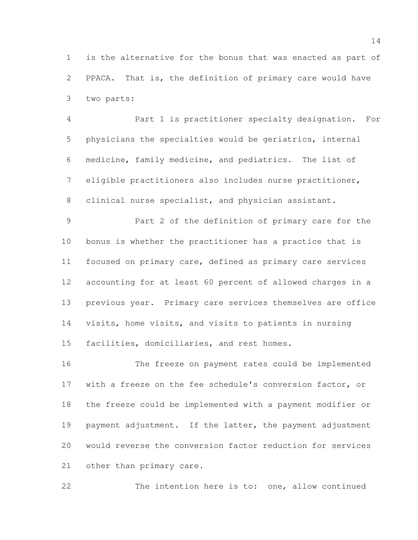is the alternative for the bonus that was enacted as part of PPACA. That is, the definition of primary care would have two parts:

 Part 1 is practitioner specialty designation. For physicians the specialties would be geriatrics, internal medicine, family medicine, and pediatrics. The list of eligible practitioners also includes nurse practitioner, clinical nurse specialist, and physician assistant.

 Part 2 of the definition of primary care for the bonus is whether the practitioner has a practice that is focused on primary care, defined as primary care services accounting for at least 60 percent of allowed charges in a previous year. Primary care services themselves are office visits, home visits, and visits to patients in nursing facilities, domiciliaries, and rest homes.

 The freeze on payment rates could be implemented with a freeze on the fee schedule's conversion factor, or the freeze could be implemented with a payment modifier or 19 payment adjustment. If the latter, the payment adjustment would reverse the conversion factor reduction for services other than primary care.

The intention here is to: one, allow continued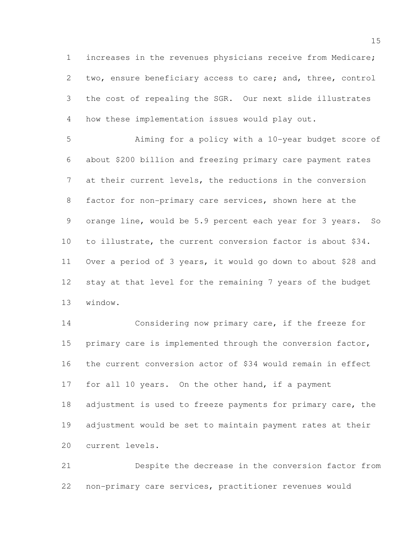increases in the revenues physicians receive from Medicare; two, ensure beneficiary access to care; and, three, control the cost of repealing the SGR. Our next slide illustrates how these implementation issues would play out.

 Aiming for a policy with a 10-year budget score of about \$200 billion and freezing primary care payment rates at their current levels, the reductions in the conversion factor for non-primary care services, shown here at the orange line, would be 5.9 percent each year for 3 years. So to illustrate, the current conversion factor is about \$34. Over a period of 3 years, it would go down to about \$28 and stay at that level for the remaining 7 years of the budget window.

 Considering now primary care, if the freeze for primary care is implemented through the conversion factor, the current conversion actor of \$34 would remain in effect for all 10 years. On the other hand, if a payment 18 adjustment is used to freeze payments for primary care, the adjustment would be set to maintain payment rates at their current levels.

 Despite the decrease in the conversion factor from non-primary care services, practitioner revenues would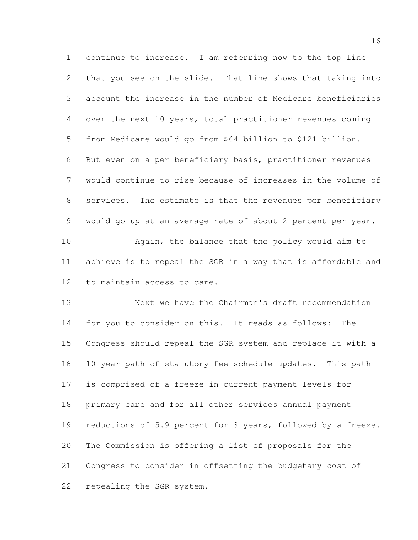continue to increase. I am referring now to the top line that you see on the slide. That line shows that taking into account the increase in the number of Medicare beneficiaries over the next 10 years, total practitioner revenues coming from Medicare would go from \$64 billion to \$121 billion. But even on a per beneficiary basis, practitioner revenues would continue to rise because of increases in the volume of services. The estimate is that the revenues per beneficiary would go up at an average rate of about 2 percent per year. Again, the balance that the policy would aim to

 achieve is to repeal the SGR in a way that is affordable and to maintain access to care.

 Next we have the Chairman's draft recommendation for you to consider on this. It reads as follows: The Congress should repeal the SGR system and replace it with a 10-year path of statutory fee schedule updates. This path is comprised of a freeze in current payment levels for primary care and for all other services annual payment 19 reductions of 5.9 percent for 3 years, followed by a freeze. The Commission is offering a list of proposals for the Congress to consider in offsetting the budgetary cost of repealing the SGR system.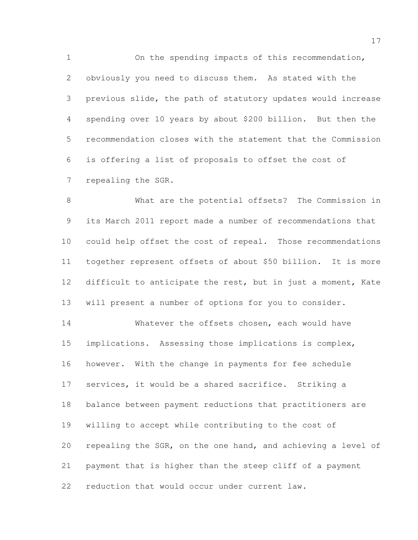On the spending impacts of this recommendation, obviously you need to discuss them. As stated with the previous slide, the path of statutory updates would increase spending over 10 years by about \$200 billion. But then the recommendation closes with the statement that the Commission is offering a list of proposals to offset the cost of repealing the SGR.

 What are the potential offsets? The Commission in its March 2011 report made a number of recommendations that could help offset the cost of repeal. Those recommendations together represent offsets of about \$50 billion. It is more difficult to anticipate the rest, but in just a moment, Kate will present a number of options for you to consider.

 Whatever the offsets chosen, each would have implications. Assessing those implications is complex, however. With the change in payments for fee schedule services, it would be a shared sacrifice. Striking a balance between payment reductions that practitioners are willing to accept while contributing to the cost of repealing the SGR, on the one hand, and achieving a level of payment that is higher than the steep cliff of a payment reduction that would occur under current law.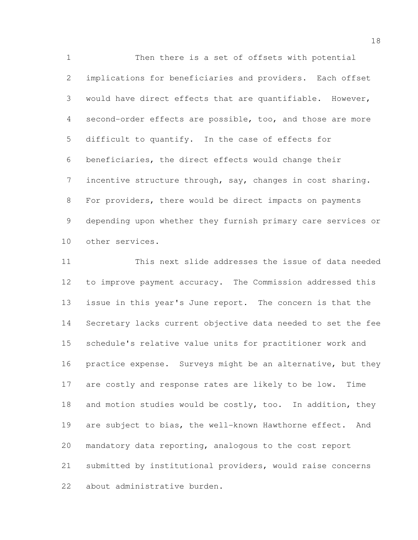Then there is a set of offsets with potential implications for beneficiaries and providers. Each offset would have direct effects that are quantifiable. However, second-order effects are possible, too, and those are more difficult to quantify. In the case of effects for beneficiaries, the direct effects would change their incentive structure through, say, changes in cost sharing. For providers, there would be direct impacts on payments depending upon whether they furnish primary care services or other services.

 This next slide addresses the issue of data needed to improve payment accuracy. The Commission addressed this issue in this year's June report. The concern is that the Secretary lacks current objective data needed to set the fee schedule's relative value units for practitioner work and 16 practice expense. Surveys might be an alternative, but they are costly and response rates are likely to be low. Time 18 and motion studies would be costly, too. In addition, they are subject to bias, the well-known Hawthorne effect. And mandatory data reporting, analogous to the cost report submitted by institutional providers, would raise concerns about administrative burden.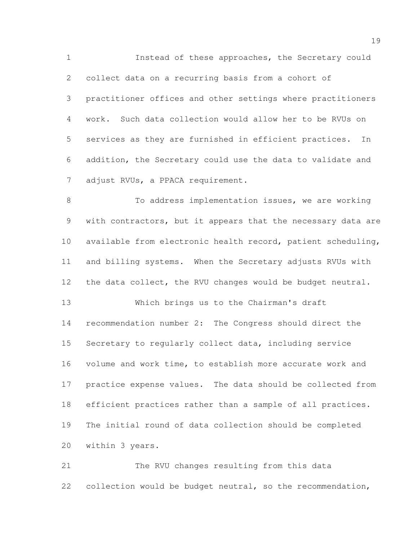Instead of these approaches, the Secretary could collect data on a recurring basis from a cohort of practitioner offices and other settings where practitioners work. Such data collection would allow her to be RVUs on services as they are furnished in efficient practices. In addition, the Secretary could use the data to validate and 7 adjust RVUs, a PPACA requirement.

8 To address implementation issues, we are working 9 with contractors, but it appears that the necessary data are available from electronic health record, patient scheduling, and billing systems. When the Secretary adjusts RVUs with 12 the data collect, the RVU changes would be budget neutral.

 Which brings us to the Chairman's draft recommendation number 2: The Congress should direct the Secretary to regularly collect data, including service volume and work time, to establish more accurate work and practice expense values. The data should be collected from efficient practices rather than a sample of all practices. The initial round of data collection should be completed within 3 years.

 The RVU changes resulting from this data collection would be budget neutral, so the recommendation,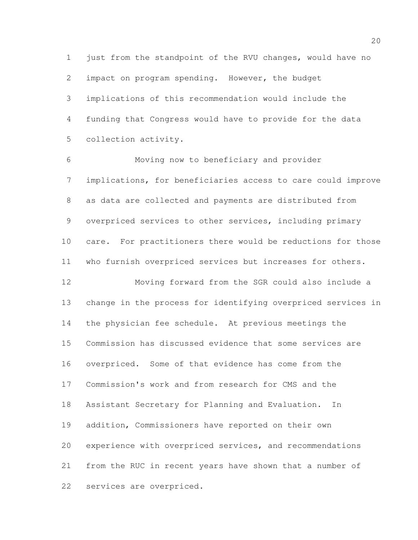just from the standpoint of the RVU changes, would have no impact on program spending. However, the budget implications of this recommendation would include the funding that Congress would have to provide for the data collection activity.

 Moving now to beneficiary and provider implications, for beneficiaries access to care could improve as data are collected and payments are distributed from overpriced services to other services, including primary care. For practitioners there would be reductions for those who furnish overpriced services but increases for others. Moving forward from the SGR could also include a change in the process for identifying overpriced services in the physician fee schedule. At previous meetings the Commission has discussed evidence that some services are overpriced. Some of that evidence has come from the

Commission's work and from research for CMS and the

Assistant Secretary for Planning and Evaluation. In

addition, Commissioners have reported on their own

 experience with overpriced services, and recommendations from the RUC in recent years have shown that a number of services are overpriced.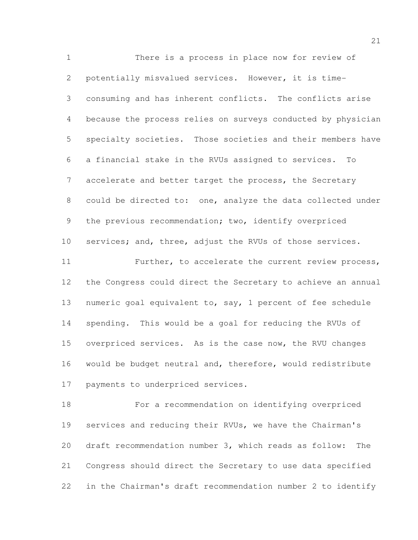There is a process in place now for review of potentially misvalued services. However, it is time- consuming and has inherent conflicts. The conflicts arise because the process relies on surveys conducted by physician specialty societies. Those societies and their members have a financial stake in the RVUs assigned to services. To 7 accelerate and better target the process, the Secretary could be directed to: one, analyze the data collected under 9 the previous recommendation; two, identify overpriced 10 services; and, three, adjust the RVUs of those services. Further, to accelerate the current review process, the Congress could direct the Secretary to achieve an annual numeric goal equivalent to, say, 1 percent of fee schedule spending. This would be a goal for reducing the RVUs of overpriced services. As is the case now, the RVU changes would be budget neutral and, therefore, would redistribute payments to underpriced services.

 For a recommendation on identifying overpriced services and reducing their RVUs, we have the Chairman's draft recommendation number 3, which reads as follow: The Congress should direct the Secretary to use data specified in the Chairman's draft recommendation number 2 to identify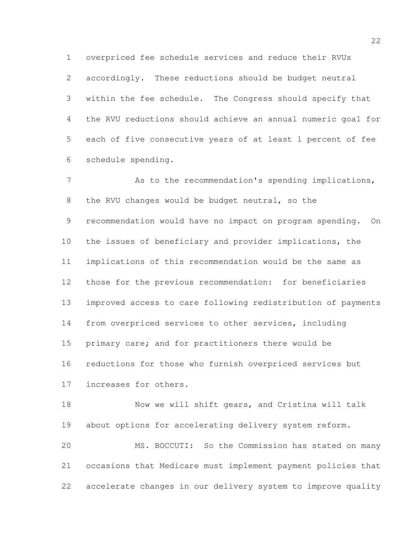overpriced fee schedule services and reduce their RVUs accordingly. These reductions should be budget neutral within the fee schedule. The Congress should specify that the RVU reductions should achieve an annual numeric goal for each of five consecutive years of at least 1 percent of fee schedule spending.

 As to the recommendation's spending implications, the RVU changes would be budget neutral, so the recommendation would have no impact on program spending. On the issues of beneficiary and provider implications, the implications of this recommendation would be the same as those for the previous recommendation: for beneficiaries improved access to care following redistribution of payments from overpriced services to other services, including primary care; and for practitioners there would be reductions for those who furnish overpriced services but increases for others.

 Now we will shift gears, and Cristina will talk about options for accelerating delivery system reform. MS. BOCCUTI: So the Commission has stated on many occasions that Medicare must implement payment policies that accelerate changes in our delivery system to improve quality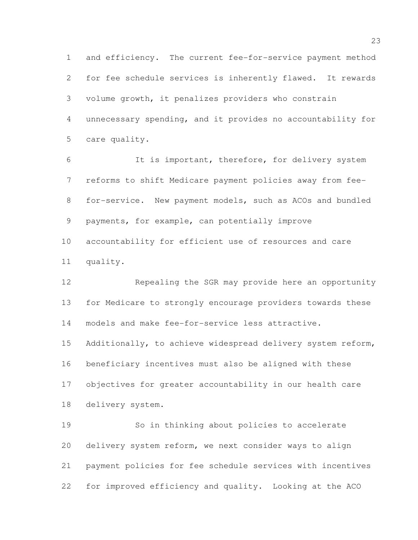and efficiency. The current fee-for-service payment method for fee schedule services is inherently flawed. It rewards volume growth, it penalizes providers who constrain unnecessary spending, and it provides no accountability for care quality.

 It is important, therefore, for delivery system reforms to shift Medicare payment policies away from fee- for-service. New payment models, such as ACOs and bundled payments, for example, can potentially improve accountability for efficient use of resources and care quality.

 Repealing the SGR may provide here an opportunity for Medicare to strongly encourage providers towards these models and make fee-for-service less attractive.

15 Additionally, to achieve widespread delivery system reform, beneficiary incentives must also be aligned with these objectives for greater accountability in our health care delivery system.

 So in thinking about policies to accelerate delivery system reform, we next consider ways to align payment policies for fee schedule services with incentives for improved efficiency and quality. Looking at the ACO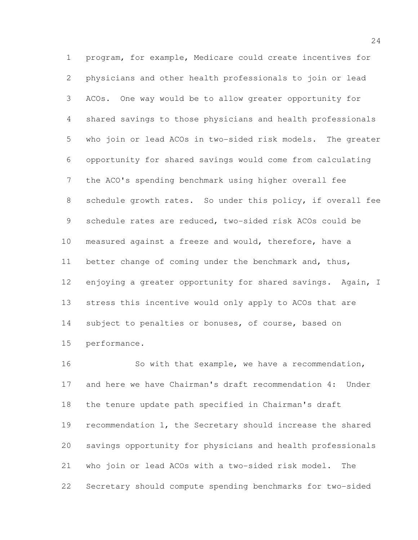program, for example, Medicare could create incentives for physicians and other health professionals to join or lead ACOs. One way would be to allow greater opportunity for shared savings to those physicians and health professionals who join or lead ACOs in two-sided risk models. The greater opportunity for shared savings would come from calculating the ACO's spending benchmark using higher overall fee 8 schedule growth rates. So under this policy, if overall fee schedule rates are reduced, two-sided risk ACOs could be measured against a freeze and would, therefore, have a better change of coming under the benchmark and, thus, 12 enjoying a greater opportunity for shared savings. Again, I stress this incentive would only apply to ACOs that are 14 subject to penalties or bonuses, of course, based on performance.

 So with that example, we have a recommendation, and here we have Chairman's draft recommendation 4: Under the tenure update path specified in Chairman's draft 19 recommendation 1, the Secretary should increase the shared savings opportunity for physicians and health professionals who join or lead ACOs with a two-sided risk model. The Secretary should compute spending benchmarks for two-sided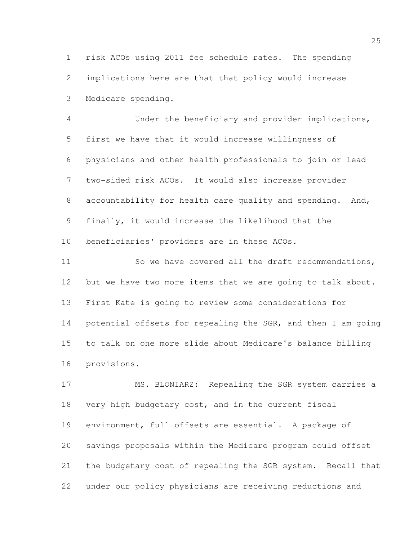risk ACOs using 2011 fee schedule rates. The spending implications here are that that policy would increase Medicare spending.

 Under the beneficiary and provider implications, first we have that it would increase willingness of physicians and other health professionals to join or lead two-sided risk ACOs. It would also increase provider accountability for health care quality and spending. And, finally, it would increase the likelihood that the beneficiaries' providers are in these ACOs.

11 So we have covered all the draft recommendations, 12 but we have two more items that we are going to talk about. First Kate is going to review some considerations for potential offsets for repealing the SGR, and then I am going to talk on one more slide about Medicare's balance billing provisions.

 MS. BLONIARZ: Repealing the SGR system carries a very high budgetary cost, and in the current fiscal environment, full offsets are essential. A package of savings proposals within the Medicare program could offset the budgetary cost of repealing the SGR system. Recall that under our policy physicians are receiving reductions and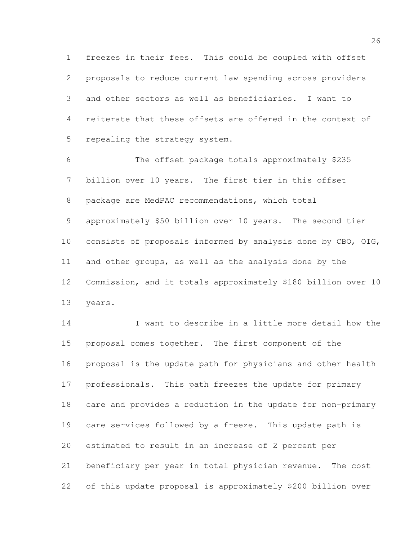freezes in their fees. This could be coupled with offset proposals to reduce current law spending across providers and other sectors as well as beneficiaries. I want to reiterate that these offsets are offered in the context of repealing the strategy system.

 The offset package totals approximately \$235 billion over 10 years. The first tier in this offset package are MedPAC recommendations, which total approximately \$50 billion over 10 years. The second tier consists of proposals informed by analysis done by CBO, OIG, and other groups, as well as the analysis done by the Commission, and it totals approximately \$180 billion over 10 years.

 I want to describe in a little more detail how the proposal comes together. The first component of the proposal is the update path for physicians and other health professionals. This path freezes the update for primary care and provides a reduction in the update for non-primary care services followed by a freeze. This update path is estimated to result in an increase of 2 percent per beneficiary per year in total physician revenue. The cost of this update proposal is approximately \$200 billion over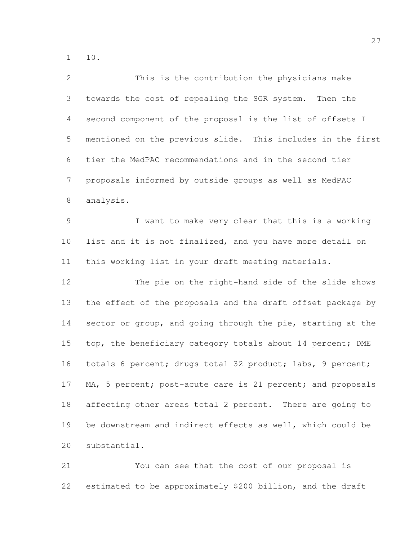10.

| $\overline{2}$ | This is the contribution the physicians make                |
|----------------|-------------------------------------------------------------|
| 3              | towards the cost of repealing the SGR system. Then the      |
| 4              | second component of the proposal is the list of offsets I   |
| 5              | mentioned on the previous slide. This includes in the first |
| 6              | tier the MedPAC recommendations and in the second tier      |
| $7\phantom{.}$ | proposals informed by outside groups as well as MedPAC      |
| $8\,$          | analysis.                                                   |
| $\mathcal{G}$  | I want to make very clear that this is a working            |
| 10             | list and it is not finalized, and you have more detail on   |
| 11             | this working list in your draft meeting materials.          |
| 12             | The pie on the right-hand side of the slide shows           |
| 13             | the effect of the proposals and the draft offset package by |
| 14             | sector or group, and going through the pie, starting at the |
| 15             | top, the beneficiary category totals about 14 percent; DME  |
| 16             | totals 6 percent; drugs total 32 product; labs, 9 percent;  |
| 17             | MA, 5 percent; post-acute care is 21 percent; and proposals |
| 18             | affecting other areas total 2 percent. There are going to   |
| 19             | be downstream and indirect effects as well, which could be  |
| 20             | substantial.                                                |
|                |                                                             |

 You can see that the cost of our proposal is estimated to be approximately \$200 billion, and the draft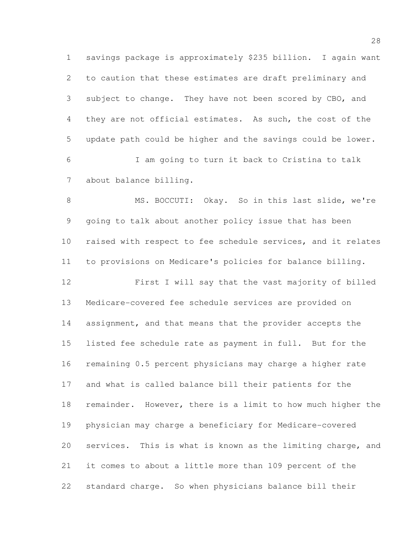savings package is approximately \$235 billion. I again want to caution that these estimates are draft preliminary and subject to change. They have not been scored by CBO, and they are not official estimates. As such, the cost of the update path could be higher and the savings could be lower. I am going to turn it back to Cristina to talk about balance billing.

 MS. BOCCUTI: Okay. So in this last slide, we're going to talk about another policy issue that has been raised with respect to fee schedule services, and it relates to provisions on Medicare's policies for balance billing.

 First I will say that the vast majority of billed Medicare-covered fee schedule services are provided on assignment, and that means that the provider accepts the listed fee schedule rate as payment in full. But for the remaining 0.5 percent physicians may charge a higher rate and what is called balance bill their patients for the remainder. However, there is a limit to how much higher the physician may charge a beneficiary for Medicare-covered services. This is what is known as the limiting charge, and it comes to about a little more than 109 percent of the standard charge. So when physicians balance bill their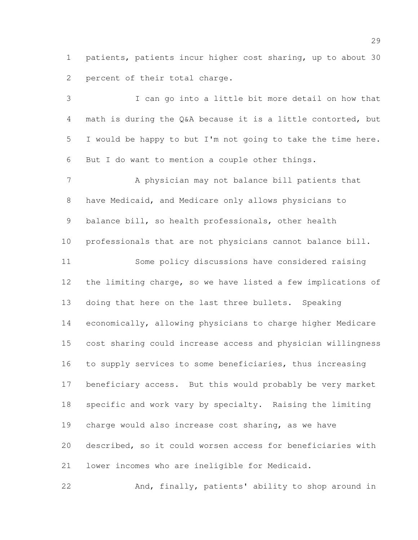patients, patients incur higher cost sharing, up to about 30 2 percent of their total charge.

 I can go into a little bit more detail on how that math is during the Q&A because it is a little contorted, but I would be happy to but I'm not going to take the time here. But I do want to mention a couple other things. A physician may not balance bill patients that have Medicaid, and Medicare only allows physicians to balance bill, so health professionals, other health professionals that are not physicians cannot balance bill. Some policy discussions have considered raising the limiting charge, so we have listed a few implications of doing that here on the last three bullets. Speaking economically, allowing physicians to charge higher Medicare cost sharing could increase access and physician willingness 16 to supply services to some beneficiaries, thus increasing beneficiary access. But this would probably be very market specific and work vary by specialty. Raising the limiting charge would also increase cost sharing, as we have described, so it could worsen access for beneficiaries with lower incomes who are ineligible for Medicaid.

And, finally, patients' ability to shop around in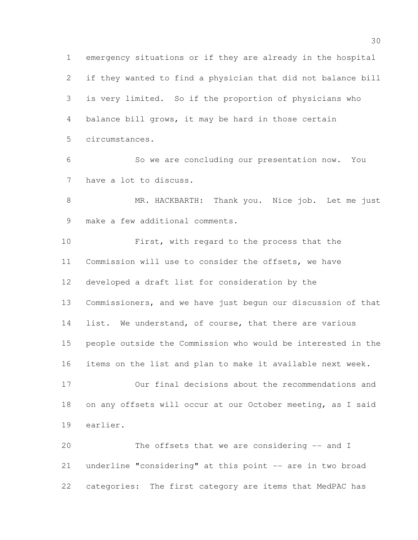emergency situations or if they are already in the hospital if they wanted to find a physician that did not balance bill is very limited. So if the proportion of physicians who balance bill grows, it may be hard in those certain circumstances. So we are concluding our presentation now. You have a lot to discuss. MR. HACKBARTH: Thank you. Nice job. Let me just make a few additional comments. First, with regard to the process that the Commission will use to consider the offsets, we have developed a draft list for consideration by the Commissioners, and we have just begun our discussion of that 14 list. We understand, of course, that there are various people outside the Commission who would be interested in the items on the list and plan to make it available next week. Our final decisions about the recommendations and on any offsets will occur at our October meeting, as I said earlier. The offsets that we are considering -- and I underline "considering" at this point -- are in two broad

categories: The first category are items that MedPAC has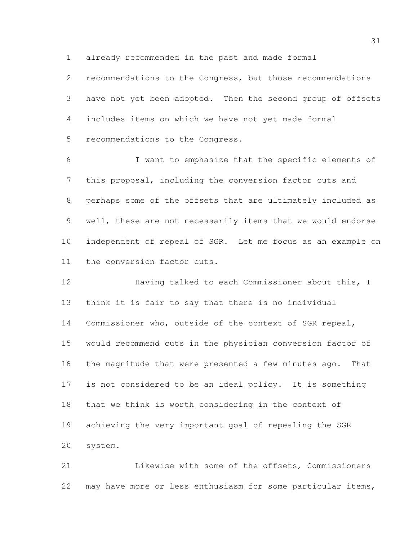already recommended in the past and made formal

 recommendations to the Congress, but those recommendations have not yet been adopted. Then the second group of offsets includes items on which we have not yet made formal recommendations to the Congress.

 I want to emphasize that the specific elements of this proposal, including the conversion factor cuts and perhaps some of the offsets that are ultimately included as well, these are not necessarily items that we would endorse independent of repeal of SGR. Let me focus as an example on the conversion factor cuts.

12 Having talked to each Commissioner about this, I think it is fair to say that there is no individual Commissioner who, outside of the context of SGR repeal, would recommend cuts in the physician conversion factor of the magnitude that were presented a few minutes ago. That is not considered to be an ideal policy. It is something that we think is worth considering in the context of achieving the very important goal of repealing the SGR system.

 Likewise with some of the offsets, Commissioners may have more or less enthusiasm for some particular items,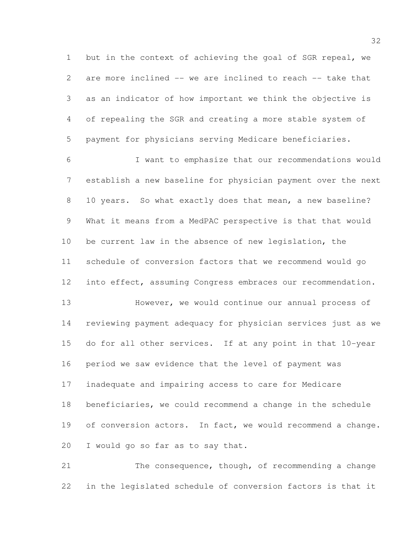but in the context of achieving the goal of SGR repeal, we are more inclined -- we are inclined to reach -- take that as an indicator of how important we think the objective is of repealing the SGR and creating a more stable system of payment for physicians serving Medicare beneficiaries.

 I want to emphasize that our recommendations would establish a new baseline for physician payment over the next 10 years. So what exactly does that mean, a new baseline? What it means from a MedPAC perspective is that that would be current law in the absence of new legislation, the schedule of conversion factors that we recommend would go into effect, assuming Congress embraces our recommendation. However, we would continue our annual process of reviewing payment adequacy for physician services just as we do for all other services. If at any point in that 10-year

period we saw evidence that the level of payment was

inadequate and impairing access to care for Medicare

 beneficiaries, we could recommend a change in the schedule 19 of conversion actors. In fact, we would recommend a change. I would go so far as to say that.

 The consequence, though, of recommending a change in the legislated schedule of conversion factors is that it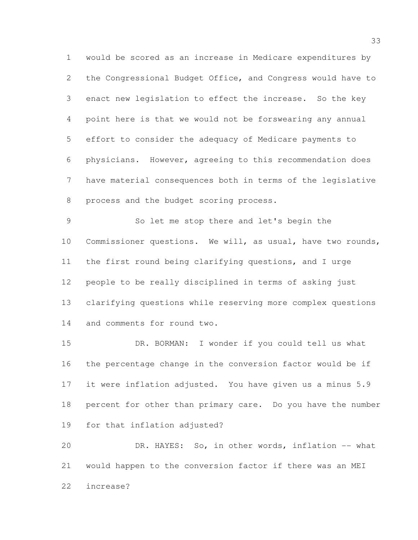would be scored as an increase in Medicare expenditures by the Congressional Budget Office, and Congress would have to enact new legislation to effect the increase. So the key point here is that we would not be forswearing any annual effort to consider the adequacy of Medicare payments to physicians. However, agreeing to this recommendation does have material consequences both in terms of the legislative process and the budget scoring process.

 So let me stop there and let's begin the Commissioner questions. We will, as usual, have two rounds, the first round being clarifying questions, and I urge people to be really disciplined in terms of asking just clarifying questions while reserving more complex questions and comments for round two.

 DR. BORMAN: I wonder if you could tell us what the percentage change in the conversion factor would be if it were inflation adjusted. You have given us a minus 5.9 percent for other than primary care. Do you have the number for that inflation adjusted?

 DR. HAYES: So, in other words, inflation -- what would happen to the conversion factor if there was an MEI increase?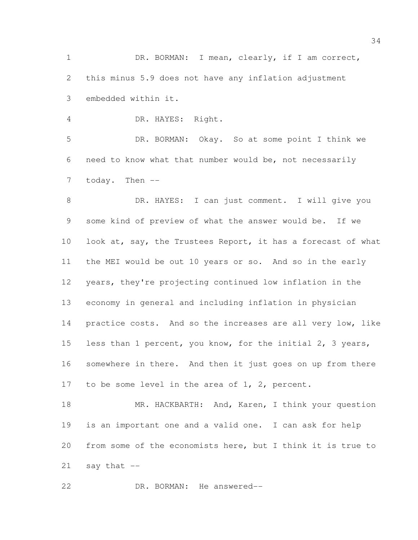DR. BORMAN: I mean, clearly, if I am correct, this minus 5.9 does not have any inflation adjustment embedded within it.

DR. HAYES: Right.

 DR. BORMAN: Okay. So at some point I think we need to know what that number would be, not necessarily 7 today. Then --

 DR. HAYES: I can just comment. I will give you some kind of preview of what the answer would be. If we 10 look at, say, the Trustees Report, it has a forecast of what the MEI would be out 10 years or so. And so in the early years, they're projecting continued low inflation in the economy in general and including inflation in physician 14 practice costs. And so the increases are all very low, like less than 1 percent, you know, for the initial 2, 3 years, somewhere in there. And then it just goes on up from there 17 to be some level in the area of 1, 2, percent.

18 MR. HACKBARTH: And, Karen, I think your question is an important one and a valid one. I can ask for help from some of the economists here, but I think it is true to say that  $-$ 

DR. BORMAN: He answered--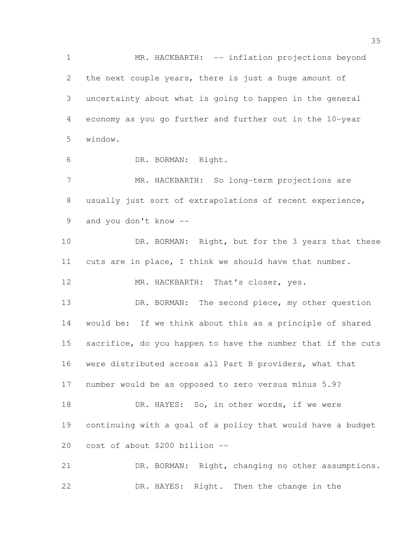1 MR. HACKBARTH: -- inflation projections beyond the next couple years, there is just a huge amount of uncertainty about what is going to happen in the general economy as you go further and further out in the 10-year window. DR. BORMAN: Right. MR. HACKBARTH: So long-term projections are usually just sort of extrapolations of recent experience, and you don't know -- 10 DR. BORMAN: Right, but for the 3 years that these cuts are in place, I think we should have that number. 12 MR. HACKBARTH: That's closer, yes. 13 DR. BORMAN: The second piece, my other question would be: If we think about this as a principle of shared 15 sacrifice, do you happen to have the number that if the cuts were distributed across all Part B providers, what that number would be as opposed to zero versus minus 5.9? 18 DR. HAYES: So, in other words, if we were continuing with a goal of a policy that would have a budget cost of about \$200 billion -- DR. BORMAN: Right, changing no other assumptions.

DR. HAYES: Right. Then the change in the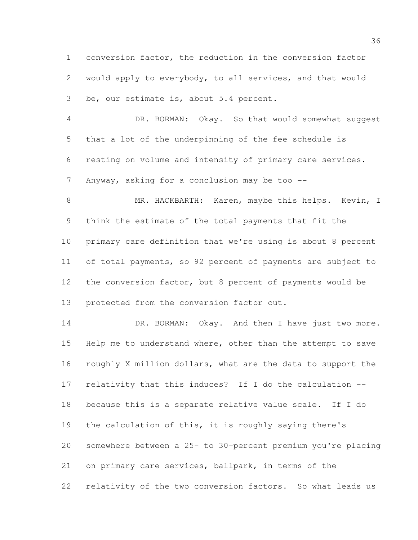conversion factor, the reduction in the conversion factor would apply to everybody, to all services, and that would be, our estimate is, about 5.4 percent.

 DR. BORMAN: Okay. So that would somewhat suggest that a lot of the underpinning of the fee schedule is resting on volume and intensity of primary care services. 7 Anyway, asking for a conclusion may be too --

8 MR. HACKBARTH: Karen, maybe this helps. Kevin, I think the estimate of the total payments that fit the primary care definition that we're using is about 8 percent of total payments, so 92 percent of payments are subject to the conversion factor, but 8 percent of payments would be 13 protected from the conversion factor cut.

14 DR. BORMAN: Okay. And then I have just two more. Help me to understand where, other than the attempt to save roughly X million dollars, what are the data to support the relativity that this induces? If I do the calculation -- because this is a separate relative value scale. If I do the calculation of this, it is roughly saying there's somewhere between a 25- to 30-percent premium you're placing on primary care services, ballpark, in terms of the relativity of the two conversion factors. So what leads us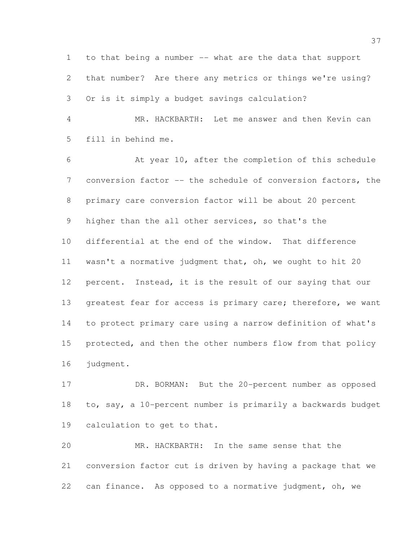to that being a number -- what are the data that support that number? Are there any metrics or things we're using? Or is it simply a budget savings calculation?

 MR. HACKBARTH: Let me answer and then Kevin can fill in behind me.

 At year 10, after the completion of this schedule conversion factor -- the schedule of conversion factors, the primary care conversion factor will be about 20 percent 9 higher than the all other services, so that's the differential at the end of the window. That difference wasn't a normative judgment that, oh, we ought to hit 20 percent. Instead, it is the result of our saying that our 13 greatest fear for access is primary care; therefore, we want to protect primary care using a narrow definition of what's 15 protected, and then the other numbers flow from that policy judgment.

17 DR. BORMAN: But the 20-percent number as opposed to, say, a 10-percent number is primarily a backwards budget calculation to get to that.

 MR. HACKBARTH: In the same sense that the conversion factor cut is driven by having a package that we can finance. As opposed to a normative judgment, oh, we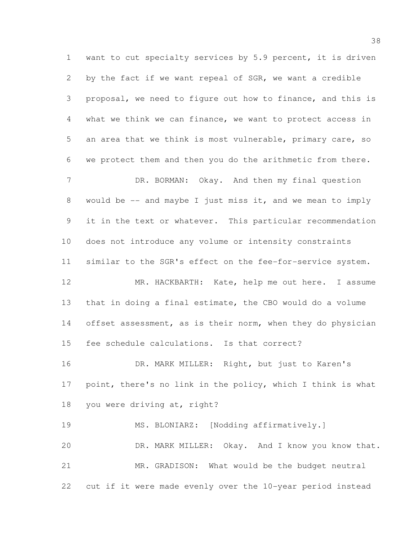want to cut specialty services by 5.9 percent, it is driven by the fact if we want repeal of SGR, we want a credible proposal, we need to figure out how to finance, and this is what we think we can finance, we want to protect access in an area that we think is most vulnerable, primary care, so we protect them and then you do the arithmetic from there. 7 DR. BORMAN: Okay. And then my final question would be -- and maybe I just miss it, and we mean to imply it in the text or whatever. This particular recommendation does not introduce any volume or intensity constraints similar to the SGR's effect on the fee-for-service system. MR. HACKBARTH: Kate, help me out here. I assume that in doing a final estimate, the CBO would do a volume 14 offset assessment, as is their norm, when they do physician fee schedule calculations. Is that correct? DR. MARK MILLER: Right, but just to Karen's point, there's no link in the policy, which I think is what you were driving at, right? 19 MS. BLONIARZ: [Nodding affirmatively.] DR. MARK MILLER: Okay. And I know you know that. MR. GRADISON: What would be the budget neutral cut if it were made evenly over the 10-year period instead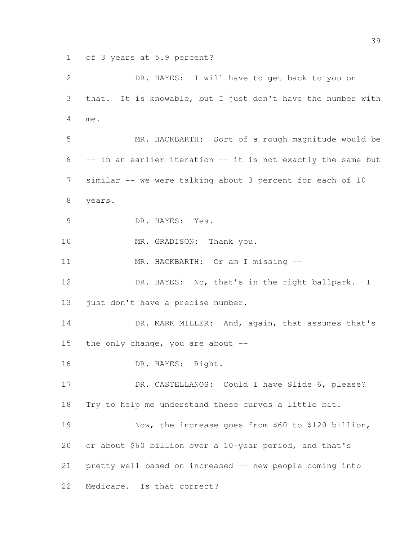of 3 years at 5.9 percent?

| $\mathbf{2}$   | DR. HAYES: I will have to get back to you on                 |
|----------------|--------------------------------------------------------------|
| 3              | that. It is knowable, but I just don't have the number with  |
| 4              | me.                                                          |
| 5              | MR. HACKBARTH: Sort of a rough magnitude would be            |
| 6              | -- in an earlier iteration -- it is not exactly the same but |
| $\overline{7}$ | similar -- we were talking about 3 percent for each of 10    |
| $8\,$          | years.                                                       |
| $\mathcal{G}$  | DR. HAYES: Yes.                                              |
| 10             | MR. GRADISON: Thank you.                                     |
| 11             | MR. HACKBARTH: Or am I missing --                            |
| 12             | DR. HAYES: No, that's in the right ballpark. I               |
| 13             | just don't have a precise number.                            |
| 14             | DR. MARK MILLER: And, again, that assumes that's             |
| 15             | the only change, you are about --                            |
| 16             | DR. HAYES: Right.                                            |
| 17             | DR. CASTELLANOS: Could I have Slide 6, please?               |
| 18             | Try to help me understand these curves a little bit.         |
| 19             | Now, the increase goes from \$60 to \$120 billion,           |
| 20             | or about \$60 billion over a 10-year period, and that's      |
| 21             | pretty well based on increased -- new people coming into     |
| 22             | Medicare. Is that correct?                                   |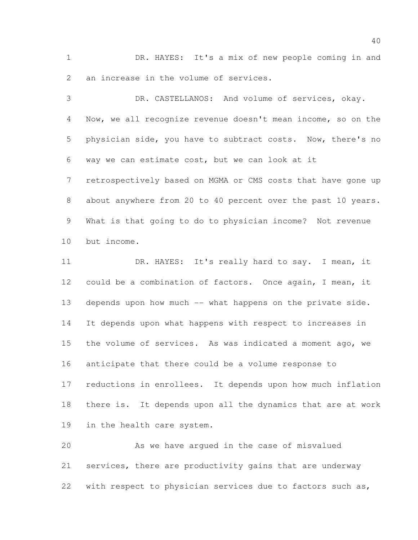DR. HAYES: It's a mix of new people coming in and an increase in the volume of services.

 DR. CASTELLANOS: And volume of services, okay. Now, we all recognize revenue doesn't mean income, so on the physician side, you have to subtract costs. Now, there's no way we can estimate cost, but we can look at it retrospectively based on MGMA or CMS costs that have gone up about anywhere from 20 to 40 percent over the past 10 years. What is that going to do to physician income? Not revenue but income. DR. HAYES: It's really hard to say. I mean, it could be a combination of factors. Once again, I mean, it 13 depends upon how much -- what happens on the private side. It depends upon what happens with respect to increases in the volume of services. As was indicated a moment ago, we anticipate that there could be a volume response to reductions in enrollees. It depends upon how much inflation

 there is. It depends upon all the dynamics that are at work in the health care system.

 As we have argued in the case of misvalued services, there are productivity gains that are underway with respect to physician services due to factors such as,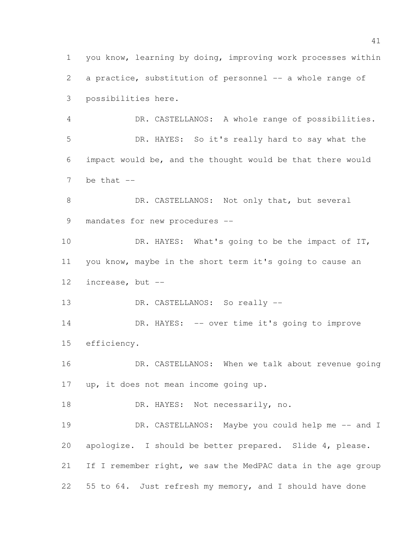you know, learning by doing, improving work processes within 2 a practice, substitution of personnel -- a whole range of possibilities here. DR. CASTELLANOS: A whole range of possibilities. DR. HAYES: So it's really hard to say what the impact would be, and the thought would be that there would be that  $-$ 8 DR. CASTELLANOS: Not only that, but several mandates for new procedures --

10 DR. HAYES: What's going to be the impact of IT, you know, maybe in the short term it's going to cause an increase, but --

13 DR. CASTELLANOS: So really --

14 DR. HAYES: -- over time it's going to improve efficiency.

 DR. CASTELLANOS: When we talk about revenue going up, it does not mean income going up.

18 DR. HAYES: Not necessarily, no.

19 DR. CASTELLANOS: Maybe you could help me -- and I apologize. I should be better prepared. Slide 4, please. 21 If I remember right, we saw the MedPAC data in the age group 55 to 64. Just refresh my memory, and I should have done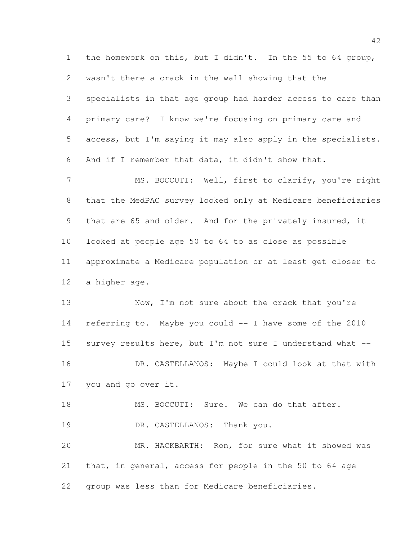the homework on this, but I didn't. In the 55 to 64 group, wasn't there a crack in the wall showing that the specialists in that age group had harder access to care than primary care? I know we're focusing on primary care and access, but I'm saying it may also apply in the specialists. And if I remember that data, it didn't show that. MS. BOCCUTI: Well, first to clarify, you're right that the MedPAC survey looked only at Medicare beneficiaries that are 65 and older. And for the privately insured, it looked at people age 50 to 64 to as close as possible approximate a Medicare population or at least get closer to a higher age. 13 Now, I'm not sure about the crack that you're referring to. Maybe you could -- I have some of the 2010 survey results here, but I'm not sure I understand what -- 16 DR. CASTELLANOS: Maybe I could look at that with you and go over it.

18 MS. BOCCUTI: Sure. We can do that after. 19 DR. CASTELLANOS: Thank you. MR. HACKBARTH: Ron, for sure what it showed was that, in general, access for people in the 50 to 64 age group was less than for Medicare beneficiaries.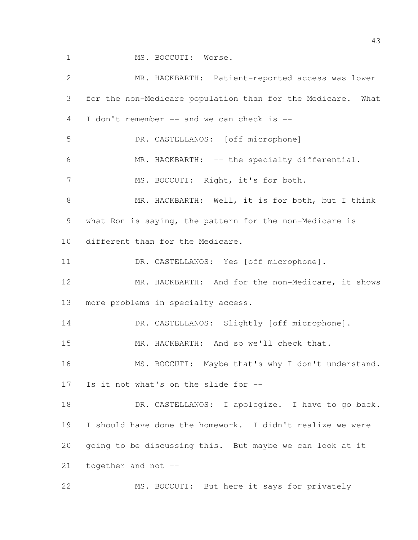1 MS. BOCCUTI: Worse. MR. HACKBARTH: Patient-reported access was lower for the non-Medicare population than for the Medicare. What I don't remember -- and we can check is -- DR. CASTELLANOS: [off microphone] MR. HACKBARTH: -- the specialty differential. 7 MS. BOCCUTI: Right, it's for both. MR. HACKBARTH: Well, it is for both, but I think what Ron is saying, the pattern for the non-Medicare is different than for the Medicare. 11 DR. CASTELLANOS: Yes [off microphone]. MR. HACKBARTH: And for the non-Medicare, it shows more problems in specialty access. 14 DR. CASTELLANOS: Slightly [off microphone]. MR. HACKBARTH: And so we'll check that. 16 MS. BOCCUTI: Maybe that's why I don't understand. Is it not what's on the slide for -- 18 DR. CASTELLANOS: I apologize. I have to go back. I should have done the homework. I didn't realize we were going to be discussing this. But maybe we can look at it together and not -- MS. BOCCUTI: But here it says for privately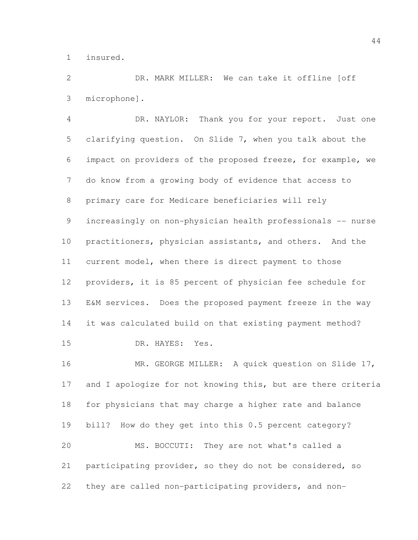insured.

 DR. MARK MILLER: We can take it offline [off microphone].

 DR. NAYLOR: Thank you for your report. Just one clarifying question. On Slide 7, when you talk about the impact on providers of the proposed freeze, for example, we do know from a growing body of evidence that access to primary care for Medicare beneficiaries will rely increasingly on non-physician health professionals -- nurse practitioners, physician assistants, and others. And the current model, when there is direct payment to those providers, it is 85 percent of physician fee schedule for E&M services. Does the proposed payment freeze in the way it was calculated build on that existing payment method? DR. HAYES: Yes. MR. GEORGE MILLER: A quick question on Slide 17,

17 and I apologize for not knowing this, but are there criteria for physicians that may charge a higher rate and balance bill? How do they get into this 0.5 percent category? MS. BOCCUTI: They are not what's called a participating provider, so they do not be considered, so they are called non-participating providers, and non-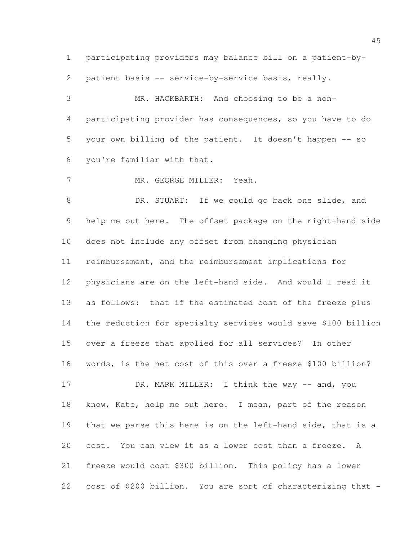participating providers may balance bill on a patient-by-

patient basis -- service-by-service basis, really.

 MR. HACKBARTH: And choosing to be a non- participating provider has consequences, so you have to do your own billing of the patient. It doesn't happen -- so you're familiar with that.

MR. GEORGE MILLER: Yeah.

8 DR. STUART: If we could go back one slide, and help me out here. The offset package on the right-hand side does not include any offset from changing physician reimbursement, and the reimbursement implications for physicians are on the left-hand side. And would I read it as follows: that if the estimated cost of the freeze plus the reduction for specialty services would save \$100 billion over a freeze that applied for all services? In other words, is the net cost of this over a freeze \$100 billion?

17 DR. MARK MILLER: I think the way -- and, you 18 know, Kate, help me out here. I mean, part of the reason that we parse this here is on the left-hand side, that is a cost. You can view it as a lower cost than a freeze. A freeze would cost \$300 billion. This policy has a lower cost of \$200 billion. You are sort of characterizing that -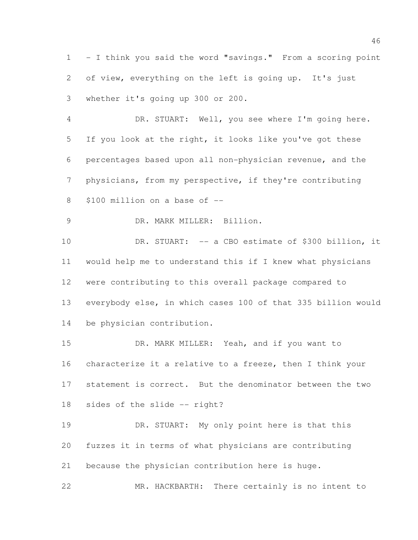- I think you said the word "savings." From a scoring point 2 of view, everything on the left is going up. It's just whether it's going up 300 or 200.

 DR. STUART: Well, you see where I'm going here. If you look at the right, it looks like you've got these percentages based upon all non-physician revenue, and the physicians, from my perspective, if they're contributing \$100 million on a base of --

9 DR. MARK MILLER: Billion.

 DR. STUART: -- a CBO estimate of \$300 billion, it would help me to understand this if I knew what physicians were contributing to this overall package compared to everybody else, in which cases 100 of that 335 billion would be physician contribution.

 DR. MARK MILLER: Yeah, and if you want to characterize it a relative to a freeze, then I think your statement is correct. But the denominator between the two sides of the slide -- right?

 DR. STUART: My only point here is that this fuzzes it in terms of what physicians are contributing because the physician contribution here is huge.

MR. HACKBARTH: There certainly is no intent to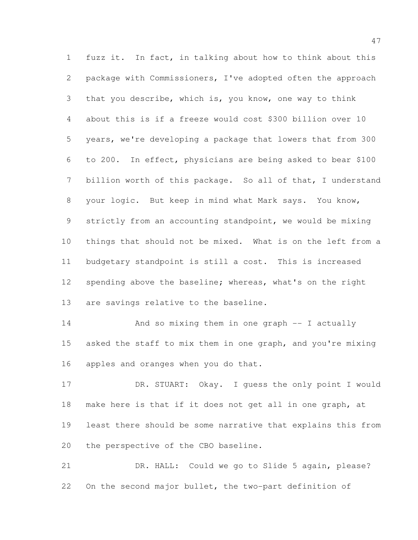fuzz it. In fact, in talking about how to think about this package with Commissioners, I've adopted often the approach that you describe, which is, you know, one way to think about this is if a freeze would cost \$300 billion over 10 years, we're developing a package that lowers that from 300 to 200. In effect, physicians are being asked to bear \$100 billion worth of this package. So all of that, I understand your logic. But keep in mind what Mark says. You know, strictly from an accounting standpoint, we would be mixing things that should not be mixed. What is on the left from a budgetary standpoint is still a cost. This is increased spending above the baseline; whereas, what's on the right are savings relative to the baseline.

 And so mixing them in one graph -- I actually asked the staff to mix them in one graph, and you're mixing apples and oranges when you do that.

 DR. STUART: Okay. I guess the only point I would make here is that if it does not get all in one graph, at least there should be some narrative that explains this from the perspective of the CBO baseline.

 DR. HALL: Could we go to Slide 5 again, please? On the second major bullet, the two-part definition of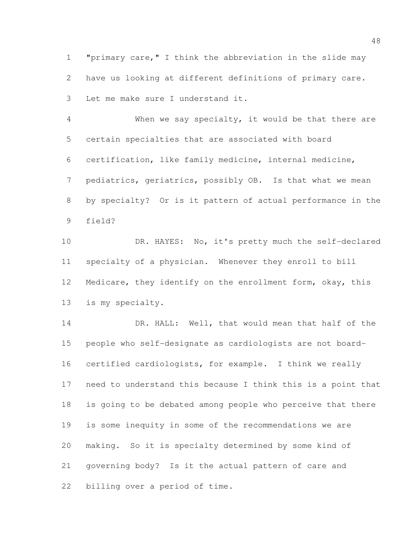"primary care," I think the abbreviation in the slide may have us looking at different definitions of primary care. Let me make sure I understand it.

 When we say specialty, it would be that there are certain specialties that are associated with board certification, like family medicine, internal medicine, pediatrics, geriatrics, possibly OB. Is that what we mean by specialty? Or is it pattern of actual performance in the field?

10 DR. HAYES: No, it's pretty much the self-declared specialty of a physician. Whenever they enroll to bill 12 Medicare, they identify on the enrollment form, okay, this is my specialty.

 DR. HALL: Well, that would mean that half of the people who self-designate as cardiologists are not board- certified cardiologists, for example. I think we really need to understand this because I think this is a point that is going to be debated among people who perceive that there is some inequity in some of the recommendations we are making. So it is specialty determined by some kind of governing body? Is it the actual pattern of care and billing over a period of time.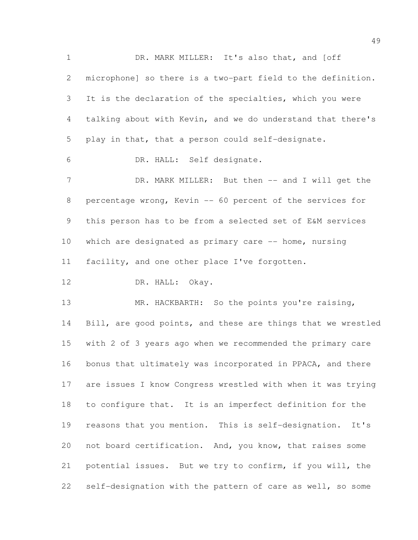1 DR. MARK MILLER: It's also that, and [off microphone] so there is a two-part field to the definition. It is the declaration of the specialties, which you were talking about with Kevin, and we do understand that there's play in that, that a person could self-designate. DR. HALL: Self designate. 7 DR. MARK MILLER: But then -- and I will get the percentage wrong, Kevin -- 60 percent of the services for this person has to be from a selected set of E&M services 10 which are designated as primary care -- home, nursing facility, and one other place I've forgotten. 12 DR. HALL: Okay. 13 MR. HACKBARTH: So the points you're raising, Bill, are good points, and these are things that we wrestled with 2 of 3 years ago when we recommended the primary care bonus that ultimately was incorporated in PPACA, and there are issues I know Congress wrestled with when it was trying to configure that. It is an imperfect definition for the reasons that you mention. This is self-designation. It's not board certification. And, you know, that raises some potential issues. But we try to confirm, if you will, the self-designation with the pattern of care as well, so some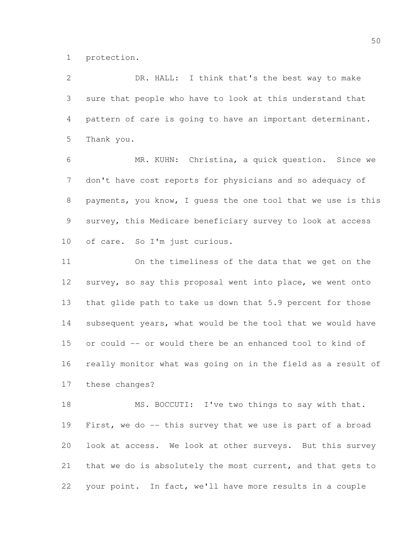protection.

 DR. HALL: I think that's the best way to make sure that people who have to look at this understand that pattern of care is going to have an important determinant. Thank you.

 MR. KUHN: Christina, a quick question. Since we don't have cost reports for physicians and so adequacy of payments, you know, I guess the one tool that we use is this survey, this Medicare beneficiary survey to look at access of care. So I'm just curious.

 On the timeliness of the data that we get on the survey, so say this proposal went into place, we went onto that glide path to take us down that 5.9 percent for those 14 subsequent years, what would be the tool that we would have or could -- or would there be an enhanced tool to kind of really monitor what was going on in the field as a result of these changes?

18 MS. BOCCUTI: I've two things to say with that. First, we do -- this survey that we use is part of a broad look at access. We look at other surveys. But this survey that we do is absolutely the most current, and that gets to your point. In fact, we'll have more results in a couple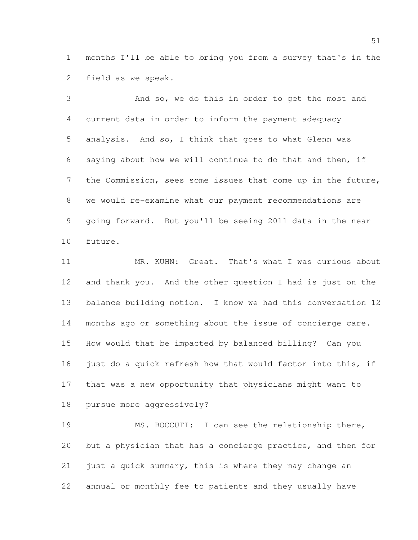months I'll be able to bring you from a survey that's in the field as we speak.

 And so, we do this in order to get the most and current data in order to inform the payment adequacy analysis. And so, I think that goes to what Glenn was saying about how we will continue to do that and then, if the Commission, sees some issues that come up in the future, we would re-examine what our payment recommendations are going forward. But you'll be seeing 2011 data in the near future.

 MR. KUHN: Great. That's what I was curious about and thank you. And the other question I had is just on the balance building notion. I know we had this conversation 12 months ago or something about the issue of concierge care. How would that be impacted by balanced billing? Can you 16 just do a quick refresh how that would factor into this, if that was a new opportunity that physicians might want to pursue more aggressively?

 MS. BOCCUTI: I can see the relationship there, but a physician that has a concierge practice, and then for just a quick summary, this is where they may change an annual or monthly fee to patients and they usually have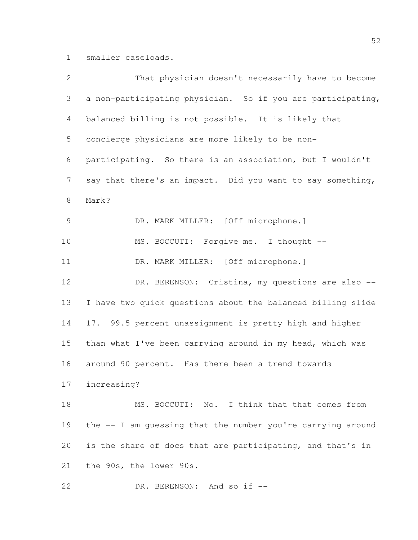smaller caseloads.

| $\overline{2}$ | That physician doesn't necessarily have to become           |
|----------------|-------------------------------------------------------------|
| 3              | a non-participating physician. So if you are participating, |
| $\overline{4}$ | balanced billing is not possible. It is likely that         |
| 5              | concierge physicians are more likely to be non-             |
| 6              | participating. So there is an association, but I wouldn't   |
| $7\phantom{.}$ | say that there's an impact. Did you want to say something,  |
| 8              | Mark?                                                       |
| $\mathcal{G}$  | DR. MARK MILLER: [Off microphone.]                          |
| 10             | MS. BOCCUTI: Forgive me. I thought --                       |
| 11             | DR. MARK MILLER: [Off microphone.]                          |
| 12             | DR. BERENSON: Cristina, my questions are also --            |
| 13             | I have two quick questions about the balanced billing slide |
| 14             | 17. 99.5 percent unassignment is pretty high and higher     |
| 15             | than what I've been carrying around in my head, which was   |
| 16             | around 90 percent. Has there been a trend towards           |
| 17             | increasing?                                                 |
| 18             | MS. BOCCUTI: No. I think that that comes from               |
| 19             | the -- I am quessing that the number you're carrying around |
| 20             | is the share of docs that are participating, and that's in  |
| 21             | the 90s, the lower 90s.                                     |
| 22             | DR. BERENSON: And so if --                                  |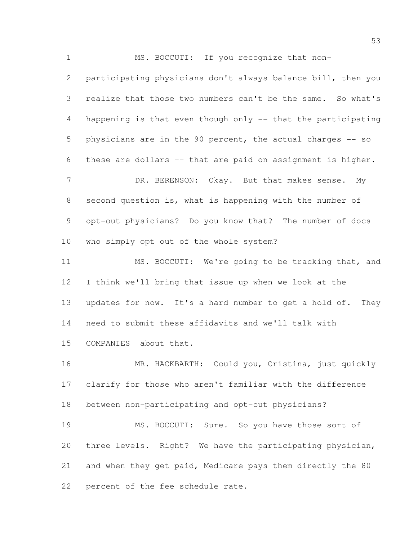MS. BOCCUTI: If you recognize that non- participating physicians don't always balance bill, then you realize that those two numbers can't be the same. So what's happening is that even though only -- that the participating physicians are in the 90 percent, the actual charges -- so these are dollars -- that are paid on assignment is higher. 7 DR. BERENSON: Okay. But that makes sense. My second question is, what is happening with the number of opt-out physicians? Do you know that? The number of docs who simply opt out of the whole system? MS. BOCCUTI: We're going to be tracking that, and I think we'll bring that issue up when we look at the

13 updates for now. It's a hard number to get a hold of. They need to submit these affidavits and we'll talk with COMPANIES about that.

 MR. HACKBARTH: Could you, Cristina, just quickly clarify for those who aren't familiar with the difference between non-participating and opt-out physicians?

 MS. BOCCUTI: Sure. So you have those sort of three levels. Right? We have the participating physician, and when they get paid, Medicare pays them directly the 80 percent of the fee schedule rate.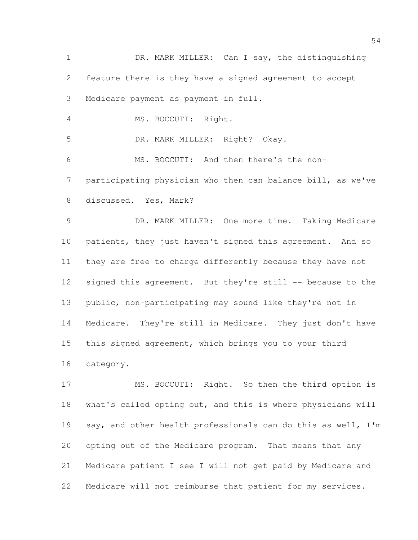DR. MARK MILLER: Can I say, the distinguishing feature there is they have a signed agreement to accept Medicare payment as payment in full. MS. BOCCUTI: Right. DR. MARK MILLER: Right? Okay. MS. BOCCUTI: And then there's the non- participating physician who then can balance bill, as we've discussed. Yes, Mark? DR. MARK MILLER: One more time. Taking Medicare patients, they just haven't signed this agreement. And so they are free to charge differently because they have not 12 signed this agreement. But they're still -- because to the public, non-participating may sound like they're not in Medicare. They're still in Medicare. They just don't have this signed agreement, which brings you to your third category. 17 MS. BOCCUTI: Right. So then the third option is what's called opting out, and this is where physicians will 19 say, and other health professionals can do this as well, I'm

 Medicare patient I see I will not get paid by Medicare and Medicare will not reimburse that patient for my services.

opting out of the Medicare program. That means that any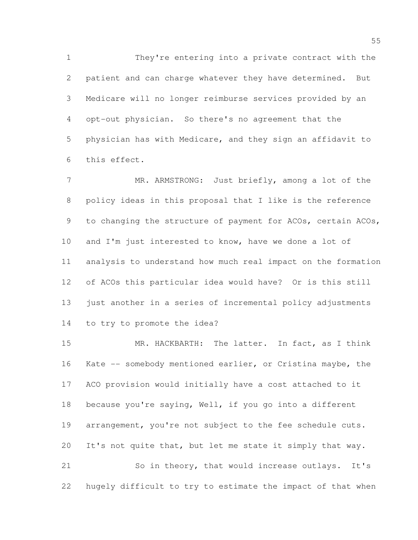They're entering into a private contract with the patient and can charge whatever they have determined. But Medicare will no longer reimburse services provided by an opt-out physician. So there's no agreement that the physician has with Medicare, and they sign an affidavit to this effect.

7 MR. ARMSTRONG: Just briefly, among a lot of the policy ideas in this proposal that I like is the reference 9 to changing the structure of payment for ACOs, certain ACOs, and I'm just interested to know, have we done a lot of analysis to understand how much real impact on the formation of ACOs this particular idea would have? Or is this still just another in a series of incremental policy adjustments to try to promote the idea?

 MR. HACKBARTH: The latter. In fact, as I think Kate -- somebody mentioned earlier, or Cristina maybe, the ACO provision would initially have a cost attached to it because you're saying, Well, if you go into a different arrangement, you're not subject to the fee schedule cuts. It's not quite that, but let me state it simply that way. So in theory, that would increase outlays. It's

hugely difficult to try to estimate the impact of that when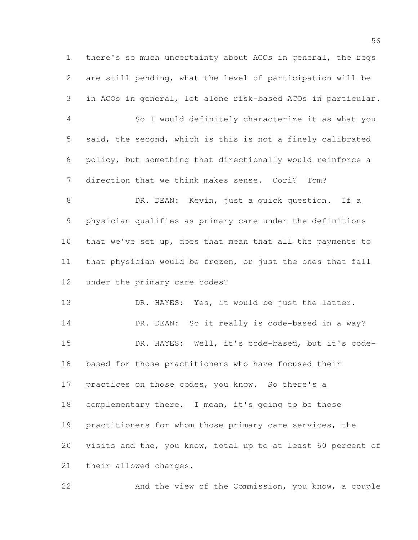there's so much uncertainty about ACOs in general, the regs are still pending, what the level of participation will be in ACOs in general, let alone risk-based ACOs in particular. So I would definitely characterize it as what you said, the second, which is this is not a finely calibrated policy, but something that directionally would reinforce a direction that we think makes sense. Cori? Tom? DR. DEAN: Kevin, just a quick question. If a physician qualifies as primary care under the definitions that we've set up, does that mean that all the payments to that physician would be frozen, or just the ones that fall under the primary care codes? 13 DR. HAYES: Yes, it would be just the latter. 14 DR. DEAN: So it really is code-based in a way? DR. HAYES: Well, it's code-based, but it's code- based for those practitioners who have focused their 17 practices on those codes, you know. So there's a complementary there. I mean, it's going to be those practitioners for whom those primary care services, the visits and the, you know, total up to at least 60 percent of their allowed charges.

And the view of the Commission, you know, a couple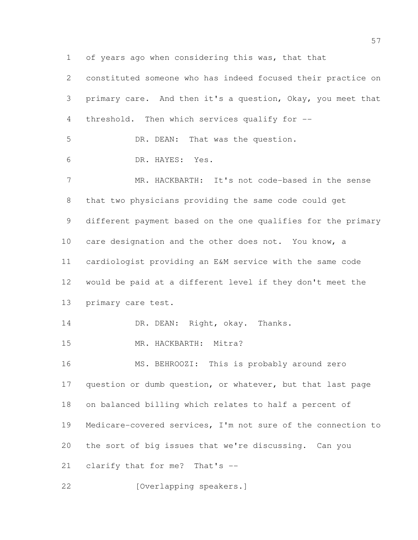of years ago when considering this was, that that

 constituted someone who has indeed focused their practice on primary care. And then it's a question, Okay, you meet that threshold. Then which services qualify for -- DR. DEAN: That was the question. DR. HAYES: Yes. MR. HACKBARTH: It's not code-based in the sense that two physicians providing the same code could get different payment based on the one qualifies for the primary care designation and the other does not. You know, a cardiologist providing an E&M service with the same code would be paid at a different level if they don't meet the primary care test. 14 DR. DEAN: Right, okay. Thanks. MR. HACKBARTH: Mitra? MS. BEHROOZI: This is probably around zero question or dumb question, or whatever, but that last page on balanced billing which relates to half a percent of Medicare-covered services, I'm not sure of the connection to the sort of big issues that we're discussing. Can you clarify that for me? That's -- 22 [Overlapping speakers.]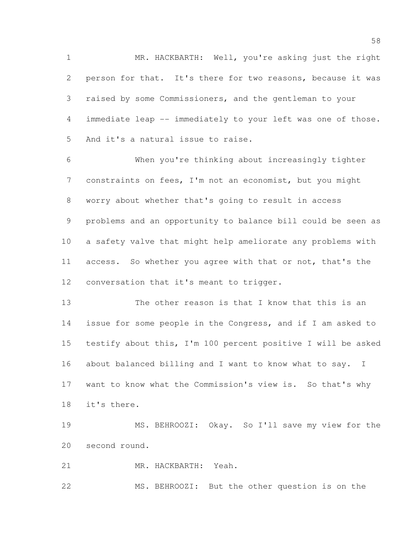MR. HACKBARTH: Well, you're asking just the right person for that. It's there for two reasons, because it was raised by some Commissioners, and the gentleman to your immediate leap -- immediately to your left was one of those. And it's a natural issue to raise.

 When you're thinking about increasingly tighter constraints on fees, I'm not an economist, but you might worry about whether that's going to result in access problems and an opportunity to balance bill could be seen as a safety valve that might help ameliorate any problems with access. So whether you agree with that or not, that's the 12 conversation that it's meant to trigger.

 The other reason is that I know that this is an issue for some people in the Congress, and if I am asked to testify about this, I'm 100 percent positive I will be asked 16 about balanced billing and I want to know what to say. I want to know what the Commission's view is. So that's why it's there.

 MS. BEHROOZI: Okay. So I'll save my view for the second round.

MR. HACKBARTH: Yeah.

MS. BEHROOZI: But the other question is on the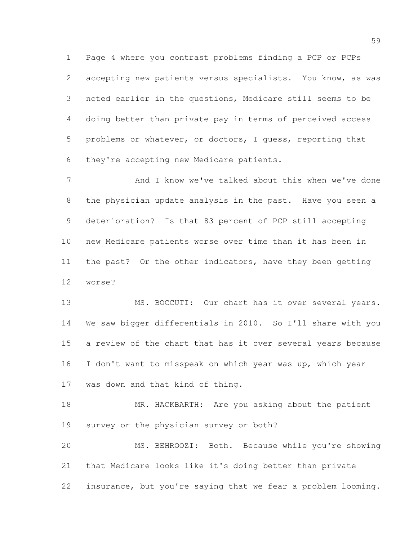Page 4 where you contrast problems finding a PCP or PCPs accepting new patients versus specialists. You know, as was noted earlier in the questions, Medicare still seems to be doing better than private pay in terms of perceived access problems or whatever, or doctors, I guess, reporting that they're accepting new Medicare patients.

7 And I know we've talked about this when we've done the physician update analysis in the past. Have you seen a deterioration? Is that 83 percent of PCP still accepting new Medicare patients worse over time than it has been in the past? Or the other indicators, have they been getting worse?

13 MS. BOCCUTI: Our chart has it over several years. We saw bigger differentials in 2010. So I'll share with you a review of the chart that has it over several years because I don't want to misspeak on which year was up, which year was down and that kind of thing.

18 MR. HACKBARTH: Are you asking about the patient survey or the physician survey or both?

 MS. BEHROOZI: Both. Because while you're showing that Medicare looks like it's doing better than private insurance, but you're saying that we fear a problem looming.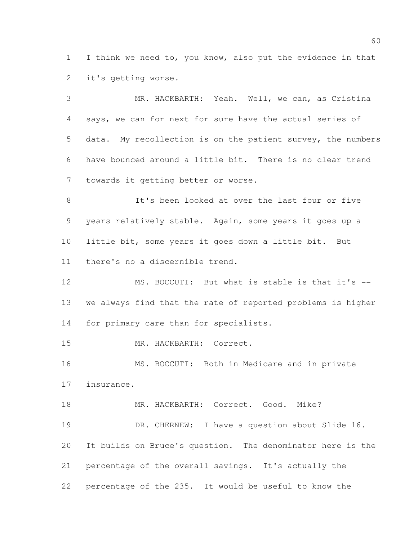I think we need to, you know, also put the evidence in that it's getting worse.

 MR. HACKBARTH: Yeah. Well, we can, as Cristina says, we can for next for sure have the actual series of data. My recollection is on the patient survey, the numbers have bounced around a little bit. There is no clear trend towards it getting better or worse.

 It's been looked at over the last four or five years relatively stable. Again, some years it goes up a little bit, some years it goes down a little bit. But there's no a discernible trend.

12 MS. BOCCUTI: But what is stable is that it's -- we always find that the rate of reported problems is higher for primary care than for specialists.

MR. HACKBARTH: Correct.

 MS. BOCCUTI: Both in Medicare and in private insurance.

18 MR. HACKBARTH: Correct. Good. Mike? DR. CHERNEW: I have a question about Slide 16. It builds on Bruce's question. The denominator here is the percentage of the overall savings. It's actually the percentage of the 235. It would be useful to know the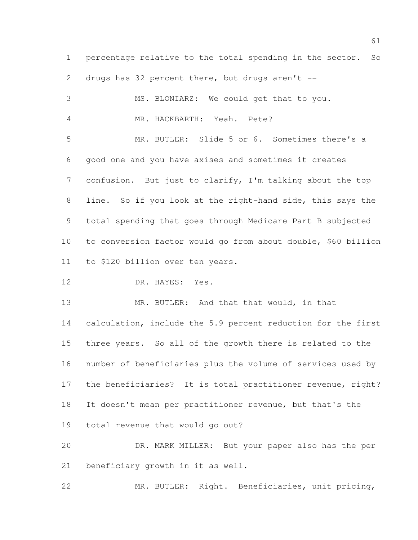percentage relative to the total spending in the sector. So drugs has 32 percent there, but drugs aren't -- MS. BLONIARZ: We could get that to you. MR. HACKBARTH: Yeah. Pete? MR. BUTLER: Slide 5 or 6. Sometimes there's a good one and you have axises and sometimes it creates confusion. But just to clarify, I'm talking about the top line. So if you look at the right-hand side, this says the total spending that goes through Medicare Part B subjected to conversion factor would go from about double, \$60 billion to \$120 billion over ten years. 12 DR. HAYES: Yes. 13 MR. BUTLER: And that that would, in that calculation, include the 5.9 percent reduction for the first three years. So all of the growth there is related to the number of beneficiaries plus the volume of services used by the beneficiaries? It is total practitioner revenue, right? It doesn't mean per practitioner revenue, but that's the total revenue that would go out? DR. MARK MILLER: But your paper also has the per beneficiary growth in it as well.

MR. BUTLER: Right. Beneficiaries, unit pricing,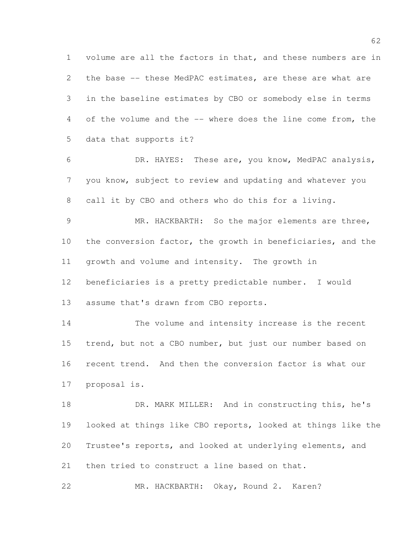volume are all the factors in that, and these numbers are in the base -- these MedPAC estimates, are these are what are in the baseline estimates by CBO or somebody else in terms of the volume and the -- where does the line come from, the data that supports it?

 DR. HAYES: These are, you know, MedPAC analysis, you know, subject to review and updating and whatever you call it by CBO and others who do this for a living.

 MR. HACKBARTH: So the major elements are three, 10 the conversion factor, the growth in beneficiaries, and the growth and volume and intensity. The growth in beneficiaries is a pretty predictable number. I would

assume that's drawn from CBO reports.

 The volume and intensity increase is the recent trend, but not a CBO number, but just our number based on recent trend. And then the conversion factor is what our proposal is.

18 DR. MARK MILLER: And in constructing this, he's looked at things like CBO reports, looked at things like the Trustee's reports, and looked at underlying elements, and 21 then tried to construct a line based on that.

MR. HACKBARTH: Okay, Round 2. Karen?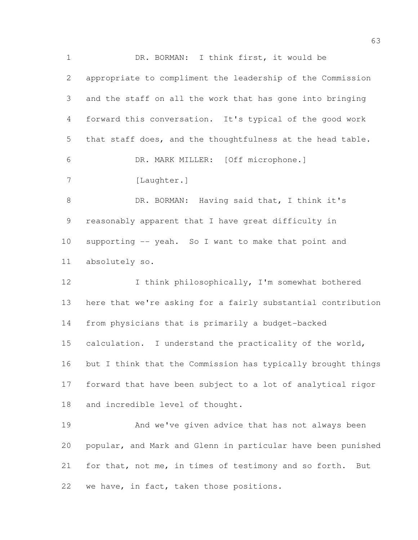DR. BORMAN: I think first, it would be appropriate to compliment the leadership of the Commission and the staff on all the work that has gone into bringing forward this conversation. It's typical of the good work that staff does, and the thoughtfulness at the head table. DR. MARK MILLER: [Off microphone.] 7 [Laughter.] 8 DR. BORMAN: Having said that, I think it's reasonably apparent that I have great difficulty in supporting -- yeah. So I want to make that point and absolutely so. 12 I think philosophically, I'm somewhat bothered here that we're asking for a fairly substantial contribution from physicians that is primarily a budget-backed calculation. I understand the practicality of the world, but I think that the Commission has typically brought things forward that have been subject to a lot of analytical rigor and incredible level of thought. And we've given advice that has not always been popular, and Mark and Glenn in particular have been punished for that, not me, in times of testimony and so forth. But

we have, in fact, taken those positions.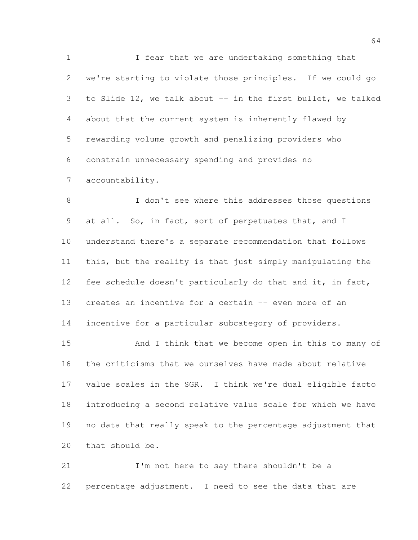I fear that we are undertaking something that we're starting to violate those principles. If we could go to Slide 12, we talk about -- in the first bullet, we talked about that the current system is inherently flawed by rewarding volume growth and penalizing providers who constrain unnecessary spending and provides no accountability.

 I don't see where this addresses those questions at all. So, in fact, sort of perpetuates that, and I understand there's a separate recommendation that follows this, but the reality is that just simply manipulating the fee schedule doesn't particularly do that and it, in fact, creates an incentive for a certain -- even more of an

14 incentive for a particular subcategory of providers.

 And I think that we become open in this to many of the criticisms that we ourselves have made about relative value scales in the SGR. I think we're dual eligible facto introducing a second relative value scale for which we have no data that really speak to the percentage adjustment that that should be.

 I'm not here to say there shouldn't be a percentage adjustment. I need to see the data that are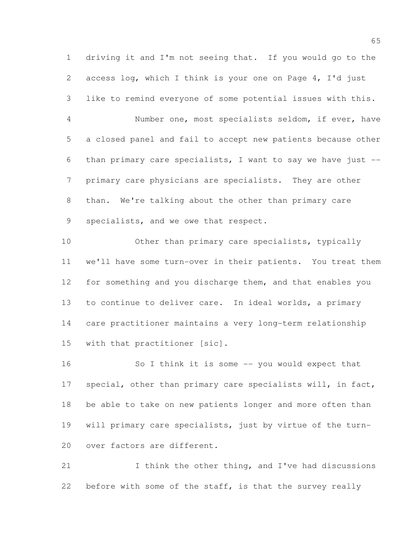driving it and I'm not seeing that. If you would go to the access log, which I think is your one on Page 4, I'd just like to remind everyone of some potential issues with this.

 Number one, most specialists seldom, if ever, have a closed panel and fail to accept new patients because other than primary care specialists, I want to say we have just -- primary care physicians are specialists. They are other than. We're talking about the other than primary care specialists, and we owe that respect.

10 Other than primary care specialists, typically we'll have some turn-over in their patients. You treat them for something and you discharge them, and that enables you to continue to deliver care. In ideal worlds, a primary care practitioner maintains a very long-term relationship with that practitioner [sic].

 So I think it is some -- you would expect that 17 special, other than primary care specialists will, in fact, be able to take on new patients longer and more often than will primary care specialists, just by virtue of the turn-over factors are different.

 I think the other thing, and I've had discussions 22 before with some of the staff, is that the survey really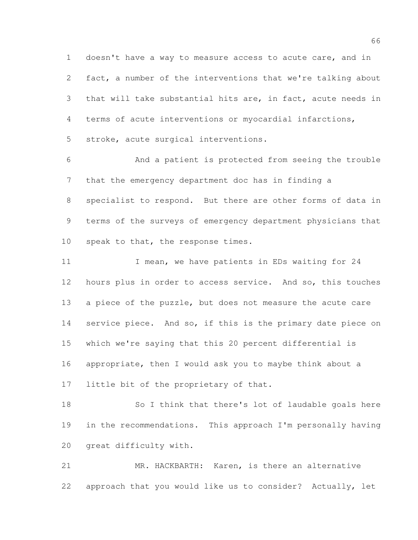doesn't have a way to measure access to acute care, and in fact, a number of the interventions that we're talking about that will take substantial hits are, in fact, acute needs in terms of acute interventions or myocardial infarctions, stroke, acute surgical interventions.

 And a patient is protected from seeing the trouble that the emergency department doc has in finding a specialist to respond. But there are other forms of data in terms of the surveys of emergency department physicians that 10 speak to that, the response times.

11 I mean, we have patients in EDs waiting for 24 hours plus in order to access service. And so, this touches 13 a piece of the puzzle, but does not measure the acute care 14 service piece. And so, if this is the primary date piece on which we're saying that this 20 percent differential is appropriate, then I would ask you to maybe think about a little bit of the proprietary of that.

 So I think that there's lot of laudable goals here in the recommendations. This approach I'm personally having great difficulty with.

 MR. HACKBARTH: Karen, is there an alternative approach that you would like us to consider? Actually, let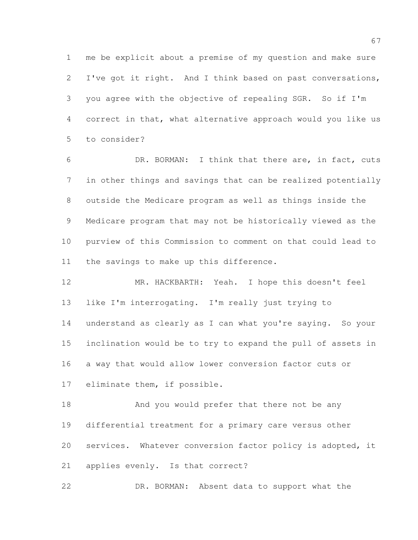me be explicit about a premise of my question and make sure I've got it right. And I think based on past conversations, you agree with the objective of repealing SGR. So if I'm correct in that, what alternative approach would you like us to consider?

 DR. BORMAN: I think that there are, in fact, cuts in other things and savings that can be realized potentially outside the Medicare program as well as things inside the Medicare program that may not be historically viewed as the purview of this Commission to comment on that could lead to the savings to make up this difference.

 MR. HACKBARTH: Yeah. I hope this doesn't feel like I'm interrogating. I'm really just trying to 14 understand as clearly as I can what you're saying. So your inclination would be to try to expand the pull of assets in a way that would allow lower conversion factor cuts or eliminate them, if possible.

18 And you would prefer that there not be any differential treatment for a primary care versus other services. Whatever conversion factor policy is adopted, it applies evenly. Is that correct?

DR. BORMAN: Absent data to support what the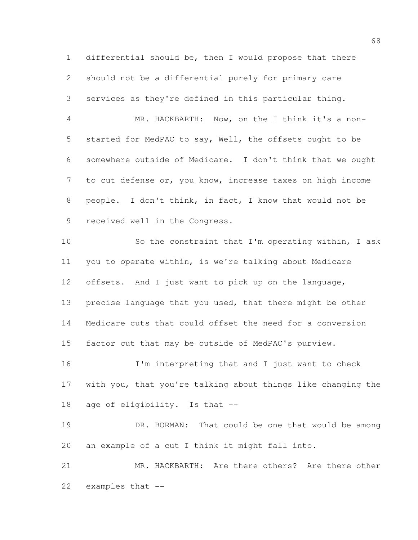differential should be, then I would propose that there should not be a differential purely for primary care services as they're defined in this particular thing.

 MR. HACKBARTH: Now, on the I think it's a non- started for MedPAC to say, Well, the offsets ought to be somewhere outside of Medicare. I don't think that we ought to cut defense or, you know, increase taxes on high income people. I don't think, in fact, I know that would not be received well in the Congress.

 So the constraint that I'm operating within, I ask you to operate within, is we're talking about Medicare offsets. And I just want to pick up on the language, precise language that you used, that there might be other Medicare cuts that could offset the need for a conversion factor cut that may be outside of MedPAC's purview.

 I'm interpreting that and I just want to check with you, that you're talking about things like changing the age of eligibility. Is that --

 DR. BORMAN: That could be one that would be among an example of a cut I think it might fall into.

 MR. HACKBARTH: Are there others? Are there other examples that --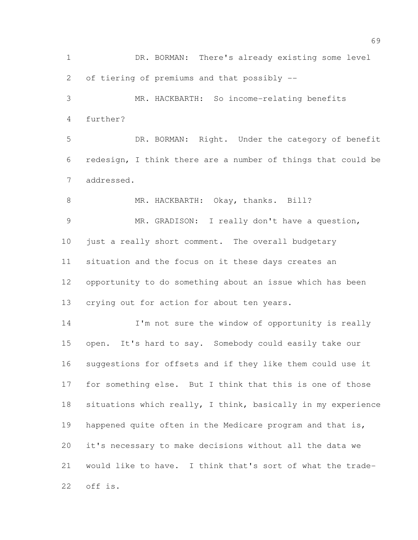DR. BORMAN: There's already existing some level of tiering of premiums and that possibly -- MR. HACKBARTH: So income-relating benefits further? DR. BORMAN: Right. Under the category of benefit redesign, I think there are a number of things that could be addressed. 8 MR. HACKBARTH: Okay, thanks. Bill? MR. GRADISON: I really don't have a question, just a really short comment. The overall budgetary situation and the focus on it these days creates an opportunity to do something about an issue which has been crying out for action for about ten years. 14 I'm not sure the window of opportunity is really open. It's hard to say. Somebody could easily take our suggestions for offsets and if they like them could use it for something else. But I think that this is one of those situations which really, I think, basically in my experience happened quite often in the Medicare program and that is, it's necessary to make decisions without all the data we would like to have. I think that's sort of what the trade-

off is.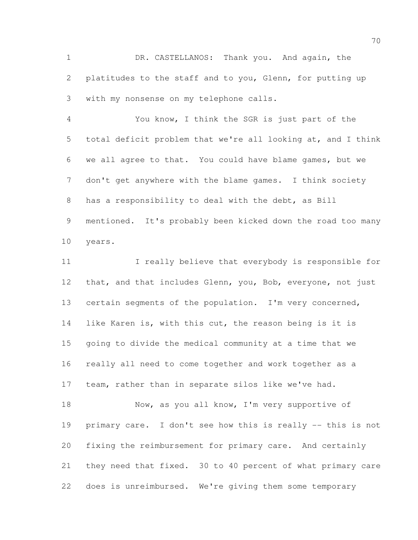DR. CASTELLANOS: Thank you. And again, the 2 platitudes to the staff and to you, Glenn, for putting up with my nonsense on my telephone calls.

 You know, I think the SGR is just part of the total deficit problem that we're all looking at, and I think we all agree to that. You could have blame games, but we don't get anywhere with the blame games. I think society has a responsibility to deal with the debt, as Bill mentioned. It's probably been kicked down the road too many years.

11 I really believe that everybody is responsible for 12 that, and that includes Glenn, you, Bob, everyone, not just certain segments of the population. I'm very concerned, like Karen is, with this cut, the reason being is it is going to divide the medical community at a time that we really all need to come together and work together as a team, rather than in separate silos like we've had. 18 Now, as you all know, I'm very supportive of

 primary care. I don't see how this is really -- this is not fixing the reimbursement for primary care. And certainly they need that fixed. 30 to 40 percent of what primary care does is unreimbursed. We're giving them some temporary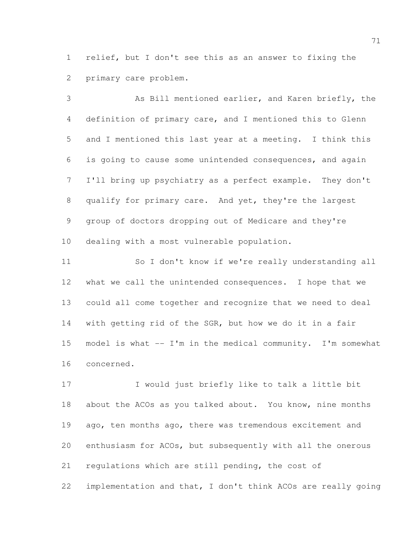relief, but I don't see this as an answer to fixing the primary care problem.

 As Bill mentioned earlier, and Karen briefly, the definition of primary care, and I mentioned this to Glenn and I mentioned this last year at a meeting. I think this is going to cause some unintended consequences, and again I'll bring up psychiatry as a perfect example. They don't qualify for primary care. And yet, they're the largest group of doctors dropping out of Medicare and they're dealing with a most vulnerable population.

 So I don't know if we're really understanding all what we call the unintended consequences. I hope that we could all come together and recognize that we need to deal with getting rid of the SGR, but how we do it in a fair model is what -- I'm in the medical community. I'm somewhat concerned.

 I would just briefly like to talk a little bit 18 about the ACOs as you talked about. You know, nine months 19 ago, ten months ago, there was tremendous excitement and enthusiasm for ACOs, but subsequently with all the onerous regulations which are still pending, the cost of implementation and that, I don't think ACOs are really going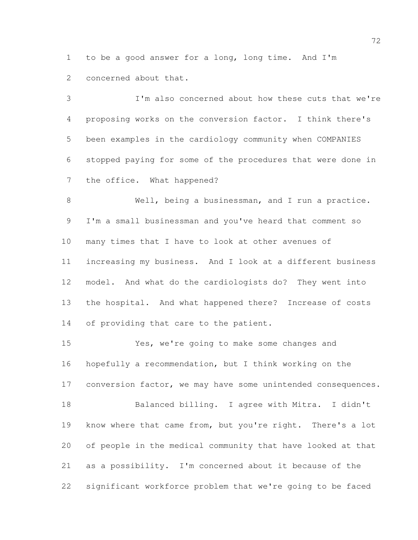to be a good answer for a long, long time. And I'm concerned about that.

 I'm also concerned about how these cuts that we're proposing works on the conversion factor. I think there's been examples in the cardiology community when COMPANIES stopped paying for some of the procedures that were done in the office. What happened?

 Well, being a businessman, and I run a practice. I'm a small businessman and you've heard that comment so many times that I have to look at other avenues of increasing my business. And I look at a different business model. And what do the cardiologists do? They went into the hospital. And what happened there? Increase of costs 14 of providing that care to the patient.

 Yes, we're going to make some changes and hopefully a recommendation, but I think working on the 17 conversion factor, we may have some unintended consequences. Balanced billing. I agree with Mitra. I didn't know where that came from, but you're right. There's a lot of people in the medical community that have looked at that as a possibility. I'm concerned about it because of the significant workforce problem that we're going to be faced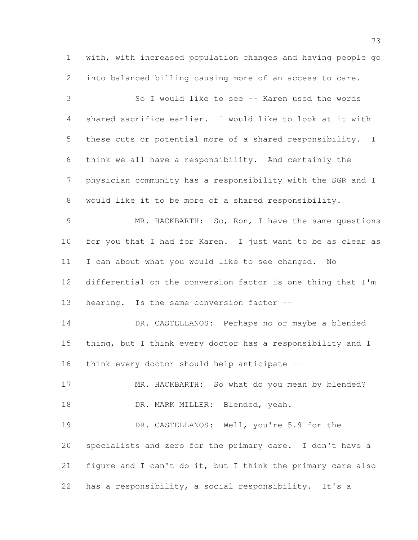with, with increased population changes and having people go into balanced billing causing more of an access to care.

 So I would like to see -- Karen used the words shared sacrifice earlier. I would like to look at it with these cuts or potential more of a shared responsibility. I think we all have a responsibility. And certainly the physician community has a responsibility with the SGR and I would like it to be more of a shared responsibility.

 MR. HACKBARTH: So, Ron, I have the same questions for you that I had for Karen. I just want to be as clear as I can about what you would like to see changed. No differential on the conversion factor is one thing that I'm 13 hearing. Is the same conversion factor --

 DR. CASTELLANOS: Perhaps no or maybe a blended thing, but I think every doctor has a responsibility and I think every doctor should help anticipate --

17 MR. HACKBARTH: So what do you mean by blended? 18 DR. MARK MILLER: Blended, yeah.

19 DR. CASTELLANOS: Well, you're 5.9 for the specialists and zero for the primary care. I don't have a figure and I can't do it, but I think the primary care also has a responsibility, a social responsibility. It's a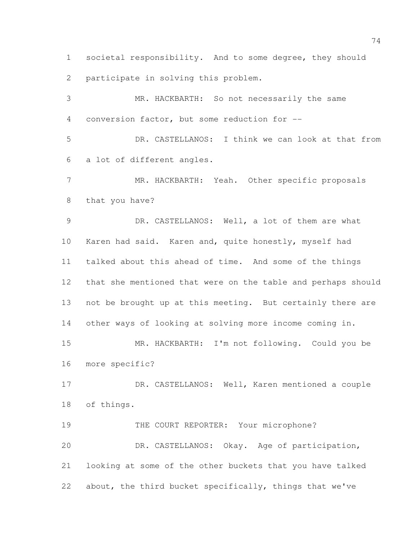societal responsibility. And to some degree, they should participate in solving this problem.

 MR. HACKBARTH: So not necessarily the same conversion factor, but some reduction for -- DR. CASTELLANOS: I think we can look at that from a lot of different angles. MR. HACKBARTH: Yeah. Other specific proposals that you have? DR. CASTELLANOS: Well, a lot of them are what Karen had said. Karen and, quite honestly, myself had talked about this ahead of time. And some of the things that she mentioned that were on the table and perhaps should not be brought up at this meeting. But certainly there are other ways of looking at solving more income coming in. MR. HACKBARTH: I'm not following. Could you be more specific? DR. CASTELLANOS: Well, Karen mentioned a couple of things. 19 THE COURT REPORTER: Your microphone? DR. CASTELLANOS: Okay. Age of participation, looking at some of the other buckets that you have talked

about, the third bucket specifically, things that we've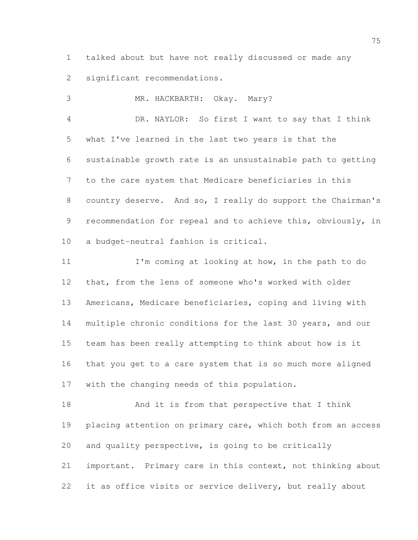talked about but have not really discussed or made any significant recommendations.

MR. HACKBARTH: Okay. Mary?

 DR. NAYLOR: So first I want to say that I think what I've learned in the last two years is that the sustainable growth rate is an unsustainable path to getting to the care system that Medicare beneficiaries in this country deserve. And so, I really do support the Chairman's 9 recommendation for repeal and to achieve this, obviously, in a budget-neutral fashion is critical.

 I'm coming at looking at how, in the path to do that, from the lens of someone who's worked with older Americans, Medicare beneficiaries, coping and living with multiple chronic conditions for the last 30 years, and our team has been really attempting to think about how is it that you get to a care system that is so much more aligned with the changing needs of this population.

 And it is from that perspective that I think 19 placing attention on primary care, which both from an access and quality perspective, is going to be critically important. Primary care in this context, not thinking about it as office visits or service delivery, but really about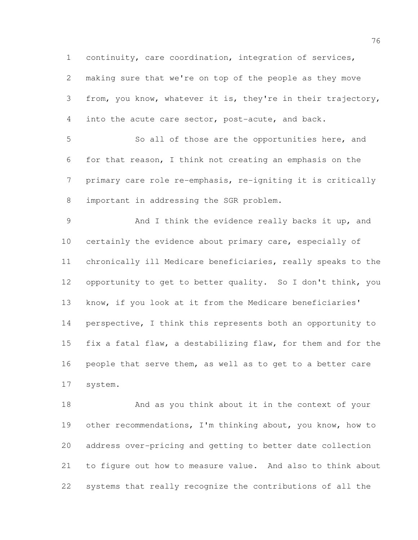continuity, care coordination, integration of services,

 making sure that we're on top of the people as they move from, you know, whatever it is, they're in their trajectory, into the acute care sector, post-acute, and back.

 So all of those are the opportunities here, and for that reason, I think not creating an emphasis on the primary care role re-emphasis, re-igniting it is critically important in addressing the SGR problem.

 And I think the evidence really backs it up, and certainly the evidence about primary care, especially of chronically ill Medicare beneficiaries, really speaks to the opportunity to get to better quality. So I don't think, you know, if you look at it from the Medicare beneficiaries' perspective, I think this represents both an opportunity to fix a fatal flaw, a destabilizing flaw, for them and for the people that serve them, as well as to get to a better care system.

 And as you think about it in the context of your other recommendations, I'm thinking about, you know, how to address over-pricing and getting to better date collection to figure out how to measure value. And also to think about systems that really recognize the contributions of all the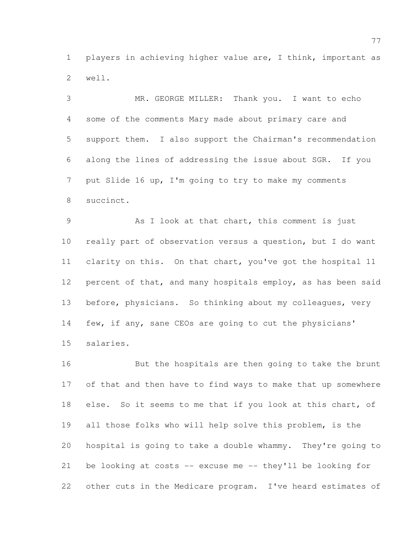players in achieving higher value are, I think, important as well.

 MR. GEORGE MILLER: Thank you. I want to echo some of the comments Mary made about primary care and support them. I also support the Chairman's recommendation along the lines of addressing the issue about SGR. If you put Slide 16 up, I'm going to try to make my comments succinct.

 As I look at that chart, this comment is just really part of observation versus a question, but I do want clarity on this. On that chart, you've got the hospital 11 12 percent of that, and many hospitals employ, as has been said before, physicians. So thinking about my colleagues, very few, if any, sane CEOs are going to cut the physicians' salaries.

 But the hospitals are then going to take the brunt of that and then have to find ways to make that up somewhere 18 else. So it seems to me that if you look at this chart, of all those folks who will help solve this problem, is the hospital is going to take a double whammy. They're going to be looking at costs -- excuse me -- they'll be looking for other cuts in the Medicare program. I've heard estimates of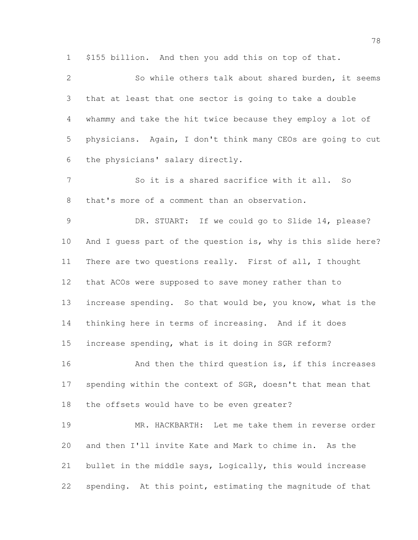\$155 billion. And then you add this on top of that.

 So while others talk about shared burden, it seems that at least that one sector is going to take a double whammy and take the hit twice because they employ a lot of physicians. Again, I don't think many CEOs are going to cut the physicians' salary directly.

7 So it is a shared sacrifice with it all. So that's more of a comment than an observation.

 DR. STUART: If we could go to Slide 14, please? And I guess part of the question is, why is this slide here? There are two questions really. First of all, I thought that ACOs were supposed to save money rather than to increase spending. So that would be, you know, what is the thinking here in terms of increasing. And if it does increase spending, what is it doing in SGR reform?

16 And then the third question is, if this increases 17 spending within the context of SGR, doesn't that mean that the offsets would have to be even greater?

 MR. HACKBARTH: Let me take them in reverse order and then I'll invite Kate and Mark to chime in. As the bullet in the middle says, Logically, this would increase spending. At this point, estimating the magnitude of that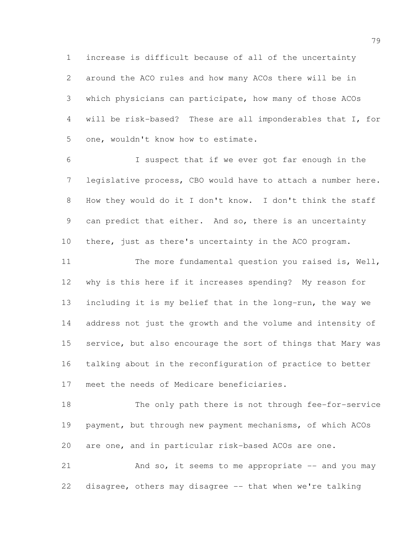increase is difficult because of all of the uncertainty around the ACO rules and how many ACOs there will be in which physicians can participate, how many of those ACOs will be risk-based? These are all imponderables that I, for one, wouldn't know how to estimate.

 I suspect that if we ever got far enough in the legislative process, CBO would have to attach a number here. How they would do it I don't know. I don't think the staff can predict that either. And so, there is an uncertainty there, just as there's uncertainty in the ACO program.

11 The more fundamental question you raised is, Well, why is this here if it increases spending? My reason for including it is my belief that in the long-run, the way we address not just the growth and the volume and intensity of 15 service, but also encourage the sort of things that Mary was talking about in the reconfiguration of practice to better meet the needs of Medicare beneficiaries.

 The only path there is not through fee-for-service payment, but through new payment mechanisms, of which ACOs are one, and in particular risk-based ACOs are one.

 And so, it seems to me appropriate -- and you may disagree, others may disagree -- that when we're talking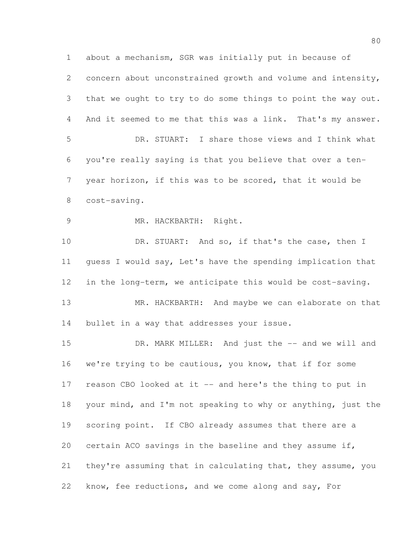about a mechanism, SGR was initially put in because of concern about unconstrained growth and volume and intensity, that we ought to try to do some things to point the way out. And it seemed to me that this was a link. That's my answer. DR. STUART: I share those views and I think what you're really saying is that you believe that over a ten- year horizon, if this was to be scored, that it would be cost-saving. MR. HACKBARTH: Right. 10 DR. STUART: And so, if that's the case, then I guess I would say, Let's have the spending implication that in the long-term, we anticipate this would be cost-saving. 13 MR. HACKBARTH: And maybe we can elaborate on that bullet in a way that addresses your issue. DR. MARK MILLER: And just the -- and we will and we're trying to be cautious, you know, that if for some 17 reason CBO looked at it -- and here's the thing to put in your mind, and I'm not speaking to why or anything, just the scoring point. If CBO already assumes that there are a certain ACO savings in the baseline and they assume if, they're assuming that in calculating that, they assume, you know, fee reductions, and we come along and say, For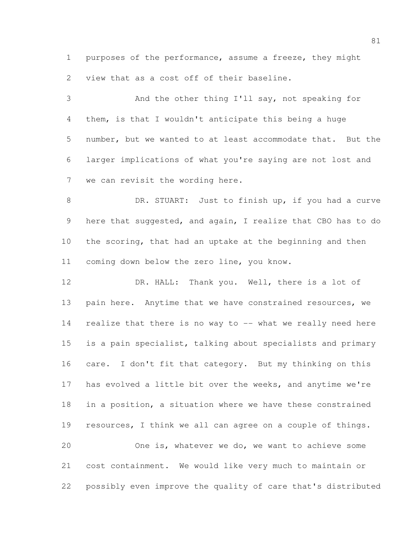purposes of the performance, assume a freeze, they might view that as a cost off of their baseline.

 And the other thing I'll say, not speaking for them, is that I wouldn't anticipate this being a huge number, but we wanted to at least accommodate that. But the larger implications of what you're saying are not lost and we can revisit the wording here.

8 DR. STUART: Just to finish up, if you had a curve 9 here that suggested, and again, I realize that CBO has to do the scoring, that had an uptake at the beginning and then coming down below the zero line, you know.

 DR. HALL: Thank you. Well, there is a lot of 13 pain here. Anytime that we have constrained resources, we realize that there is no way to -- what we really need here is a pain specialist, talking about specialists and primary care. I don't fit that category. But my thinking on this has evolved a little bit over the weeks, and anytime we're in a position, a situation where we have these constrained resources, I think we all can agree on a couple of things. One is, whatever we do, we want to achieve some

possibly even improve the quality of care that's distributed

cost containment. We would like very much to maintain or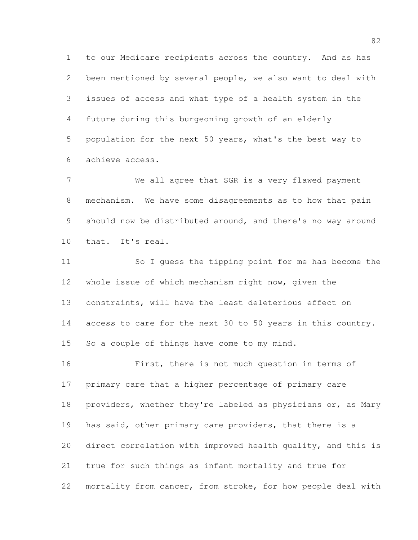to our Medicare recipients across the country. And as has been mentioned by several people, we also want to deal with issues of access and what type of a health system in the future during this burgeoning growth of an elderly population for the next 50 years, what's the best way to achieve access.

 We all agree that SGR is a very flawed payment mechanism. We have some disagreements as to how that pain 9 should now be distributed around, and there's no way around that. It's real.

 So I guess the tipping point for me has become the whole issue of which mechanism right now, given the constraints, will have the least deleterious effect on access to care for the next 30 to 50 years in this country. So a couple of things have come to my mind.

 First, there is not much question in terms of primary care that a higher percentage of primary care 18 providers, whether they're labeled as physicians or, as Mary has said, other primary care providers, that there is a direct correlation with improved health quality, and this is true for such things as infant mortality and true for mortality from cancer, from stroke, for how people deal with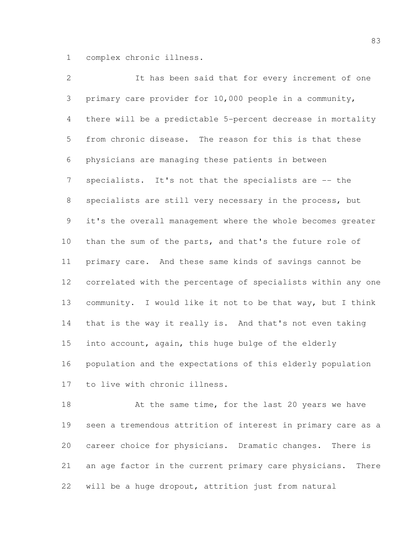complex chronic illness.

 It has been said that for every increment of one primary care provider for 10,000 people in a community, there will be a predictable 5-percent decrease in mortality from chronic disease. The reason for this is that these physicians are managing these patients in between specialists. It's not that the specialists are -- the specialists are still very necessary in the process, but it's the overall management where the whole becomes greater than the sum of the parts, and that's the future role of primary care. And these same kinds of savings cannot be correlated with the percentage of specialists within any one community. I would like it not to be that way, but I think that is the way it really is. And that's not even taking into account, again, this huge bulge of the elderly population and the expectations of this elderly population to live with chronic illness.

18 At the same time, for the last 20 years we have seen a tremendous attrition of interest in primary care as a career choice for physicians. Dramatic changes. There is an age factor in the current primary care physicians. There will be a huge dropout, attrition just from natural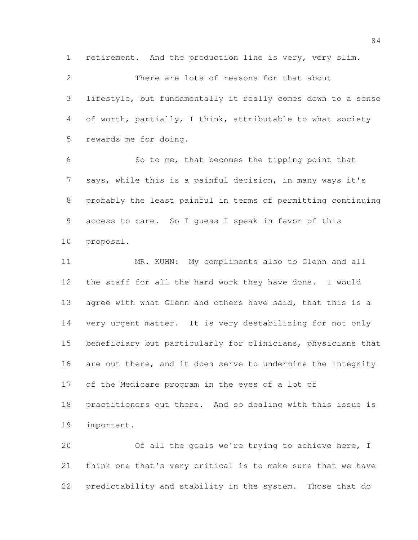retirement. And the production line is very, very slim.

 There are lots of reasons for that about lifestyle, but fundamentally it really comes down to a sense of worth, partially, I think, attributable to what society rewards me for doing.

 So to me, that becomes the tipping point that says, while this is a painful decision, in many ways it's probably the least painful in terms of permitting continuing access to care. So I guess I speak in favor of this proposal.

 MR. KUHN: My compliments also to Glenn and all the staff for all the hard work they have done. I would 13 agree with what Glenn and others have said, that this is a very urgent matter. It is very destabilizing for not only beneficiary but particularly for clinicians, physicians that 16 are out there, and it does serve to undermine the integrity of the Medicare program in the eyes of a lot of practitioners out there. And so dealing with this issue is important.

 Of all the goals we're trying to achieve here, I think one that's very critical is to make sure that we have predictability and stability in the system. Those that do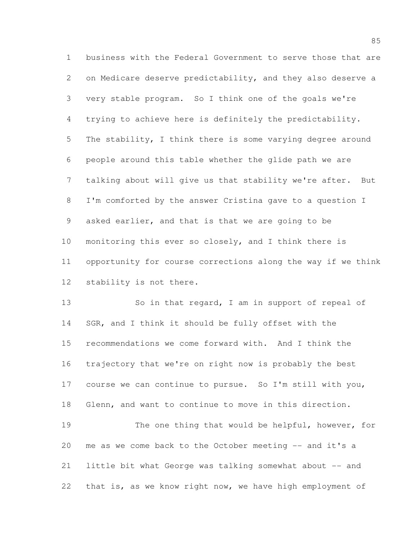business with the Federal Government to serve those that are on Medicare deserve predictability, and they also deserve a very stable program. So I think one of the goals we're trying to achieve here is definitely the predictability. The stability, I think there is some varying degree around people around this table whether the glide path we are talking about will give us that stability we're after. But I'm comforted by the answer Cristina gave to a question I asked earlier, and that is that we are going to be monitoring this ever so closely, and I think there is opportunity for course corrections along the way if we think stability is not there.

13 So in that regard, I am in support of repeal of 14 SGR, and I think it should be fully offset with the recommendations we come forward with. And I think the trajectory that we're on right now is probably the best course we can continue to pursue. So I'm still with you, Glenn, and want to continue to move in this direction. The one thing that would be helpful, however, for me as we come back to the October meeting -- and it's a little bit what George was talking somewhat about -- and

that is, as we know right now, we have high employment of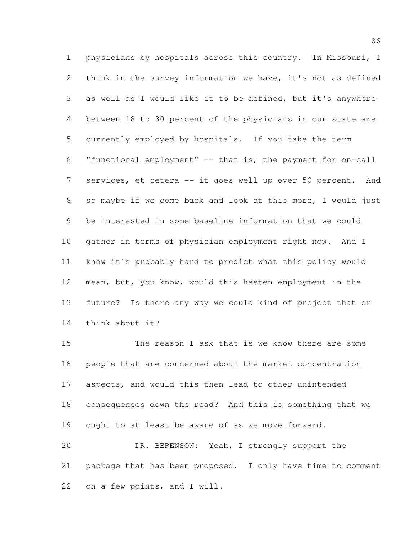physicians by hospitals across this country. In Missouri, I think in the survey information we have, it's not as defined as well as I would like it to be defined, but it's anywhere between 18 to 30 percent of the physicians in our state are currently employed by hospitals. If you take the term "functional employment" -- that is, the payment for on-call services, et cetera -- it goes well up over 50 percent. And so maybe if we come back and look at this more, I would just be interested in some baseline information that we could gather in terms of physician employment right now. And I know it's probably hard to predict what this policy would mean, but, you know, would this hasten employment in the future? Is there any way we could kind of project that or think about it?

 The reason I ask that is we know there are some people that are concerned about the market concentration aspects, and would this then lead to other unintended consequences down the road? And this is something that we ought to at least be aware of as we move forward. DR. BERENSON: Yeah, I strongly support the package that has been proposed. I only have time to comment

on a few points, and I will.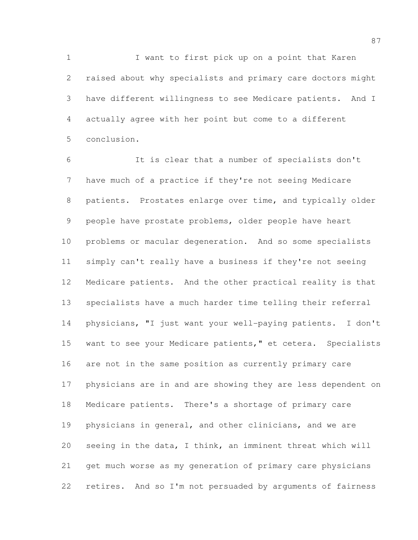1 I want to first pick up on a point that Karen raised about why specialists and primary care doctors might have different willingness to see Medicare patients. And I actually agree with her point but come to a different conclusion.

 It is clear that a number of specialists don't have much of a practice if they're not seeing Medicare patients. Prostates enlarge over time, and typically older people have prostate problems, older people have heart problems or macular degeneration. And so some specialists simply can't really have a business if they're not seeing Medicare patients. And the other practical reality is that specialists have a much harder time telling their referral physicians, "I just want your well-paying patients. I don't 15 want to see your Medicare patients," et cetera. Specialists are not in the same position as currently primary care physicians are in and are showing they are less dependent on Medicare patients. There's a shortage of primary care physicians in general, and other clinicians, and we are seeing in the data, I think, an imminent threat which will get much worse as my generation of primary care physicians retires. And so I'm not persuaded by arguments of fairness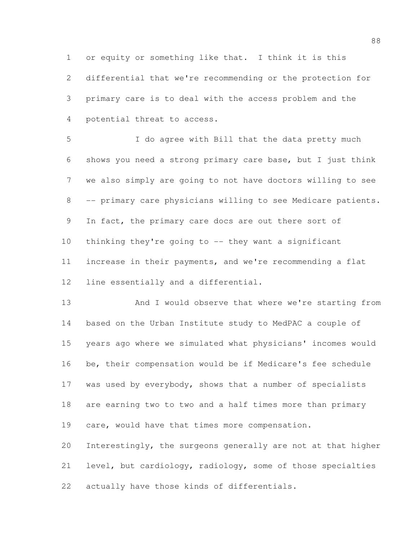or equity or something like that. I think it is this differential that we're recommending or the protection for primary care is to deal with the access problem and the potential threat to access.

 I do agree with Bill that the data pretty much shows you need a strong primary care base, but I just think we also simply are going to not have doctors willing to see -- primary care physicians willing to see Medicare patients. 9 In fact, the primary care docs are out there sort of thinking they're going to -- they want a significant increase in their payments, and we're recommending a flat line essentially and a differential.

13 And I would observe that where we're starting from based on the Urban Institute study to MedPAC a couple of years ago where we simulated what physicians' incomes would be, their compensation would be if Medicare's fee schedule 17 was used by everybody, shows that a number of specialists are earning two to two and a half times more than primary care, would have that times more compensation. Interestingly, the surgeons generally are not at that higher

 level, but cardiology, radiology, some of those specialties actually have those kinds of differentials.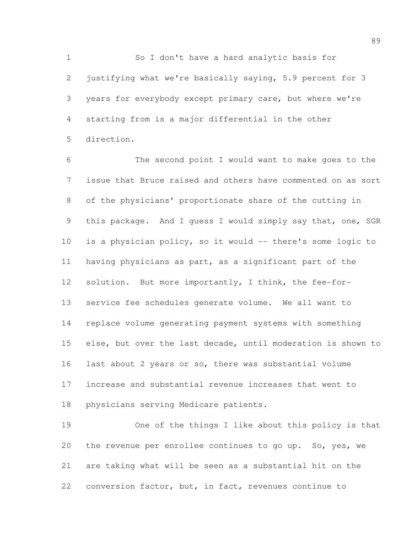So I don't have a hard analytic basis for justifying what we're basically saying, 5.9 percent for 3 years for everybody except primary care, but where we're starting from is a major differential in the other direction.

 The second point I would want to make goes to the issue that Bruce raised and others have commented on as sort of the physicians' proportionate share of the cutting in this package. And I guess I would simply say that, one, SGR is a physician policy, so it would -- there's some logic to having physicians as part, as a significant part of the solution. But more importantly, I think, the fee-for- service fee schedules generate volume. We all want to replace volume generating payment systems with something else, but over the last decade, until moderation is shown to last about 2 years or so, there was substantial volume increase and substantial revenue increases that went to physicians serving Medicare patients.

 One of the things I like about this policy is that the revenue per enrollee continues to go up. So, yes, we are taking what will be seen as a substantial hit on the conversion factor, but, in fact, revenues continue to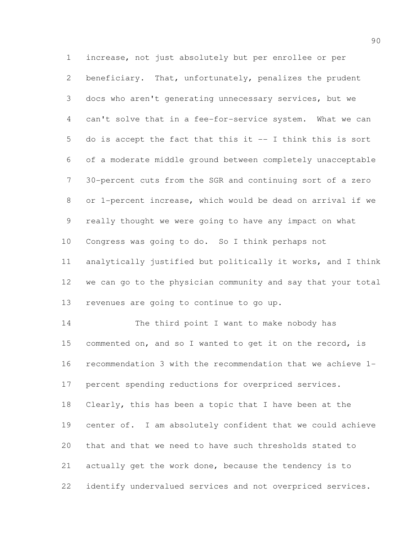increase, not just absolutely but per enrollee or per beneficiary. That, unfortunately, penalizes the prudent docs who aren't generating unnecessary services, but we can't solve that in a fee-for-service system. What we can do is accept the fact that this it -- I think this is sort of a moderate middle ground between completely unacceptable 30-percent cuts from the SGR and continuing sort of a zero or 1-percent increase, which would be dead on arrival if we really thought we were going to have any impact on what Congress was going to do. So I think perhaps not analytically justified but politically it works, and I think we can go to the physician community and say that your total revenues are going to continue to go up. 14 The third point I want to make nobody has 15 commented on, and so I wanted to get it on the record, is recommendation 3 with the recommendation that we achieve 1-

percent spending reductions for overpriced services.

 Clearly, this has been a topic that I have been at the center of. I am absolutely confident that we could achieve that and that we need to have such thresholds stated to actually get the work done, because the tendency is to identify undervalued services and not overpriced services.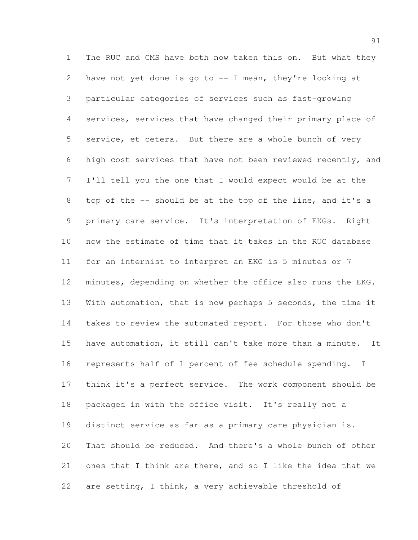The RUC and CMS have both now taken this on. But what they have not yet done is go to -- I mean, they're looking at particular categories of services such as fast-growing services, services that have changed their primary place of service, et cetera. But there are a whole bunch of very high cost services that have not been reviewed recently, and I'll tell you the one that I would expect would be at the top of the -- should be at the top of the line, and it's a primary care service. It's interpretation of EKGs. Right now the estimate of time that it takes in the RUC database for an internist to interpret an EKG is 5 minutes or 7 minutes, depending on whether the office also runs the EKG. With automation, that is now perhaps 5 seconds, the time it takes to review the automated report. For those who don't have automation, it still can't take more than a minute. It represents half of 1 percent of fee schedule spending. I think it's a perfect service. The work component should be packaged in with the office visit. It's really not a distinct service as far as a primary care physician is. That should be reduced. And there's a whole bunch of other ones that I think are there, and so I like the idea that we are setting, I think, a very achievable threshold of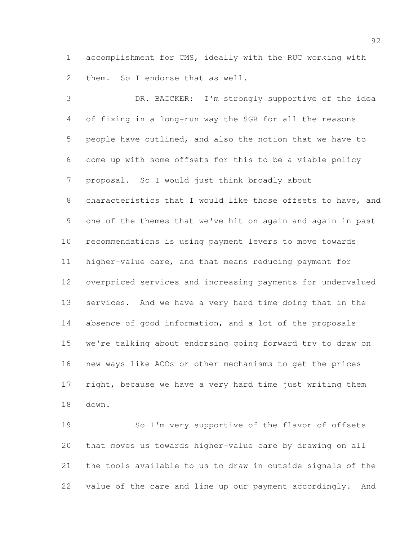accomplishment for CMS, ideally with the RUC working with 2 them. So I endorse that as well.

 DR. BAICKER: I'm strongly supportive of the idea of fixing in a long-run way the SGR for all the reasons people have outlined, and also the notion that we have to come up with some offsets for this to be a viable policy proposal. So I would just think broadly about 8 characteristics that I would like those offsets to have, and one of the themes that we've hit on again and again in past recommendations is using payment levers to move towards higher-value care, and that means reducing payment for overpriced services and increasing payments for undervalued services. And we have a very hard time doing that in the absence of good information, and a lot of the proposals we're talking about endorsing going forward try to draw on new ways like ACOs or other mechanisms to get the prices 17 right, because we have a very hard time just writing them down.

 So I'm very supportive of the flavor of offsets that moves us towards higher-value care by drawing on all the tools available to us to draw in outside signals of the value of the care and line up our payment accordingly. And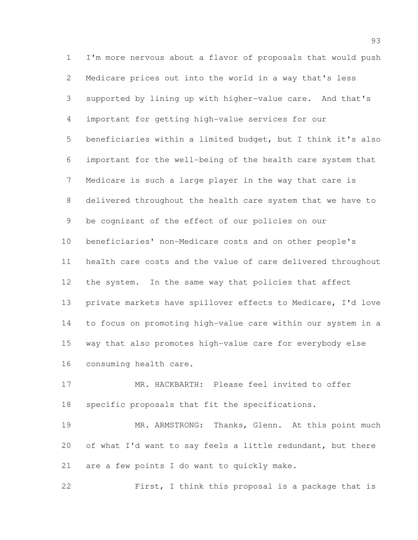I'm more nervous about a flavor of proposals that would push Medicare prices out into the world in a way that's less supported by lining up with higher-value care. And that's important for getting high-value services for our beneficiaries within a limited budget, but I think it's also important for the well-being of the health care system that Medicare is such a large player in the way that care is delivered throughout the health care system that we have to be cognizant of the effect of our policies on our beneficiaries' non-Medicare costs and on other people's health care costs and the value of care delivered throughout the system. In the same way that policies that affect private markets have spillover effects to Medicare, I'd love to focus on promoting high-value care within our system in a way that also promotes high-value care for everybody else consuming health care.

 MR. HACKBARTH: Please feel invited to offer specific proposals that fit the specifications.

 MR. ARMSTRONG: Thanks, Glenn. At this point much of what I'd want to say feels a little redundant, but there are a few points I do want to quickly make.

First, I think this proposal is a package that is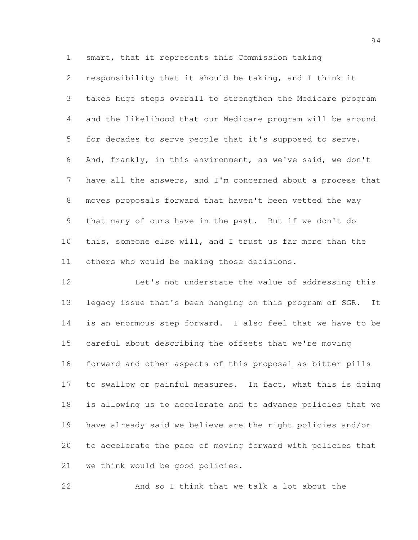smart, that it represents this Commission taking

 responsibility that it should be taking, and I think it takes huge steps overall to strengthen the Medicare program and the likelihood that our Medicare program will be around for decades to serve people that it's supposed to serve. And, frankly, in this environment, as we've said, we don't have all the answers, and I'm concerned about a process that moves proposals forward that haven't been vetted the way that many of ours have in the past. But if we don't do this, someone else will, and I trust us far more than the others who would be making those decisions.

12 Let's not understate the value of addressing this legacy issue that's been hanging on this program of SGR. It is an enormous step forward. I also feel that we have to be careful about describing the offsets that we're moving forward and other aspects of this proposal as bitter pills to swallow or painful measures. In fact, what this is doing is allowing us to accelerate and to advance policies that we have already said we believe are the right policies and/or to accelerate the pace of moving forward with policies that we think would be good policies.

And so I think that we talk a lot about the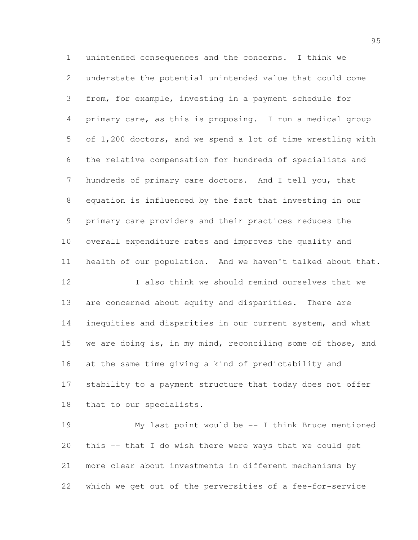unintended consequences and the concerns. I think we understate the potential unintended value that could come from, for example, investing in a payment schedule for primary care, as this is proposing. I run a medical group of 1,200 doctors, and we spend a lot of time wrestling with the relative compensation for hundreds of specialists and hundreds of primary care doctors. And I tell you, that equation is influenced by the fact that investing in our primary care providers and their practices reduces the overall expenditure rates and improves the quality and health of our population. And we haven't talked about that. I also think we should remind ourselves that we

 are concerned about equity and disparities. There are inequities and disparities in our current system, and what 15 we are doing is, in my mind, reconciling some of those, and at the same time giving a kind of predictability and stability to a payment structure that today does not offer that to our specialists.

 My last point would be -- I think Bruce mentioned this -- that I do wish there were ways that we could get more clear about investments in different mechanisms by which we get out of the perversities of a fee-for-service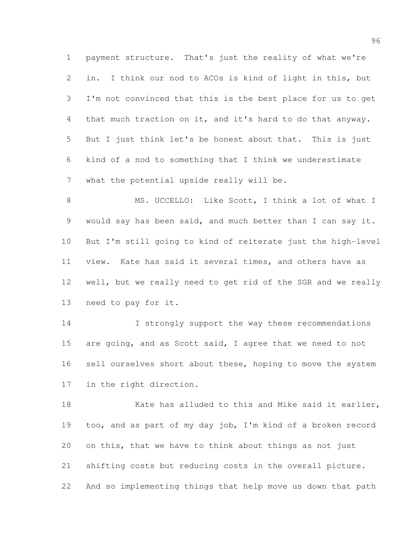payment structure. That's just the reality of what we're in. I think our nod to ACOs is kind of light in this, but I'm not convinced that this is the best place for us to get that much traction on it, and it's hard to do that anyway. But I just think let's be honest about that. This is just kind of a nod to something that I think we underestimate what the potential upside really will be.

8 MS. UCCELLO: Like Scott, I think a lot of what I would say has been said, and much better than I can say it. But I'm still going to kind of reiterate just the high-level view. Kate has said it several times, and others have as well, but we really need to get rid of the SGR and we really need to pay for it.

14 I strongly support the way these recommendations 15 are going, and as Scott said, I agree that we need to not 16 sell ourselves short about these, hoping to move the system in the right direction.

18 Kate has alluded to this and Mike said it earlier, too, and as part of my day job, I'm kind of a broken record on this, that we have to think about things as not just shifting costs but reducing costs in the overall picture. And so implementing things that help move us down that path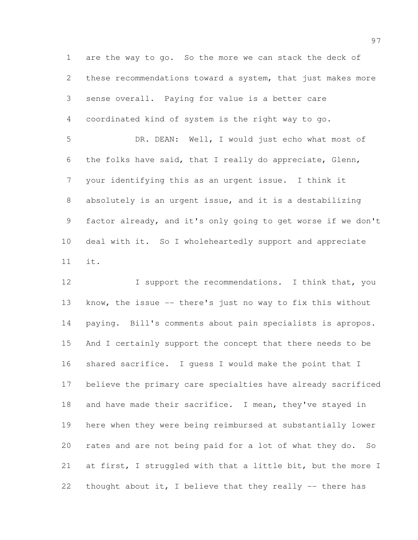are the way to go. So the more we can stack the deck of these recommendations toward a system, that just makes more sense overall. Paying for value is a better care coordinated kind of system is the right way to go. DR. DEAN: Well, I would just echo what most of the folks have said, that I really do appreciate, Glenn,

 your identifying this as an urgent issue. I think it absolutely is an urgent issue, and it is a destabilizing factor already, and it's only going to get worse if we don't deal with it. So I wholeheartedly support and appreciate it.

12 I support the recommendations. I think that, you know, the issue -- there's just no way to fix this without paying. Bill's comments about pain specialists is apropos. And I certainly support the concept that there needs to be shared sacrifice. I guess I would make the point that I believe the primary care specialties have already sacrificed and have made their sacrifice. I mean, they've stayed in here when they were being reimbursed at substantially lower rates and are not being paid for a lot of what they do. So at first, I struggled with that a little bit, but the more I thought about it, I believe that they really -- there has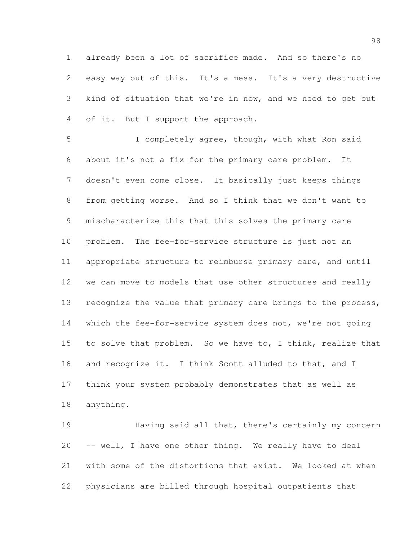already been a lot of sacrifice made. And so there's no easy way out of this. It's a mess. It's a very destructive kind of situation that we're in now, and we need to get out of it. But I support the approach.

 I completely agree, though, with what Ron said about it's not a fix for the primary care problem. It doesn't even come close. It basically just keeps things from getting worse. And so I think that we don't want to mischaracterize this that this solves the primary care problem. The fee-for-service structure is just not an appropriate structure to reimburse primary care, and until we can move to models that use other structures and really 13 recognize the value that primary care brings to the process, 14 which the fee-for-service system does not, we're not going 15 to solve that problem. So we have to, I think, realize that and recognize it. I think Scott alluded to that, and I think your system probably demonstrates that as well as anything.

 Having said all that, there's certainly my concern -- well, I have one other thing. We really have to deal with some of the distortions that exist. We looked at when physicians are billed through hospital outpatients that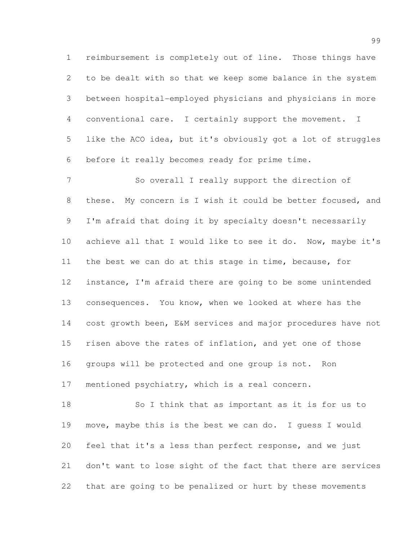reimbursement is completely out of line. Those things have to be dealt with so that we keep some balance in the system between hospital-employed physicians and physicians in more conventional care. I certainly support the movement. I like the ACO idea, but it's obviously got a lot of struggles before it really becomes ready for prime time.

 So overall I really support the direction of these. My concern is I wish it could be better focused, and I'm afraid that doing it by specialty doesn't necessarily achieve all that I would like to see it do. Now, maybe it's the best we can do at this stage in time, because, for instance, I'm afraid there are going to be some unintended consequences. You know, when we looked at where has the cost growth been, E&M services and major procedures have not 15 risen above the rates of inflation, and yet one of those groups will be protected and one group is not. Ron mentioned psychiatry, which is a real concern.

 So I think that as important as it is for us to move, maybe this is the best we can do. I guess I would feel that it's a less than perfect response, and we just don't want to lose sight of the fact that there are services that are going to be penalized or hurt by these movements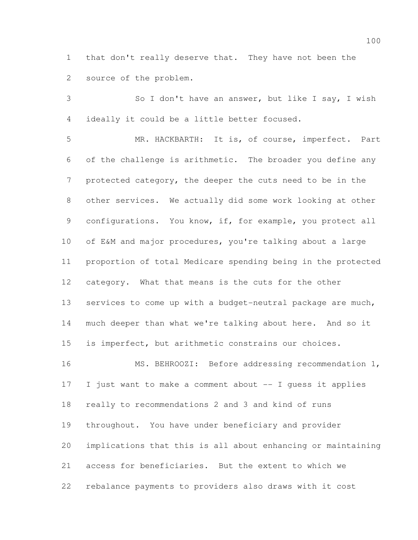that don't really deserve that. They have not been the source of the problem.

 So I don't have an answer, but like I say, I wish ideally it could be a little better focused.

 MR. HACKBARTH: It is, of course, imperfect. Part of the challenge is arithmetic. The broader you define any protected category, the deeper the cuts need to be in the other services. We actually did some work looking at other 9 configurations. You know, if, for example, you protect all of E&M and major procedures, you're talking about a large proportion of total Medicare spending being in the protected category. What that means is the cuts for the other 13 services to come up with a budget-neutral package are much, much deeper than what we're talking about here. And so it is imperfect, but arithmetic constrains our choices. MS. BEHROOZI: Before addressing recommendation 1, I just want to make a comment about -- I guess it applies

 really to recommendations 2 and 3 and kind of runs throughout. You have under beneficiary and provider implications that this is all about enhancing or maintaining access for beneficiaries. But the extent to which we rebalance payments to providers also draws with it cost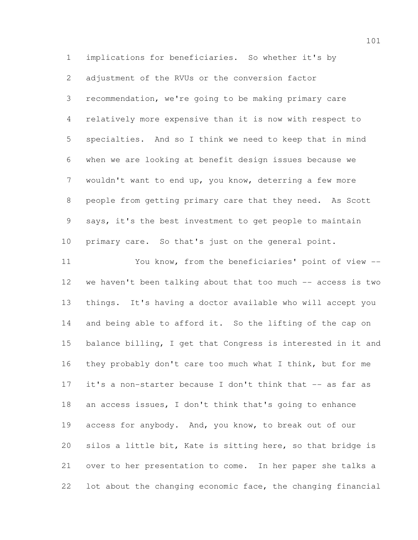implications for beneficiaries. So whether it's by adjustment of the RVUs or the conversion factor recommendation, we're going to be making primary care relatively more expensive than it is now with respect to specialties. And so I think we need to keep that in mind when we are looking at benefit design issues because we wouldn't want to end up, you know, deterring a few more people from getting primary care that they need. As Scott says, it's the best investment to get people to maintain primary care. So that's just on the general point.

 You know, from the beneficiaries' point of view -- we haven't been talking about that too much -- access is two things. It's having a doctor available who will accept you 14 and being able to afford it. So the lifting of the cap on balance billing, I get that Congress is interested in it and they probably don't care too much what I think, but for me 17 it's a non-starter because I don't think that -- as far as an access issues, I don't think that's going to enhance access for anybody. And, you know, to break out of our silos a little bit, Kate is sitting here, so that bridge is over to her presentation to come. In her paper she talks a lot about the changing economic face, the changing financial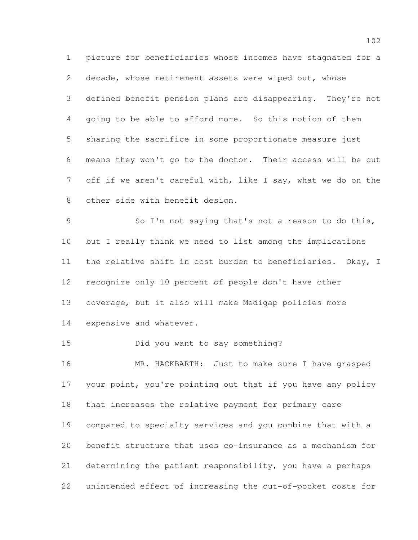picture for beneficiaries whose incomes have stagnated for a decade, whose retirement assets were wiped out, whose defined benefit pension plans are disappearing. They're not going to be able to afford more. So this notion of them sharing the sacrifice in some proportionate measure just means they won't go to the doctor. Their access will be cut off if we aren't careful with, like I say, what we do on the other side with benefit design.

 So I'm not saying that's not a reason to do this, but I really think we need to list among the implications the relative shift in cost burden to beneficiaries. Okay, I recognize only 10 percent of people don't have other coverage, but it also will make Medigap policies more expensive and whatever.

Did you want to say something?

 MR. HACKBARTH: Just to make sure I have grasped 17 your point, you're pointing out that if you have any policy that increases the relative payment for primary care compared to specialty services and you combine that with a benefit structure that uses co-insurance as a mechanism for determining the patient responsibility, you have a perhaps unintended effect of increasing the out-of-pocket costs for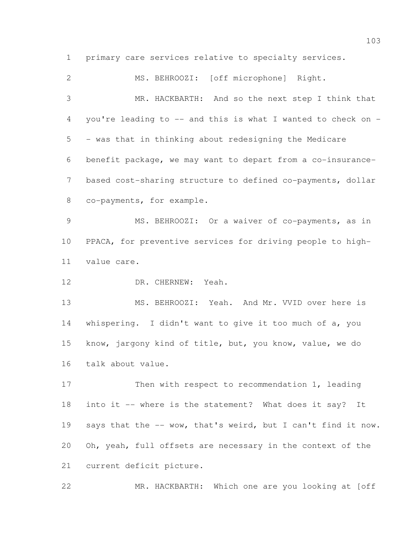primary care services relative to specialty services.

 MS. BEHROOZI: [off microphone] Right. MR. HACKBARTH: And so the next step I think that you're leading to -- and this is what I wanted to check on - - was that in thinking about redesigning the Medicare benefit package, we may want to depart from a co-insurance- based cost-sharing structure to defined co-payments, dollar co-payments, for example. MS. BEHROOZI: Or a waiver of co-payments, as in PPACA, for preventive services for driving people to high- value care. DR. CHERNEW: Yeah. MS. BEHROOZI: Yeah. And Mr. VVID over here is whispering. I didn't want to give it too much of a, you know, jargony kind of title, but, you know, value, we do talk about value. 17 Then with respect to recommendation 1, leading into it -- where is the statement? What does it say? It says that the -- wow, that's weird, but I can't find it now. Oh, yeah, full offsets are necessary in the context of the current deficit picture.

MR. HACKBARTH: Which one are you looking at [off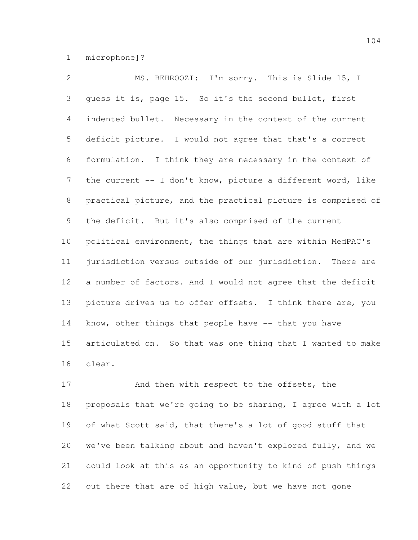microphone]?

 MS. BEHROOZI: I'm sorry. This is Slide 15, I guess it is, page 15. So it's the second bullet, first indented bullet. Necessary in the context of the current deficit picture. I would not agree that that's a correct formulation. I think they are necessary in the context of 7 the current -- I don't know, picture a different word, like practical picture, and the practical picture is comprised of the deficit. But it's also comprised of the current political environment, the things that are within MedPAC's jurisdiction versus outside of our jurisdiction. There are a number of factors. And I would not agree that the deficit picture drives us to offer offsets. I think there are, you 14 know, other things that people have -- that you have articulated on. So that was one thing that I wanted to make clear.

17 And then with respect to the offsets, the proposals that we're going to be sharing, I agree with a lot of what Scott said, that there's a lot of good stuff that we've been talking about and haven't explored fully, and we could look at this as an opportunity to kind of push things out there that are of high value, but we have not gone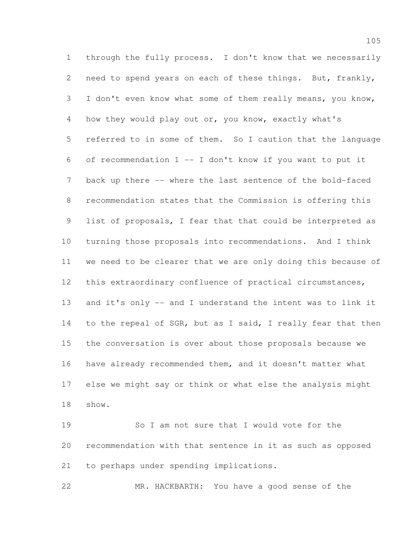through the fully process. I don't know that we necessarily need to spend years on each of these things. But, frankly, I don't even know what some of them really means, you know, how they would play out or, you know, exactly what's referred to in some of them. So I caution that the language of recommendation 1 -- I don't know if you want to put it back up there -- where the last sentence of the bold-faced recommendation states that the Commission is offering this list of proposals, I fear that that could be interpreted as turning those proposals into recommendations. And I think we need to be clearer that we are only doing this because of this extraordinary confluence of practical circumstances, and it's only -- and I understand the intent was to link it 14 to the repeal of SGR, but as I said, I really fear that then the conversation is over about those proposals because we have already recommended them, and it doesn't matter what else we might say or think or what else the analysis might show.

 So I am not sure that I would vote for the recommendation with that sentence in it as such as opposed to perhaps under spending implications.

MR. HACKBARTH: You have a good sense of the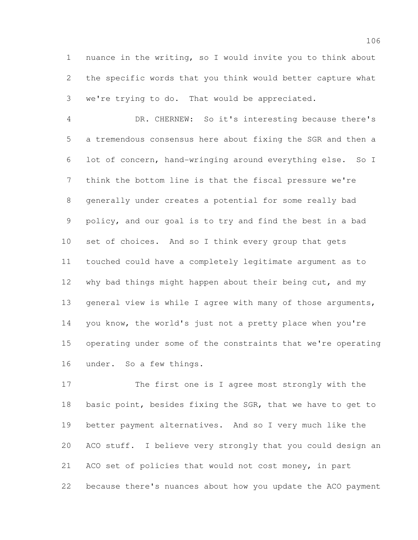nuance in the writing, so I would invite you to think about the specific words that you think would better capture what we're trying to do. That would be appreciated.

 DR. CHERNEW: So it's interesting because there's a tremendous consensus here about fixing the SGR and then a lot of concern, hand-wringing around everything else. So I think the bottom line is that the fiscal pressure we're generally under creates a potential for some really bad policy, and our goal is to try and find the best in a bad set of choices. And so I think every group that gets touched could have a completely legitimate argument as to 12 why bad things might happen about their being cut, and my 13 general view is while I agree with many of those arguments, you know, the world's just not a pretty place when you're operating under some of the constraints that we're operating under. So a few things.

 The first one is I agree most strongly with the 18 basic point, besides fixing the SGR, that we have to get to better payment alternatives. And so I very much like the ACO stuff. I believe very strongly that you could design an ACO set of policies that would not cost money, in part because there's nuances about how you update the ACO payment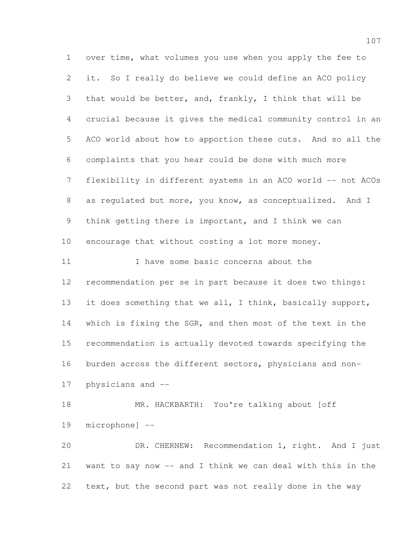over time, what volumes you use when you apply the fee to it. So I really do believe we could define an ACO policy that would be better, and, frankly, I think that will be crucial because it gives the medical community control in an ACO world about how to apportion these cuts. And so all the complaints that you hear could be done with much more flexibility in different systems in an ACO world -- not ACOs as regulated but more, you know, as conceptualized. And I think getting there is important, and I think we can encourage that without costing a lot more money. 11 11 I have some basic concerns about the recommendation per se in part because it does two things: 13 it does something that we all, I think, basically support, which is fixing the SGR, and then most of the text in the recommendation is actually devoted towards specifying the burden across the different sectors, physicians and non- physicians and -- 18 MR. HACKBARTH: You're talking about [off microphone] -- DR. CHERNEW: Recommendation 1, right. And I just want to say now -- and I think we can deal with this in the text, but the second part was not really done in the way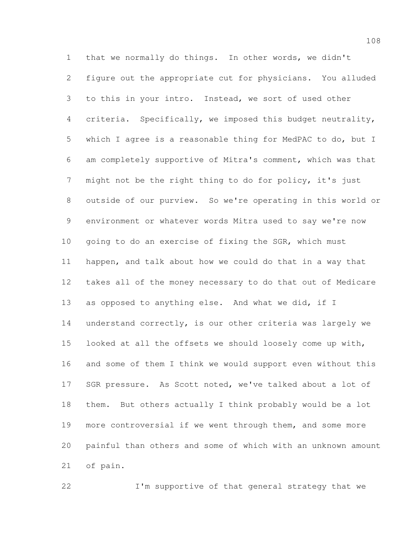that we normally do things. In other words, we didn't figure out the appropriate cut for physicians. You alluded to this in your intro. Instead, we sort of used other criteria. Specifically, we imposed this budget neutrality, which I agree is a reasonable thing for MedPAC to do, but I am completely supportive of Mitra's comment, which was that might not be the right thing to do for policy, it's just outside of our purview. So we're operating in this world or environment or whatever words Mitra used to say we're now going to do an exercise of fixing the SGR, which must happen, and talk about how we could do that in a way that takes all of the money necessary to do that out of Medicare as opposed to anything else. And what we did, if I understand correctly, is our other criteria was largely we looked at all the offsets we should loosely come up with, and some of them I think we would support even without this 17 SGR pressure. As Scott noted, we've talked about a lot of them. But others actually I think probably would be a lot more controversial if we went through them, and some more painful than others and some of which with an unknown amount of pain.

I'm supportive of that general strategy that we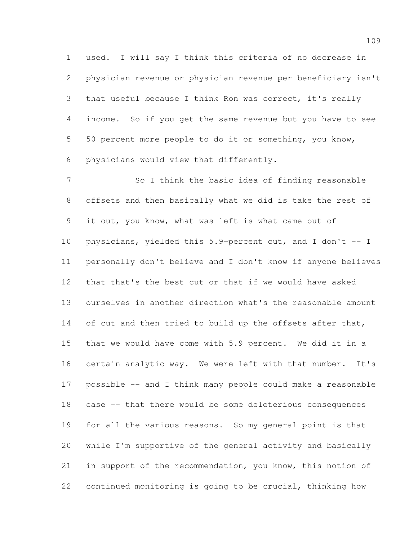used. I will say I think this criteria of no decrease in physician revenue or physician revenue per beneficiary isn't that useful because I think Ron was correct, it's really income. So if you get the same revenue but you have to see 50 percent more people to do it or something, you know, physicians would view that differently.

 So I think the basic idea of finding reasonable offsets and then basically what we did is take the rest of it out, you know, what was left is what came out of physicians, yielded this 5.9-percent cut, and I don't -- I personally don't believe and I don't know if anyone believes that that's the best cut or that if we would have asked ourselves in another direction what's the reasonable amount 14 of cut and then tried to build up the offsets after that, that we would have come with 5.9 percent. We did it in a certain analytic way. We were left with that number. It's possible -- and I think many people could make a reasonable case -- that there would be some deleterious consequences for all the various reasons. So my general point is that while I'm supportive of the general activity and basically in support of the recommendation, you know, this notion of continued monitoring is going to be crucial, thinking how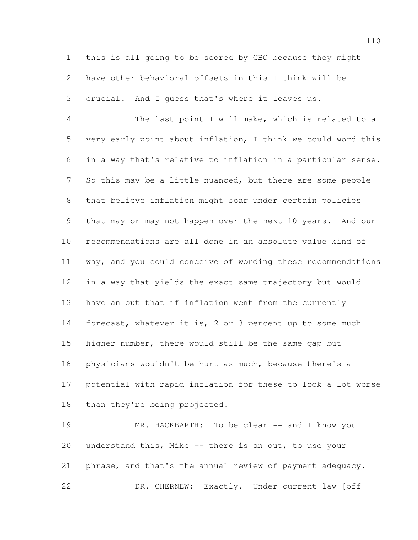this is all going to be scored by CBO because they might have other behavioral offsets in this I think will be crucial. And I guess that's where it leaves us.

 The last point I will make, which is related to a very early point about inflation, I think we could word this in a way that's relative to inflation in a particular sense. So this may be a little nuanced, but there are some people that believe inflation might soar under certain policies that may or may not happen over the next 10 years. And our recommendations are all done in an absolute value kind of way, and you could conceive of wording these recommendations in a way that yields the exact same trajectory but would have an out that if inflation went from the currently forecast, whatever it is, 2 or 3 percent up to some much higher number, there would still be the same gap but physicians wouldn't be hurt as much, because there's a potential with rapid inflation for these to look a lot worse than they're being projected.

 MR. HACKBARTH: To be clear -- and I know you understand this, Mike -- there is an out, to use your phrase, and that's the annual review of payment adequacy. 22 DR. CHERNEW: Exactly. Under current law [off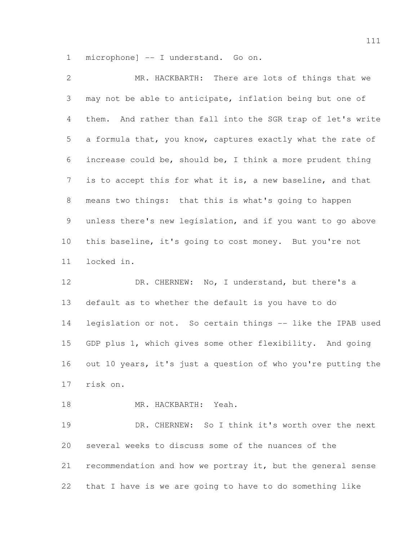microphone] -- I understand. Go on.

 MR. HACKBARTH: There are lots of things that we may not be able to anticipate, inflation being but one of them. And rather than fall into the SGR trap of let's write a formula that, you know, captures exactly what the rate of increase could be, should be, I think a more prudent thing is to accept this for what it is, a new baseline, and that means two things: that this is what's going to happen unless there's new legislation, and if you want to go above this baseline, it's going to cost money. But you're not locked in.

 DR. CHERNEW: No, I understand, but there's a default as to whether the default is you have to do legislation or not. So certain things -- like the IPAB used GDP plus 1, which gives some other flexibility. And going out 10 years, it's just a question of who you're putting the risk on.

MR. HACKBARTH: Yeah.

 DR. CHERNEW: So I think it's worth over the next several weeks to discuss some of the nuances of the recommendation and how we portray it, but the general sense that I have is we are going to have to do something like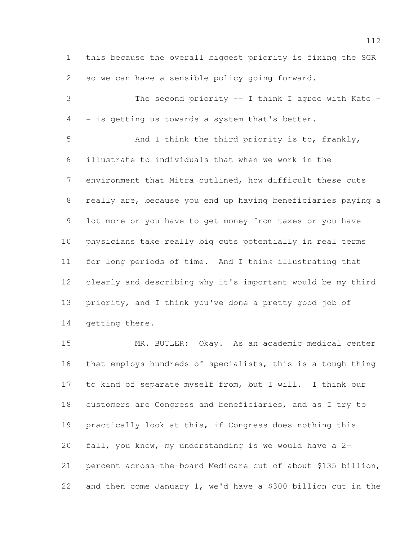this because the overall biggest priority is fixing the SGR so we can have a sensible policy going forward.

 The second priority -- I think I agree with Kate - - is getting us towards a system that's better.

 And I think the third priority is to, frankly, illustrate to individuals that when we work in the environment that Mitra outlined, how difficult these cuts really are, because you end up having beneficiaries paying a lot more or you have to get money from taxes or you have physicians take really big cuts potentially in real terms for long periods of time. And I think illustrating that clearly and describing why it's important would be my third priority, and I think you've done a pretty good job of getting there.

 MR. BUTLER: Okay. As an academic medical center that employs hundreds of specialists, this is a tough thing to kind of separate myself from, but I will. I think our customers are Congress and beneficiaries, and as I try to practically look at this, if Congress does nothing this fall, you know, my understanding is we would have a 2- percent across-the-board Medicare cut of about \$135 billion, and then come January 1, we'd have a \$300 billion cut in the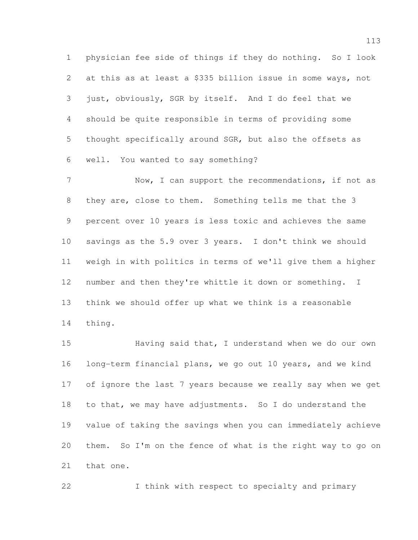physician fee side of things if they do nothing. So I look 2 at this as at least a \$335 billion issue in some ways, not just, obviously, SGR by itself. And I do feel that we should be quite responsible in terms of providing some thought specifically around SGR, but also the offsets as well. You wanted to say something?

7 Now, I can support the recommendations, if not as they are, close to them. Something tells me that the 3 percent over 10 years is less toxic and achieves the same savings as the 5.9 over 3 years. I don't think we should weigh in with politics in terms of we'll give them a higher number and then they're whittle it down or something. I think we should offer up what we think is a reasonable thing.

15 Having said that, I understand when we do our own long-term financial plans, we go out 10 years, and we kind of ignore the last 7 years because we really say when we get to that, we may have adjustments. So I do understand the value of taking the savings when you can immediately achieve them. So I'm on the fence of what is the right way to go on that one.

I think with respect to specialty and primary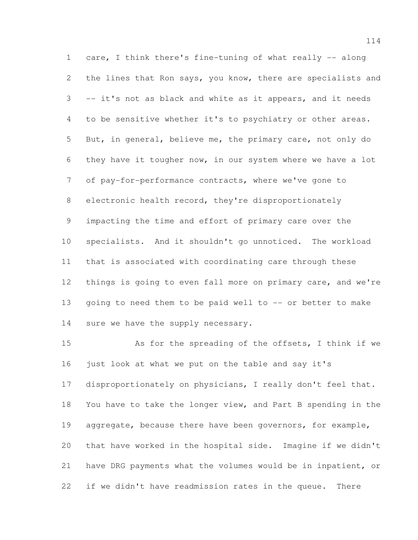care, I think there's fine-tuning of what really -- along 2 the lines that Ron says, you know, there are specialists and -- it's not as black and white as it appears, and it needs to be sensitive whether it's to psychiatry or other areas. But, in general, believe me, the primary care, not only do they have it tougher now, in our system where we have a lot of pay-for-performance contracts, where we've gone to electronic health record, they're disproportionately impacting the time and effort of primary care over the specialists. And it shouldn't go unnoticed. The workload that is associated with coordinating care through these things is going to even fall more on primary care, and we're going to need them to be paid well to -- or better to make 14 sure we have the supply necessary.

 As for the spreading of the offsets, I think if we just look at what we put on the table and say it's disproportionately on physicians, I really don't feel that. You have to take the longer view, and Part B spending in the 19 aggregate, because there have been governors, for example, that have worked in the hospital side. Imagine if we didn't have DRG payments what the volumes would be in inpatient, or if we didn't have readmission rates in the queue. There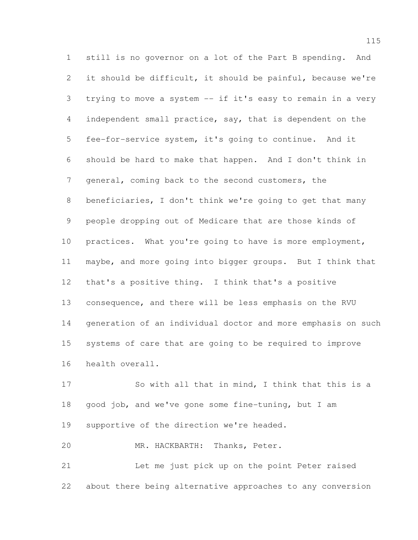still is no governor on a lot of the Part B spending. And it should be difficult, it should be painful, because we're trying to move a system -- if it's easy to remain in a very independent small practice, say, that is dependent on the fee-for-service system, it's going to continue. And it should be hard to make that happen. And I don't think in general, coming back to the second customers, the beneficiaries, I don't think we're going to get that many people dropping out of Medicare that are those kinds of practices. What you're going to have is more employment, maybe, and more going into bigger groups. But I think that that's a positive thing. I think that's a positive consequence, and there will be less emphasis on the RVU generation of an individual doctor and more emphasis on such systems of care that are going to be required to improve health overall.

 So with all that in mind, I think that this is a good job, and we've gone some fine-tuning, but I am 19 supportive of the direction we're headed.

MR. HACKBARTH: Thanks, Peter.

 Let me just pick up on the point Peter raised about there being alternative approaches to any conversion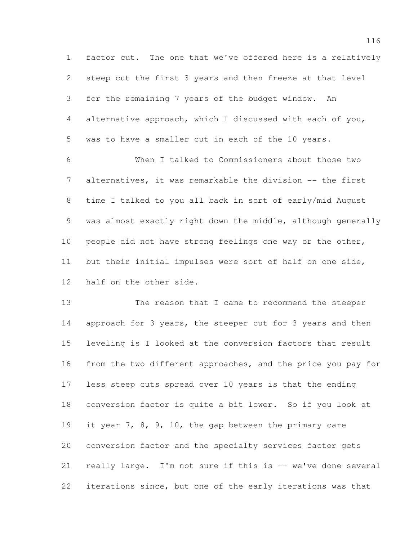factor cut. The one that we've offered here is a relatively steep cut the first 3 years and then freeze at that level for the remaining 7 years of the budget window. An alternative approach, which I discussed with each of you, was to have a smaller cut in each of the 10 years.

 When I talked to Commissioners about those two alternatives, it was remarkable the division -- the first time I talked to you all back in sort of early/mid August was almost exactly right down the middle, although generally people did not have strong feelings one way or the other, but their initial impulses were sort of half on one side, half on the other side.

 The reason that I came to recommend the steeper 14 approach for 3 years, the steeper cut for 3 years and then leveling is I looked at the conversion factors that result from the two different approaches, and the price you pay for less steep cuts spread over 10 years is that the ending conversion factor is quite a bit lower. So if you look at it year 7, 8, 9, 10, the gap between the primary care conversion factor and the specialty services factor gets really large. I'm not sure if this is -- we've done several iterations since, but one of the early iterations was that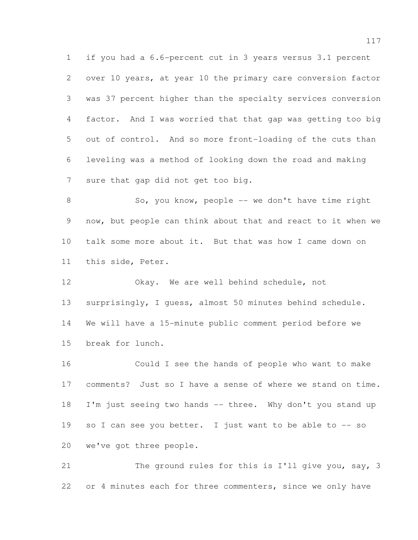if you had a 6.6-percent cut in 3 years versus 3.1 percent over 10 years, at year 10 the primary care conversion factor was 37 percent higher than the specialty services conversion factor. And I was worried that that gap was getting too big out of control. And so more front-loading of the cuts than leveling was a method of looking down the road and making sure that gap did not get too big.

8 So, you know, people -- we don't have time right now, but people can think about that and react to it when we talk some more about it. But that was how I came down on this side, Peter.

 Okay. We are well behind schedule, not surprisingly, I guess, almost 50 minutes behind schedule. We will have a 15-minute public comment period before we break for lunch.

 Could I see the hands of people who want to make comments? Just so I have a sense of where we stand on time. 18 I'm just seeing two hands -- three. Why don't you stand up 19 so I can see you better. I just want to be able to -- so we've got three people.

21 The ground rules for this is I'll give you, say, 3 22 or 4 minutes each for three commenters, since we only have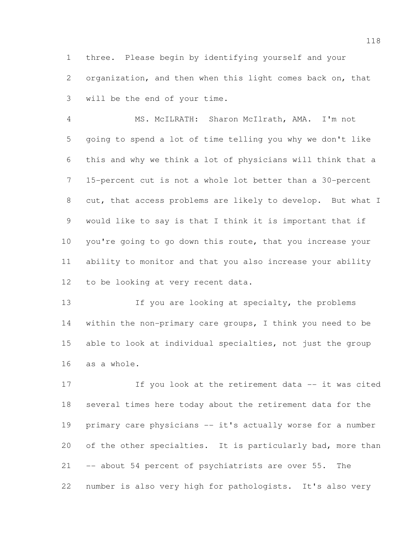three. Please begin by identifying yourself and your organization, and then when this light comes back on, that will be the end of your time.

 MS. McILRATH: Sharon McIlrath, AMA. I'm not going to spend a lot of time telling you why we don't like this and why we think a lot of physicians will think that a 15-percent cut is not a whole lot better than a 30-percent cut, that access problems are likely to develop. But what I would like to say is that I think it is important that if you're going to go down this route, that you increase your ability to monitor and that you also increase your ability to be looking at very recent data.

13 If you are looking at specialty, the problems within the non-primary care groups, I think you need to be able to look at individual specialties, not just the group as a whole.

17 17 If you look at the retirement data -- it was cited several times here today about the retirement data for the primary care physicians -- it's actually worse for a number 20 of the other specialties. It is particularly bad, more than -- about 54 percent of psychiatrists are over 55. The number is also very high for pathologists. It's also very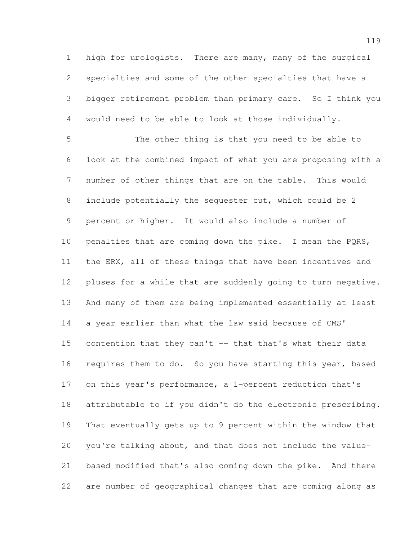high for urologists. There are many, many of the surgical specialties and some of the other specialties that have a bigger retirement problem than primary care. So I think you would need to be able to look at those individually.

 The other thing is that you need to be able to look at the combined impact of what you are proposing with a number of other things that are on the table. This would include potentially the sequester cut, which could be 2 percent or higher. It would also include a number of 10 penalties that are coming down the pike. I mean the PQRS, the ERX, all of these things that have been incentives and pluses for a while that are suddenly going to turn negative. And many of them are being implemented essentially at least 14 a year earlier than what the law said because of CMS' contention that they can't -- that that's what their data 16 requires them to do. So you have starting this year, based on this year's performance, a 1-percent reduction that's attributable to if you didn't do the electronic prescribing. That eventually gets up to 9 percent within the window that you're talking about, and that does not include the value- based modified that's also coming down the pike. And there are number of geographical changes that are coming along as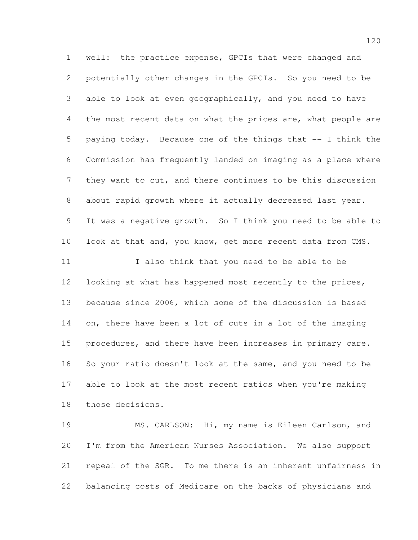well: the practice expense, GPCIs that were changed and potentially other changes in the GPCIs. So you need to be able to look at even geographically, and you need to have 4 the most recent data on what the prices are, what people are paying today. Because one of the things that -- I think the Commission has frequently landed on imaging as a place where they want to cut, and there continues to be this discussion about rapid growth where it actually decreased last year. It was a negative growth. So I think you need to be able to 10 look at that and, you know, get more recent data from CMS. I also think that you need to be able to be looking at what has happened most recently to the prices, because since 2006, which some of the discussion is based on, there have been a lot of cuts in a lot of the imaging procedures, and there have been increases in primary care. So your ratio doesn't look at the same, and you need to be able to look at the most recent ratios when you're making those decisions.

 MS. CARLSON: Hi, my name is Eileen Carlson, and I'm from the American Nurses Association. We also support repeal of the SGR. To me there is an inherent unfairness in balancing costs of Medicare on the backs of physicians and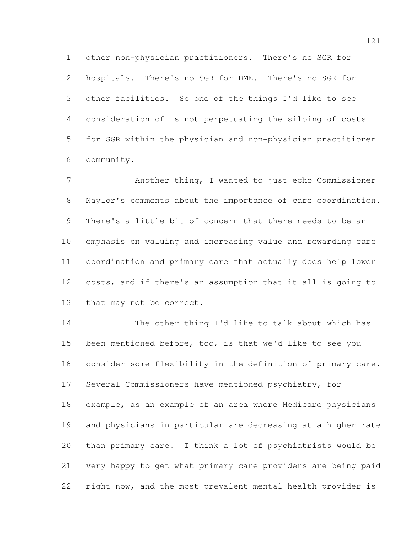other non-physician practitioners. There's no SGR for hospitals. There's no SGR for DME. There's no SGR for other facilities. So one of the things I'd like to see consideration of is not perpetuating the siloing of costs for SGR within the physician and non-physician practitioner community.

 Another thing, I wanted to just echo Commissioner Naylor's comments about the importance of care coordination. There's a little bit of concern that there needs to be an emphasis on valuing and increasing value and rewarding care coordination and primary care that actually does help lower costs, and if there's an assumption that it all is going to that may not be correct.

 The other thing I'd like to talk about which has been mentioned before, too, is that we'd like to see you consider some flexibility in the definition of primary care. Several Commissioners have mentioned psychiatry, for example, as an example of an area where Medicare physicians and physicians in particular are decreasing at a higher rate than primary care. I think a lot of psychiatrists would be very happy to get what primary care providers are being paid right now, and the most prevalent mental health provider is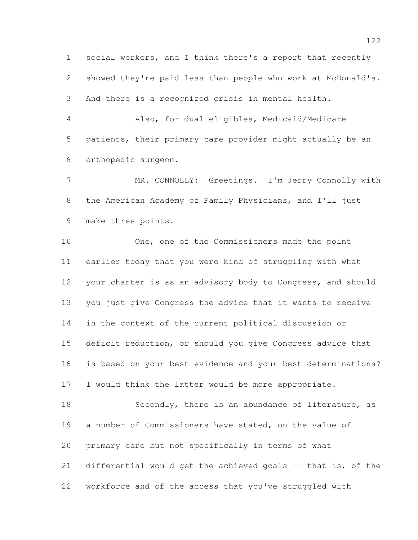social workers, and I think there's a report that recently showed they're paid less than people who work at McDonald's. And there is a recognized crisis in mental health.

 Also, for dual eligibles, Medicaid/Medicare patients, their primary care provider might actually be an orthopedic surgeon.

7 MR. CONNOLLY: Greetings. I'm Jerry Connolly with the American Academy of Family Physicians, and I'll just make three points.

 One, one of the Commissioners made the point earlier today that you were kind of struggling with what your charter is as an advisory body to Congress, and should you just give Congress the advice that it wants to receive in the context of the current political discussion or deficit reduction, or should you give Congress advice that is based on your best evidence and your best determinations? I would think the latter would be more appropriate.

 Secondly, there is an abundance of literature, as a number of Commissioners have stated, on the value of primary care but not specifically in terms of what differential would get the achieved goals -- that is, of the workforce and of the access that you've struggled with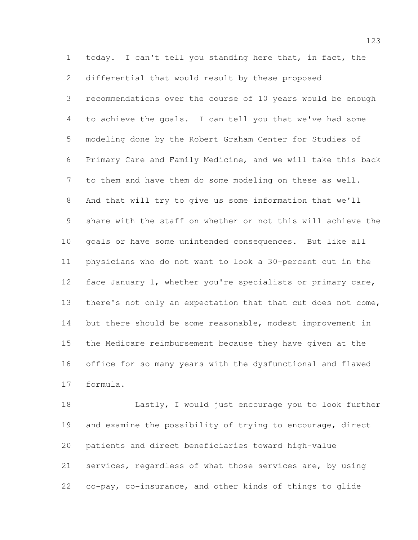today. I can't tell you standing here that, in fact, the differential that would result by these proposed recommendations over the course of 10 years would be enough to achieve the goals. I can tell you that we've had some modeling done by the Robert Graham Center for Studies of Primary Care and Family Medicine, and we will take this back to them and have them do some modeling on these as well. And that will try to give us some information that we'll share with the staff on whether or not this will achieve the goals or have some unintended consequences. But like all physicians who do not want to look a 30-percent cut in the 12 face January 1, whether you're specialists or primary care, 13 there's not only an expectation that that cut does not come, 14 but there should be some reasonable, modest improvement in the Medicare reimbursement because they have given at the office for so many years with the dysfunctional and flawed formula.

 Lastly, I would just encourage you to look further and examine the possibility of trying to encourage, direct patients and direct beneficiaries toward high-value services, regardless of what those services are, by using co-pay, co-insurance, and other kinds of things to glide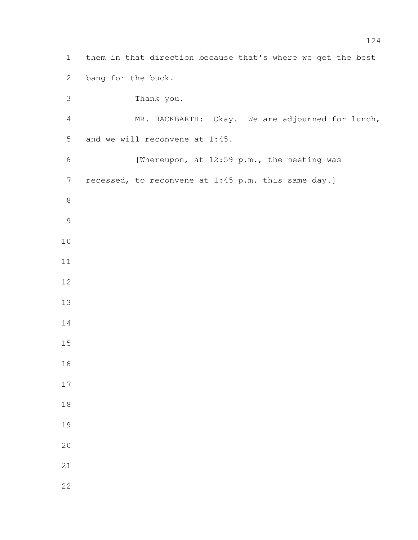| $\mathbf 1$    | them in that direction because that's where we get the best |
|----------------|-------------------------------------------------------------|
| $\mathbf{2}$   | bang for the buck.                                          |
| 3              | Thank you.                                                  |
| $\overline{4}$ | MR. HACKBARTH: Okay. We are adjourned for lunch,            |
| 5              | and we will reconvene at 1:45.                              |
| $\sqrt{6}$     | [Whereupon, at 12:59 p.m., the meeting was                  |
| $\overline{7}$ | recessed, to reconvene at 1:45 p.m. this same day.]         |
| $\,8\,$        |                                                             |
| $\mathcal{G}$  |                                                             |
| 10             |                                                             |
| 11             |                                                             |
| 12             |                                                             |
| 13             |                                                             |
| 14             |                                                             |
| 15             |                                                             |
| 16             |                                                             |
| 17             |                                                             |
| $1\,8$         |                                                             |
| 19             |                                                             |
| 20             |                                                             |
| 21             |                                                             |
| 22             |                                                             |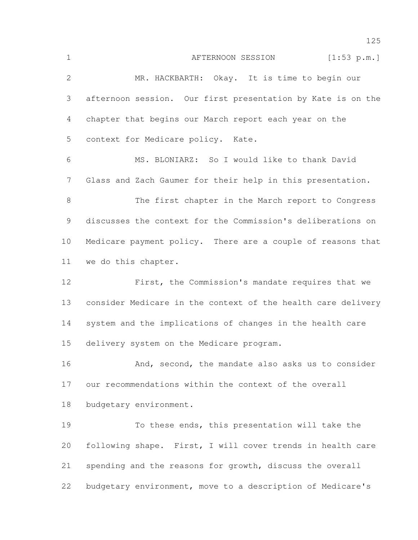1 AFTERNOON SESSION [1:53 p.m.] MR. HACKBARTH: Okay. It is time to begin our afternoon session. Our first presentation by Kate is on the chapter that begins our March report each year on the context for Medicare policy. Kate. MS. BLONIARZ: So I would like to thank David Glass and Zach Gaumer for their help in this presentation. The first chapter in the March report to Congress discusses the context for the Commission's deliberations on Medicare payment policy. There are a couple of reasons that we do this chapter. First, the Commission's mandate requires that we consider Medicare in the context of the health care delivery system and the implications of changes in the health care delivery system on the Medicare program. 16 And, second, the mandate also asks us to consider our recommendations within the context of the overall budgetary environment. To these ends, this presentation will take the following shape. First, I will cover trends in health care spending and the reasons for growth, discuss the overall budgetary environment, move to a description of Medicare's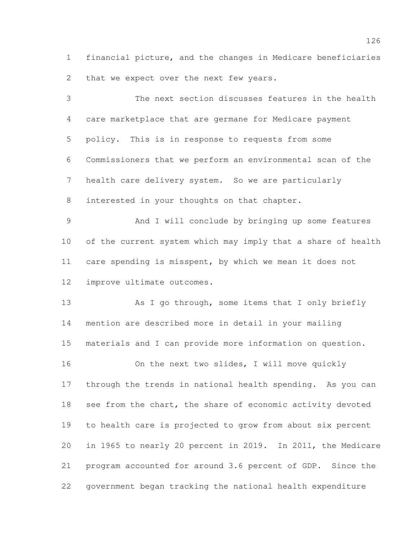financial picture, and the changes in Medicare beneficiaries 2 that we expect over the next few years.

 The next section discusses features in the health care marketplace that are germane for Medicare payment policy. This is in response to requests from some Commissioners that we perform an environmental scan of the health care delivery system. So we are particularly interested in your thoughts on that chapter.

 And I will conclude by bringing up some features of the current system which may imply that a share of health care spending is misspent, by which we mean it does not improve ultimate outcomes.

13 As I go through, some items that I only briefly mention are described more in detail in your mailing materials and I can provide more information on question.

 On the next two slides, I will move quickly through the trends in national health spending. As you can 18 see from the chart, the share of economic activity devoted to health care is projected to grow from about six percent in 1965 to nearly 20 percent in 2019. In 2011, the Medicare program accounted for around 3.6 percent of GDP. Since the government began tracking the national health expenditure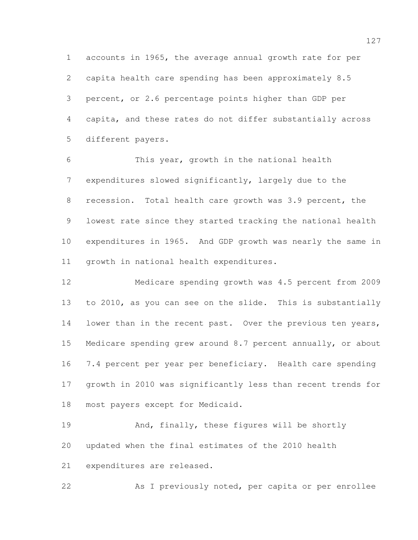accounts in 1965, the average annual growth rate for per capita health care spending has been approximately 8.5 percent, or 2.6 percentage points higher than GDP per capita, and these rates do not differ substantially across different payers.

 This year, growth in the national health expenditures slowed significantly, largely due to the 8 recession. Total health care growth was 3.9 percent, the lowest rate since they started tracking the national health expenditures in 1965. And GDP growth was nearly the same in growth in national health expenditures.

 Medicare spending growth was 4.5 percent from 2009 to 2010, as you can see on the slide. This is substantially 14 lower than in the recent past. Over the previous ten years, Medicare spending grew around 8.7 percent annually, or about 7.4 percent per year per beneficiary. Health care spending growth in 2010 was significantly less than recent trends for most payers except for Medicaid.

19 And, finally, these figures will be shortly updated when the final estimates of the 2010 health expenditures are released.

As I previously noted, per capita or per enrollee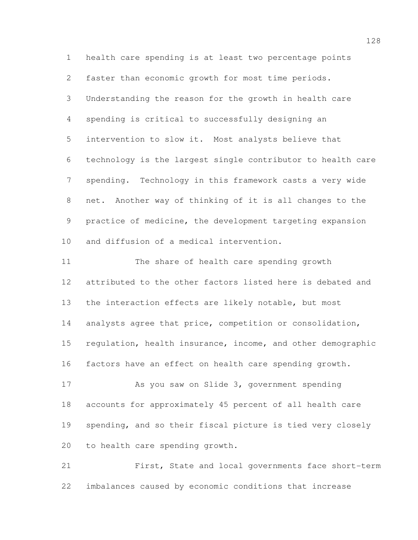health care spending is at least two percentage points faster than economic growth for most time periods. Understanding the reason for the growth in health care spending is critical to successfully designing an intervention to slow it. Most analysts believe that technology is the largest single contributor to health care spending. Technology in this framework casts a very wide net. Another way of thinking of it is all changes to the practice of medicine, the development targeting expansion and diffusion of a medical intervention.

 The share of health care spending growth attributed to the other factors listed here is debated and the interaction effects are likely notable, but most analysts agree that price, competition or consolidation, regulation, health insurance, income, and other demographic factors have an effect on health care spending growth.

 As you saw on Slide 3, government spending accounts for approximately 45 percent of all health care spending, and so their fiscal picture is tied very closely to health care spending growth.

 First, State and local governments face short-term imbalances caused by economic conditions that increase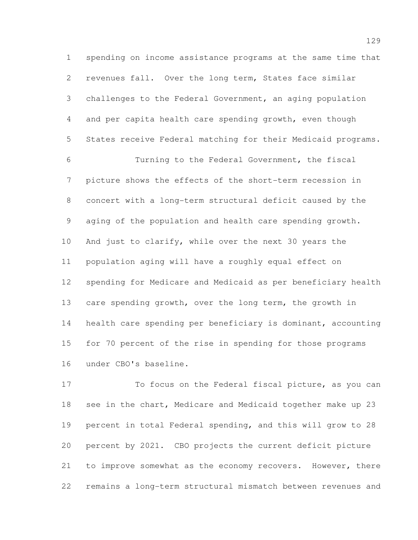spending on income assistance programs at the same time that revenues fall. Over the long term, States face similar challenges to the Federal Government, an aging population and per capita health care spending growth, even though States receive Federal matching for their Medicaid programs.

 Turning to the Federal Government, the fiscal picture shows the effects of the short-term recession in concert with a long-term structural deficit caused by the aging of the population and health care spending growth. 10 And just to clarify, while over the next 30 years the population aging will have a roughly equal effect on spending for Medicare and Medicaid as per beneficiary health care spending growth, over the long term, the growth in health care spending per beneficiary is dominant, accounting for 70 percent of the rise in spending for those programs under CBO's baseline.

 To focus on the Federal fiscal picture, as you can see in the chart, Medicare and Medicaid together make up 23 percent in total Federal spending, and this will grow to 28 percent by 2021. CBO projects the current deficit picture to improve somewhat as the economy recovers. However, there remains a long-term structural mismatch between revenues and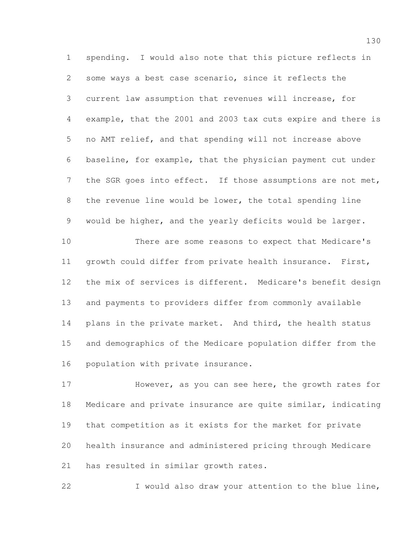spending. I would also note that this picture reflects in some ways a best case scenario, since it reflects the current law assumption that revenues will increase, for example, that the 2001 and 2003 tax cuts expire and there is no AMT relief, and that spending will not increase above baseline, for example, that the physician payment cut under 7 the SGR goes into effect. If those assumptions are not met, the revenue line would be lower, the total spending line would be higher, and the yearly deficits would be larger.

 There are some reasons to expect that Medicare's growth could differ from private health insurance. First, the mix of services is different. Medicare's benefit design and payments to providers differ from commonly available 14 plans in the private market. And third, the health status and demographics of the Medicare population differ from the population with private insurance.

 However, as you can see here, the growth rates for Medicare and private insurance are quite similar, indicating that competition as it exists for the market for private health insurance and administered pricing through Medicare has resulted in similar growth rates.

I would also draw your attention to the blue line,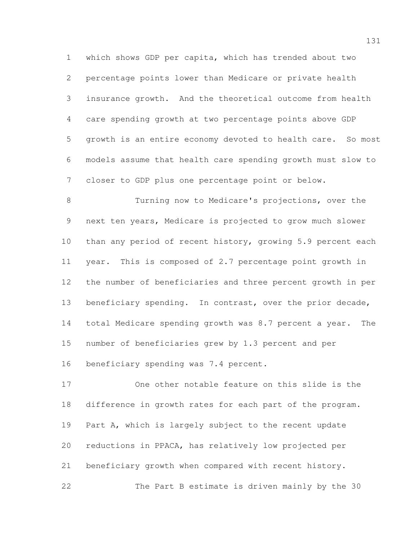which shows GDP per capita, which has trended about two percentage points lower than Medicare or private health insurance growth. And the theoretical outcome from health care spending growth at two percentage points above GDP growth is an entire economy devoted to health care. So most models assume that health care spending growth must slow to closer to GDP plus one percentage point or below.

 Turning now to Medicare's projections, over the next ten years, Medicare is projected to grow much slower than any period of recent history, growing 5.9 percent each year. This is composed of 2.7 percentage point growth in the number of beneficiaries and three percent growth in per beneficiary spending. In contrast, over the prior decade, total Medicare spending growth was 8.7 percent a year. The number of beneficiaries grew by 1.3 percent and per 16 beneficiary spending was 7.4 percent.

 One other notable feature on this slide is the difference in growth rates for each part of the program. Part A, which is largely subject to the recent update reductions in PPACA, has relatively low projected per beneficiary growth when compared with recent history. The Part B estimate is driven mainly by the 30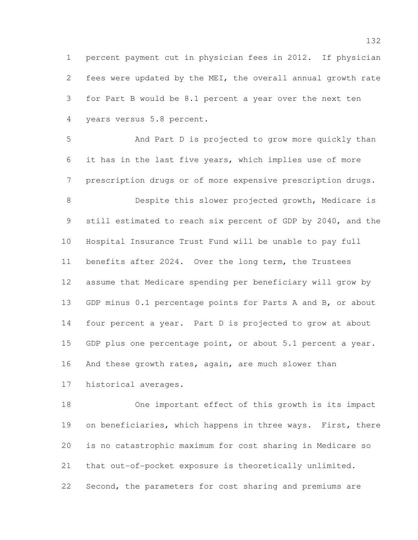percent payment cut in physician fees in 2012. If physician fees were updated by the MEI, the overall annual growth rate for Part B would be 8.1 percent a year over the next ten years versus 5.8 percent.

 And Part D is projected to grow more quickly than it has in the last five years, which implies use of more prescription drugs or of more expensive prescription drugs.

 Despite this slower projected growth, Medicare is still estimated to reach six percent of GDP by 2040, and the Hospital Insurance Trust Fund will be unable to pay full benefits after 2024. Over the long term, the Trustees assume that Medicare spending per beneficiary will grow by GDP minus 0.1 percentage points for Parts A and B, or about four percent a year. Part D is projected to grow at about 15 GDP plus one percentage point, or about 5.1 percent a year. 16 And these growth rates, again, are much slower than historical averages.

 One important effect of this growth is its impact 19 on beneficiaries, which happens in three ways. First, there is no catastrophic maximum for cost sharing in Medicare so that out-of-pocket exposure is theoretically unlimited. Second, the parameters for cost sharing and premiums are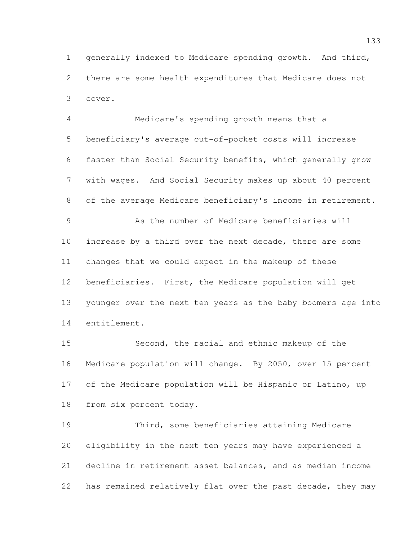generally indexed to Medicare spending growth. And third, there are some health expenditures that Medicare does not cover.

 Medicare's spending growth means that a beneficiary's average out-of-pocket costs will increase faster than Social Security benefits, which generally grow with wages. And Social Security makes up about 40 percent of the average Medicare beneficiary's income in retirement. As the number of Medicare beneficiaries will increase by a third over the next decade, there are some changes that we could expect in the makeup of these beneficiaries. First, the Medicare population will get younger over the next ten years as the baby boomers age into entitlement.

 Second, the racial and ethnic makeup of the Medicare population will change. By 2050, over 15 percent of the Medicare population will be Hispanic or Latino, up from six percent today.

 Third, some beneficiaries attaining Medicare eligibility in the next ten years may have experienced a decline in retirement asset balances, and as median income has remained relatively flat over the past decade, they may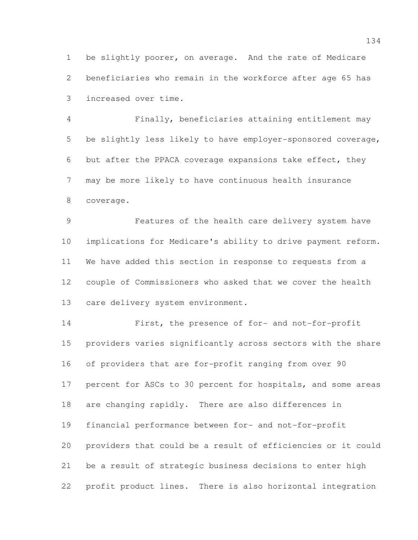be slightly poorer, on average. And the rate of Medicare beneficiaries who remain in the workforce after age 65 has increased over time.

 Finally, beneficiaries attaining entitlement may be slightly less likely to have employer-sponsored coverage, but after the PPACA coverage expansions take effect, they may be more likely to have continuous health insurance coverage.

 Features of the health care delivery system have implications for Medicare's ability to drive payment reform. We have added this section in response to requests from a couple of Commissioners who asked that we cover the health 13 care delivery system environment.

 First, the presence of for- and not-for-profit providers varies significantly across sectors with the share of providers that are for-profit ranging from over 90 percent for ASCs to 30 percent for hospitals, and some areas are changing rapidly. There are also differences in financial performance between for- and not-for-profit providers that could be a result of efficiencies or it could be a result of strategic business decisions to enter high profit product lines. There is also horizontal integration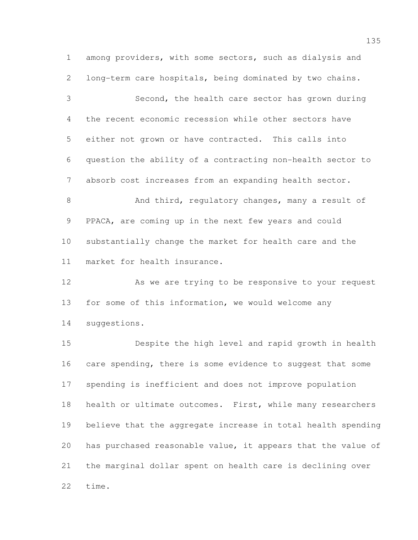among providers, with some sectors, such as dialysis and long-term care hospitals, being dominated by two chains. Second, the health care sector has grown during the recent economic recession while other sectors have either not grown or have contracted. This calls into question the ability of a contracting non-health sector to absorb cost increases from an expanding health sector. 8 And third, regulatory changes, many a result of PPACA, are coming up in the next few years and could substantially change the market for health care and the

market for health insurance.

12 As we are trying to be responsive to your request for some of this information, we would welcome any suggestions.

 Despite the high level and rapid growth in health 16 care spending, there is some evidence to suggest that some spending is inefficient and does not improve population 18 health or ultimate outcomes. First, while many researchers believe that the aggregate increase in total health spending has purchased reasonable value, it appears that the value of the marginal dollar spent on health care is declining over time.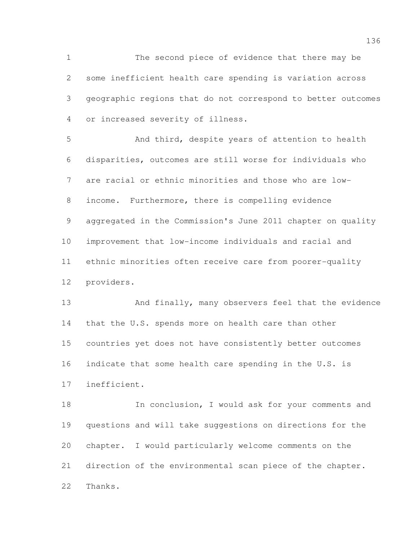The second piece of evidence that there may be some inefficient health care spending is variation across geographic regions that do not correspond to better outcomes or increased severity of illness.

 And third, despite years of attention to health disparities, outcomes are still worse for individuals who are racial or ethnic minorities and those who are low- income. Furthermore, there is compelling evidence aggregated in the Commission's June 2011 chapter on quality improvement that low-income individuals and racial and ethnic minorities often receive care from poorer-quality providers.

 And finally, many observers feel that the evidence 14 that the U.S. spends more on health care than other countries yet does not have consistently better outcomes 16 indicate that some health care spending in the U.S. is inefficient.

 In conclusion, I would ask for your comments and questions and will take suggestions on directions for the chapter. I would particularly welcome comments on the direction of the environmental scan piece of the chapter. Thanks.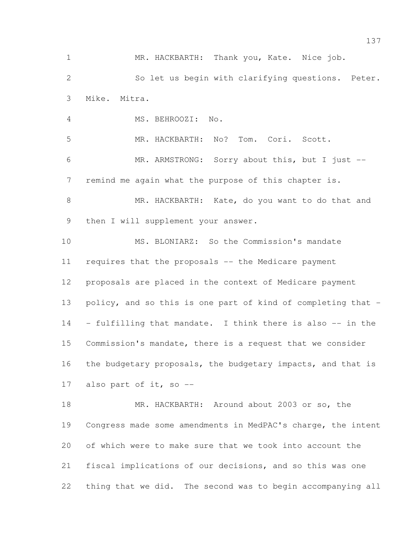MR. HACKBARTH: Thank you, Kate. Nice job. So let us begin with clarifying questions. Peter. Mike. Mitra. MS. BEHROOZI: No. MR. HACKBARTH: No? Tom. Cori. Scott. MR. ARMSTRONG: Sorry about this, but I just -- remind me again what the purpose of this chapter is. MR. HACKBARTH: Kate, do you want to do that and 9 then I will supplement your answer. MS. BLONIARZ: So the Commission's mandate requires that the proposals -- the Medicare payment proposals are placed in the context of Medicare payment policy, and so this is one part of kind of completing that - - fulfilling that mandate. I think there is also -- in the Commission's mandate, there is a request that we consider 16 the budgetary proposals, the budgetary impacts, and that is also part of it, so -- MR. HACKBARTH: Around about 2003 or so, the Congress made some amendments in MedPAC's charge, the intent of which were to make sure that we took into account the fiscal implications of our decisions, and so this was one

thing that we did. The second was to begin accompanying all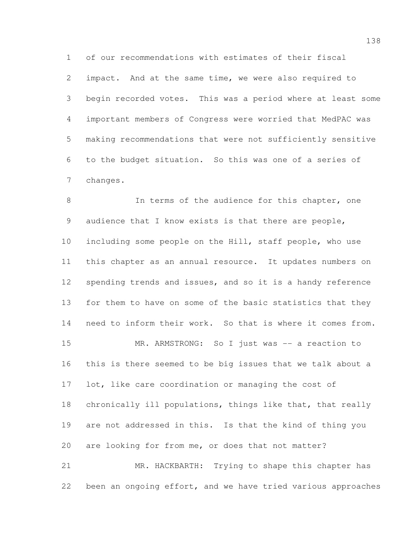of our recommendations with estimates of their fiscal impact. And at the same time, we were also required to begin recorded votes. This was a period where at least some important members of Congress were worried that MedPAC was making recommendations that were not sufficiently sensitive to the budget situation. So this was one of a series of changes.

8 In terms of the audience for this chapter, one 9 audience that I know exists is that there are people, including some people on the Hill, staff people, who use this chapter as an annual resource. It updates numbers on spending trends and issues, and so it is a handy reference for them to have on some of the basic statistics that they need to inform their work. So that is where it comes from. 15 MR. ARMSTRONG: So I just was -- a reaction to this is there seemed to be big issues that we talk about a lot, like care coordination or managing the cost of chronically ill populations, things like that, that really are not addressed in this. Is that the kind of thing you are looking for from me, or does that not matter? MR. HACKBARTH: Trying to shape this chapter has

been an ongoing effort, and we have tried various approaches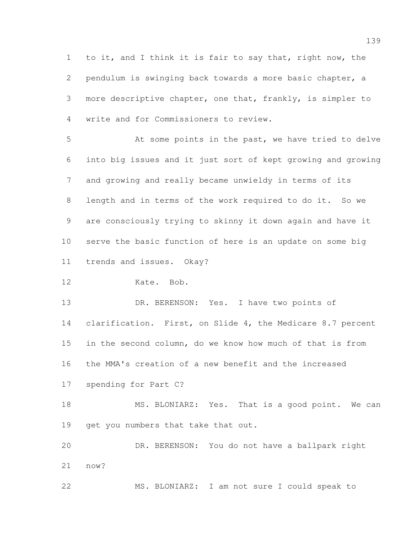to it, and I think it is fair to say that, right now, the pendulum is swinging back towards a more basic chapter, a more descriptive chapter, one that, frankly, is simpler to write and for Commissioners to review.

 At some points in the past, we have tried to delve into big issues and it just sort of kept growing and growing and growing and really became unwieldy in terms of its length and in terms of the work required to do it. So we are consciously trying to skinny it down again and have it serve the basic function of here is an update on some big trends and issues. Okay?

Kate. Bob.

 DR. BERENSON: Yes. I have two points of clarification. First, on Slide 4, the Medicare 8.7 percent in the second column, do we know how much of that is from the MMA's creation of a new benefit and the increased

spending for Part C?

18 MS. BLONIARZ: Yes. That is a good point. We can 19 get you numbers that take that out.

 DR. BERENSON: You do not have a ballpark right now?

MS. BLONIARZ: I am not sure I could speak to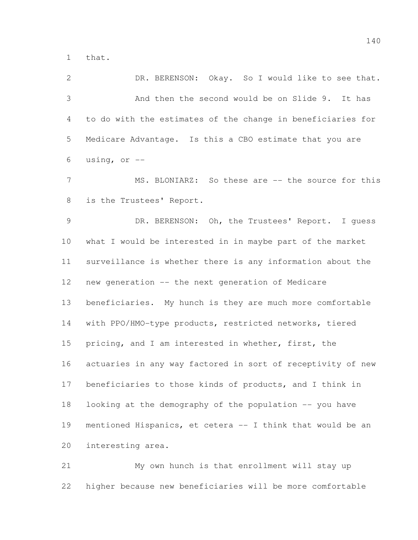that.

 DR. BERENSON: Okay. So I would like to see that. And then the second would be on Slide 9. It has to do with the estimates of the change in beneficiaries for Medicare Advantage. Is this a CBO estimate that you are 6 using, or  $-$ 

7 MS. BLONIARZ: So these are -- the source for this is the Trustees' Report.

 DR. BERENSON: Oh, the Trustees' Report. I guess what I would be interested in in maybe part of the market surveillance is whether there is any information about the new generation -- the next generation of Medicare beneficiaries. My hunch is they are much more comfortable with PPO/HMO-type products, restricted networks, tiered pricing, and I am interested in whether, first, the actuaries in any way factored in sort of receptivity of new beneficiaries to those kinds of products, and I think in looking at the demography of the population -- you have mentioned Hispanics, et cetera -- I think that would be an interesting area.

 My own hunch is that enrollment will stay up higher because new beneficiaries will be more comfortable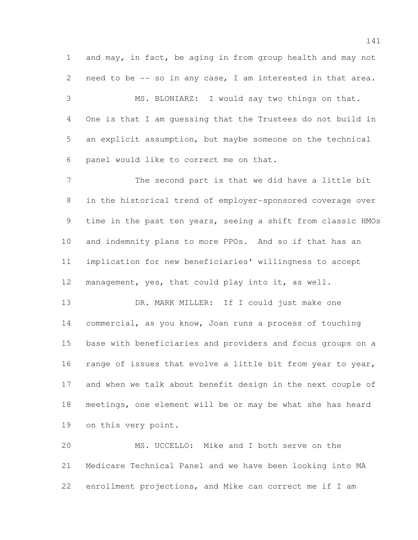and may, in fact, be aging in from group health and may not need to be -- so in any case, I am interested in that area.

 MS. BLONIARZ: I would say two things on that. One is that I am guessing that the Trustees do not build in an explicit assumption, but maybe someone on the technical panel would like to correct me on that.

 The second part is that we did have a little bit in the historical trend of employer-sponsored coverage over time in the past ten years, seeing a shift from classic HMOs and indemnity plans to more PPOs. And so if that has an implication for new beneficiaries' willingness to accept management, yes, that could play into it, as well.

13 DR. MARK MILLER: If I could just make one commercial, as you know, Joan runs a process of touching base with beneficiaries and providers and focus groups on a 16 range of issues that evolve a little bit from year to year, and when we talk about benefit design in the next couple of meetings, one element will be or may be what she has heard on this very point.

 MS. UCCELLO: Mike and I both serve on the Medicare Technical Panel and we have been looking into MA enrollment projections, and Mike can correct me if I am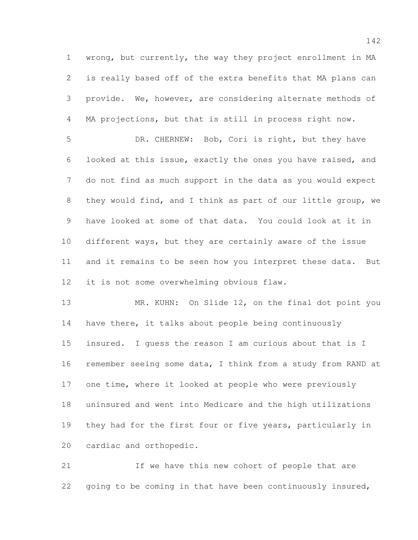wrong, but currently, the way they project enrollment in MA is really based off of the extra benefits that MA plans can provide. We, however, are considering alternate methods of MA projections, but that is still in process right now.

 DR. CHERNEW: Bob, Cori is right, but they have looked at this issue, exactly the ones you have raised, and do not find as much support in the data as you would expect they would find, and I think as part of our little group, we have looked at some of that data. You could look at it in different ways, but they are certainly aware of the issue and it remains to be seen how you interpret these data. But it is not some overwhelming obvious flaw.

 MR. KUHN: On Slide 12, on the final dot point you 14 have there, it talks about people being continuously insured. I guess the reason I am curious about that is I remember seeing some data, I think from a study from RAND at one time, where it looked at people who were previously uninsured and went into Medicare and the high utilizations they had for the first four or five years, particularly in cardiac and orthopedic.

 If we have this new cohort of people that are 22 going to be coming in that have been continuously insured,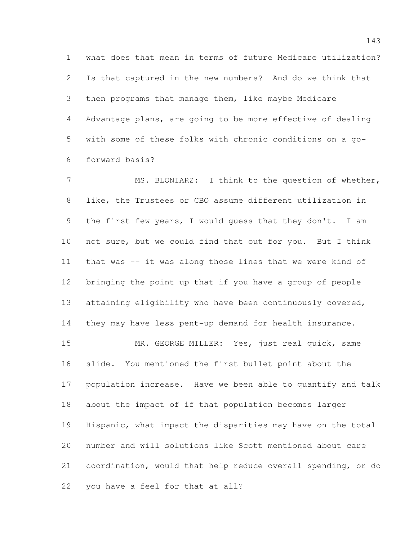what does that mean in terms of future Medicare utilization? Is that captured in the new numbers? And do we think that then programs that manage them, like maybe Medicare Advantage plans, are going to be more effective of dealing with some of these folks with chronic conditions on a go-forward basis?

 MS. BLONIARZ: I think to the question of whether, like, the Trustees or CBO assume different utilization in 9 the first few years, I would quess that they don't. I am not sure, but we could find that out for you. But I think that was -- it was along those lines that we were kind of bringing the point up that if you have a group of people 13 attaining eligibility who have been continuously covered, they may have less pent-up demand for health insurance. MR. GEORGE MILLER: Yes, just real quick, same slide. You mentioned the first bullet point about the population increase. Have we been able to quantify and talk about the impact of if that population becomes larger Hispanic, what impact the disparities may have on the total

 number and will solutions like Scott mentioned about care coordination, would that help reduce overall spending, or do you have a feel for that at all?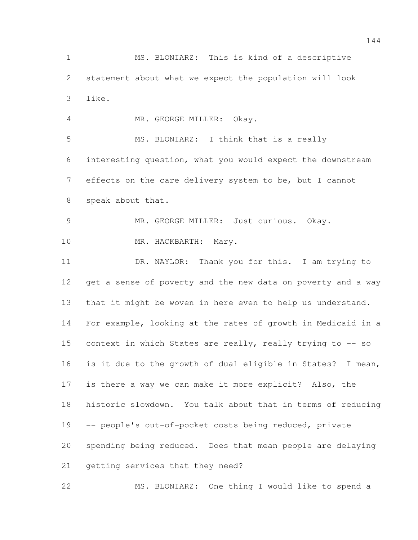MS. BLONIARZ: This is kind of a descriptive statement about what we expect the population will look like.

MR. GEORGE MILLER: Okay.

 MS. BLONIARZ: I think that is a really interesting question, what you would expect the downstream effects on the care delivery system to be, but I cannot speak about that.

 MR. GEORGE MILLER: Just curious. Okay. 10 MR. HACKBARTH: Mary.

 DR. NAYLOR: Thank you for this. I am trying to get a sense of poverty and the new data on poverty and a way that it might be woven in here even to help us understand. For example, looking at the rates of growth in Medicaid in a context in which States are really, really trying to -- so is it due to the growth of dual eligible in States? I mean, is there a way we can make it more explicit? Also, the historic slowdown. You talk about that in terms of reducing -- people's out-of-pocket costs being reduced, private spending being reduced. Does that mean people are delaying getting services that they need?

MS. BLONIARZ: One thing I would like to spend a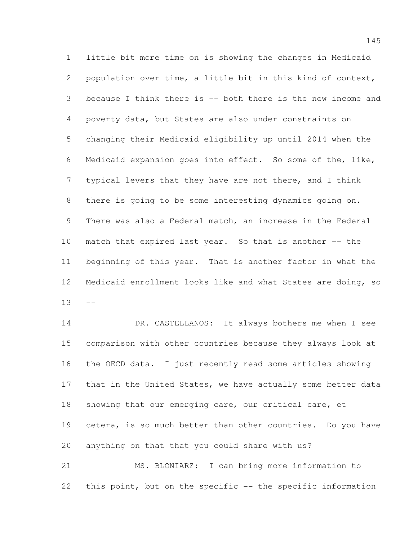little bit more time on is showing the changes in Medicaid population over time, a little bit in this kind of context, because I think there is -- both there is the new income and poverty data, but States are also under constraints on changing their Medicaid eligibility up until 2014 when the Medicaid expansion goes into effect. So some of the, like, typical levers that they have are not there, and I think there is going to be some interesting dynamics going on. There was also a Federal match, an increase in the Federal match that expired last year. So that is another -- the beginning of this year. That is another factor in what the Medicaid enrollment looks like and what States are doing, so 

14 DR. CASTELLANOS: It always bothers me when I see comparison with other countries because they always look at the OECD data. I just recently read some articles showing 17 that in the United States, we have actually some better data 18 showing that our emerging care, our critical care, et 19 cetera, is so much better than other countries. Do you have anything on that that you could share with us? MS. BLONIARZ: I can bring more information to

this point, but on the specific -- the specific information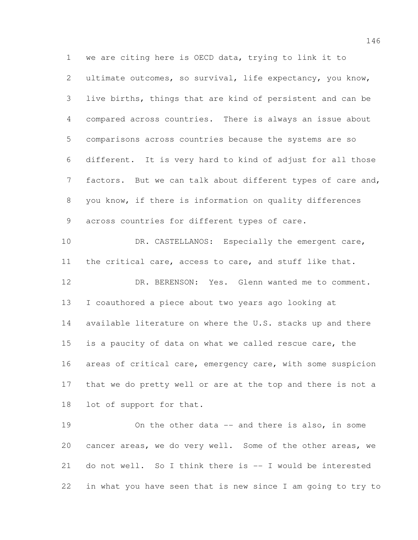we are citing here is OECD data, trying to link it to ultimate outcomes, so survival, life expectancy, you know, live births, things that are kind of persistent and can be compared across countries. There is always an issue about comparisons across countries because the systems are so different. It is very hard to kind of adjust for all those factors. But we can talk about different types of care and, you know, if there is information on quality differences across countries for different types of care. 10 DR. CASTELLANOS: Especially the emergent care, the critical care, access to care, and stuff like that. DR. BERENSON: Yes. Glenn wanted me to comment. I coauthored a piece about two years ago looking at available literature on where the U.S. stacks up and there is a paucity of data on what we called rescue care, the

16 areas of critical care, emergency care, with some suspicion that we do pretty well or are at the top and there is not a lot of support for that.

 On the other data -- and there is also, in some cancer areas, we do very well. Some of the other areas, we do not well. So I think there is -- I would be interested in what you have seen that is new since I am going to try to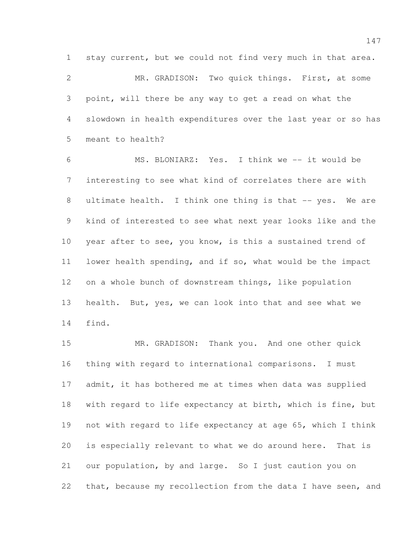stay current, but we could not find very much in that area.

 MR. GRADISON: Two quick things. First, at some point, will there be any way to get a read on what the slowdown in health expenditures over the last year or so has meant to health?

 MS. BLONIARZ: Yes. I think we -- it would be interesting to see what kind of correlates there are with 8 ultimate health. I think one thing is that -- yes. We are kind of interested to see what next year looks like and the year after to see, you know, is this a sustained trend of lower health spending, and if so, what would be the impact on a whole bunch of downstream things, like population health. But, yes, we can look into that and see what we find.

 MR. GRADISON: Thank you. And one other quick thing with regard to international comparisons. I must admit, it has bothered me at times when data was supplied with regard to life expectancy at birth, which is fine, but not with regard to life expectancy at age 65, which I think is especially relevant to what we do around here. That is our population, by and large. So I just caution you on 22 that, because my recollection from the data I have seen, and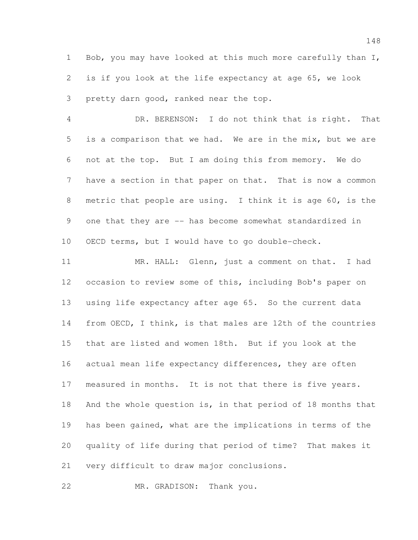Bob, you may have looked at this much more carefully than I, is if you look at the life expectancy at age 65, we look pretty darn good, ranked near the top.

 DR. BERENSON: I do not think that is right. That is a comparison that we had. We are in the mix, but we are not at the top. But I am doing this from memory. We do have a section in that paper on that. That is now a common metric that people are using. I think it is age 60, is the 9 one that they are -- has become somewhat standardized in OECD terms, but I would have to go double-check.

11 MR. HALL: Glenn, just a comment on that. I had occasion to review some of this, including Bob's paper on using life expectancy after age 65. So the current data from OECD, I think, is that males are 12th of the countries that are listed and women 18th. But if you look at the 16 actual mean life expectancy differences, they are often measured in months. It is not that there is five years. And the whole question is, in that period of 18 months that has been gained, what are the implications in terms of the quality of life during that period of time? That makes it very difficult to draw major conclusions.

MR. GRADISON: Thank you.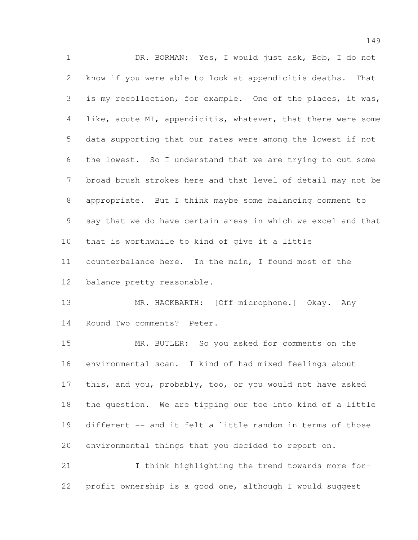DR. BORMAN: Yes, I would just ask, Bob, I do not know if you were able to look at appendicitis deaths. That is my recollection, for example. One of the places, it was, like, acute MI, appendicitis, whatever, that there were some data supporting that our rates were among the lowest if not the lowest. So I understand that we are trying to cut some broad brush strokes here and that level of detail may not be appropriate. But I think maybe some balancing comment to say that we do have certain areas in which we excel and that that is worthwhile to kind of give it a little counterbalance here. In the main, I found most of the balance pretty reasonable. 13 MR. HACKBARTH: [Off microphone.] Okay. Any Round Two comments? Peter. MR. BUTLER: So you asked for comments on the environmental scan. I kind of had mixed feelings about this, and you, probably, too, or you would not have asked the question. We are tipping our toe into kind of a little different -- and it felt a little random in terms of those environmental things that you decided to report on. I think highlighting the trend towards more for-

profit ownership is a good one, although I would suggest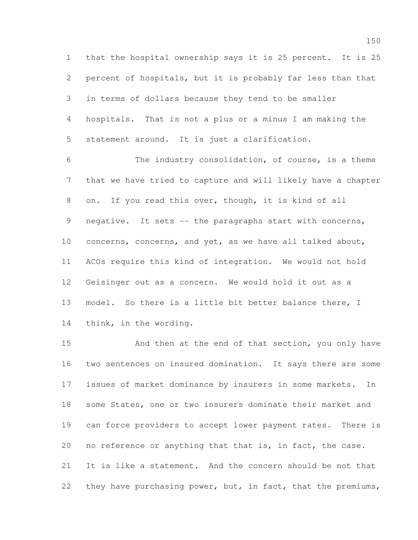that the hospital ownership says it is 25 percent. It is 25 percent of hospitals, but it is probably far less than that in terms of dollars because they tend to be smaller hospitals. That is not a plus or a minus I am making the statement around. It is just a clarification.

 The industry consolidation, of course, is a theme that we have tried to capture and will likely have a chapter on. If you read this over, though, it is kind of all 9 negative. It sets -- the paragraphs start with concerns, concerns, concerns, and yet, as we have all talked about, ACOs require this kind of integration. We would not hold Geisinger out as a concern. We would hold it out as a model. So there is a little bit better balance there, I think, in the wording.

 And then at the end of that section, you only have two sentences on insured domination. It says there are some issues of market dominance by insurers in some markets. In some States, one or two insurers dominate their market and can force providers to accept lower payment rates. There is no reference or anything that that is, in fact, the case. It is like a statement. And the concern should be not that they have purchasing power, but, in fact, that the premiums,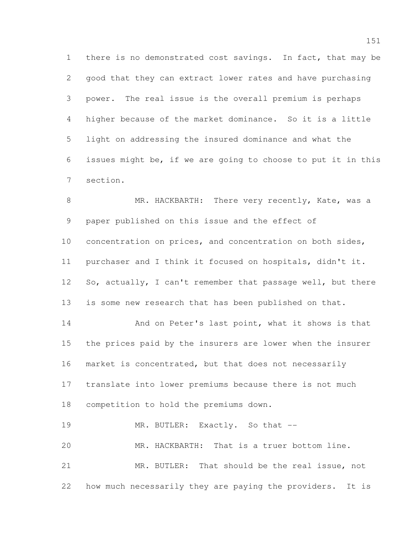there is no demonstrated cost savings. In fact, that may be good that they can extract lower rates and have purchasing power. The real issue is the overall premium is perhaps higher because of the market dominance. So it is a little light on addressing the insured dominance and what the issues might be, if we are going to choose to put it in this section.

8 MR. HACKBARTH: There very recently, Kate, was a paper published on this issue and the effect of concentration on prices, and concentration on both sides, purchaser and I think it focused on hospitals, didn't it. 12 So, actually, I can't remember that passage well, but there is some new research that has been published on that. 14 And on Peter's last point, what it shows is that the prices paid by the insurers are lower when the insurer 16 market is concentrated, but that does not necessarily translate into lower premiums because there is not much competition to hold the premiums down.

19 MR. BUTLER: Exactly. So that -- MR. HACKBARTH: That is a truer bottom line. MR. BUTLER: That should be the real issue, not how much necessarily they are paying the providers. It is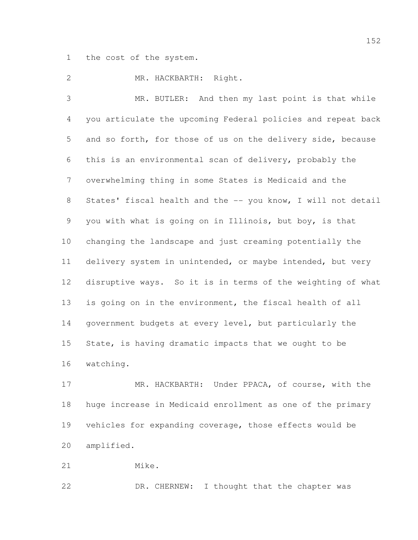the cost of the system.

MR. HACKBARTH: Right.

 MR. BUTLER: And then my last point is that while you articulate the upcoming Federal policies and repeat back and so forth, for those of us on the delivery side, because this is an environmental scan of delivery, probably the overwhelming thing in some States is Medicaid and the 8 States' fiscal health and the -- you know, I will not detail you with what is going on in Illinois, but boy, is that changing the landscape and just creaming potentially the delivery system in unintended, or maybe intended, but very disruptive ways. So it is in terms of the weighting of what is going on in the environment, the fiscal health of all government budgets at every level, but particularly the State, is having dramatic impacts that we ought to be watching.

 MR. HACKBARTH: Under PPACA, of course, with the huge increase in Medicaid enrollment as one of the primary vehicles for expanding coverage, those effects would be amplified.

Mike.

22 DR. CHERNEW: I thought that the chapter was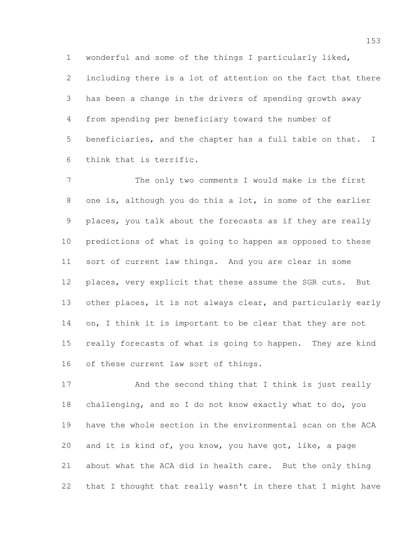wonderful and some of the things I particularly liked,

 including there is a lot of attention on the fact that there has been a change in the drivers of spending growth away from spending per beneficiary toward the number of beneficiaries, and the chapter has a full table on that. I think that is terrific.

 The only two comments I would make is the first one is, although you do this a lot, in some of the earlier places, you talk about the forecasts as if they are really predictions of what is going to happen as opposed to these sort of current law things. And you are clear in some places, very explicit that these assume the SGR cuts. But 13 other places, it is not always clear, and particularly early 14 on, I think it is important to be clear that they are not really forecasts of what is going to happen. They are kind of these current law sort of things.

17 And the second thing that I think is just really challenging, and so I do not know exactly what to do, you have the whole section in the environmental scan on the ACA and it is kind of, you know, you have got, like, a page about what the ACA did in health care. But the only thing that I thought that really wasn't in there that I might have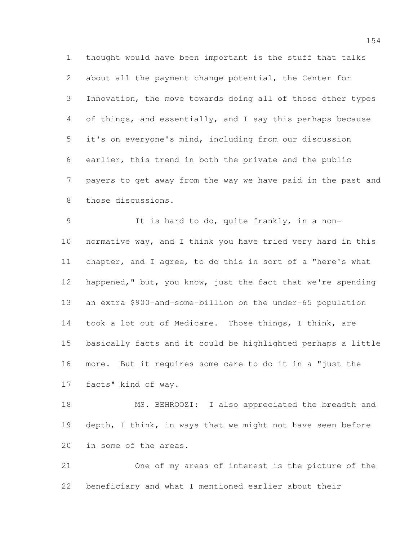thought would have been important is the stuff that talks about all the payment change potential, the Center for Innovation, the move towards doing all of those other types of things, and essentially, and I say this perhaps because it's on everyone's mind, including from our discussion earlier, this trend in both the private and the public payers to get away from the way we have paid in the past and those discussions.

 It is hard to do, quite frankly, in a non- normative way, and I think you have tried very hard in this chapter, and I agree, to do this in sort of a "here's what happened," but, you know, just the fact that we're spending an extra \$900-and-some-billion on the under-65 population took a lot out of Medicare. Those things, I think, are basically facts and it could be highlighted perhaps a little more. But it requires some care to do it in a "just the facts" kind of way.

 MS. BEHROOZI: I also appreciated the breadth and 19 depth, I think, in ways that we might not have seen before in some of the areas.

 One of my areas of interest is the picture of the beneficiary and what I mentioned earlier about their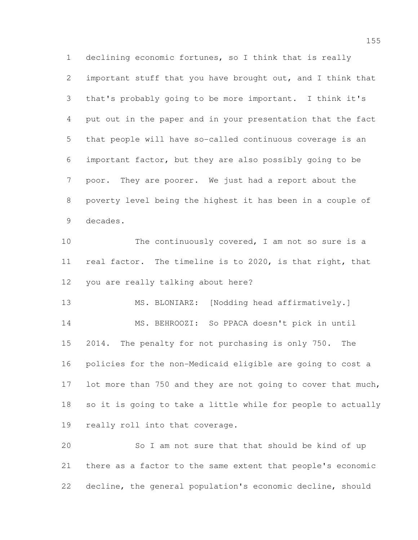declining economic fortunes, so I think that is really important stuff that you have brought out, and I think that that's probably going to be more important. I think it's put out in the paper and in your presentation that the fact that people will have so-called continuous coverage is an important factor, but they are also possibly going to be poor. They are poorer. We just had a report about the poverty level being the highest it has been in a couple of decades.

10 The continuously covered, I am not so sure is a real factor. The timeline is to 2020, is that right, that you are really talking about here?

 MS. BLONIARZ: [Nodding head affirmatively.] MS. BEHROOZI: So PPACA doesn't pick in until 2014. The penalty for not purchasing is only 750. The policies for the non-Medicaid eligible are going to cost a 17 lot more than 750 and they are not going to cover that much, so it is going to take a little while for people to actually really roll into that coverage.

 So I am not sure that that should be kind of up there as a factor to the same extent that people's economic decline, the general population's economic decline, should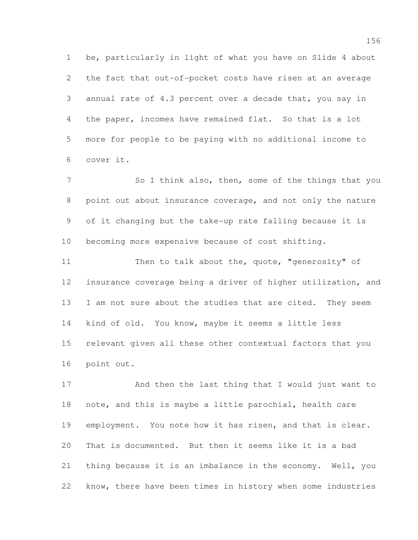be, particularly in light of what you have on Slide 4 about the fact that out-of-pocket costs have risen at an average annual rate of 4.3 percent over a decade that, you say in the paper, incomes have remained flat. So that is a lot more for people to be paying with no additional income to cover it.

7 So I think also, then, some of the things that you point out about insurance coverage, and not only the nature of it changing but the take-up rate falling because it is becoming more expensive because of cost shifting.

11 Then to talk about the, quote, "generosity" of insurance coverage being a driver of higher utilization, and 13 I am not sure about the studies that are cited. They seem kind of old. You know, maybe it seems a little less relevant given all these other contextual factors that you point out.

 And then the last thing that I would just want to note, and this is maybe a little parochial, health care employment. You note how it has risen, and that is clear. That is documented. But then it seems like it is a bad thing because it is an imbalance in the economy. Well, you know, there have been times in history when some industries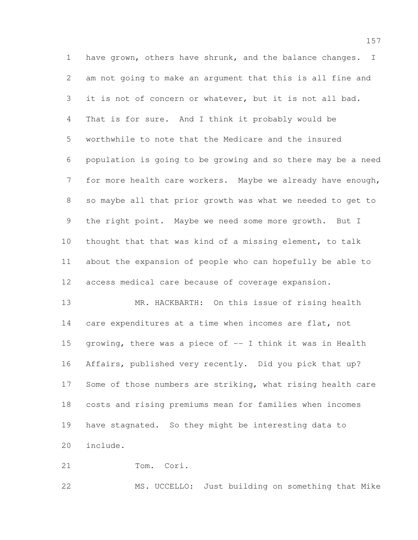1 have grown, others have shrunk, and the balance changes. I am not going to make an argument that this is all fine and it is not of concern or whatever, but it is not all bad. That is for sure. And I think it probably would be worthwhile to note that the Medicare and the insured population is going to be growing and so there may be a need for more health care workers. Maybe we already have enough, so maybe all that prior growth was what we needed to get to the right point. Maybe we need some more growth. But I thought that that was kind of a missing element, to talk about the expansion of people who can hopefully be able to access medical care because of coverage expansion.

 MR. HACKBARTH: On this issue of rising health care expenditures at a time when incomes are flat, not growing, there was a piece of -- I think it was in Health Affairs, published very recently. Did you pick that up? 17 Some of those numbers are striking, what rising health care costs and rising premiums mean for families when incomes have stagnated. So they might be interesting data to include.

Tom. Cori.

MS. UCCELLO: Just building on something that Mike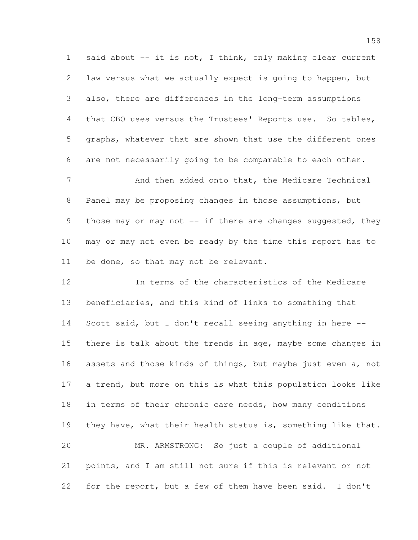1 said about -- it is not, I think, only making clear current law versus what we actually expect is going to happen, but also, there are differences in the long-term assumptions that CBO uses versus the Trustees' Reports use. So tables, graphs, whatever that are shown that use the different ones are not necessarily going to be comparable to each other.

7 And then added onto that, the Medicare Technical Panel may be proposing changes in those assumptions, but 9 those may or may not -- if there are changes suggested, they may or may not even be ready by the time this report has to be done, so that may not be relevant.

 In terms of the characteristics of the Medicare beneficiaries, and this kind of links to something that Scott said, but I don't recall seeing anything in here -- there is talk about the trends in age, maybe some changes in assets and those kinds of things, but maybe just even a, not a trend, but more on this is what this population looks like in terms of their chronic care needs, how many conditions 19 they have, what their health status is, something like that. MR. ARMSTRONG: So just a couple of additional points, and I am still not sure if this is relevant or not

for the report, but a few of them have been said. I don't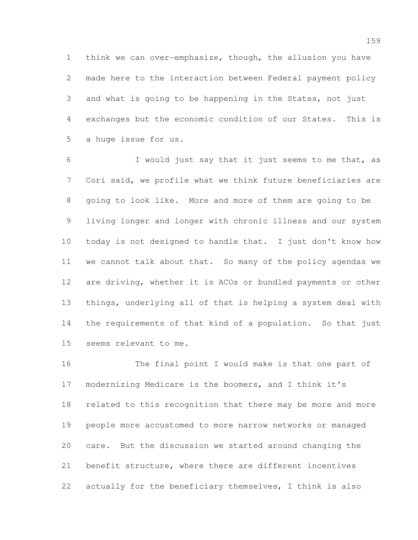think we can over-emphasize, though, the allusion you have made here to the interaction between Federal payment policy and what is going to be happening in the States, not just exchanges but the economic condition of our States. This is a huge issue for us.

 I would just say that it just seems to me that, as Cori said, we profile what we think future beneficiaries are going to look like. More and more of them are going to be living longer and longer with chronic illness and our system today is not designed to handle that. I just don't know how we cannot talk about that. So many of the policy agendas we are driving, whether it is ACOs or bundled payments or other things, underlying all of that is helping a system deal with the requirements of that kind of a population. So that just seems relevant to me.

 The final point I would make is that one part of modernizing Medicare is the boomers, and I think it's related to this recognition that there may be more and more people more accustomed to more narrow networks or managed care. But the discussion we started around changing the benefit structure, where there are different incentives actually for the beneficiary themselves, I think is also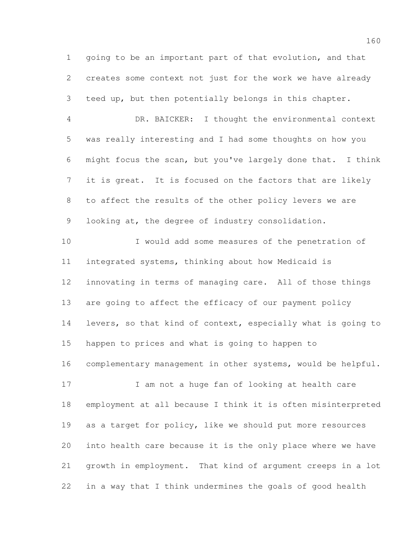going to be an important part of that evolution, and that creates some context not just for the work we have already teed up, but then potentially belongs in this chapter. DR. BAICKER: I thought the environmental context was really interesting and I had some thoughts on how you might focus the scan, but you've largely done that. I think it is great. It is focused on the factors that are likely to affect the results of the other policy levers we are looking at, the degree of industry consolidation.

 I would add some measures of the penetration of integrated systems, thinking about how Medicaid is innovating in terms of managing care. All of those things are going to affect the efficacy of our payment policy levers, so that kind of context, especially what is going to happen to prices and what is going to happen to complementary management in other systems, would be helpful. 17 I am not a huge fan of looking at health care

 employment at all because I think it is often misinterpreted as a target for policy, like we should put more resources into health care because it is the only place where we have growth in employment. That kind of argument creeps in a lot in a way that I think undermines the goals of good health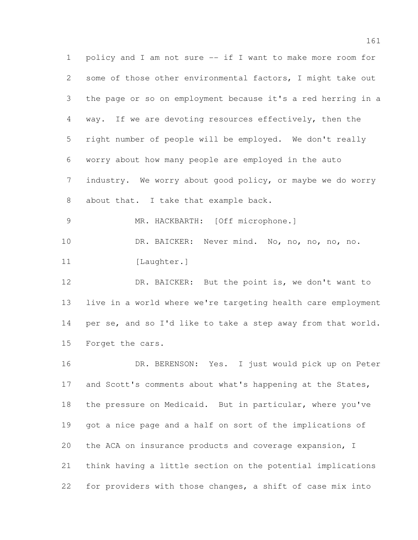policy and I am not sure -- if I want to make more room for some of those other environmental factors, I might take out the page or so on employment because it's a red herring in a way. If we are devoting resources effectively, then the right number of people will be employed. We don't really worry about how many people are employed in the auto industry. We worry about good policy, or maybe we do worry about that. I take that example back. MR. HACKBARTH: [Off microphone.] DR. BAICKER: Never mind. No, no, no, no, no. 11 [Laughter.] 12 DR. BAICKER: But the point is, we don't want to live in a world where we're targeting health care employment per se, and so I'd like to take a step away from that world. Forget the cars. DR. BERENSON: Yes. I just would pick up on Peter 17 and Scott's comments about what's happening at the States, the pressure on Medicaid. But in particular, where you've got a nice page and a half on sort of the implications of the ACA on insurance products and coverage expansion, I think having a little section on the potential implications for providers with those changes, a shift of case mix into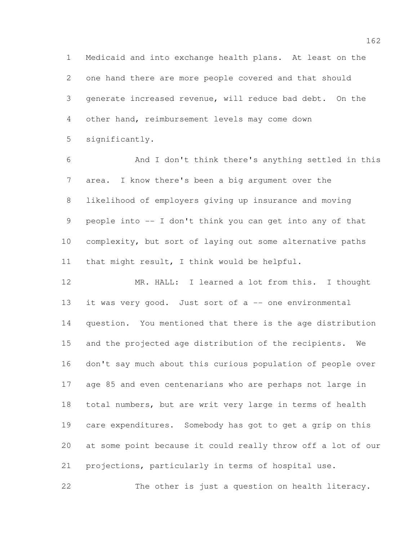Medicaid and into exchange health plans. At least on the one hand there are more people covered and that should generate increased revenue, will reduce bad debt. On the other hand, reimbursement levels may come down significantly.

 And I don't think there's anything settled in this area. I know there's been a big argument over the likelihood of employers giving up insurance and moving people into -- I don't think you can get into any of that complexity, but sort of laying out some alternative paths that might result, I think would be helpful.

 MR. HALL: I learned a lot from this. I thought it was very good. Just sort of a -- one environmental question. You mentioned that there is the age distribution and the projected age distribution of the recipients. We don't say much about this curious population of people over age 85 and even centenarians who are perhaps not large in total numbers, but are writ very large in terms of health care expenditures. Somebody has got to get a grip on this at some point because it could really throw off a lot of our projections, particularly in terms of hospital use.

The other is just a question on health literacy.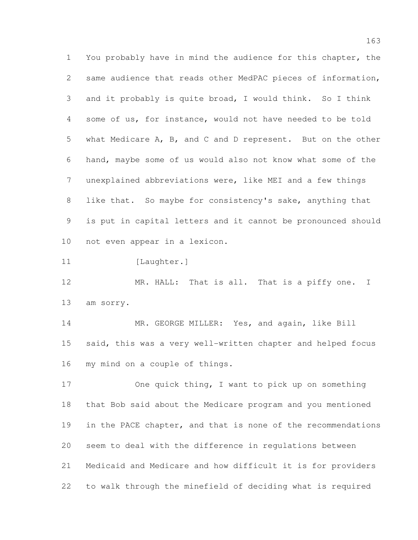You probably have in mind the audience for this chapter, the same audience that reads other MedPAC pieces of information, and it probably is quite broad, I would think. So I think some of us, for instance, would not have needed to be told what Medicare A, B, and C and D represent. But on the other hand, maybe some of us would also not know what some of the unexplained abbreviations were, like MEI and a few things like that. So maybe for consistency's sake, anything that is put in capital letters and it cannot be pronounced should not even appear in a lexicon.

11 [Laughter.]

12 MR. HALL: That is all. That is a piffy one. I am sorry.

 MR. GEORGE MILLER: Yes, and again, like Bill said, this was a very well-written chapter and helped focus my mind on a couple of things.

 One quick thing, I want to pick up on something that Bob said about the Medicare program and you mentioned in the PACE chapter, and that is none of the recommendations seem to deal with the difference in regulations between Medicaid and Medicare and how difficult it is for providers to walk through the minefield of deciding what is required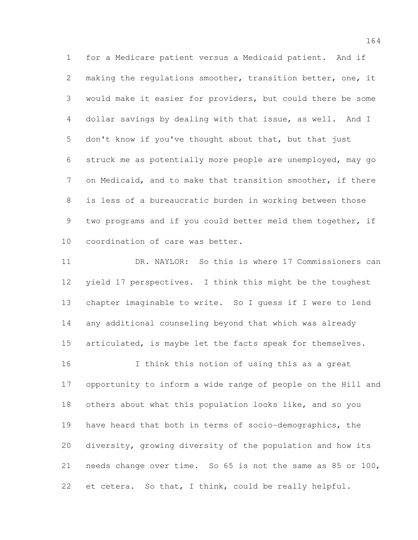for a Medicare patient versus a Medicaid patient. And if making the regulations smoother, transition better, one, it would make it easier for providers, but could there be some dollar savings by dealing with that issue, as well. And I don't know if you've thought about that, but that just struck me as potentially more people are unemployed, may go on Medicaid, and to make that transition smoother, if there is less of a bureaucratic burden in working between those two programs and if you could better meld them together, if coordination of care was better.

 DR. NAYLOR: So this is where 17 Commissioners can yield 17 perspectives. I think this might be the toughest chapter imaginable to write. So I guess if I were to lend any additional counseling beyond that which was already 15 articulated, is maybe let the facts speak for themselves.

 I think this notion of using this as a great opportunity to inform a wide range of people on the Hill and others about what this population looks like, and so you have heard that both in terms of socio-demographics, the diversity, growing diversity of the population and how its needs change over time. So 65 is not the same as 85 or 100, et cetera. So that, I think, could be really helpful.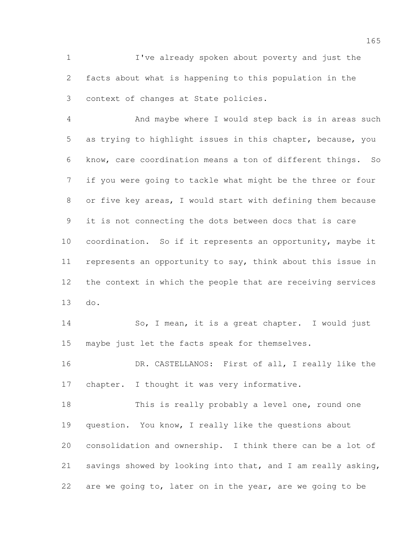I've already spoken about poverty and just the facts about what is happening to this population in the context of changes at State policies.

 And maybe where I would step back is in areas such as trying to highlight issues in this chapter, because, you know, care coordination means a ton of different things. So if you were going to tackle what might be the three or four or five key areas, I would start with defining them because it is not connecting the dots between docs that is care coordination. So if it represents an opportunity, maybe it represents an opportunity to say, think about this issue in the context in which the people that are receiving services do.

 So, I mean, it is a great chapter. I would just maybe just let the facts speak for themselves.

 DR. CASTELLANOS: First of all, I really like the chapter. I thought it was very informative.

18 This is really probably a level one, round one question. You know, I really like the questions about consolidation and ownership. I think there can be a lot of savings showed by looking into that, and I am really asking, are we going to, later on in the year, are we going to be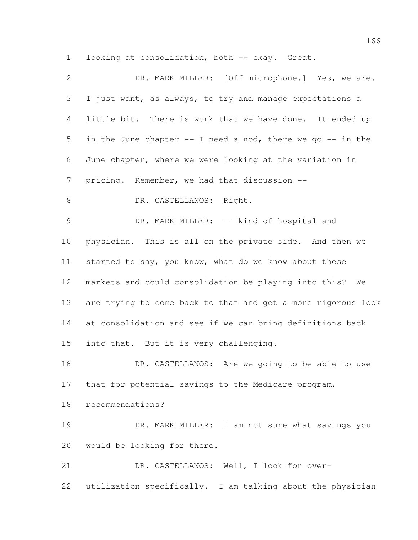looking at consolidation, both -- okay. Great.

| $\mathbf{2}$   | DR. MARK MILLER: [Off microphone.] Yes, we are.              |
|----------------|--------------------------------------------------------------|
| 3              | I just want, as always, to try and manage expectations a     |
| $\overline{4}$ | little bit. There is work that we have done. It ended up     |
| 5              | in the June chapter -- I need a nod, there we go -- in the   |
| 6              | June chapter, where we were looking at the variation in      |
| $\overline{7}$ | pricing. Remember, we had that discussion --                 |
| $8\,$          | DR. CASTELLANOS: Right.                                      |
| $\mathcal{G}$  | DR. MARK MILLER: -- kind of hospital and                     |
| 10             | physician. This is all on the private side. And then we      |
| 11             | started to say, you know, what do we know about these        |
| 12             | markets and could consolidation be playing into this? We     |
| 13             | are trying to come back to that and get a more rigorous look |
| 14             | at consolidation and see if we can bring definitions back    |
| 15             | into that. But it is very challenging.                       |
| 16             | DR. CASTELLANOS: Are we going to be able to use              |
| 17             | that for potential savings to the Medicare program,          |
| 18             | recommendations?                                             |
| 19             | DR. MARK MILLER: I am not sure what savings you              |
| 20             | would be looking for there.                                  |
| 21             | DR. CASTELLANOS: Well, I look for over-                      |
| 22             | utilization specifically. I am talking about the physician   |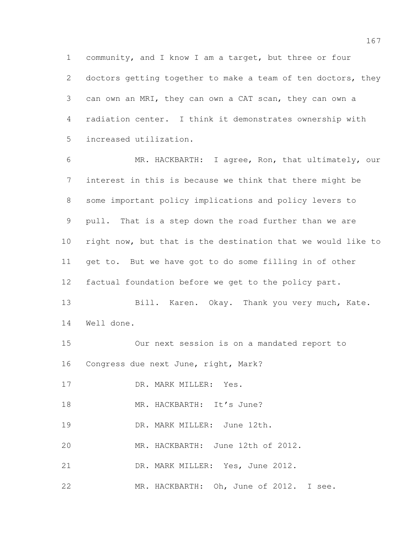community, and I know I am a target, but three or four 2 doctors getting together to make a team of ten doctors, they can own an MRI, they can own a CAT scan, they can own a radiation center. I think it demonstrates ownership with increased utilization.

 MR. HACKBARTH: I agree, Ron, that ultimately, our interest in this is because we think that there might be some important policy implications and policy levers to pull. That is a step down the road further than we are right now, but that is the destination that we would like to get to. But we have got to do some filling in of other factual foundation before we get to the policy part. 13 Bill. Karen. Okay. Thank you very much, Kate. Well done. Our next session is on a mandated report to Congress due next June, right, Mark? 17 DR. MARK MILLER: Yes.

18 MR. HACKBARTH: It's June?

DR. MARK MILLER: June 12th.

MR. HACKBARTH: June 12th of 2012.

21 DR. MARK MILLER: Yes, June 2012.

MR. HACKBARTH: Oh, June of 2012. I see.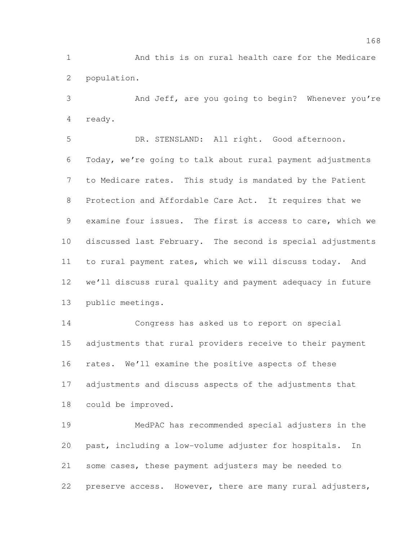And this is on rural health care for the Medicare population.

 And Jeff, are you going to begin? Whenever you're ready.

 DR. STENSLAND: All right. Good afternoon. Today, we're going to talk about rural payment adjustments to Medicare rates. This study is mandated by the Patient Protection and Affordable Care Act. It requires that we examine four issues. The first is access to care, which we discussed last February. The second is special adjustments to rural payment rates, which we will discuss today. And we'll discuss rural quality and payment adequacy in future public meetings.

 Congress has asked us to report on special adjustments that rural providers receive to their payment rates. We'll examine the positive aspects of these adjustments and discuss aspects of the adjustments that could be improved.

 MedPAC has recommended special adjusters in the past, including a low-volume adjuster for hospitals. In some cases, these payment adjusters may be needed to preserve access. However, there are many rural adjusters,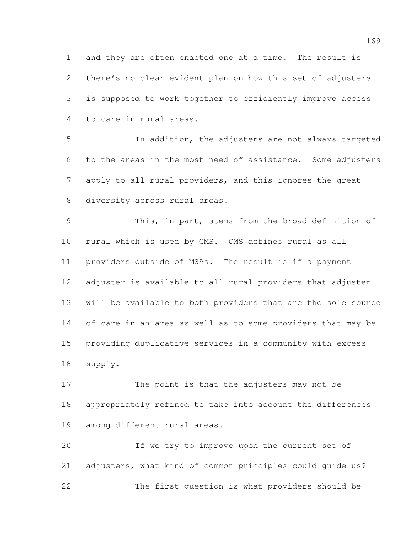and they are often enacted one at a time. The result is there's no clear evident plan on how this set of adjusters is supposed to work together to efficiently improve access to care in rural areas.

 In addition, the adjusters are not always targeted to the areas in the most need of assistance. Some adjusters apply to all rural providers, and this ignores the great 8 diversity across rural areas.

 This, in part, stems from the broad definition of rural which is used by CMS. CMS defines rural as all providers outside of MSAs. The result is if a payment adjuster is available to all rural providers that adjuster will be available to both providers that are the sole source of care in an area as well as to some providers that may be providing duplicative services in a community with excess supply.

 The point is that the adjusters may not be appropriately refined to take into account the differences among different rural areas.

 If we try to improve upon the current set of adjusters, what kind of common principles could guide us? The first question is what providers should be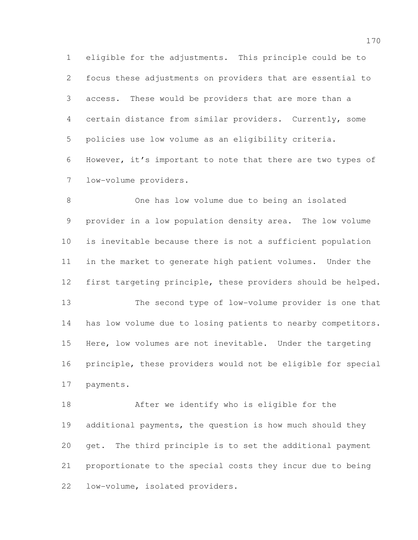eligible for the adjustments. This principle could be to focus these adjustments on providers that are essential to access. These would be providers that are more than a certain distance from similar providers. Currently, some policies use low volume as an eligibility criteria. However, it's important to note that there are two types of low-volume providers.

 One has low volume due to being an isolated provider in a low population density area. The low volume is inevitable because there is not a sufficient population in the market to generate high patient volumes. Under the first targeting principle, these providers should be helped. The second type of low-volume provider is one that has low volume due to losing patients to nearby competitors. Here, low volumes are not inevitable. Under the targeting principle, these providers would not be eligible for special payments.

 After we identify who is eligible for the additional payments, the question is how much should they get. The third principle is to set the additional payment proportionate to the special costs they incur due to being low-volume, isolated providers.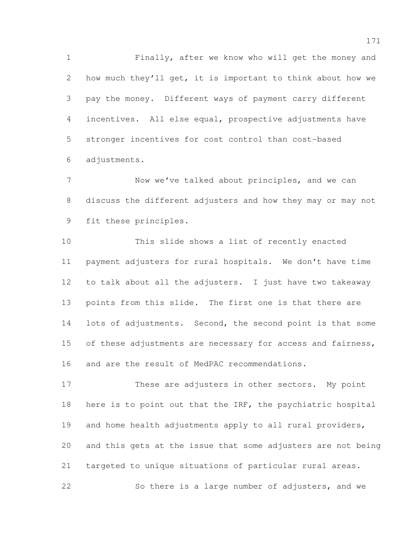Finally, after we know who will get the money and how much they'll get, it is important to think about how we pay the money. Different ways of payment carry different incentives. All else equal, prospective adjustments have stronger incentives for cost control than cost-based adjustments.

 Now we've talked about principles, and we can discuss the different adjusters and how they may or may not fit these principles.

 This slide shows a list of recently enacted payment adjusters for rural hospitals. We don't have time to talk about all the adjusters. I just have two takeaway points from this slide. The first one is that there are 14 lots of adjustments. Second, the second point is that some 15 of these adjustments are necessary for access and fairness, and are the result of MedPAC recommendations.

 These are adjusters in other sectors. My point 18 here is to point out that the IRF, the psychiatric hospital and home health adjustments apply to all rural providers, and this gets at the issue that some adjusters are not being targeted to unique situations of particular rural areas. So there is a large number of adjusters, and we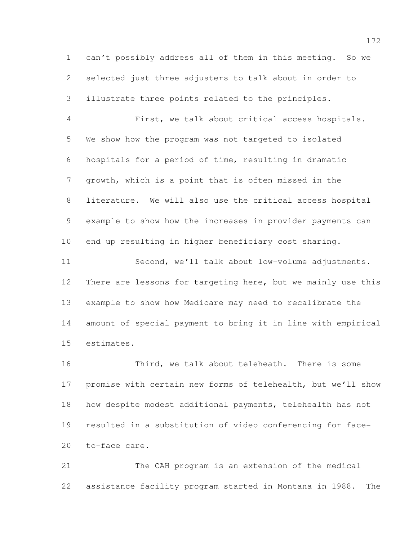can't possibly address all of them in this meeting. So we selected just three adjusters to talk about in order to illustrate three points related to the principles.

 First, we talk about critical access hospitals. We show how the program was not targeted to isolated hospitals for a period of time, resulting in dramatic growth, which is a point that is often missed in the literature. We will also use the critical access hospital example to show how the increases in provider payments can end up resulting in higher beneficiary cost sharing.

 Second, we'll talk about low-volume adjustments. There are lessons for targeting here, but we mainly use this example to show how Medicare may need to recalibrate the amount of special payment to bring it in line with empirical estimates.

 Third, we talk about teleheath. There is some promise with certain new forms of telehealth, but we'll show how despite modest additional payments, telehealth has not resulted in a substitution of video conferencing for face-to-face care.

 The CAH program is an extension of the medical assistance facility program started in Montana in 1988. The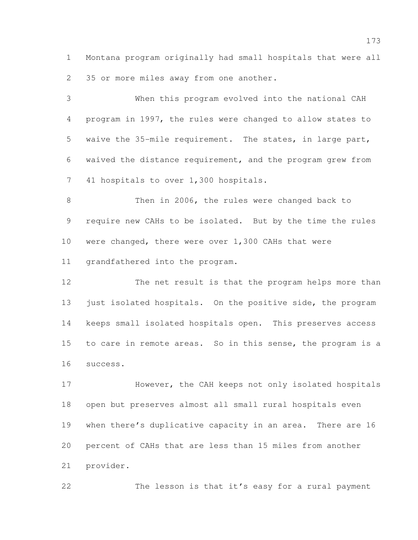Montana program originally had small hospitals that were all 35 or more miles away from one another.

 When this program evolved into the national CAH program in 1997, the rules were changed to allow states to waive the 35-mile requirement. The states, in large part, waived the distance requirement, and the program grew from 41 hospitals to over 1,300 hospitals.

 Then in 2006, the rules were changed back to require new CAHs to be isolated. But by the time the rules were changed, there were over 1,300 CAHs that were grandfathered into the program.

 The net result is that the program helps more than just isolated hospitals. On the positive side, the program keeps small isolated hospitals open. This preserves access to care in remote areas. So in this sense, the program is a success.

 However, the CAH keeps not only isolated hospitals open but preserves almost all small rural hospitals even when there's duplicative capacity in an area. There are 16 percent of CAHs that are less than 15 miles from another provider.

The lesson is that it's easy for a rural payment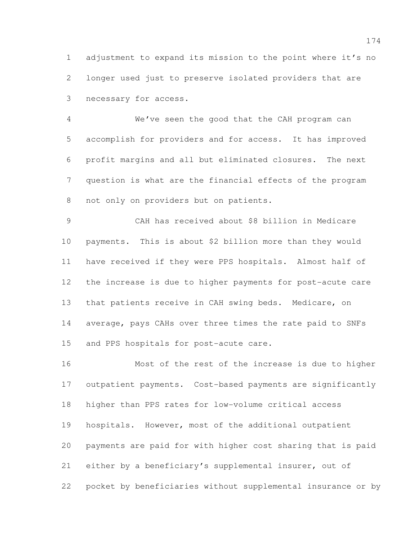adjustment to expand its mission to the point where it's no longer used just to preserve isolated providers that are necessary for access.

 We've seen the good that the CAH program can accomplish for providers and for access. It has improved profit margins and all but eliminated closures. The next question is what are the financial effects of the program not only on providers but on patients.

 CAH has received about \$8 billion in Medicare payments. This is about \$2 billion more than they would have received if they were PPS hospitals. Almost half of the increase is due to higher payments for post-acute care that patients receive in CAH swing beds. Medicare, on average, pays CAHs over three times the rate paid to SNFs and PPS hospitals for post-acute care.

 Most of the rest of the increase is due to higher outpatient payments. Cost-based payments are significantly higher than PPS rates for low-volume critical access hospitals. However, most of the additional outpatient payments are paid for with higher cost sharing that is paid either by a beneficiary's supplemental insurer, out of pocket by beneficiaries without supplemental insurance or by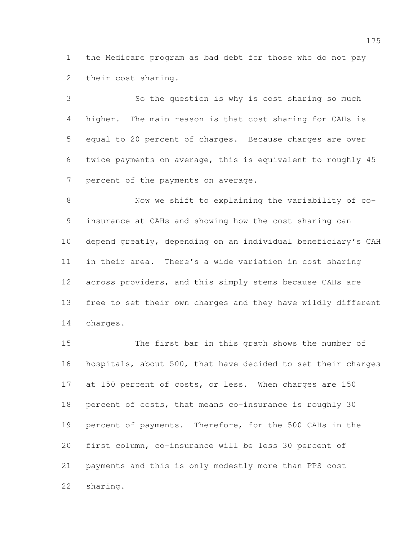the Medicare program as bad debt for those who do not pay their cost sharing.

 So the question is why is cost sharing so much higher. The main reason is that cost sharing for CAHs is equal to 20 percent of charges. Because charges are over twice payments on average, this is equivalent to roughly 45 7 percent of the payments on average.

 Now we shift to explaining the variability of co- insurance at CAHs and showing how the cost sharing can depend greatly, depending on an individual beneficiary's CAH in their area. There's a wide variation in cost sharing across providers, and this simply stems because CAHs are free to set their own charges and they have wildly different charges.

 The first bar in this graph shows the number of hospitals, about 500, that have decided to set their charges 17 at 150 percent of costs, or less. When charges are 150 percent of costs, that means co-insurance is roughly 30 percent of payments. Therefore, for the 500 CAHs in the first column, co-insurance will be less 30 percent of payments and this is only modestly more than PPS cost sharing.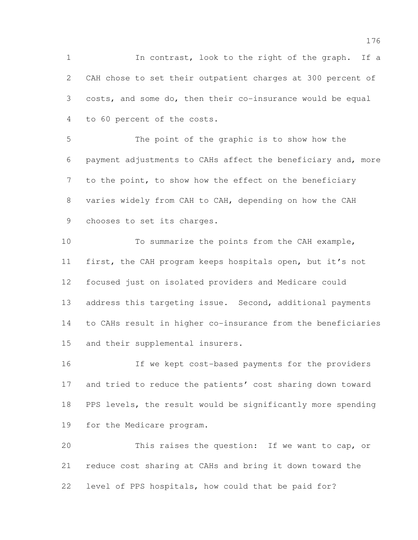In contrast, look to the right of the graph. If a CAH chose to set their outpatient charges at 300 percent of costs, and some do, then their co-insurance would be equal to 60 percent of the costs.

 The point of the graphic is to show how the payment adjustments to CAHs affect the beneficiary and, more to the point, to show how the effect on the beneficiary varies widely from CAH to CAH, depending on how the CAH chooses to set its charges.

 To summarize the points from the CAH example, first, the CAH program keeps hospitals open, but it's not focused just on isolated providers and Medicare could 13 address this targeting issue. Second, additional payments to CAHs result in higher co-insurance from the beneficiaries and their supplemental insurers.

 If we kept cost-based payments for the providers and tried to reduce the patients' cost sharing down toward PPS levels, the result would be significantly more spending for the Medicare program.

 This raises the question: If we want to cap, or reduce cost sharing at CAHs and bring it down toward the level of PPS hospitals, how could that be paid for?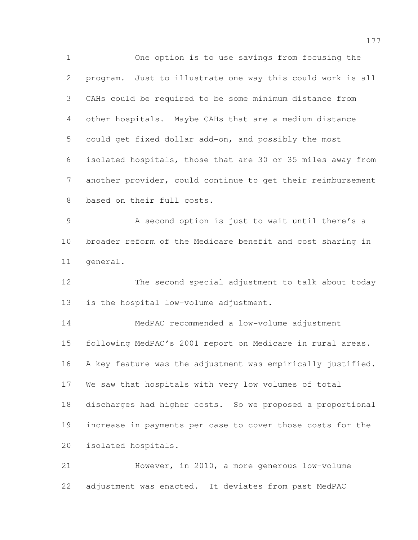One option is to use savings from focusing the program. Just to illustrate one way this could work is all CAHs could be required to be some minimum distance from other hospitals. Maybe CAHs that are a medium distance could get fixed dollar add-on, and possibly the most isolated hospitals, those that are 30 or 35 miles away from another provider, could continue to get their reimbursement based on their full costs. 9 A second option is just to wait until there's a broader reform of the Medicare benefit and cost sharing in general. The second special adjustment to talk about today is the hospital low-volume adjustment. MedPAC recommended a low-volume adjustment following MedPAC's 2001 report on Medicare in rural areas. A key feature was the adjustment was empirically justified. We saw that hospitals with very low volumes of total discharges had higher costs. So we proposed a proportional increase in payments per case to cover those costs for the

isolated hospitals.

 However, in 2010, a more generous low-volume adjustment was enacted. It deviates from past MedPAC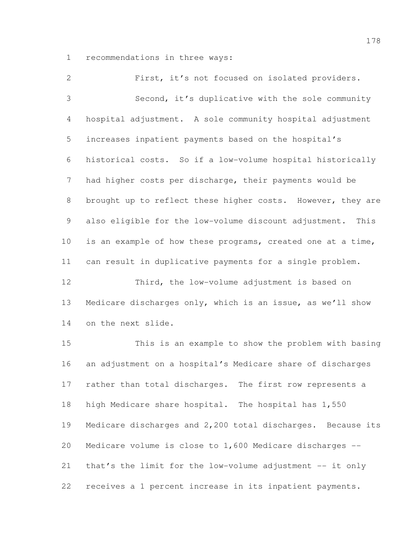recommendations in three ways:

 First, it's not focused on isolated providers. Second, it's duplicative with the sole community hospital adjustment. A sole community hospital adjustment increases inpatient payments based on the hospital's historical costs. So if a low-volume hospital historically had higher costs per discharge, their payments would be 8 brought up to reflect these higher costs. However, they are also eligible for the low-volume discount adjustment. This is an example of how these programs, created one at a time, can result in duplicative payments for a single problem. Third, the low-volume adjustment is based on Medicare discharges only, which is an issue, as we'll show on the next slide. This is an example to show the problem with basing an adjustment on a hospital's Medicare share of discharges rather than total discharges. The first row represents a

high Medicare share hospital. The hospital has 1,550

Medicare discharges and 2,200 total discharges. Because its

Medicare volume is close to 1,600 Medicare discharges --

that's the limit for the low-volume adjustment -- it only

receives a 1 percent increase in its inpatient payments.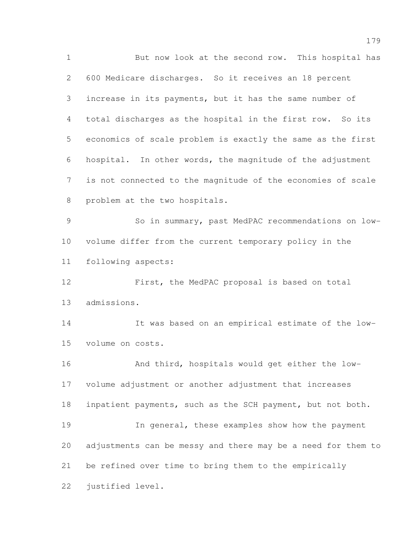But now look at the second row. This hospital has 600 Medicare discharges. So it receives an 18 percent increase in its payments, but it has the same number of total discharges as the hospital in the first row. So its economics of scale problem is exactly the same as the first hospital. In other words, the magnitude of the adjustment is not connected to the magnitude of the economies of scale problem at the two hospitals. So in summary, past MedPAC recommendations on low- volume differ from the current temporary policy in the following aspects: First, the MedPAC proposal is based on total admissions. It was based on an empirical estimate of the low- volume on costs. And third, hospitals would get either the low- volume adjustment or another adjustment that increases inpatient payments, such as the SCH payment, but not both. In general, these examples show how the payment adjustments can be messy and there may be a need for them to be refined over time to bring them to the empirically justified level.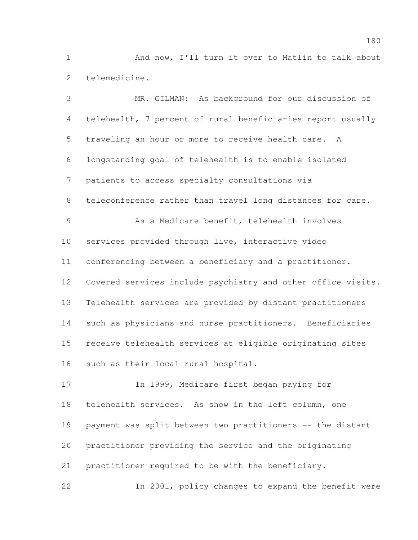And now, I'll turn it over to Matlin to talk about telemedicine.

 MR. GILMAN: As background for our discussion of telehealth, 7 percent of rural beneficiaries report usually traveling an hour or more to receive health care. A longstanding goal of telehealth is to enable isolated patients to access specialty consultations via teleconference rather than travel long distances for care. As a Medicare benefit, telehealth involves services provided through live, interactive video conferencing between a beneficiary and a practitioner. Covered services include psychiatry and other office visits. Telehealth services are provided by distant practitioners such as physicians and nurse practitioners. Beneficiaries receive telehealth services at eligible originating sites such as their local rural hospital.

 In 1999, Medicare first began paying for telehealth services. As show in the left column, one payment was split between two practitioners -- the distant practitioner providing the service and the originating practitioner required to be with the beneficiary. In 2001, policy changes to expand the benefit were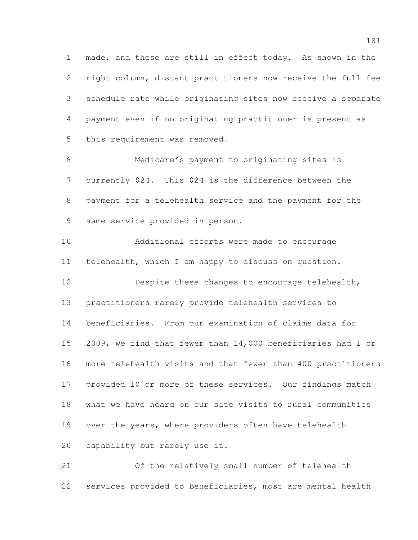made, and these are still in effect today. As shown in the right column, distant practitioners now receive the full fee schedule rate while originating sites now receive a separate payment even if no originating practitioner is present as this requirement was removed.

 Medicare's payment to originating sites is currently \$24. This \$24 is the difference between the payment for a telehealth service and the payment for the same service provided in person.

 Additional efforts were made to encourage telehealth, which I am happy to discuss on question.

 Despite these changes to encourage telehealth, practitioners rarely provide telehealth services to beneficiaries. From our examination of claims data for 2009, we find that fewer than 14,000 beneficiaries had 1 or more telehealth visits and that fewer than 400 practitioners provided 10 or more of these services. Our findings match what we have heard on our site visits to rural communities over the years, where providers often have telehealth capability but rarely use it.

 Of the relatively small number of telehealth services provided to beneficiaries, most are mental health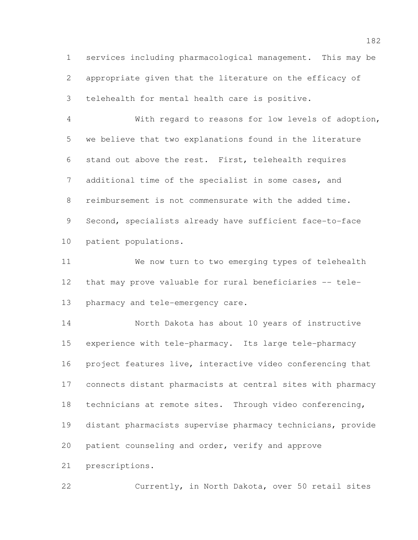services including pharmacological management. This may be appropriate given that the literature on the efficacy of telehealth for mental health care is positive.

 With regard to reasons for low levels of adoption, we believe that two explanations found in the literature stand out above the rest. First, telehealth requires additional time of the specialist in some cases, and reimbursement is not commensurate with the added time. Second, specialists already have sufficient face-to-face patient populations.

 We now turn to two emerging types of telehealth that may prove valuable for rural beneficiaries -- tele-pharmacy and tele-emergency care.

 North Dakota has about 10 years of instructive experience with tele-pharmacy. Its large tele-pharmacy project features live, interactive video conferencing that connects distant pharmacists at central sites with pharmacy technicians at remote sites. Through video conferencing, distant pharmacists supervise pharmacy technicians, provide patient counseling and order, verify and approve prescriptions.

Currently, in North Dakota, over 50 retail sites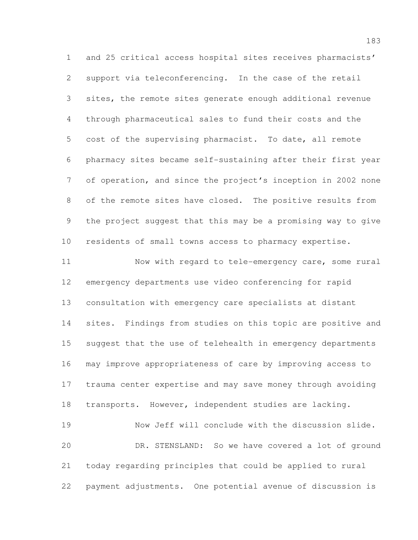and 25 critical access hospital sites receives pharmacists' support via teleconferencing. In the case of the retail sites, the remote sites generate enough additional revenue through pharmaceutical sales to fund their costs and the cost of the supervising pharmacist. To date, all remote pharmacy sites became self-sustaining after their first year of operation, and since the project's inception in 2002 none of the remote sites have closed. The positive results from the project suggest that this may be a promising way to give residents of small towns access to pharmacy expertise. Now with regard to tele-emergency care, some rural emergency departments use video conferencing for rapid consultation with emergency care specialists at distant sites. Findings from studies on this topic are positive and suggest that the use of telehealth in emergency departments may improve appropriateness of care by improving access to trauma center expertise and may save money through avoiding transports. However, independent studies are lacking. Now Jeff will conclude with the discussion slide. DR. STENSLAND: So we have covered a lot of ground today regarding principles that could be applied to rural payment adjustments. One potential avenue of discussion is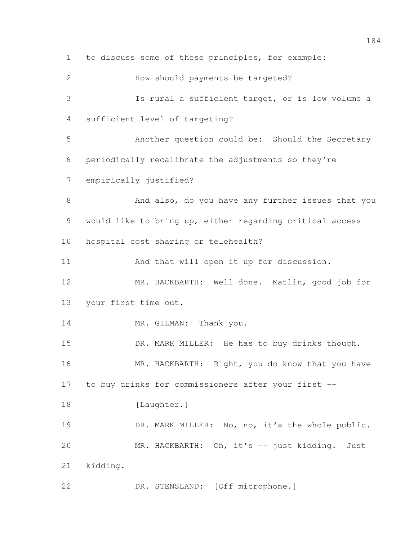to discuss some of these principles, for example: How should payments be targeted? Is rural a sufficient target, or is low volume a sufficient level of targeting? Another question could be: Should the Secretary periodically recalibrate the adjustments so they're empirically justified? And also, do you have any further issues that you would like to bring up, either regarding critical access hospital cost sharing or telehealth? And that will open it up for discussion. MR. HACKBARTH: Well done. Matlin, good job for your first time out. 14 MR. GILMAN: Thank you. 15 DR. MARK MILLER: He has to buy drinks though. 16 MR. HACKBARTH: Right, you do know that you have to buy drinks for commissioners after your first -- 18 [Laughter.] 19 DR. MARK MILLER: No, no, it's the whole public. MR. HACKBARTH: Oh, it's -- just kidding. Just kidding. DR. STENSLAND: [Off microphone.]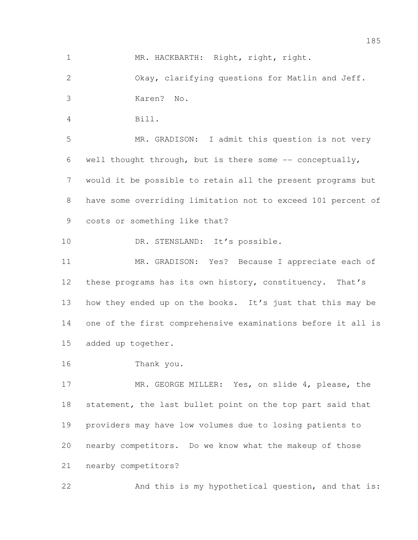1 MR. HACKBARTH: Right, right, right.

 Okay, clarifying questions for Matlin and Jeff. Karen? No.

Bill.

 MR. GRADISON: I admit this question is not very 6 well thought through, but is there some  $-$ - conceptually, would it be possible to retain all the present programs but have some overriding limitation not to exceed 101 percent of costs or something like that?

10 DR. STENSLAND: It's possible.

 MR. GRADISON: Yes? Because I appreciate each of these programs has its own history, constituency. That's 13 how they ended up on the books. It's just that this may be one of the first comprehensive examinations before it all is added up together.

Thank you.

17 MR. GEORGE MILLER: Yes, on slide 4, please, the 18 statement, the last bullet point on the top part said that providers may have low volumes due to losing patients to nearby competitors. Do we know what the makeup of those nearby competitors?

And this is my hypothetical question, and that is: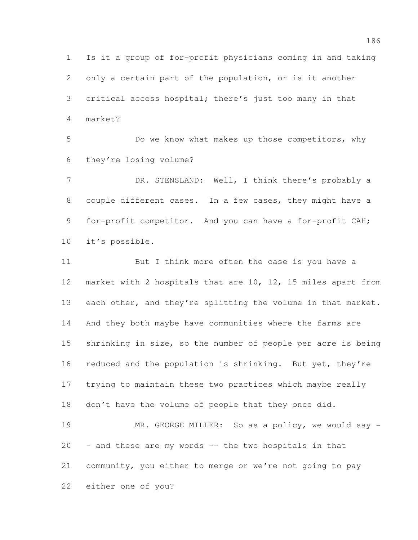Is it a group of for-profit physicians coming in and taking only a certain part of the population, or is it another critical access hospital; there's just too many in that market?

 Do we know what makes up those competitors, why they're losing volume?

7 DR. STENSLAND: Well, I think there's probably a couple different cases. In a few cases, they might have a 9 for-profit competitor. And you can have a for-profit CAH; it's possible.

11 But I think more often the case is you have a market with 2 hospitals that are 10, 12, 15 miles apart from each other, and they're splitting the volume in that market. And they both maybe have communities where the farms are shrinking in size, so the number of people per acre is being 16 reduced and the population is shrinking. But yet, they're trying to maintain these two practices which maybe really don't have the volume of people that they once did.

19 MR. GEORGE MILLER: So as a policy, we would say - - and these are my words -- the two hospitals in that community, you either to merge or we're not going to pay either one of you?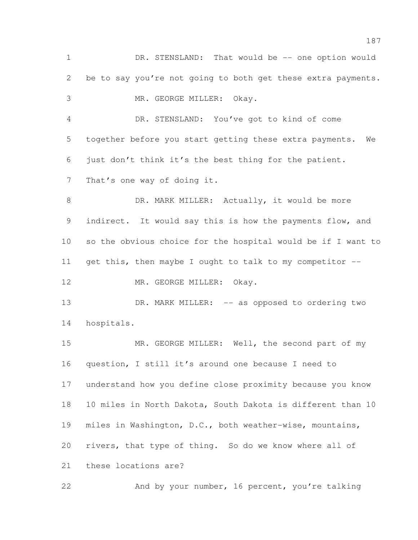1 DR. STENSLAND: That would be -- one option would be to say you're not going to both get these extra payments. MR. GEORGE MILLER: Okay. DR. STENSLAND: You've got to kind of come together before you start getting these extra payments. We just don't think it's the best thing for the patient. That's one way of doing it. 8 DR. MARK MILLER: Actually, it would be more 9 indirect. It would say this is how the payments flow, and so the obvious choice for the hospital would be if I want to get this, then maybe I ought to talk to my competitor -- 12 MR. GEORGE MILLER: Okay. 13 DR. MARK MILLER: -- as opposed to ordering two hospitals. MR. GEORGE MILLER: Well, the second part of my question, I still it's around one because I need to understand how you define close proximity because you know 10 miles in North Dakota, South Dakota is different than 10 miles in Washington, D.C., both weather-wise, mountains, rivers, that type of thing. So do we know where all of these locations are?

And by your number, 16 percent, you're talking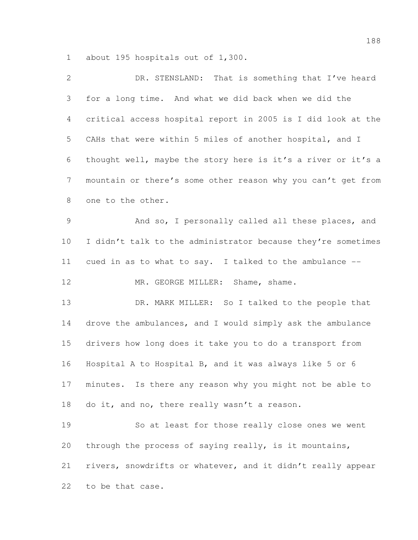about 195 hospitals out of 1,300.

| 2               | DR. STENSLAND: That is something that I've heard             |
|-----------------|--------------------------------------------------------------|
| 3               | for a long time. And what we did back when we did the        |
| 4               | critical access hospital report in 2005 is I did look at the |
| 5               | CAHs that were within 5 miles of another hospital, and I     |
| 6               | thought well, maybe the story here is it's a river or it's a |
| $7\phantom{.0}$ | mountain or there's some other reason why you can't get from |
| $8\,$           | one to the other.                                            |
| $\mathcal{G}$   | And so, I personally called all these places, and            |
| 10              | I didn't talk to the administrator because they're sometimes |
| 11              | cued in as to what to say. I talked to the ambulance --      |
| 12              | MR. GEORGE MILLER: Shame, shame.                             |
| 13              | DR. MARK MILLER: So I talked to the people that              |
| 14              | drove the ambulances, and I would simply ask the ambulance   |
| 15              | drivers how long does it take you to do a transport from     |
| 16              | Hospital A to Hospital B, and it was always like 5 or 6      |
| 17              | minutes. Is there any reason why you might not be able to    |
| 18              | do it, and no, there really wasn't a reason.                 |
| 19              | So at least for those really close ones we went              |
| 20              | through the process of saying really, is it mountains,       |
| 21              | rivers, snowdrifts or whatever, and it didn't really appear  |
| 22              | to be that case.                                             |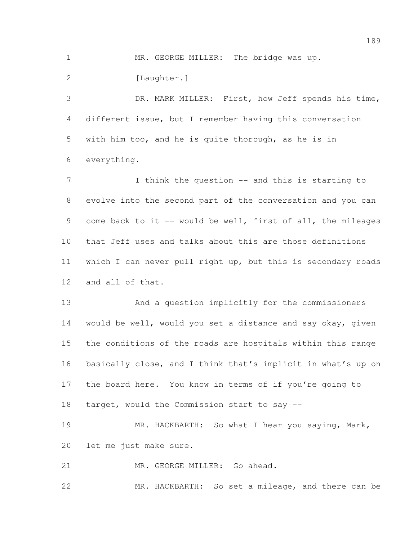1 MR. GEORGE MILLER: The bridge was up.

2 [Laughter.]

 DR. MARK MILLER: First, how Jeff spends his time, different issue, but I remember having this conversation with him too, and he is quite thorough, as he is in everything.

7 I think the question -- and this is starting to evolve into the second part of the conversation and you can 9 come back to it -- would be well, first of all, the mileages that Jeff uses and talks about this are those definitions which I can never pull right up, but this is secondary roads and all of that.

 And a question implicitly for the commissioners would be well, would you set a distance and say okay, given the conditions of the roads are hospitals within this range basically close, and I think that's implicit in what's up on the board here. You know in terms of if you're going to target, would the Commission start to say --

19 MR. HACKBARTH: So what I hear you saying, Mark, let me just make sure.

MR. GEORGE MILLER: Go ahead.

MR. HACKBARTH: So set a mileage, and there can be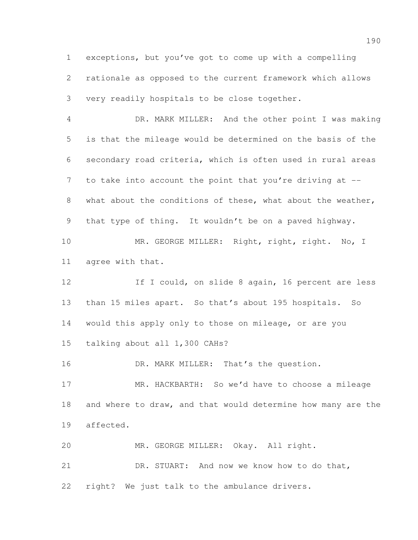exceptions, but you've got to come up with a compelling rationale as opposed to the current framework which allows very readily hospitals to be close together.

 DR. MARK MILLER: And the other point I was making is that the mileage would be determined on the basis of the secondary road criteria, which is often used in rural areas 7 to take into account the point that you're driving at --8 what about the conditions of these, what about the weather, that type of thing. It wouldn't be on a paved highway.

10 MR. GEORGE MILLER: Right, right, right. No, I agree with that.

12 12 If I could, on slide 8 again, 16 percent are less than 15 miles apart. So that's about 195 hospitals. So would this apply only to those on mileage, or are you talking about all 1,300 CAHs?

16 DR. MARK MILLER: That's the question.

 MR. HACKBARTH: So we'd have to choose a mileage and where to draw, and that would determine how many are the affected.

 MR. GEORGE MILLER: Okay. All right. DR. STUART: And now we know how to do that, right? We just talk to the ambulance drivers.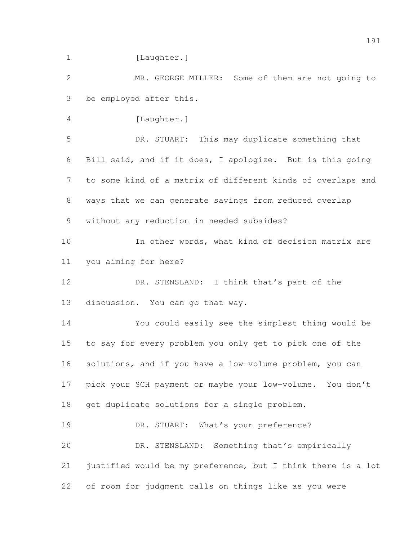1 [Laughter.] MR. GEORGE MILLER: Some of them are not going to be employed after this. [Laughter.] DR. STUART: This may duplicate something that Bill said, and if it does, I apologize. But is this going to some kind of a matrix of different kinds of overlaps and ways that we can generate savings from reduced overlap without any reduction in needed subsides? In other words, what kind of decision matrix are you aiming for here? 12 DR. STENSLAND: I think that's part of the discussion. You can go that way. You could easily see the simplest thing would be to say for every problem you only get to pick one of the solutions, and if you have a low-volume problem, you can pick your SCH payment or maybe your low-volume. You don't get duplicate solutions for a single problem. 19 DR. STUART: What's your preference? DR. STENSLAND: Something that's empirically justified would be my preference, but I think there is a lot of room for judgment calls on things like as you were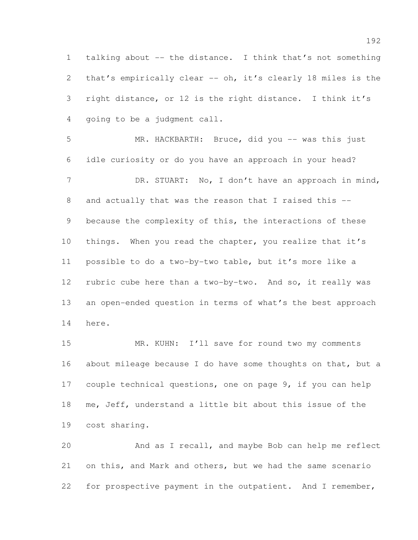talking about -- the distance. I think that's not something that's empirically clear -- oh, it's clearly 18 miles is the right distance, or 12 is the right distance. I think it's going to be a judgment call.

5 MR. HACKBARTH: Bruce, did you -- was this just idle curiosity or do you have an approach in your head? 7 DR. STUART: No, I don't have an approach in mind, 8 and actually that was the reason that I raised this -- because the complexity of this, the interactions of these 10 things. When you read the chapter, you realize that it's possible to do a two-by-two table, but it's more like a rubric cube here than a two-by-two. And so, it really was an open-ended question in terms of what's the best approach here.

15 MR. KUHN: I'll save for round two my comments about mileage because I do have some thoughts on that, but a couple technical questions, one on page 9, if you can help me, Jeff, understand a little bit about this issue of the cost sharing.

 And as I recall, and maybe Bob can help me reflect on this, and Mark and others, but we had the same scenario for prospective payment in the outpatient. And I remember,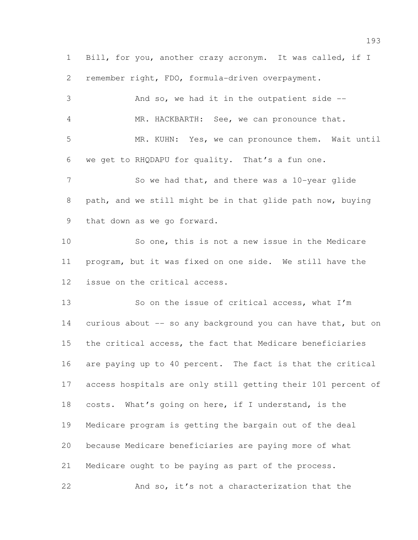Bill, for you, another crazy acronym. It was called, if I remember right, FDO, formula-driven overpayment.

| 3  | And so, we had it in the outpatient side --                  |
|----|--------------------------------------------------------------|
| 4  | MR. HACKBARTH: See, we can pronounce that.                   |
| 5  | MR. KUHN: Yes, we can pronounce them. Wait until             |
| 6  | we get to RHQDAPU for quality. That's a fun one.             |
| 7  | So we had that, and there was a 10-year glide                |
| 8  | path, and we still might be in that glide path now, buying   |
| 9  | that down as we go forward.                                  |
| 10 | So one, this is not a new issue in the Medicare              |
| 11 | program, but it was fixed on one side. We still have the     |
| 12 | issue on the critical access.                                |
| 13 | So on the issue of critical access, what I'm                 |
| 14 | curious about -- so any background you can have that, but on |
| 15 | the critical access, the fact that Medicare beneficiaries    |
| 16 | are paying up to 40 percent. The fact is that the critical   |
| 17 | access hospitals are only still getting their 101 percent of |
| 18 | costs. What's going on here, if I understand, is the         |
| 19 | Medicare program is getting the bargain out of the deal      |
| 20 | because Medicare beneficiaries are paying more of what       |
| 21 | Medicare ought to be paying as part of the process.          |

And so, it's not a characterization that the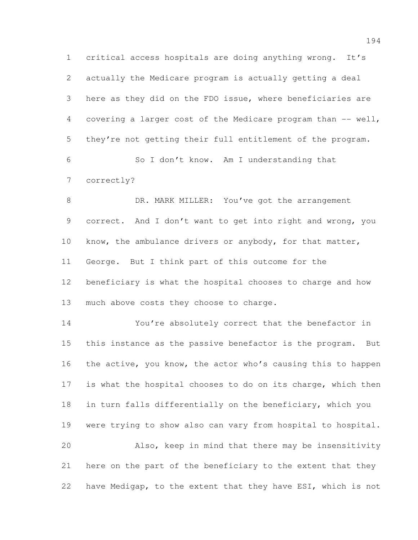critical access hospitals are doing anything wrong. It's actually the Medicare program is actually getting a deal here as they did on the FDO issue, where beneficiaries are 4 covering a larger cost of the Medicare program than -- well, they're not getting their full entitlement of the program. So I don't know. Am I understanding that correctly?

8 DR. MARK MILLER: You've got the arrangement correct. And I don't want to get into right and wrong, you know, the ambulance drivers or anybody, for that matter, George. But I think part of this outcome for the beneficiary is what the hospital chooses to charge and how much above costs they choose to charge.

 You're absolutely correct that the benefactor in this instance as the passive benefactor is the program. But the active, you know, the actor who's causing this to happen is what the hospital chooses to do on its charge, which then in turn falls differentially on the beneficiary, which you 19 were trying to show also can vary from hospital to hospital. Also, keep in mind that there may be insensitivity here on the part of the beneficiary to the extent that they have Medigap, to the extent that they have ESI, which is not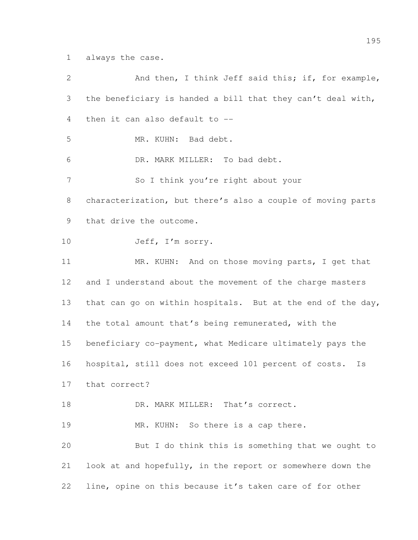always the case.

| $\overline{2}$ | And then, I think Jeff said this; if, for example,          |
|----------------|-------------------------------------------------------------|
| 3              | the beneficiary is handed a bill that they can't deal with, |
| 4              | then it can also default to --                              |
| 5              | MR. KUHN: Bad debt.                                         |
| 6              | DR. MARK MILLER: To bad debt.                               |
| 7              | So I think you're right about your                          |
| 8              | characterization, but there's also a couple of moving parts |
| 9              | that drive the outcome.                                     |
| 10             | Jeff, I'm sorry.                                            |
| 11             | MR. KUHN: And on those moving parts, I get that             |
| 12             | and I understand about the movement of the charge masters   |
| 13             | that can go on within hospitals. But at the end of the day, |
| 14             | the total amount that's being remunerated, with the         |
| 15             | beneficiary co-payment, what Medicare ultimately pays the   |
| 16             | hospital, still does not exceed 101 percent of costs.<br>Is |
| 17             | that correct?                                               |
| 18             | DR. MARK MILLER: That's correct.                            |
| 19             | MR. KUHN: So there is a cap there.                          |
| 20             | But I do think this is something that we ought to           |
| 21             | look at and hopefully, in the report or somewhere down the  |
| 22             | line, opine on this because it's taken care of for other    |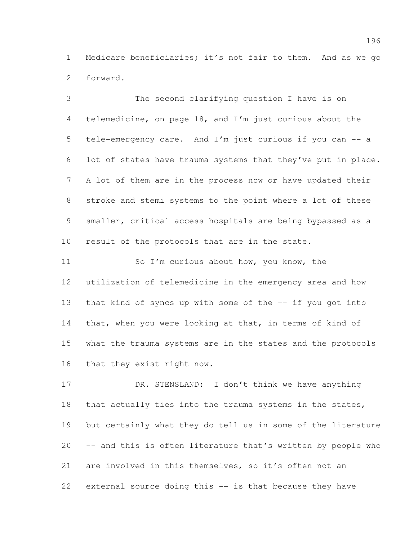Medicare beneficiaries; it's not fair to them. And as we go forward.

 The second clarifying question I have is on telemedicine, on page 18, and I'm just curious about the tele-emergency care. And I'm just curious if you can -- a lot of states have trauma systems that they've put in place. A lot of them are in the process now or have updated their stroke and stemi systems to the point where a lot of these smaller, critical access hospitals are being bypassed as a result of the protocols that are in the state.

 So I'm curious about how, you know, the utilization of telemedicine in the emergency area and how that kind of syncs up with some of the -- if you got into 14 that, when you were looking at that, in terms of kind of what the trauma systems are in the states and the protocols that they exist right now.

17 DR. STENSLAND: I don't think we have anything that actually ties into the trauma systems in the states, but certainly what they do tell us in some of the literature -- and this is often literature that's written by people who are involved in this themselves, so it's often not an external source doing this -- is that because they have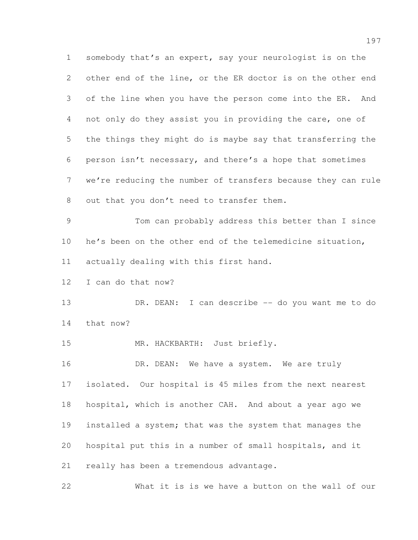somebody that's an expert, say your neurologist is on the other end of the line, or the ER doctor is on the other end of the line when you have the person come into the ER. And not only do they assist you in providing the care, one of the things they might do is maybe say that transferring the person isn't necessary, and there's a hope that sometimes we're reducing the number of transfers because they can rule out that you don't need to transfer them. Tom can probably address this better than I since he's been on the other end of the telemedicine situation, actually dealing with this first hand. I can do that now? 13 DR. DEAN: I can describe -- do you want me to do that now? MR. HACKBARTH: Just briefly. 16 DR. DEAN: We have a system. We are truly isolated. Our hospital is 45 miles from the next nearest hospital, which is another CAH. And about a year ago we installed a system; that was the system that manages the hospital put this in a number of small hospitals, and it really has been a tremendous advantage. What it is is we have a button on the wall of our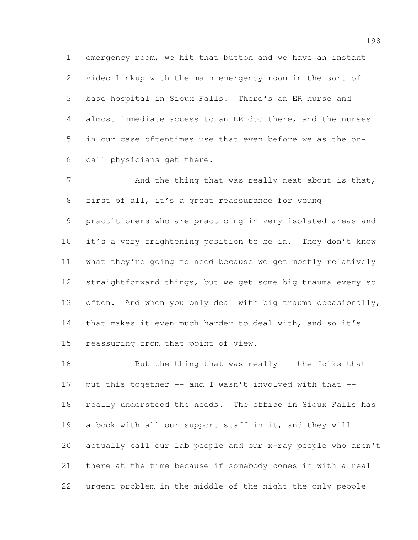emergency room, we hit that button and we have an instant video linkup with the main emergency room in the sort of base hospital in Sioux Falls. There's an ER nurse and almost immediate access to an ER doc there, and the nurses in our case oftentimes use that even before we as the on-call physicians get there.

7 And the thing that was really neat about is that, first of all, it's a great reassurance for young practitioners who are practicing in very isolated areas and it's a very frightening position to be in. They don't know what they're going to need because we get mostly relatively straightforward things, but we get some big trauma every so often. And when you only deal with big trauma occasionally, 14 that makes it even much harder to deal with, and so it's reassuring from that point of view.

 But the thing that was really -- the folks that 17 put this together -- and I wasn't involved with that -- really understood the needs. The office in Sioux Falls has a book with all our support staff in it, and they will actually call our lab people and our x-ray people who aren't there at the time because if somebody comes in with a real urgent problem in the middle of the night the only people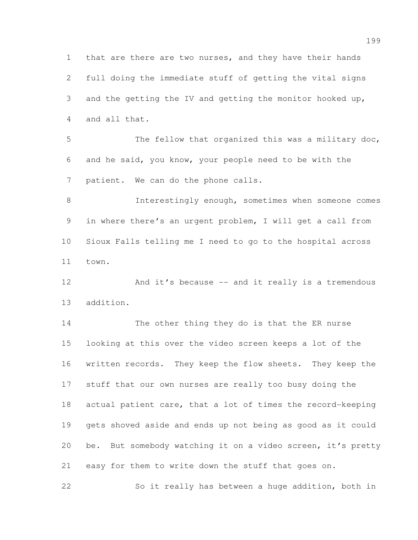that are there are two nurses, and they have their hands full doing the immediate stuff of getting the vital signs and the getting the IV and getting the monitor hooked up, and all that.

 The fellow that organized this was a military doc, and he said, you know, your people need to be with the patient. We can do the phone calls.

 Interestingly enough, sometimes when someone comes in where there's an urgent problem, I will get a call from Sioux Falls telling me I need to go to the hospital across town.

12 And it's because -- and it really is a tremendous addition.

 The other thing they do is that the ER nurse looking at this over the video screen keeps a lot of the written records. They keep the flow sheets. They keep the stuff that our own nurses are really too busy doing the actual patient care, that a lot of times the record-keeping gets shoved aside and ends up not being as good as it could be. But somebody watching it on a video screen, it's pretty easy for them to write down the stuff that goes on.

So it really has between a huge addition, both in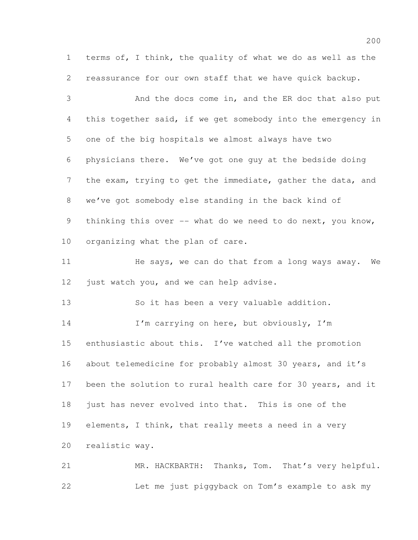terms of, I think, the quality of what we do as well as the reassurance for our own staff that we have quick backup.

 And the docs come in, and the ER doc that also put this together said, if we get somebody into the emergency in one of the big hospitals we almost always have two physicians there. We've got one guy at the bedside doing the exam, trying to get the immediate, gather the data, and we've got somebody else standing in the back kind of 9 thinking this over -- what do we need to do next, you know, organizing what the plan of care.

11 He says, we can do that from a long ways away. We 12 just watch you, and we can help advise.

So it has been a very valuable addition.

14 I'm carrying on here, but obviously, I'm enthusiastic about this. I've watched all the promotion about telemedicine for probably almost 30 years, and it's 17 been the solution to rural health care for 30 years, and it just has never evolved into that. This is one of the elements, I think, that really meets a need in a very realistic way.

 MR. HACKBARTH: Thanks, Tom. That's very helpful. Let me just piggyback on Tom's example to ask my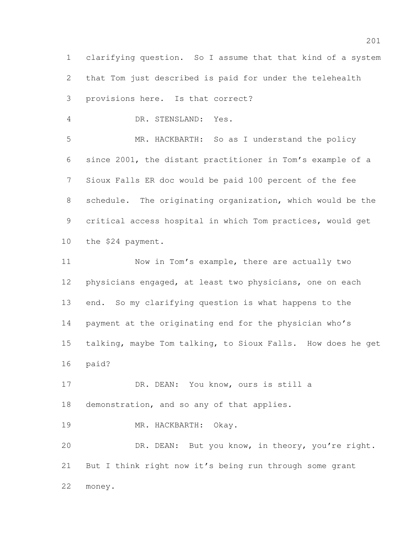clarifying question. So I assume that that kind of a system that Tom just described is paid for under the telehealth provisions here. Is that correct?

DR. STENSLAND: Yes.

 MR. HACKBARTH: So as I understand the policy since 2001, the distant practitioner in Tom's example of a Sioux Falls ER doc would be paid 100 percent of the fee schedule. The originating organization, which would be the critical access hospital in which Tom practices, would get the \$24 payment.

 Now in Tom's example, there are actually two physicians engaged, at least two physicians, one on each end. So my clarifying question is what happens to the payment at the originating end for the physician who's talking, maybe Tom talking, to Sioux Falls. How does he get paid?

17 DR. DEAN: You know, ours is still a demonstration, and so any of that applies.

MR. HACKBARTH: Okay.

 DR. DEAN: But you know, in theory, you're right. But I think right now it's being run through some grant money.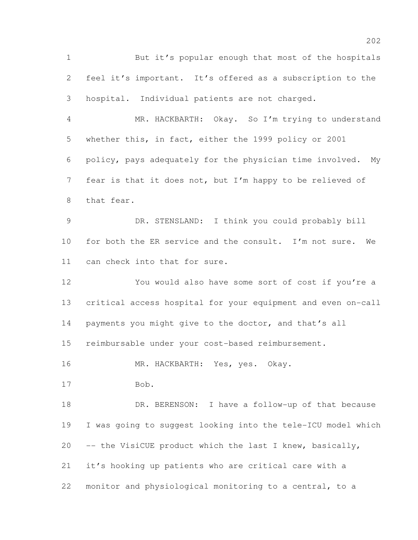But it's popular enough that most of the hospitals feel it's important. It's offered as a subscription to the hospital. Individual patients are not charged.

 MR. HACKBARTH: Okay. So I'm trying to understand whether this, in fact, either the 1999 policy or 2001 policy, pays adequately for the physician time involved. My fear is that it does not, but I'm happy to be relieved of that fear.

 DR. STENSLAND: I think you could probably bill for both the ER service and the consult. I'm not sure. We can check into that for sure.

 You would also have some sort of cost if you're a critical access hospital for your equipment and even on-call 14 payments you might give to the doctor, and that's all reimbursable under your cost-based reimbursement.

MR. HACKBARTH: Yes, yes. Okay.

Bob.

18 DR. BERENSON: I have a follow-up of that because I was going to suggest looking into the tele-ICU model which -- the VisiCUE product which the last I knew, basically, it's hooking up patients who are critical care with a monitor and physiological monitoring to a central, to a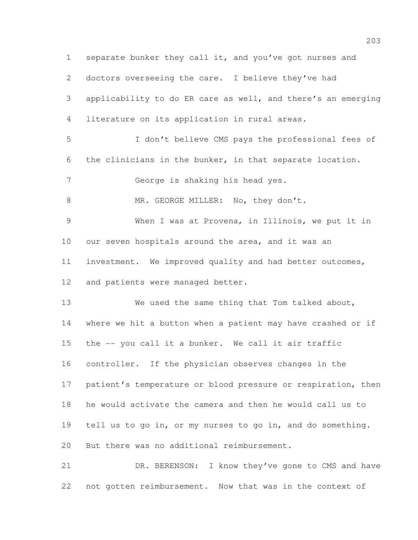separate bunker they call it, and you've got nurses and doctors overseeing the care. I believe they've had applicability to do ER care as well, and there's an emerging literature on its application in rural areas. I don't believe CMS pays the professional fees of the clinicians in the bunker, in that separate location. George is shaking his head yes. 8 MR. GEORGE MILLER: No, they don't. When I was at Provena, in Illinois, we put it in our seven hospitals around the area, and it was an investment. We improved quality and had better outcomes, 12 and patients were managed better. We used the same thing that Tom talked about, where we hit a button when a patient may have crashed or if the -- you call it a bunker. We call it air traffic controller. If the physician observes changes in the 17 patient's temperature or blood pressure or respiration, then he would activate the camera and then he would call us to tell us to go in, or my nurses to go in, and do something. But there was no additional reimbursement. 21 DR. BERENSON: I know they've gone to CMS and have

not gotten reimbursement. Now that was in the context of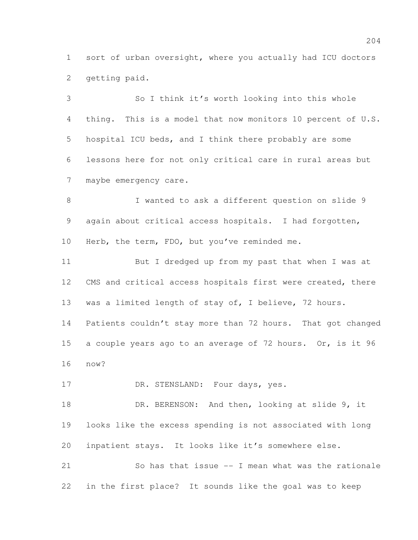sort of urban oversight, where you actually had ICU doctors getting paid.

 So I think it's worth looking into this whole thing. This is a model that now monitors 10 percent of U.S. hospital ICU beds, and I think there probably are some lessons here for not only critical care in rural areas but maybe emergency care.

 I wanted to ask a different question on slide 9 again about critical access hospitals. I had forgotten, Herb, the term, FDO, but you've reminded me.

 But I dredged up from my past that when I was at 12 CMS and critical access hospitals first were created, there 13 was a limited length of stay of, I believe, 72 hours. Patients couldn't stay more than 72 hours. That got changed a couple years ago to an average of 72 hours. Or, is it 96 now?

17 DR. STENSLAND: Four days, yes.

18 DR. BERENSON: And then, looking at slide 9, it looks like the excess spending is not associated with long inpatient stays. It looks like it's somewhere else.

 So has that issue -- I mean what was the rationale in the first place? It sounds like the goal was to keep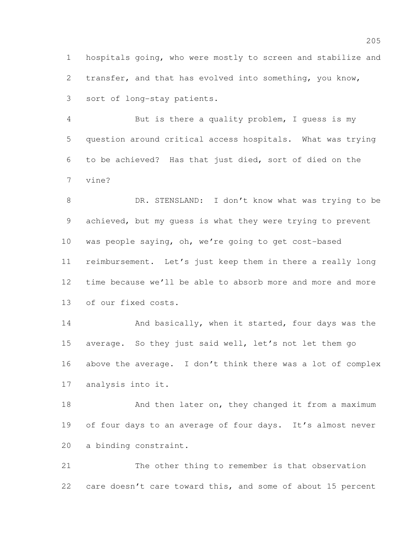hospitals going, who were mostly to screen and stabilize and transfer, and that has evolved into something, you know, sort of long-stay patients.

 But is there a quality problem, I guess is my question around critical access hospitals. What was trying to be achieved? Has that just died, sort of died on the vine?

8 DR. STENSLAND: I don't know what was trying to be achieved, but my guess is what they were trying to prevent was people saying, oh, we're going to get cost-based reimbursement. Let's just keep them in there a really long time because we'll be able to absorb more and more and more of our fixed costs.

14 And basically, when it started, four days was the average. So they just said well, let's not let them go above the average. I don't think there was a lot of complex analysis into it.

18 And then later on, they changed it from a maximum 19 of four days to an average of four days. It's almost never a binding constraint.

 The other thing to remember is that observation 22 care doesn't care toward this, and some of about 15 percent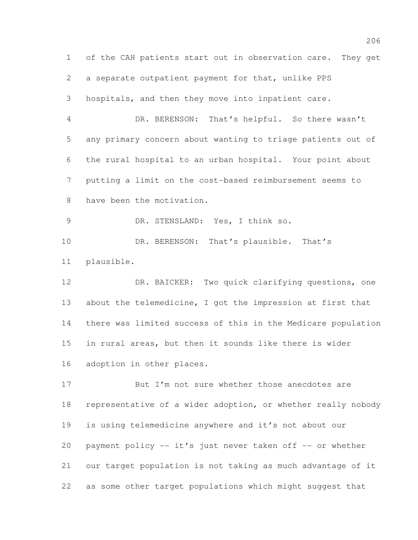of the CAH patients start out in observation care. They get a separate outpatient payment for that, unlike PPS hospitals, and then they move into inpatient care. DR. BERENSON: That's helpful. So there wasn't any primary concern about wanting to triage patients out of the rural hospital to an urban hospital. Your point about putting a limit on the cost-based reimbursement seems to have been the motivation. DR. STENSLAND: Yes, I think so. 10 DR. BERENSON: That's plausible. That's plausible. DR. BAICKER: Two quick clarifying questions, one about the telemedicine, I got the impression at first that there was limited success of this in the Medicare population in rural areas, but then it sounds like there is wider adoption in other places. 17 But I'm not sure whether those anecdotes are representative of a wider adoption, or whether really nobody is using telemedicine anywhere and it's not about our 20 payment policy -- it's just never taken off -- or whether

our target population is not taking as much advantage of it

as some other target populations which might suggest that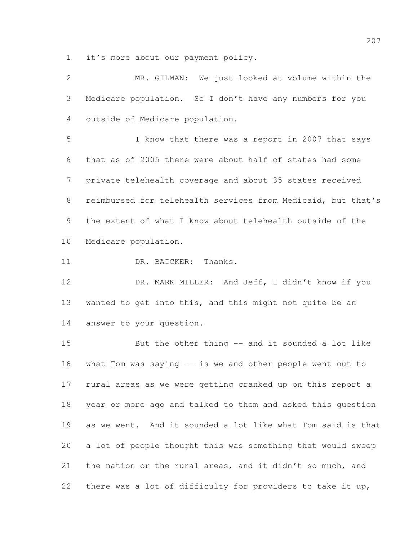it's more about our payment policy.

| 2               | MR. GILMAN: We just looked at volume within the              |
|-----------------|--------------------------------------------------------------|
| 3               | Medicare population. So I don't have any numbers for you     |
| 4               | outside of Medicare population.                              |
| 5               | I know that there was a report in 2007 that says             |
| 6               | that as of 2005 there were about half of states had some     |
| 7               | private telehealth coverage and about 35 states received     |
| 8               | reimbursed for telehealth services from Medicaid, but that's |
| 9               | the extent of what I know about telehealth outside of the    |
| 10 <sub>o</sub> | Medicare population.                                         |
| 11              | DR. BAICKER: Thanks.                                         |
| 12              | DR. MARK MILLER: And Jeff, I didn't know if you              |
| 13              | wanted to get into this, and this might not quite be an      |
| 14              | answer to your question.                                     |
| 15              | But the other thing -- and it sounded a lot like             |
| 16              | what Tom was saying $--$ is we and other people went out to  |
| 17              | rural areas as we were getting cranked up on this report a   |
| 18              | year or more ago and talked to them and asked this question  |
| 19              | as we went. And it sounded a lot like what Tom said is that  |
| 20              | a lot of people thought this was something that would sweep  |
| 21              | the nation or the rural areas, and it didn't so much, and    |
| 22              | there was a lot of difficulty for providers to take it up,   |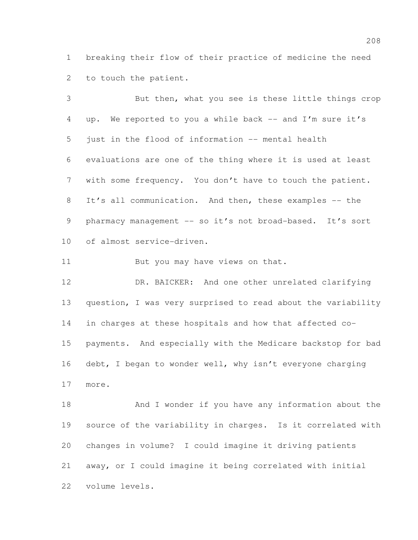breaking their flow of their practice of medicine the need to touch the patient.

 But then, what you see is these little things crop up. We reported to you a while back -- and I'm sure it's just in the flood of information -- mental health evaluations are one of the thing where it is used at least with some frequency. You don't have to touch the patient. It's all communication. And then, these examples -- the 9 pharmacy management -- so it's not broad-based. It's sort of almost service-driven.

11 But you may have views on that.

 DR. BAICKER: And one other unrelated clarifying question, I was very surprised to read about the variability in charges at these hospitals and how that affected co- payments. And especially with the Medicare backstop for bad 16 debt, I began to wonder well, why isn't everyone charging more.

 And I wonder if you have any information about the source of the variability in charges. Is it correlated with changes in volume? I could imagine it driving patients away, or I could imagine it being correlated with initial volume levels.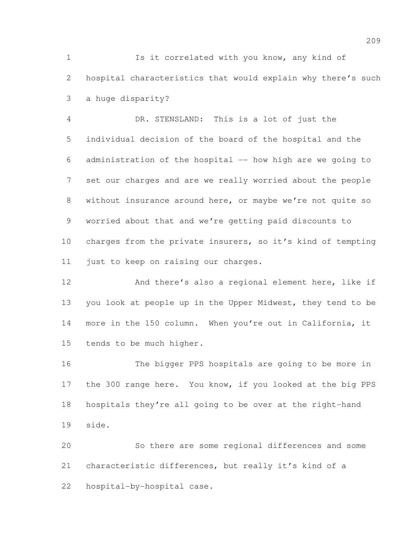Is it correlated with you know, any kind of hospital characteristics that would explain why there's such a huge disparity?

 DR. STENSLAND: This is a lot of just the individual decision of the board of the hospital and the administration of the hospital -- how high are we going to set our charges and are we really worried about the people without insurance around here, or maybe we're not quite so worried about that and we're getting paid discounts to charges from the private insurers, so it's kind of tempting just to keep on raising our charges.

 And there's also a regional element here, like if you look at people up in the Upper Midwest, they tend to be more in the 150 column. When you're out in California, it tends to be much higher.

 The bigger PPS hospitals are going to be more in the 300 range here. You know, if you looked at the big PPS hospitals they're all going to be over at the right-hand side.

 So there are some regional differences and some characteristic differences, but really it's kind of a hospital-by-hospital case.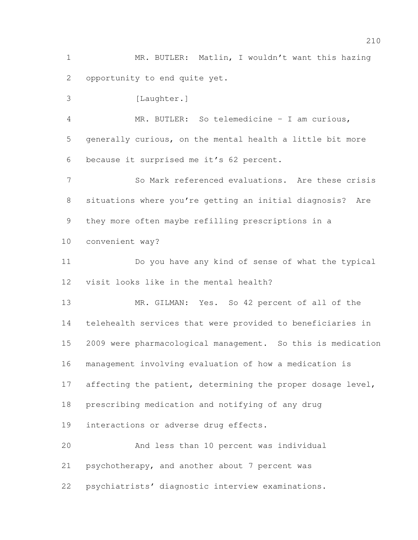MR. BUTLER: Matlin, I wouldn't want this hazing opportunity to end quite yet.

3 [Laughter.] MR. BUTLER: So telemedicine – I am curious, generally curious, on the mental health a little bit more because it surprised me it's 62 percent. So Mark referenced evaluations. Are these crisis situations where you're getting an initial diagnosis? Are they more often maybe refilling prescriptions in a convenient way?

 Do you have any kind of sense of what the typical visit looks like in the mental health?

 MR. GILMAN: Yes. So 42 percent of all of the telehealth services that were provided to beneficiaries in 2009 were pharmacological management. So this is medication management involving evaluation of how a medication is 17 affecting the patient, determining the proper dosage level, prescribing medication and notifying of any drug interactions or adverse drug effects. And less than 10 percent was individual

psychotherapy, and another about 7 percent was

psychiatrists' diagnostic interview examinations.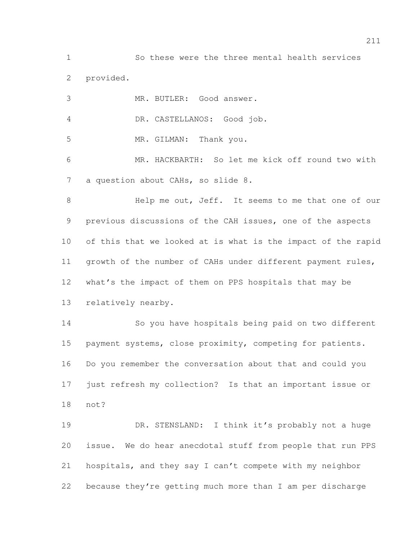So these were the three mental health services provided. MR. BUTLER: Good answer.

DR. CASTELLANOS: Good job.

MR. GILMAN: Thank you.

 MR. HACKBARTH: So let me kick off round two with 7 a question about CAHs, so slide 8.

 Help me out, Jeff. It seems to me that one of our previous discussions of the CAH issues, one of the aspects of this that we looked at is what is the impact of the rapid 11 growth of the number of CAHs under different payment rules, what's the impact of them on PPS hospitals that may be relatively nearby.

 So you have hospitals being paid on two different 15 payment systems, close proximity, competing for patients. Do you remember the conversation about that and could you just refresh my collection? Is that an important issue or not?

 DR. STENSLAND: I think it's probably not a huge issue. We do hear anecdotal stuff from people that run PPS hospitals, and they say I can't compete with my neighbor because they're getting much more than I am per discharge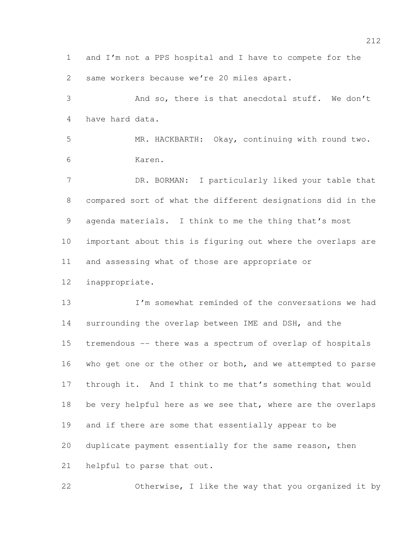and I'm not a PPS hospital and I have to compete for the same workers because we're 20 miles apart.

 And so, there is that anecdotal stuff. We don't have hard data.

 MR. HACKBARTH: Okay, continuing with round two. Karen.

7 DR. BORMAN: I particularly liked your table that compared sort of what the different designations did in the agenda materials. I think to me the thing that's most important about this is figuring out where the overlaps are and assessing what of those are appropriate or

inappropriate.

 I'm somewhat reminded of the conversations we had surrounding the overlap between IME and DSH, and the tremendous -- there was a spectrum of overlap of hospitals who get one or the other or both, and we attempted to parse through it. And I think to me that's something that would 18 be very helpful here as we see that, where are the overlaps and if there are some that essentially appear to be duplicate payment essentially for the same reason, then helpful to parse that out.

Otherwise, I like the way that you organized it by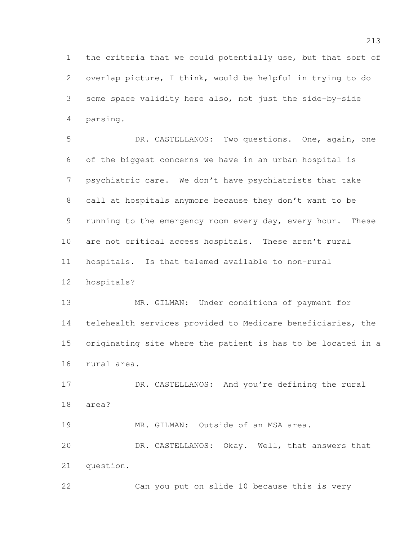the criteria that we could potentially use, but that sort of overlap picture, I think, would be helpful in trying to do some space validity here also, not just the side-by-side parsing.

 DR. CASTELLANOS: Two questions. One, again, one of the biggest concerns we have in an urban hospital is psychiatric care. We don't have psychiatrists that take call at hospitals anymore because they don't want to be running to the emergency room every day, every hour. These are not critical access hospitals. These aren't rural hospitals. Is that telemed available to non-rural hospitals?

 MR. GILMAN: Under conditions of payment for telehealth services provided to Medicare beneficiaries, the originating site where the patient is has to be located in a rural area.

17 DR. CASTELLANOS: And you're defining the rural area?

19 MR. GILMAN: Outside of an MSA area.

 DR. CASTELLANOS: Okay. Well, that answers that question.

Can you put on slide 10 because this is very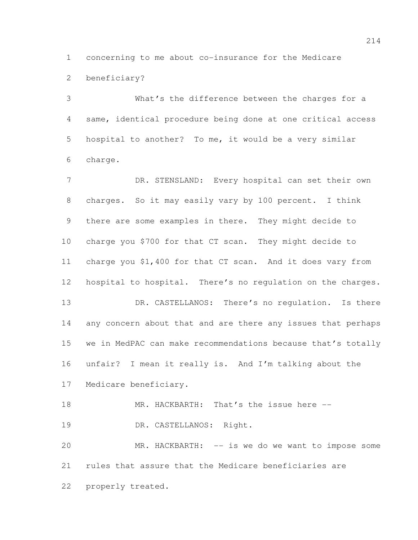concerning to me about co-insurance for the Medicare beneficiary?

 What's the difference between the charges for a same, identical procedure being done at one critical access hospital to another? To me, it would be a very similar charge.

7 DR. STENSLAND: Every hospital can set their own charges. So it may easily vary by 100 percent. I think there are some examples in there. They might decide to charge you \$700 for that CT scan. They might decide to charge you \$1,400 for that CT scan. And it does vary from hospital to hospital. There's no regulation on the charges. 13 DR. CASTELLANOS: There's no regulation. Is there any concern about that and are there any issues that perhaps we in MedPAC can make recommendations because that's totally unfair? I mean it really is. And I'm talking about the Medicare beneficiary. 18 MR. HACKBARTH: That's the issue here --

19 DR. CASTELLANOS: Right.

 MR. HACKBARTH: -- is we do we want to impose some rules that assure that the Medicare beneficiaries are properly treated.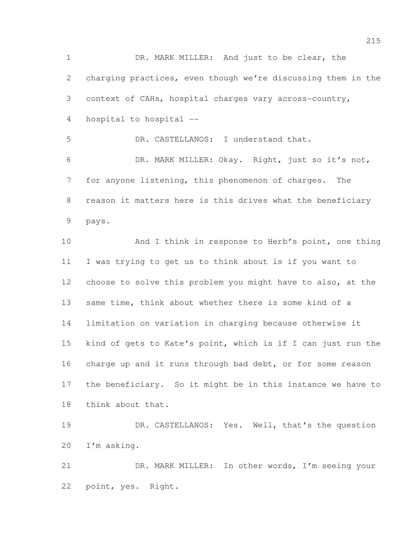DR. MARK MILLER: And just to be clear, the charging practices, even though we're discussing them in the context of CAHs, hospital charges vary across-country, hospital to hospital -- DR. CASTELLANOS: I understand that. DR. MARK MILLER: Okay. Right, just so it's not, for anyone listening, this phenomenon of charges. The reason it matters here is this drives what the beneficiary pays. 10 And I think in response to Herb's point, one thing I was trying to get us to think about is if you want to choose to solve this problem you might have to also, at the same time, think about whether there is some kind of a limitation on variation in charging because otherwise it kind of gets to Kate's point, which is if I can just run the 16 charge up and it runs through bad debt, or for some reason the beneficiary. So it might be in this instance we have to think about that. DR. CASTELLANOS: Yes. Well, that's the question I'm asking. DR. MARK MILLER: In other words, I'm seeing your

point, yes. Right.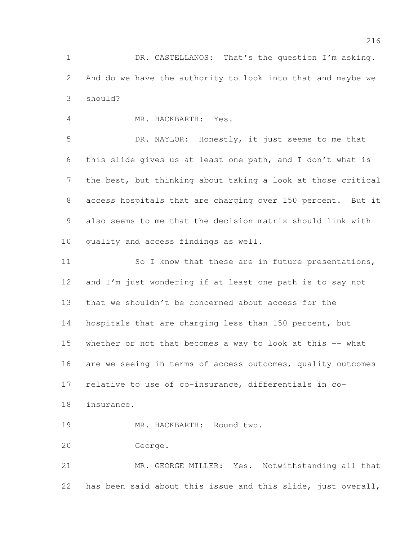1 DR. CASTELLANOS: That's the question I'm asking. And do we have the authority to look into that and maybe we should?

MR. HACKBARTH: Yes.

 DR. NAYLOR: Honestly, it just seems to me that this slide gives us at least one path, and I don't what is the best, but thinking about taking a look at those critical access hospitals that are charging over 150 percent. But it also seems to me that the decision matrix should link with quality and access findings as well.

11 So I know that these are in future presentations, and I'm just wondering if at least one path is to say not that we shouldn't be concerned about access for the 14 hospitals that are charging less than 150 percent, but whether or not that becomes a way to look at this -- what 16 are we seeing in terms of access outcomes, quality outcomes relative to use of co-insurance, differentials in co-insurance.

MR. HACKBARTH: Round two.

George.

 MR. GEORGE MILLER: Yes. Notwithstanding all that has been said about this issue and this slide, just overall,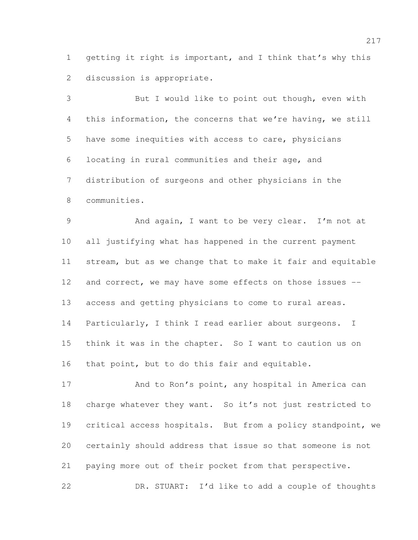getting it right is important, and I think that's why this discussion is appropriate.

 But I would like to point out though, even with this information, the concerns that we're having, we still have some inequities with access to care, physicians locating in rural communities and their age, and distribution of surgeons and other physicians in the communities.

 And again, I want to be very clear. I'm not at all justifying what has happened in the current payment stream, but as we change that to make it fair and equitable 12 and correct, we may have some effects on those issues -- access and getting physicians to come to rural areas. Particularly, I think I read earlier about surgeons. I think it was in the chapter. So I want to caution us on that point, but to do this fair and equitable.

17 And to Ron's point, any hospital in America can charge whatever they want. So it's not just restricted to critical access hospitals. But from a policy standpoint, we certainly should address that issue so that someone is not paying more out of their pocket from that perspective. DR. STUART: I'd like to add a couple of thoughts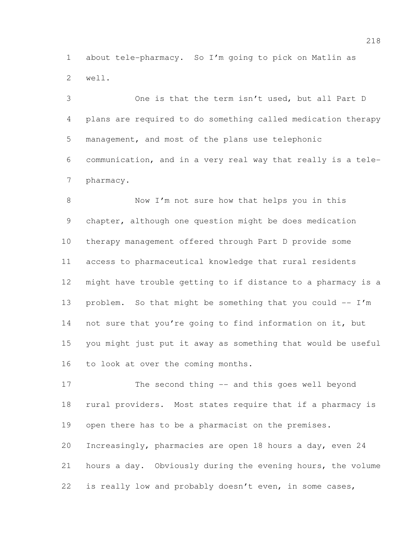about tele-pharmacy. So I'm going to pick on Matlin as well.

 One is that the term isn't used, but all Part D plans are required to do something called medication therapy management, and most of the plans use telephonic communication, and in a very real way that really is a tele-pharmacy.

8 Now I'm not sure how that helps you in this chapter, although one question might be does medication therapy management offered through Part D provide some access to pharmaceutical knowledge that rural residents might have trouble getting to if distance to a pharmacy is a 13 problem. So that might be something that you could  $-- I'm$  not sure that you're going to find information on it, but you might just put it away as something that would be useful to look at over the coming months.

 The second thing -- and this goes well beyond rural providers. Most states require that if a pharmacy is open there has to be a pharmacist on the premises. Increasingly, pharmacies are open 18 hours a day, even 24 hours a day. Obviously during the evening hours, the volume is really low and probably doesn't even, in some cases,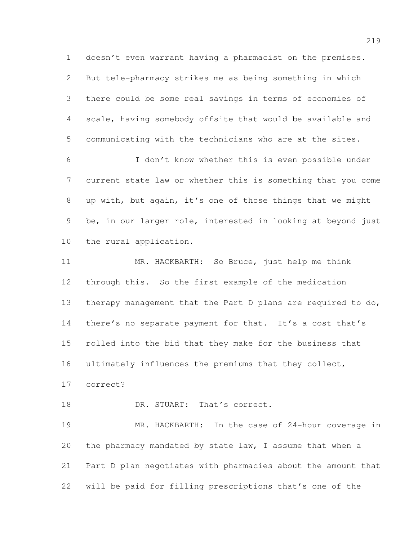But tele-pharmacy strikes me as being something in which there could be some real savings in terms of economies of scale, having somebody offsite that would be available and communicating with the technicians who are at the sites.

doesn't even warrant having a pharmacist on the premises.

 I don't know whether this is even possible under current state law or whether this is something that you come up with, but again, it's one of those things that we might be, in our larger role, interested in looking at beyond just the rural application.

 MR. HACKBARTH: So Bruce, just help me think through this. So the first example of the medication therapy management that the Part D plans are required to do, 14 there's no separate payment for that. It's a cost that's rolled into the bid that they make for the business that 16 ultimately influences the premiums that they collect, correct?

18 DR. STUART: That's correct.

 MR. HACKBARTH: In the case of 24-hour coverage in the pharmacy mandated by state law, I assume that when a Part D plan negotiates with pharmacies about the amount that will be paid for filling prescriptions that's one of the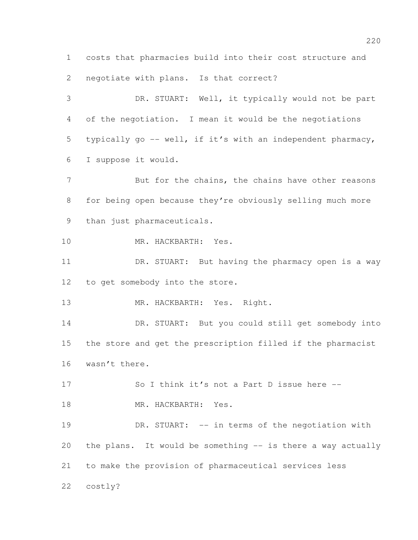costs that pharmacies build into their cost structure and negotiate with plans. Is that correct?

 DR. STUART: Well, it typically would not be part of the negotiation. I mean it would be the negotiations typically go -- well, if it's with an independent pharmacy, I suppose it would.

7 But for the chains, the chains have other reasons for being open because they're obviously selling much more than just pharmaceuticals.

MR. HACKBARTH: Yes.

 DR. STUART: But having the pharmacy open is a way to get somebody into the store.

MR. HACKBARTH: Yes. Right.

14 DR. STUART: But you could still get somebody into the store and get the prescription filled if the pharmacist wasn't there.

17 So I think it's not a Part D issue here --

18 MR. HACKBARTH: Yes.

19 DR. STUART: -- in terms of the negotiation with the plans. It would be something -- is there a way actually to make the provision of pharmaceutical services less costly?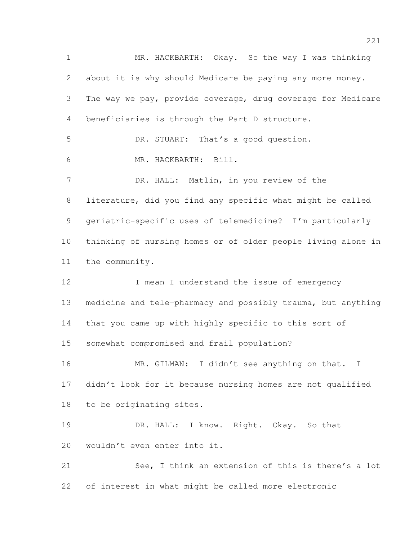MR. HACKBARTH: Okay. So the way I was thinking about it is why should Medicare be paying any more money. The way we pay, provide coverage, drug coverage for Medicare beneficiaries is through the Part D structure. DR. STUART: That's a good question. MR. HACKBARTH: Bill. DR. HALL: Matlin, in you review of the literature, did you find any specific what might be called geriatric-specific uses of telemedicine? I'm particularly thinking of nursing homes or of older people living alone in the community. 12 I mean I understand the issue of emergency medicine and tele-pharmacy and possibly trauma, but anything that you came up with highly specific to this sort of somewhat compromised and frail population? 16 MR. GILMAN: I didn't see anything on that. I didn't look for it because nursing homes are not qualified to be originating sites. DR. HALL: I know. Right. Okay. So that wouldn't even enter into it. See, I think an extension of this is there's a lot of interest in what might be called more electronic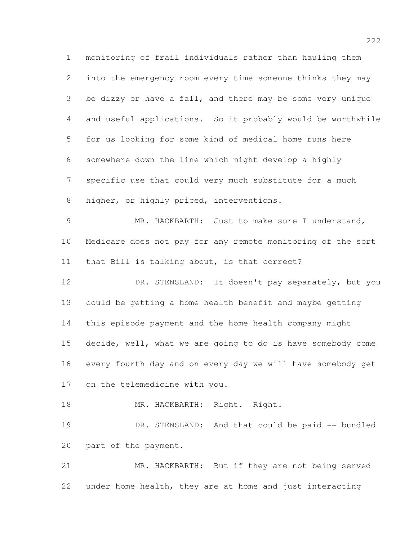monitoring of frail individuals rather than hauling them into the emergency room every time someone thinks they may be dizzy or have a fall, and there may be some very unique and useful applications. So it probably would be worthwhile for us looking for some kind of medical home runs here somewhere down the line which might develop a highly specific use that could very much substitute for a much 8 higher, or highly priced, interventions. MR. HACKBARTH: Just to make sure I understand, Medicare does not pay for any remote monitoring of the sort that Bill is talking about, is that correct? DR. STENSLAND: It doesn't pay separately, but you could be getting a home health benefit and maybe getting this episode payment and the home health company might decide, well, what we are going to do is have somebody come every fourth day and on every day we will have somebody get on the telemedicine with you. 18 MR. HACKBARTH: Right. Right. DR. STENSLAND: And that could be paid -- bundled part of the payment. MR. HACKBARTH: But if they are not being served

under home health, they are at home and just interacting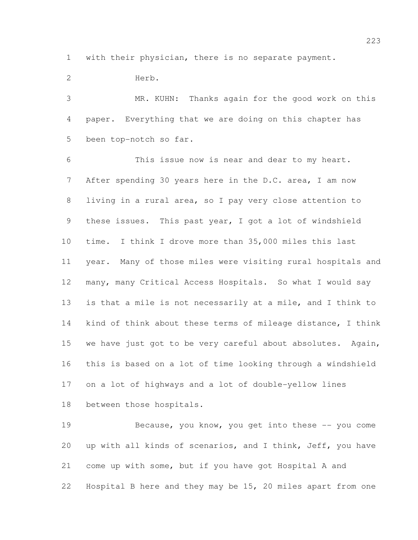with their physician, there is no separate payment.

 Herb. MR. KUHN: Thanks again for the good work on this paper. Everything that we are doing on this chapter has been top-notch so far. This issue now is near and dear to my heart. 7 After spending 30 years here in the D.C. area, I am now living in a rural area, so I pay very close attention to these issues. This past year, I got a lot of windshield time. I think I drove more than 35,000 miles this last year. Many of those miles were visiting rural hospitals and many, many Critical Access Hospitals. So what I would say is that a mile is not necessarily at a mile, and I think to 14 kind of think about these terms of mileage distance, I think we have just got to be very careful about absolutes. Again, this is based on a lot of time looking through a windshield on a lot of highways and a lot of double-yellow lines between those hospitals.

 Because, you know, you get into these -- you come up with all kinds of scenarios, and I think, Jeff, you have come up with some, but if you have got Hospital A and Hospital B here and they may be 15, 20 miles apart from one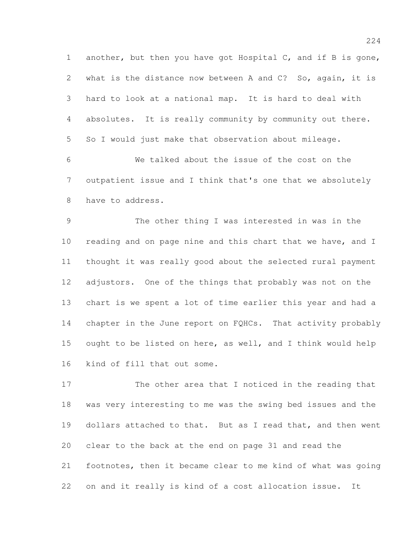another, but then you have got Hospital C, and if B is gone, what is the distance now between A and C? So, again, it is hard to look at a national map. It is hard to deal with absolutes. It is really community by community out there. So I would just make that observation about mileage.

 We talked about the issue of the cost on the outpatient issue and I think that's one that we absolutely have to address.

 The other thing I was interested in was in the 10 reading and on page nine and this chart that we have, and I thought it was really good about the selected rural payment adjustors. One of the things that probably was not on the chart is we spent a lot of time earlier this year and had a chapter in the June report on FQHCs. That activity probably ought to be listed on here, as well, and I think would help kind of fill that out some.

 The other area that I noticed in the reading that was very interesting to me was the swing bed issues and the dollars attached to that. But as I read that, and then went clear to the back at the end on page 31 and read the footnotes, then it became clear to me kind of what was going on and it really is kind of a cost allocation issue. It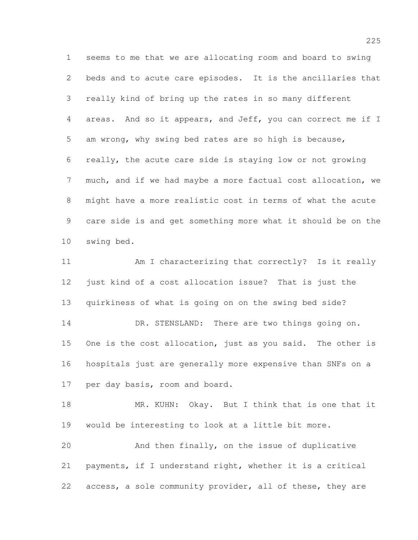seems to me that we are allocating room and board to swing beds and to acute care episodes. It is the ancillaries that really kind of bring up the rates in so many different areas. And so it appears, and Jeff, you can correct me if I am wrong, why swing bed rates are so high is because, really, the acute care side is staying low or not growing much, and if we had maybe a more factual cost allocation, we might have a more realistic cost in terms of what the acute care side is and get something more what it should be on the swing bed.

 Am I characterizing that correctly? Is it really just kind of a cost allocation issue? That is just the quirkiness of what is going on on the swing bed side? 14 DR. STENSLAND: There are two things going on. One is the cost allocation, just as you said. The other is hospitals just are generally more expensive than SNFs on a per day basis, room and board.

18 MR. KUHN: Okay. But I think that is one that it would be interesting to look at a little bit more.

 And then finally, on the issue of duplicative payments, if I understand right, whether it is a critical access, a sole community provider, all of these, they are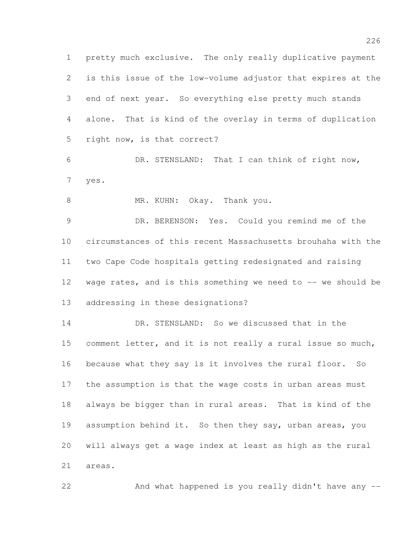pretty much exclusive. The only really duplicative payment is this issue of the low-volume adjustor that expires at the end of next year. So everything else pretty much stands alone. That is kind of the overlay in terms of duplication right now, is that correct?

 DR. STENSLAND: That I can think of right now, yes.

8 MR. KUHN: Okay. Thank you.

 DR. BERENSON: Yes. Could you remind me of the circumstances of this recent Massachusetts brouhaha with the two Cape Code hospitals getting redesignated and raising 12 wage rates, and is this something we need to -- we should be addressing in these designations?

 DR. STENSLAND: So we discussed that in the comment letter, and it is not really a rural issue so much, because what they say is it involves the rural floor. So the assumption is that the wage costs in urban areas must always be bigger than in rural areas. That is kind of the assumption behind it. So then they say, urban areas, you will always get a wage index at least as high as the rural areas.

And what happened is you really didn't have any --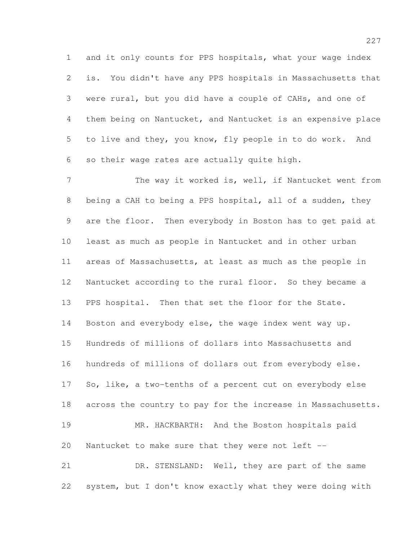and it only counts for PPS hospitals, what your wage index is. You didn't have any PPS hospitals in Massachusetts that were rural, but you did have a couple of CAHs, and one of them being on Nantucket, and Nantucket is an expensive place to live and they, you know, fly people in to do work. And so their wage rates are actually quite high.

7 The way it worked is, well, if Nantucket went from being a CAH to being a PPS hospital, all of a sudden, they are the floor. Then everybody in Boston has to get paid at least as much as people in Nantucket and in other urban areas of Massachusetts, at least as much as the people in Nantucket according to the rural floor. So they became a PPS hospital. Then that set the floor for the State. Boston and everybody else, the wage index went way up. Hundreds of millions of dollars into Massachusetts and hundreds of millions of dollars out from everybody else. So, like, a two-tenths of a percent cut on everybody else across the country to pay for the increase in Massachusetts. MR. HACKBARTH: And the Boston hospitals paid Nantucket to make sure that they were not left -- DR. STENSLAND: Well, they are part of the same

system, but I don't know exactly what they were doing with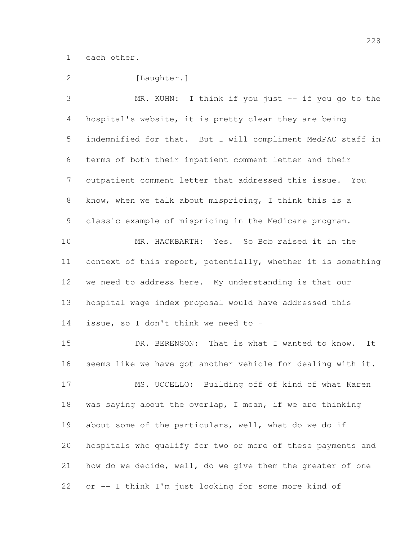each other.

| 2              | [Laughter.]                                                  |
|----------------|--------------------------------------------------------------|
| 3              | MR. KUHN: I think if you just -- if you go to the            |
| $\overline{4}$ | hospital's website, it is pretty clear they are being        |
| 5              | indemnified for that. But I will compliment MedPAC staff in  |
| 6              | terms of both their inpatient comment letter and their       |
| $\overline{7}$ | outpatient comment letter that addressed this issue. You     |
| 8              | know, when we talk about mispricing, I think this is a       |
| 9              | classic example of mispricing in the Medicare program.       |
| 10             | MR. HACKBARTH: Yes. So Bob raised it in the                  |
| 11             | context of this report, potentially, whether it is something |
| 12             | we need to address here. My understanding is that our        |
| 13             | hospital wage index proposal would have addressed this       |
| 14             | issue, so I don't think we need to -                         |
| 15             | DR. BERENSON: That is what I wanted to know.<br>It           |
| 16             | seems like we have got another vehicle for dealing with it.  |
| 17             | MS. UCCELLO: Building off of kind of what Karen              |
| 18             | was saying about the overlap, I mean, if we are thinking     |
| 19             | about some of the particulars, well, what do we do if        |
| 20             | hospitals who qualify for two or more of these payments and  |
| 21             | how do we decide, well, do we give them the greater of one   |
| 22             | or -- I think I'm just looking for some more kind of         |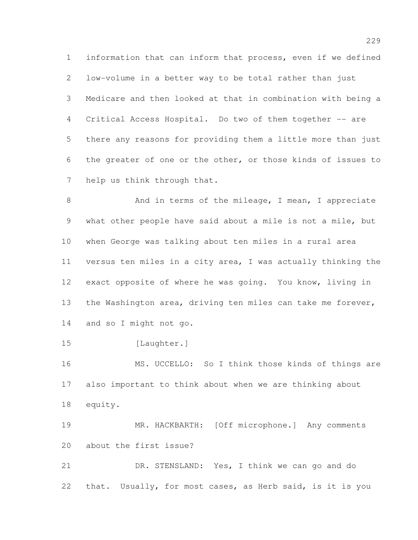information that can inform that process, even if we defined low-volume in a better way to be total rather than just Medicare and then looked at that in combination with being a 4 Critical Access Hospital. Do two of them together -- are there any reasons for providing them a little more than just the greater of one or the other, or those kinds of issues to help us think through that.

8 And in terms of the mileage, I mean, I appreciate what other people have said about a mile is not a mile, but when George was talking about ten miles in a rural area versus ten miles in a city area, I was actually thinking the exact opposite of where he was going. You know, living in the Washington area, driving ten miles can take me forever, and so I might not go.

15 [Laughter.]

 MS. UCCELLO: So I think those kinds of things are also important to think about when we are thinking about equity.

 MR. HACKBARTH: [Off microphone.] Any comments about the first issue?

 DR. STENSLAND: Yes, I think we can go and do that. Usually, for most cases, as Herb said, is it is you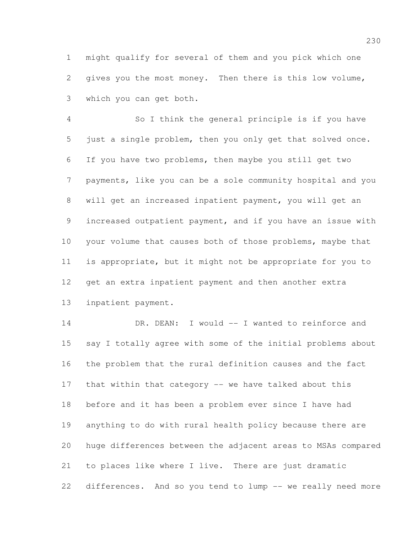might qualify for several of them and you pick which one gives you the most money. Then there is this low volume, which you can get both.

 So I think the general principle is if you have just a single problem, then you only get that solved once. If you have two problems, then maybe you still get two payments, like you can be a sole community hospital and you will get an increased inpatient payment, you will get an increased outpatient payment, and if you have an issue with 10 your volume that causes both of those problems, maybe that is appropriate, but it might not be appropriate for you to get an extra inpatient payment and then another extra inpatient payment.

14 DR. DEAN: I would -- I wanted to reinforce and say I totally agree with some of the initial problems about the problem that the rural definition causes and the fact that within that category -- we have talked about this before and it has been a problem ever since I have had anything to do with rural health policy because there are huge differences between the adjacent areas to MSAs compared to places like where I live. There are just dramatic 22 differences. And so you tend to lump -- we really need more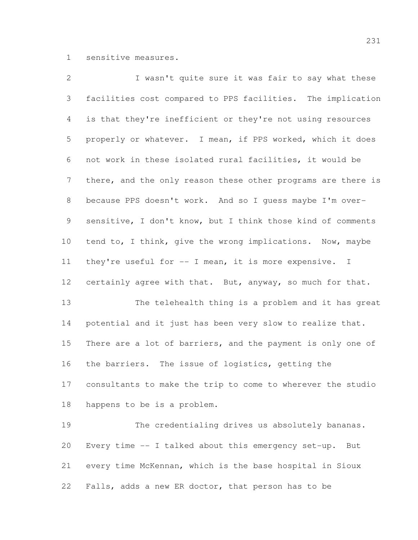sensitive measures.

 I wasn't quite sure it was fair to say what these facilities cost compared to PPS facilities. The implication is that they're inefficient or they're not using resources properly or whatever. I mean, if PPS worked, which it does not work in these isolated rural facilities, it would be 7 there, and the only reason these other programs are there is because PPS doesn't work. And so I guess maybe I'm over- sensitive, I don't know, but I think those kind of comments tend to, I think, give the wrong implications. Now, maybe they're useful for -- I mean, it is more expensive. I certainly agree with that. But, anyway, so much for that. The telehealth thing is a problem and it has great 14 potential and it just has been very slow to realize that. 15 There are a lot of barriers, and the payment is only one of the barriers. The issue of logistics, getting the consultants to make the trip to come to wherever the studio happens to be is a problem. The credentialing drives us absolutely bananas. Every time -- I talked about this emergency set-up. But every time McKennan, which is the base hospital in Sioux Falls, adds a new ER doctor, that person has to be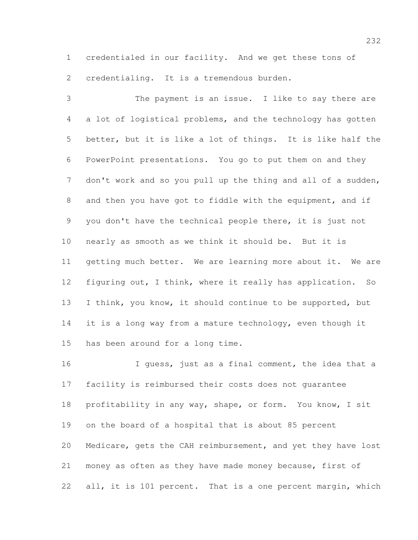credentialed in our facility. And we get these tons of 2 credentialing. It is a tremendous burden.

 The payment is an issue. I like to say there are a lot of logistical problems, and the technology has gotten better, but it is like a lot of things. It is like half the PowerPoint presentations. You go to put them on and they 7 don't work and so you pull up the thing and all of a sudden, and then you have got to fiddle with the equipment, and if you don't have the technical people there, it is just not nearly as smooth as we think it should be. But it is getting much better. We are learning more about it. We are figuring out, I think, where it really has application. So I think, you know, it should continue to be supported, but 14 it is a long way from a mature technology, even though it has been around for a long time.

 I guess, just as a final comment, the idea that a facility is reimbursed their costs does not guarantee profitability in any way, shape, or form. You know, I sit on the board of a hospital that is about 85 percent Medicare, gets the CAH reimbursement, and yet they have lost money as often as they have made money because, first of 22 all, it is 101 percent. That is a one percent margin, which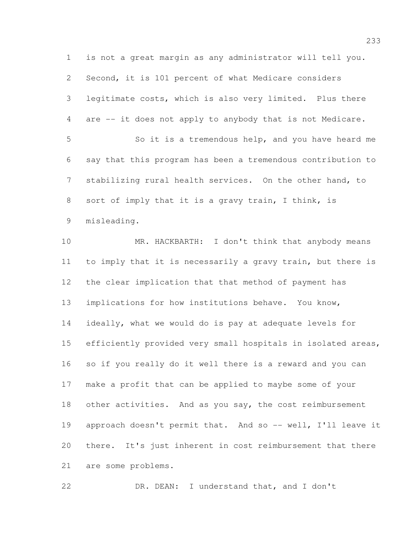is not a great margin as any administrator will tell you. Second, it is 101 percent of what Medicare considers legitimate costs, which is also very limited. Plus there are -- it does not apply to anybody that is not Medicare. So it is a tremendous help, and you have heard me say that this program has been a tremendous contribution to stabilizing rural health services. On the other hand, to sort of imply that it is a gravy train, I think, is misleading. MR. HACKBARTH: I don't think that anybody means to imply that it is necessarily a gravy train, but there is the clear implication that that method of payment has implications for how institutions behave. You know, ideally, what we would do is pay at adequate levels for efficiently provided very small hospitals in isolated areas, so if you really do it well there is a reward and you can make a profit that can be applied to maybe some of your 18 other activities. And as you say, the cost reimbursement 19 approach doesn't permit that. And so -- well, I'll leave it there. It's just inherent in cost reimbursement that there are some problems.

DR. DEAN: I understand that, and I don't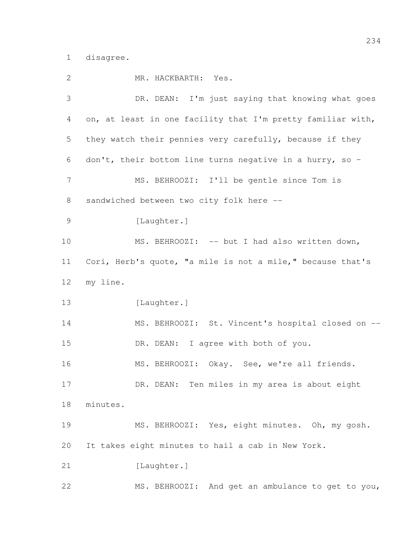disagree.

| 2              | MR. HACKBARTH: Yes.                                         |
|----------------|-------------------------------------------------------------|
| 3              | DR. DEAN: I'm just saying that knowing what goes            |
| 4              | on, at least in one facility that I'm pretty familiar with, |
| 5              | they watch their pennies very carefully, because if they    |
| 6              | don't, their bottom line turns negative in a hurry, so -    |
| 7              | MS. BEHROOZI: I'll be gentle since Tom is                   |
| $8\,$          | sandwiched between two city folk here --                    |
| $\overline{9}$ | [Laughter.]                                                 |
| 10             | MS. BEHROOZI: -- but I had also written down,               |
| 11             | Cori, Herb's quote, "a mile is not a mile," because that's  |
| 12             | my line.                                                    |
| 13             | [Laughter.]                                                 |
| 14             | MS. BEHROOZI: St. Vincent's hospital closed on --           |
| 15             | DR. DEAN: I agree with both of you.                         |
| 16             | MS. BEHROOZI: Okay. See, we're all friends.                 |
| 17             | DR. DEAN: Ten miles in my area is about eight               |
| 18             | minutes.                                                    |
| 19             | MS. BEHROOZI: Yes, eight minutes. Oh, my gosh.              |
| 20             | It takes eight minutes to hail a cab in New York.           |
| 21             | [Laughter.]                                                 |
| 22             | MS. BEHROOZI: And get an ambulance to get to you,           |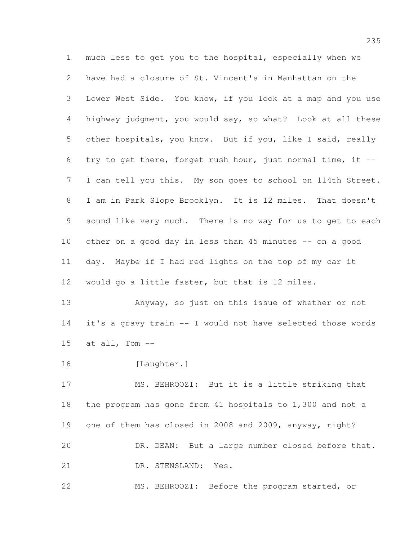much less to get you to the hospital, especially when we have had a closure of St. Vincent's in Manhattan on the Lower West Side. You know, if you look at a map and you use highway judgment, you would say, so what? Look at all these other hospitals, you know. But if you, like I said, really try to get there, forget rush hour, just normal time, it -- I can tell you this. My son goes to school on 114th Street. I am in Park Slope Brooklyn. It is 12 miles. That doesn't sound like very much. There is no way for us to get to each other on a good day in less than 45 minutes -- on a good day. Maybe if I had red lights on the top of my car it would go a little faster, but that is 12 miles.

 Anyway, so just on this issue of whether or not it's a gravy train -- I would not have selected those words 15  $at$  all, Tom  $--$ 

[Laughter.]

 MS. BEHROOZI: But it is a little striking that the program has gone from 41 hospitals to 1,300 and not a one of them has closed in 2008 and 2009, anyway, right? DR. DEAN: But a large number closed before that. DR. STENSLAND: Yes.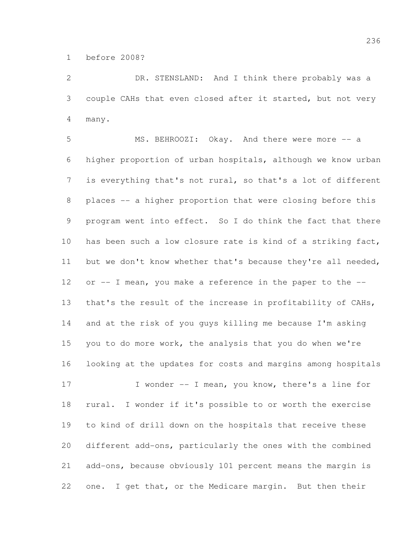before 2008?

 DR. STENSLAND: And I think there probably was a couple CAHs that even closed after it started, but not very many.

 MS. BEHROOZI: Okay. And there were more -- a higher proportion of urban hospitals, although we know urban is everything that's not rural, so that's a lot of different 8 places -- a higher proportion that were closing before this program went into effect. So I do think the fact that there has been such a low closure rate is kind of a striking fact, but we don't know whether that's because they're all needed, 12 or -- I mean, you make a reference in the paper to the -- that's the result of the increase in profitability of CAHs, and at the risk of you guys killing me because I'm asking you to do more work, the analysis that you do when we're looking at the updates for costs and margins among hospitals 17 I wonder -- I mean, you know, there's a line for rural. I wonder if it's possible to or worth the exercise

 different add-ons, particularly the ones with the combined add-ons, because obviously 101 percent means the margin is one. I get that, or the Medicare margin. But then their

to kind of drill down on the hospitals that receive these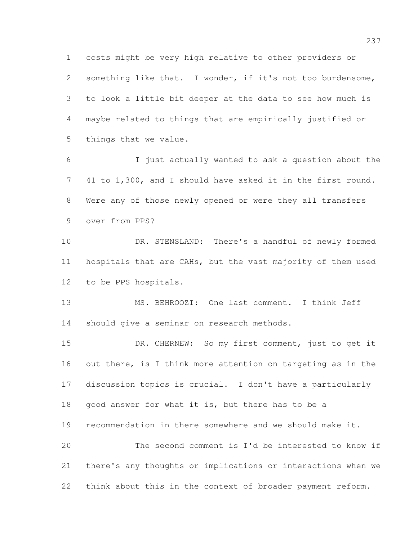costs might be very high relative to other providers or something like that. I wonder, if it's not too burdensome, to look a little bit deeper at the data to see how much is maybe related to things that are empirically justified or things that we value.

 I just actually wanted to ask a question about the 41 to 1,300, and I should have asked it in the first round. Were any of those newly opened or were they all transfers over from PPS?

 DR. STENSLAND: There's a handful of newly formed hospitals that are CAHs, but the vast majority of them used to be PPS hospitals.

 MS. BEHROOZI: One last comment. I think Jeff should give a seminar on research methods.

15 DR. CHERNEW: So my first comment, just to get it 16 out there, is I think more attention on targeting as in the discussion topics is crucial. I don't have a particularly 18 good answer for what it is, but there has to be a recommendation in there somewhere and we should make it. The second comment is I'd be interested to know if there's any thoughts or implications or interactions when we

think about this in the context of broader payment reform.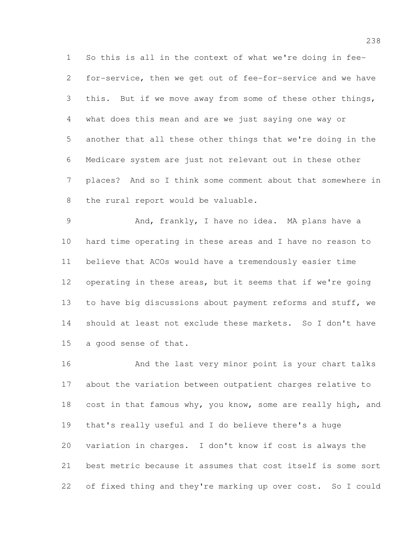So this is all in the context of what we're doing in fee- for-service, then we get out of fee-for-service and we have this. But if we move away from some of these other things, what does this mean and are we just saying one way or another that all these other things that we're doing in the Medicare system are just not relevant out in these other places? And so I think some comment about that somewhere in the rural report would be valuable.

 And, frankly, I have no idea. MA plans have a hard time operating in these areas and I have no reason to believe that ACOs would have a tremendously easier time operating in these areas, but it seems that if we're going 13 to have big discussions about payment reforms and stuff, we should at least not exclude these markets. So I don't have a good sense of that.

 And the last very minor point is your chart talks about the variation between outpatient charges relative to 18 cost in that famous why, you know, some are really high, and that's really useful and I do believe there's a huge variation in charges. I don't know if cost is always the best metric because it assumes that cost itself is some sort of fixed thing and they're marking up over cost. So I could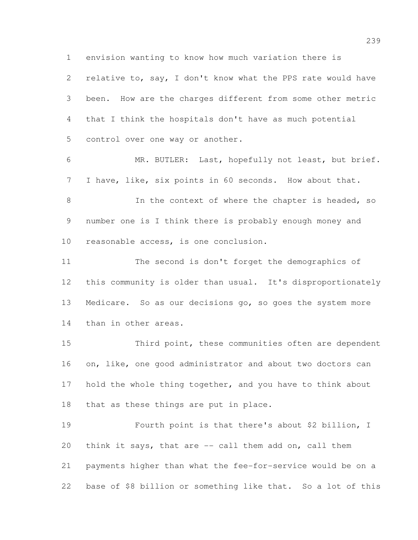envision wanting to know how much variation there is

 relative to, say, I don't know what the PPS rate would have been. How are the charges different from some other metric that I think the hospitals don't have as much potential control over one way or another.

 MR. BUTLER: Last, hopefully not least, but brief. I have, like, six points in 60 seconds. How about that.

8 In the context of where the chapter is headed, so number one is I think there is probably enough money and reasonable access, is one conclusion.

 The second is don't forget the demographics of this community is older than usual. It's disproportionately Medicare. So as our decisions go, so goes the system more than in other areas.

 Third point, these communities often are dependent 16 on, like, one good administrator and about two doctors can 17 hold the whole thing together, and you have to think about that as these things are put in place.

 Fourth point is that there's about \$2 billion, I think it says, that are -- call them add on, call them payments higher than what the fee-for-service would be on a base of \$8 billion or something like that. So a lot of this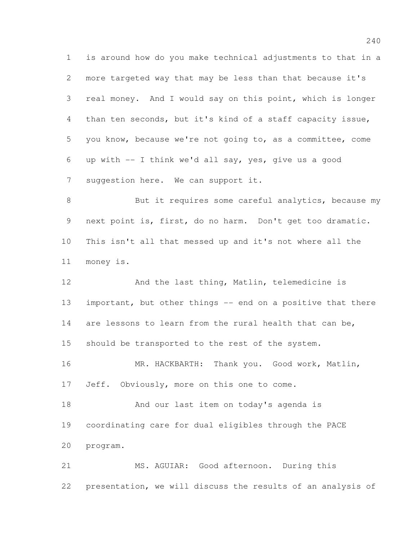is around how do you make technical adjustments to that in a more targeted way that may be less than that because it's real money. And I would say on this point, which is longer than ten seconds, but it's kind of a staff capacity issue, you know, because we're not going to, as a committee, come up with -- I think we'd all say, yes, give us a good suggestion here. We can support it.

8 But it requires some careful analytics, because my next point is, first, do no harm. Don't get too dramatic. This isn't all that messed up and it's not where all the money is.

12 And the last thing, Matlin, telemedicine is 13 important, but other things -- end on a positive that there are lessons to learn from the rural health that can be, should be transported to the rest of the system. MR. HACKBARTH: Thank you. Good work, Matlin, 17 Jeff. Obviously, more on this one to come. And our last item on today's agenda is coordinating care for dual eligibles through the PACE program.

 MS. AGUIAR: Good afternoon. During this presentation, we will discuss the results of an analysis of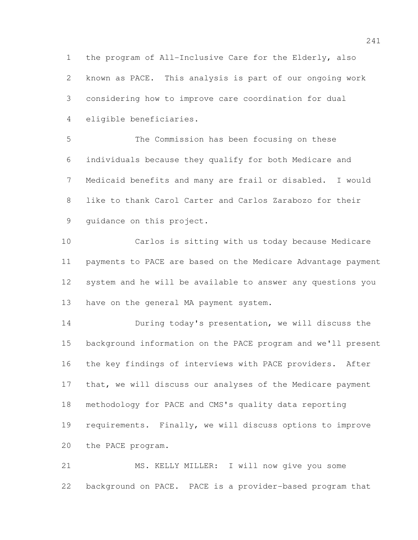the program of All-Inclusive Care for the Elderly, also known as PACE. This analysis is part of our ongoing work considering how to improve care coordination for dual eligible beneficiaries.

 The Commission has been focusing on these individuals because they qualify for both Medicare and Medicaid benefits and many are frail or disabled. I would like to thank Carol Carter and Carlos Zarabozo for their guidance on this project.

 Carlos is sitting with us today because Medicare payments to PACE are based on the Medicare Advantage payment system and he will be available to answer any questions you have on the general MA payment system.

 During today's presentation, we will discuss the background information on the PACE program and we'll present the key findings of interviews with PACE providers. After 17 that, we will discuss our analyses of the Medicare payment methodology for PACE and CMS's quality data reporting requirements. Finally, we will discuss options to improve the PACE program.

 MS. KELLY MILLER: I will now give you some background on PACE. PACE is a provider-based program that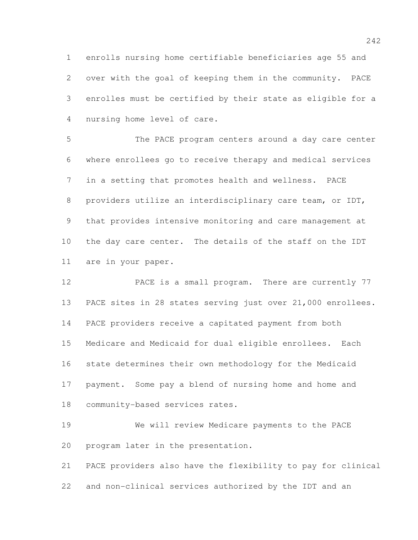enrolls nursing home certifiable beneficiaries age 55 and over with the goal of keeping them in the community. PACE enrolles must be certified by their state as eligible for a nursing home level of care.

 The PACE program centers around a day care center where enrollees go to receive therapy and medical services in a setting that promotes health and wellness. PACE providers utilize an interdisciplinary care team, or IDT, that provides intensive monitoring and care management at the day care center. The details of the staff on the IDT are in your paper.

 PACE is a small program. There are currently 77 PACE sites in 28 states serving just over 21,000 enrollees. PACE providers receive a capitated payment from both Medicare and Medicaid for dual eligible enrollees. Each state determines their own methodology for the Medicaid payment. Some pay a blend of nursing home and home and community-based services rates.

 We will review Medicare payments to the PACE program later in the presentation.

 PACE providers also have the flexibility to pay for clinical and non-clinical services authorized by the IDT and an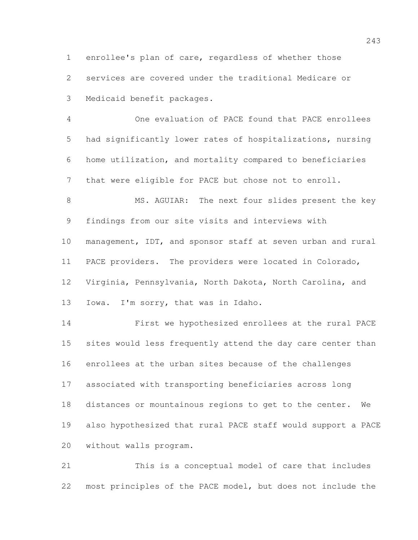enrollee's plan of care, regardless of whether those services are covered under the traditional Medicare or Medicaid benefit packages.

 One evaluation of PACE found that PACE enrollees had significantly lower rates of hospitalizations, nursing home utilization, and mortality compared to beneficiaries that were eligible for PACE but chose not to enroll.

8 MS. AGUIAR: The next four slides present the key findings from our site visits and interviews with management, IDT, and sponsor staff at seven urban and rural PACE providers. The providers were located in Colorado, Virginia, Pennsylvania, North Dakota, North Carolina, and Iowa. I'm sorry, that was in Idaho.

 First we hypothesized enrollees at the rural PACE sites would less frequently attend the day care center than enrollees at the urban sites because of the challenges associated with transporting beneficiaries across long distances or mountainous regions to get to the center. We also hypothesized that rural PACE staff would support a PACE without walls program.

 This is a conceptual model of care that includes most principles of the PACE model, but does not include the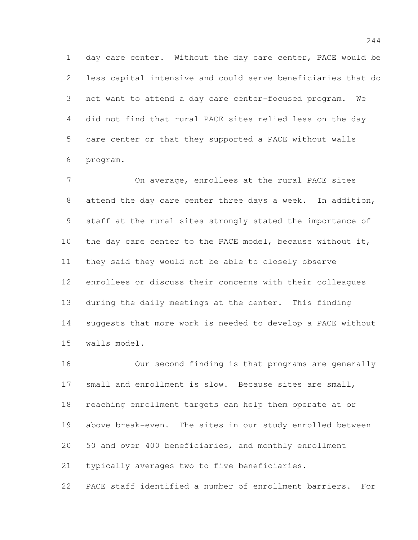day care center. Without the day care center, PACE would be less capital intensive and could serve beneficiaries that do not want to attend a day care center-focused program. We did not find that rural PACE sites relied less on the day care center or that they supported a PACE without walls program.

 On average, enrollees at the rural PACE sites 8 attend the day care center three days a week. In addition, staff at the rural sites strongly stated the importance of 10 the day care center to the PACE model, because without it, they said they would not be able to closely observe enrollees or discuss their concerns with their colleagues during the daily meetings at the center. This finding suggests that more work is needed to develop a PACE without walls model.

 Our second finding is that programs are generally small and enrollment is slow. Because sites are small, reaching enrollment targets can help them operate at or above break-even. The sites in our study enrolled between 50 and over 400 beneficiaries, and monthly enrollment typically averages two to five beneficiaries.

PACE staff identified a number of enrollment barriers. For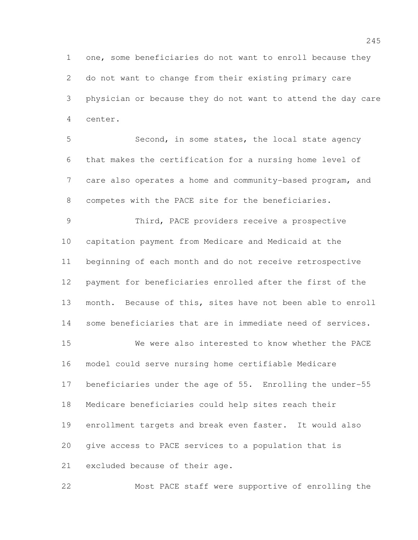one, some beneficiaries do not want to enroll because they do not want to change from their existing primary care physician or because they do not want to attend the day care center.

 Second, in some states, the local state agency that makes the certification for a nursing home level of care also operates a home and community-based program, and competes with the PACE site for the beneficiaries.

 Third, PACE providers receive a prospective capitation payment from Medicare and Medicaid at the beginning of each month and do not receive retrospective payment for beneficiaries enrolled after the first of the month. Because of this, sites have not been able to enroll some beneficiaries that are in immediate need of services.

 We were also interested to know whether the PACE model could serve nursing home certifiable Medicare beneficiaries under the age of 55. Enrolling the under-55 Medicare beneficiaries could help sites reach their enrollment targets and break even faster. It would also give access to PACE services to a population that is excluded because of their age.

Most PACE staff were supportive of enrolling the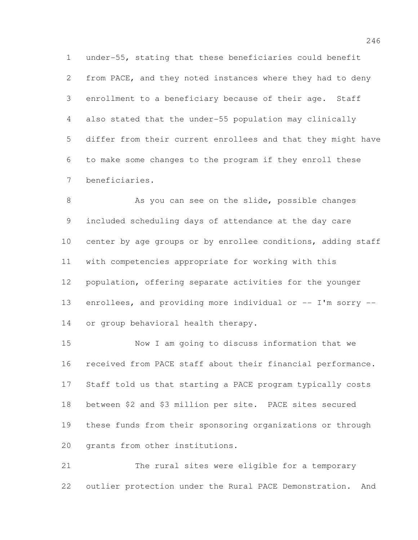under-55, stating that these beneficiaries could benefit from PACE, and they noted instances where they had to deny enrollment to a beneficiary because of their age. Staff also stated that the under-55 population may clinically differ from their current enrollees and that they might have to make some changes to the program if they enroll these beneficiaries.

8 As you can see on the slide, possible changes included scheduling days of attendance at the day care center by age groups or by enrollee conditions, adding staff with competencies appropriate for working with this population, offering separate activities for the younger 13 enrollees, and providing more individual or -- I'm sorry --or group behavioral health therapy.

 Now I am going to discuss information that we received from PACE staff about their financial performance. Staff told us that starting a PACE program typically costs between \$2 and \$3 million per site. PACE sites secured these funds from their sponsoring organizations or through grants from other institutions.

 The rural sites were eligible for a temporary outlier protection under the Rural PACE Demonstration. And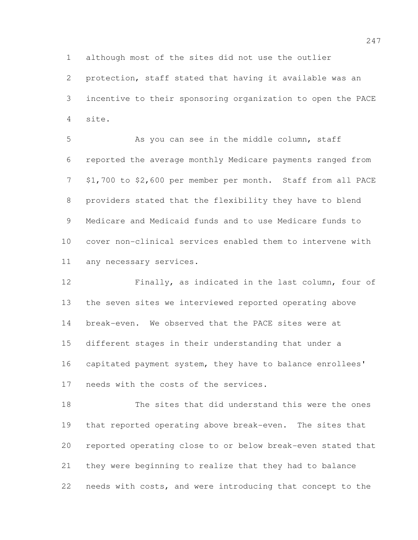although most of the sites did not use the outlier

 protection, staff stated that having it available was an incentive to their sponsoring organization to open the PACE site.

5 As you can see in the middle column, staff reported the average monthly Medicare payments ranged from \$1,700 to \$2,600 per member per month. Staff from all PACE providers stated that the flexibility they have to blend Medicare and Medicaid funds and to use Medicare funds to cover non-clinical services enabled them to intervene with any necessary services.

 Finally, as indicated in the last column, four of the seven sites we interviewed reported operating above break-even. We observed that the PACE sites were at different stages in their understanding that under a capitated payment system, they have to balance enrollees' needs with the costs of the services.

 The sites that did understand this were the ones that reported operating above break-even. The sites that reported operating close to or below break-even stated that they were beginning to realize that they had to balance needs with costs, and were introducing that concept to the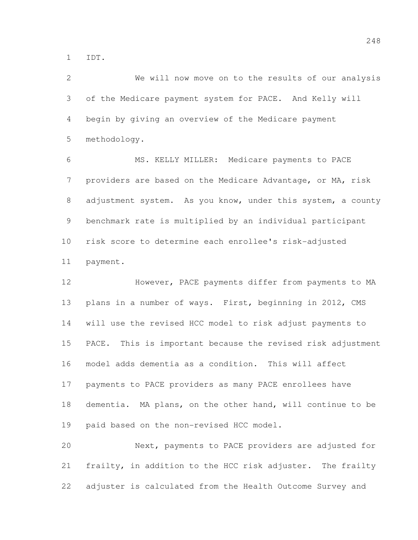IDT.

 We will now move on to the results of our analysis of the Medicare payment system for PACE. And Kelly will begin by giving an overview of the Medicare payment methodology.

 MS. KELLY MILLER: Medicare payments to PACE providers are based on the Medicare Advantage, or MA, risk 8 adjustment system. As you know, under this system, a county benchmark rate is multiplied by an individual participant risk score to determine each enrollee's risk-adjusted payment.

12 However, PACE payments differ from payments to MA plans in a number of ways. First, beginning in 2012, CMS will use the revised HCC model to risk adjust payments to PACE. This is important because the revised risk adjustment model adds dementia as a condition. This will affect payments to PACE providers as many PACE enrollees have dementia. MA plans, on the other hand, will continue to be paid based on the non-revised HCC model.

 Next, payments to PACE providers are adjusted for frailty, in addition to the HCC risk adjuster. The frailty adjuster is calculated from the Health Outcome Survey and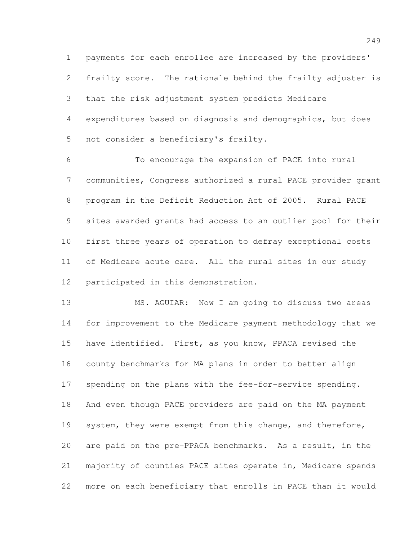payments for each enrollee are increased by the providers' frailty score. The rationale behind the frailty adjuster is that the risk adjustment system predicts Medicare expenditures based on diagnosis and demographics, but does not consider a beneficiary's frailty.

 To encourage the expansion of PACE into rural communities, Congress authorized a rural PACE provider grant program in the Deficit Reduction Act of 2005. Rural PACE sites awarded grants had access to an outlier pool for their first three years of operation to defray exceptional costs of Medicare acute care. All the rural sites in our study participated in this demonstration.

 MS. AGUIAR: Now I am going to discuss two areas for improvement to the Medicare payment methodology that we have identified. First, as you know, PPACA revised the county benchmarks for MA plans in order to better align spending on the plans with the fee-for-service spending. And even though PACE providers are paid on the MA payment 19 system, they were exempt from this change, and therefore, are paid on the pre-PPACA benchmarks. As a result, in the majority of counties PACE sites operate in, Medicare spends more on each beneficiary that enrolls in PACE than it would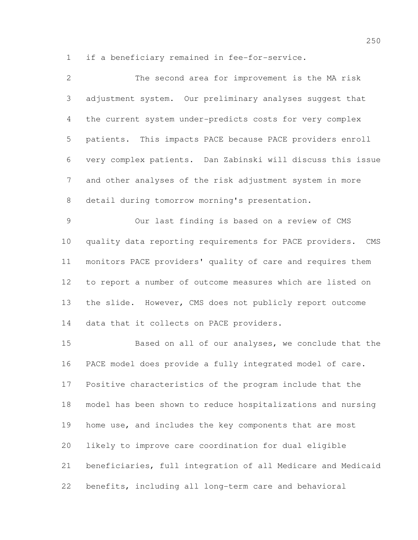if a beneficiary remained in fee-for-service.

| $\overline{2}$ | The second area for improvement is the MA risk               |
|----------------|--------------------------------------------------------------|
| 3              | adjustment system. Our preliminary analyses suggest that     |
| 4              | the current system under-predicts costs for very complex     |
| 5              | patients. This impacts PACE because PACE providers enroll    |
| 6              | very complex patients. Dan Zabinski will discuss this issue  |
| $\overline{7}$ | and other analyses of the risk adjustment system in more     |
| 8              | detail during tomorrow morning's presentation.               |
| $\mathcal{G}$  | Our last finding is based on a review of CMS                 |
| 10             | quality data reporting requirements for PACE providers. CMS  |
| 11             | monitors PACE providers' quality of care and requires them   |
| 12             | to report a number of outcome measures which are listed on   |
| 13             | the slide. However, CMS does not publicly report outcome     |
| 14             | data that it collects on PACE providers.                     |
| 15             | Based on all of our analyses, we conclude that the           |
| 16             | PACE model does provide a fully integrated model of care.    |
| 17             | Positive characteristics of the program include that the     |
| 18             | model has been shown to reduce hospitalizations and nursing  |
| 19             | home use, and includes the key components that are most      |
| 20             | likely to improve care coordination for dual eligible        |
| 21             | beneficiaries, full integration of all Medicare and Medicaid |
| 22             | benefits, including all long-term care and behavioral        |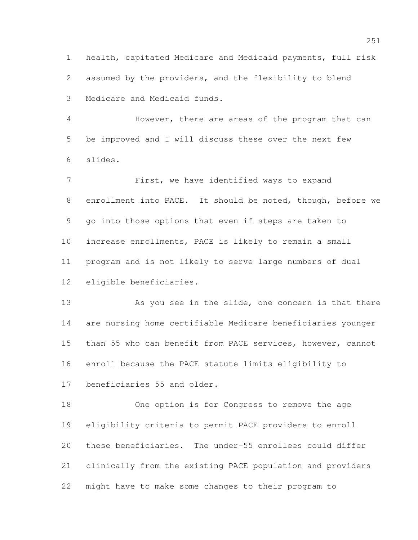health, capitated Medicare and Medicaid payments, full risk assumed by the providers, and the flexibility to blend Medicare and Medicaid funds.

 However, there are areas of the program that can be improved and I will discuss these over the next few slides.

 First, we have identified ways to expand enrollment into PACE. It should be noted, though, before we go into those options that even if steps are taken to increase enrollments, PACE is likely to remain a small program and is not likely to serve large numbers of dual eligible beneficiaries.

13 As you see in the slide, one concern is that there are nursing home certifiable Medicare beneficiaries younger than 55 who can benefit from PACE services, however, cannot enroll because the PACE statute limits eligibility to beneficiaries 55 and older.

 One option is for Congress to remove the age eligibility criteria to permit PACE providers to enroll these beneficiaries. The under-55 enrollees could differ clinically from the existing PACE population and providers might have to make some changes to their program to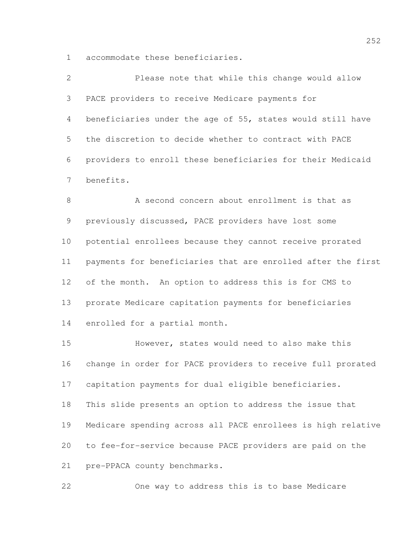accommodate these beneficiaries.

| $\overline{2}$ | Please note that while this change would allow               |
|----------------|--------------------------------------------------------------|
| 3              | PACE providers to receive Medicare payments for              |
| $\overline{4}$ | beneficiaries under the age of 55, states would still have   |
| 5              | the discretion to decide whether to contract with PACE       |
| 6              | providers to enroll these beneficiaries for their Medicaid   |
| 7              | benefits.                                                    |
| 8              | A second concern about enrollment is that as                 |
| 9              | previously discussed, PACE providers have lost some          |
| 10             | potential enrollees because they cannot receive prorated     |
| 11             | payments for beneficiaries that are enrolled after the first |

 of the month. An option to address this is for CMS to prorate Medicare capitation payments for beneficiaries enrolled for a partial month.

 However, states would need to also make this change in order for PACE providers to receive full prorated capitation payments for dual eligible beneficiaries. This slide presents an option to address the issue that Medicare spending across all PACE enrollees is high relative to fee-for-service because PACE providers are paid on the pre-PPACA county benchmarks.

One way to address this is to base Medicare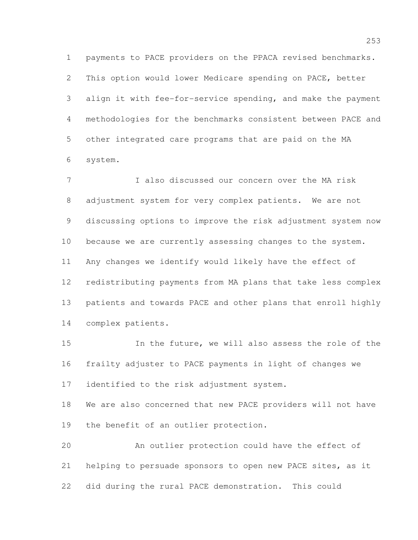payments to PACE providers on the PPACA revised benchmarks. This option would lower Medicare spending on PACE, better align it with fee-for-service spending, and make the payment methodologies for the benchmarks consistent between PACE and other integrated care programs that are paid on the MA system.

 I also discussed our concern over the MA risk adjustment system for very complex patients. We are not discussing options to improve the risk adjustment system now because we are currently assessing changes to the system. Any changes we identify would likely have the effect of redistributing payments from MA plans that take less complex patients and towards PACE and other plans that enroll highly complex patients.

 In the future, we will also assess the role of the frailty adjuster to PACE payments in light of changes we identified to the risk adjustment system.

 We are also concerned that new PACE providers will not have the benefit of an outlier protection.

 An outlier protection could have the effect of helping to persuade sponsors to open new PACE sites, as it did during the rural PACE demonstration. This could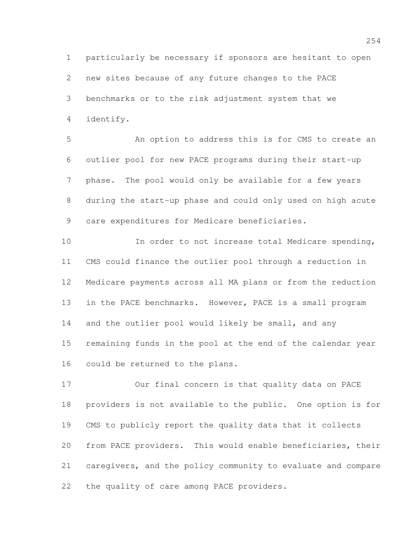particularly be necessary if sponsors are hesitant to open new sites because of any future changes to the PACE benchmarks or to the risk adjustment system that we identify.

 An option to address this is for CMS to create an outlier pool for new PACE programs during their start-up phase. The pool would only be available for a few years during the start-up phase and could only used on high acute care expenditures for Medicare beneficiaries.

10 In order to not increase total Medicare spending, CMS could finance the outlier pool through a reduction in Medicare payments across all MA plans or from the reduction in the PACE benchmarks. However, PACE is a small program 14 and the outlier pool would likely be small, and any remaining funds in the pool at the end of the calendar year could be returned to the plans.

 Our final concern is that quality data on PACE providers is not available to the public. One option is for CMS to publicly report the quality data that it collects from PACE providers. This would enable beneficiaries, their caregivers, and the policy community to evaluate and compare the quality of care among PACE providers.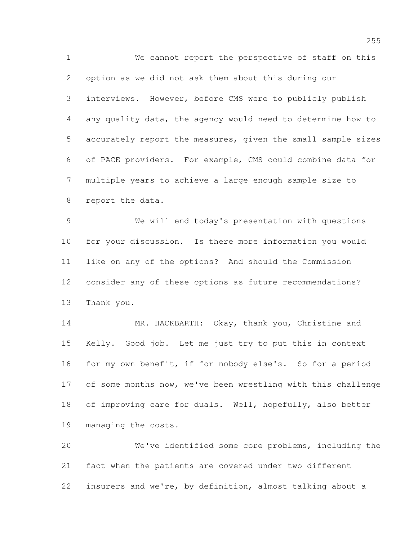We cannot report the perspective of staff on this option as we did not ask them about this during our interviews. However, before CMS were to publicly publish any quality data, the agency would need to determine how to accurately report the measures, given the small sample sizes of PACE providers. For example, CMS could combine data for multiple years to achieve a large enough sample size to report the data.

 We will end today's presentation with questions for your discussion. Is there more information you would like on any of the options? And should the Commission consider any of these options as future recommendations? Thank you.

14 MR. HACKBARTH: Okay, thank you, Christine and Kelly. Good job. Let me just try to put this in context for my own benefit, if for nobody else's. So for a period 17 of some months now, we've been wrestling with this challenge of improving care for duals. Well, hopefully, also better managing the costs.

 We've identified some core problems, including the fact when the patients are covered under two different insurers and we're, by definition, almost talking about a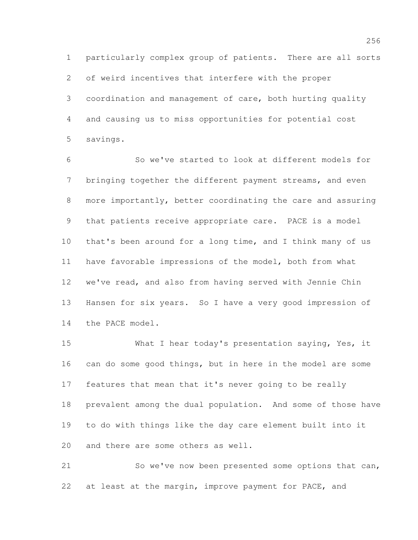particularly complex group of patients. There are all sorts of weird incentives that interfere with the proper coordination and management of care, both hurting quality and causing us to miss opportunities for potential cost savings.

 So we've started to look at different models for bringing together the different payment streams, and even more importantly, better coordinating the care and assuring that patients receive appropriate care. PACE is a model that's been around for a long time, and I think many of us have favorable impressions of the model, both from what we've read, and also from having served with Jennie Chin Hansen for six years. So I have a very good impression of the PACE model.

 What I hear today's presentation saying, Yes, it can do some good things, but in here in the model are some features that mean that it's never going to be really prevalent among the dual population. And some of those have to do with things like the day care element built into it and there are some others as well.

 So we've now been presented some options that can, at least at the margin, improve payment for PACE, and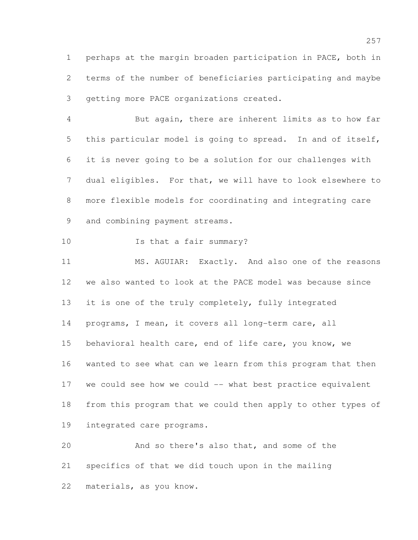perhaps at the margin broaden participation in PACE, both in terms of the number of beneficiaries participating and maybe getting more PACE organizations created.

 But again, there are inherent limits as to how far this particular model is going to spread. In and of itself, it is never going to be a solution for our challenges with dual eligibles. For that, we will have to look elsewhere to more flexible models for coordinating and integrating care 9 and combining payment streams.

10 Is that a fair summary?

 MS. AGUIAR: Exactly. And also one of the reasons we also wanted to look at the PACE model was because since it is one of the truly completely, fully integrated programs, I mean, it covers all long-term care, all behavioral health care, end of life care, you know, we wanted to see what can we learn from this program that then we could see how we could -- what best practice equivalent from this program that we could then apply to other types of integrated care programs.

 And so there's also that, and some of the specifics of that we did touch upon in the mailing materials, as you know.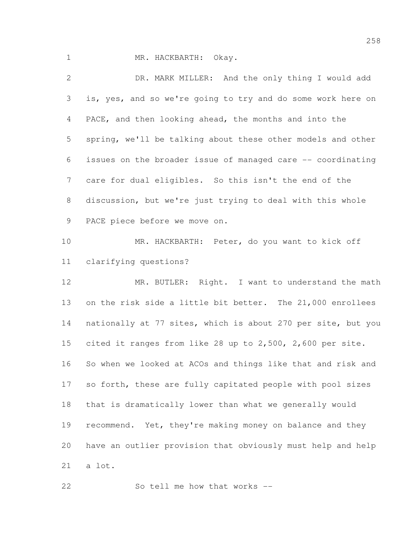1 MR. HACKBARTH: Okay.

 DR. MARK MILLER: And the only thing I would add is, yes, and so we're going to try and do some work here on PACE, and then looking ahead, the months and into the spring, we'll be talking about these other models and other issues on the broader issue of managed care -- coordinating care for dual eligibles. So this isn't the end of the discussion, but we're just trying to deal with this whole PACE piece before we move on. MR. HACKBARTH: Peter, do you want to kick off clarifying questions? MR. BUTLER: Right. I want to understand the math on the risk side a little bit better. The 21,000 enrollees nationally at 77 sites, which is about 270 per site, but you cited it ranges from like 28 up to 2,500, 2,600 per site. So when we looked at ACOs and things like that and risk and so forth, these are fully capitated people with pool sizes that is dramatically lower than what we generally would 19 recommend. Yet, they're making money on balance and they have an outlier provision that obviously must help and help a lot.

22 So tell me how that works --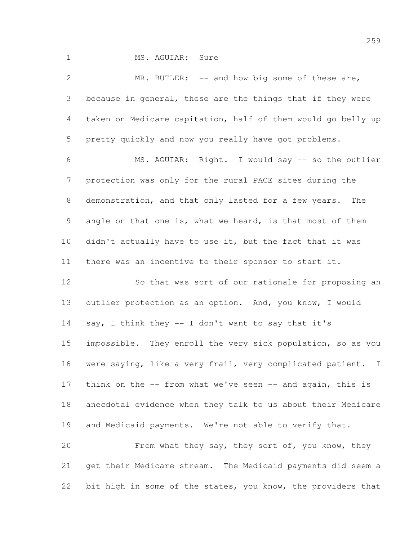1 MS. AGUIAR: Sure

 MR. BUTLER: -- and how big some of these are, because in general, these are the things that if they were taken on Medicare capitation, half of them would go belly up pretty quickly and now you really have got problems. MS. AGUIAR: Right. I would say -- so the outlier protection was only for the rural PACE sites during the demonstration, and that only lasted for a few years. The angle on that one is, what we heard, is that most of them didn't actually have to use it, but the fact that it was there was an incentive to their sponsor to start it. So that was sort of our rationale for proposing an outlier protection as an option. And, you know, I would say, I think they -- I don't want to say that it's impossible. They enroll the very sick population, so as you were saying, like a very frail, very complicated patient. I think on the -- from what we've seen -- and again, this is anecdotal evidence when they talk to us about their Medicare and Medicaid payments. We're not able to verify that. From what they say, they sort of, you know, they get their Medicare stream. The Medicaid payments did seem a

bit high in some of the states, you know, the providers that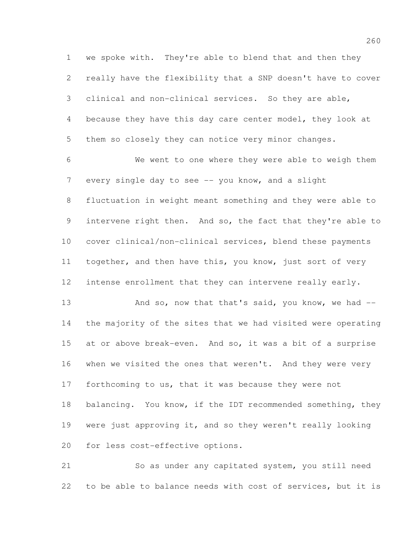we spoke with. They're able to blend that and then they really have the flexibility that a SNP doesn't have to cover clinical and non-clinical services. So they are able, because they have this day care center model, they look at them so closely they can notice very minor changes.

 We went to one where they were able to weigh them 7 every single day to see -- you know, and a slight fluctuation in weight meant something and they were able to intervene right then. And so, the fact that they're able to cover clinical/non-clinical services, blend these payments 11 together, and then have this, you know, just sort of very intense enrollment that they can intervene really early.

13 And so, now that that's said, you know, we had -- the majority of the sites that we had visited were operating at or above break-even. And so, it was a bit of a surprise when we visited the ones that weren't. And they were very forthcoming to us, that it was because they were not 18 balancing. You know, if the IDT recommended something, they were just approving it, and so they weren't really looking for less cost-effective options.

 So as under any capitated system, you still need to be able to balance needs with cost of services, but it is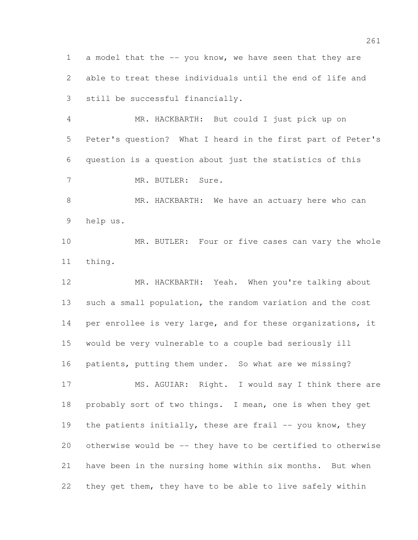a model that the -- you know, we have seen that they are able to treat these individuals until the end of life and still be successful financially.

 MR. HACKBARTH: But could I just pick up on Peter's question? What I heard in the first part of Peter's question is a question about just the statistics of this 7 MR. BUTLER: Sure.

8 MR. HACKBARTH: We have an actuary here who can help us.

 MR. BUTLER: Four or five cases can vary the whole thing.

 MR. HACKBARTH: Yeah. When you're talking about such a small population, the random variation and the cost 14 per enrollee is very large, and for these organizations, it would be very vulnerable to a couple bad seriously ill patients, putting them under. So what are we missing?

17 MS. AGUIAR: Right. I would say I think there are probably sort of two things. I mean, one is when they get 19 the patients initially, these are frail -- you know, they otherwise would be -- they have to be certified to otherwise have been in the nursing home within six months. But when they get them, they have to be able to live safely within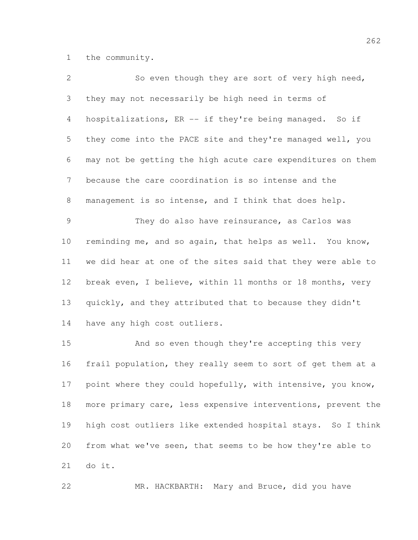the community.

| $\overline{2}$ | So even though they are sort of very high need,                |
|----------------|----------------------------------------------------------------|
| 3              | they may not necessarily be high need in terms of              |
| 4              | hospitalizations, ER -- if they're being managed. So if        |
| 5              | they come into the PACE site and they're managed well, you     |
| 6              | may not be getting the high acute care expenditures on them    |
| 7              | because the care coordination is so intense and the            |
| 8              | management is so intense, and I think that does help.          |
| 9              | They do also have reinsurance, as Carlos was                   |
| 10             | reminding me, and so again, that helps as well. You know,      |
| 11             | we did hear at one of the sites said that they were able to    |
| 12             | break even, I believe, within 11 months or 18 months, very     |
| 13             | quickly, and they attributed that to because they didn't       |
| 14             | have any high cost outliers.                                   |
| 15             | And so even though they're accepting this very                 |
| 16             | frail population, they really seem to sort of get them at a    |
| 17             | point where they could hopefully, with intensive, you know,    |
| 18             | more primary care, less expensive interventions, prevent the   |
| 19             | high cost outliers like extended hospital stays.<br>So I think |

from what we've seen, that seems to be how they're able to

do it.

MR. HACKBARTH: Mary and Bruce, did you have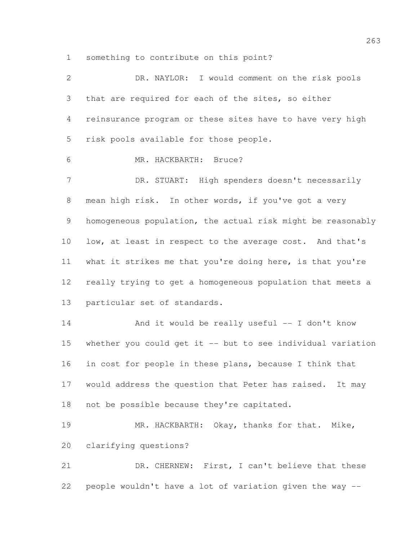something to contribute on this point?

| $\mathbf{2}$ | DR. NAYLOR: I would comment on the risk pools               |
|--------------|-------------------------------------------------------------|
| 3            | that are required for each of the sites, so either          |
| 4            | reinsurance program or these sites have to have very high   |
| 5            | risk pools available for those people.                      |
| 6            | MR. HACKBARTH: Bruce?                                       |
| 7            | DR. STUART: High spenders doesn't necessarily               |
| $8\,$        | mean high risk. In other words, if you've got a very        |
| 9            | homogeneous population, the actual risk might be reasonably |
| 10           | low, at least in respect to the average cost. And that's    |
| 11           | what it strikes me that you're doing here, is that you're   |
| 12           | really trying to get a homogeneous population that meets a  |
| 13           | particular set of standards.                                |
| 14           | And it would be really useful -- I don't know               |
| 15           | whether you could get it -- but to see individual variation |
| 16           | in cost for people in these plans, because I think that     |
| 17           | would address the question that Peter has raised. It may    |
| 18           | not be possible because they're capitated.                  |
| 19           | MR. HACKBARTH: Okay, thanks for that. Mike,                 |
| 20           | clarifying questions?                                       |
| 21           | DR. CHERNEW: First, I can't believe that these              |
| 22           | people wouldn't have a lot of variation given the way --    |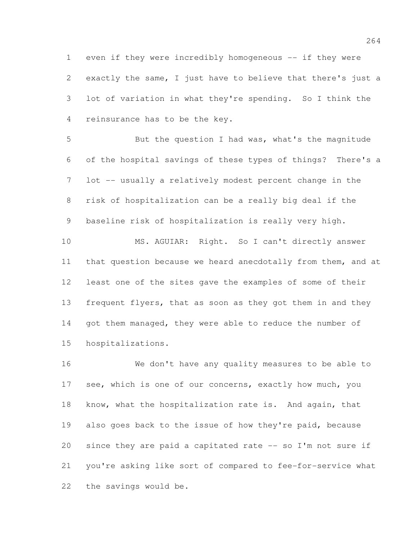even if they were incredibly homogeneous -- if they were exactly the same, I just have to believe that there's just a lot of variation in what they're spending. So I think the reinsurance has to be the key.

 But the question I had was, what's the magnitude of the hospital savings of these types of things? There's a lot -- usually a relatively modest percent change in the risk of hospitalization can be a really big deal if the baseline risk of hospitalization is really very high.

 MS. AGUIAR: Right. So I can't directly answer that question because we heard anecdotally from them, and at least one of the sites gave the examples of some of their 13 frequent flyers, that as soon as they got them in and they 14 got them managed, they were able to reduce the number of hospitalizations.

 We don't have any quality measures to be able to 17 see, which is one of our concerns, exactly how much, you know, what the hospitalization rate is. And again, that also goes back to the issue of how they're paid, because since they are paid a capitated rate -- so I'm not sure if you're asking like sort of compared to fee-for-service what the savings would be.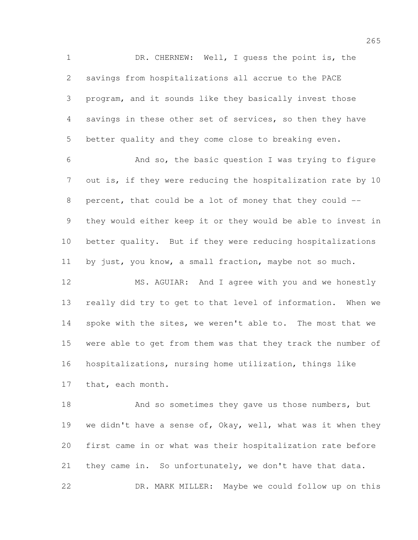DR. CHERNEW: Well, I guess the point is, the savings from hospitalizations all accrue to the PACE program, and it sounds like they basically invest those savings in these other set of services, so then they have better quality and they come close to breaking even. And so, the basic question I was trying to figure out is, if they were reducing the hospitalization rate by 10 percent, that could be a lot of money that they could -- they would either keep it or they would be able to invest in better quality. But if they were reducing hospitalizations by just, you know, a small fraction, maybe not so much.

 MS. AGUIAR: And I agree with you and we honestly really did try to get to that level of information. When we 14 spoke with the sites, we weren't able to. The most that we were able to get from them was that they track the number of hospitalizations, nursing home utilization, things like that, each month.

18 And so sometimes they gave us those numbers, but 19 we didn't have a sense of, Okay, well, what was it when they first came in or what was their hospitalization rate before they came in. So unfortunately, we don't have that data. DR. MARK MILLER: Maybe we could follow up on this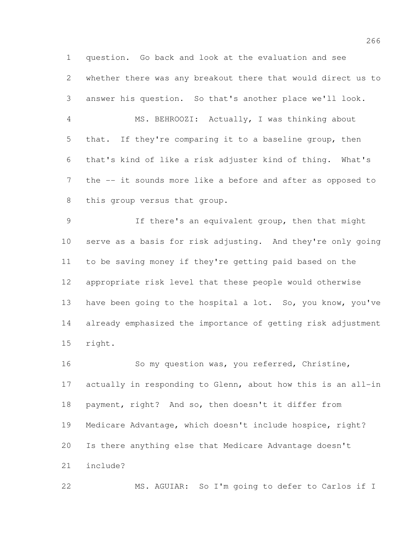question. Go back and look at the evaluation and see whether there was any breakout there that would direct us to answer his question. So that's another place we'll look. MS. BEHROOZI: Actually, I was thinking about that. If they're comparing it to a baseline group, then that's kind of like a risk adjuster kind of thing. What's the -- it sounds more like a before and after as opposed to this group versus that group.

 If there's an equivalent group, then that might serve as a basis for risk adjusting. And they're only going to be saving money if they're getting paid based on the appropriate risk level that these people would otherwise have been going to the hospital a lot. So, you know, you've already emphasized the importance of getting risk adjustment right.

 So my question was, you referred, Christine, actually in responding to Glenn, about how this is an all-in payment, right? And so, then doesn't it differ from Medicare Advantage, which doesn't include hospice, right? Is there anything else that Medicare Advantage doesn't include?

MS. AGUIAR: So I'm going to defer to Carlos if I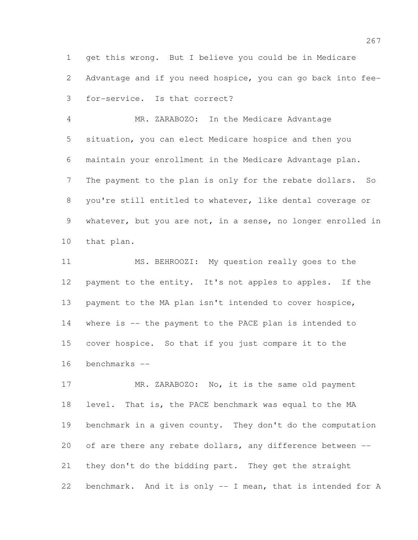get this wrong. But I believe you could be in Medicare Advantage and if you need hospice, you can go back into fee-for-service. Is that correct?

 MR. ZARABOZO: In the Medicare Advantage situation, you can elect Medicare hospice and then you maintain your enrollment in the Medicare Advantage plan. The payment to the plan is only for the rebate dollars. So you're still entitled to whatever, like dental coverage or whatever, but you are not, in a sense, no longer enrolled in that plan.

 MS. BEHROOZI: My question really goes to the payment to the entity. It's not apples to apples. If the payment to the MA plan isn't intended to cover hospice, where is -- the payment to the PACE plan is intended to cover hospice. So that if you just compare it to the benchmarks --

17 MR. ZARABOZO: No, it is the same old payment level. That is, the PACE benchmark was equal to the MA benchmark in a given county. They don't do the computation 20 of are there any rebate dollars, any difference between -- they don't do the bidding part. They get the straight benchmark. And it is only -- I mean, that is intended for A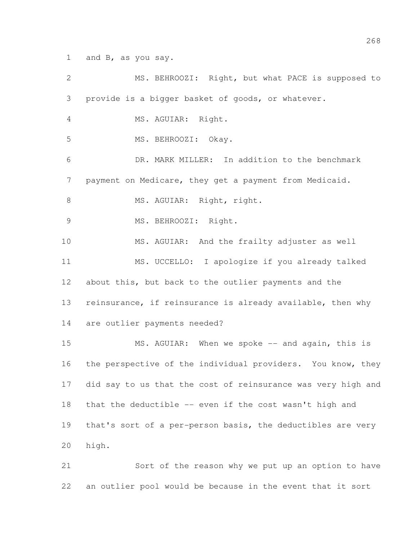and B, as you say.

 MS. BEHROOZI: Right, but what PACE is supposed to provide is a bigger basket of goods, or whatever. MS. AGUIAR: Right. MS. BEHROOZI: Okay. DR. MARK MILLER: In addition to the benchmark payment on Medicare, they get a payment from Medicaid. 8 MS. AGUIAR: Right, right. 9 MS. BEHROOZI: Right. MS. AGUIAR: And the frailty adjuster as well MS. UCCELLO: I apologize if you already talked about this, but back to the outlier payments and the reinsurance, if reinsurance is already available, then why are outlier payments needed? 15 MS. AGUIAR: When we spoke -- and again, this is 16 the perspective of the individual providers. You know, they did say to us that the cost of reinsurance was very high and that the deductible -- even if the cost wasn't high and that's sort of a per-person basis, the deductibles are very high. Sort of the reason why we put up an option to have

an outlier pool would be because in the event that it sort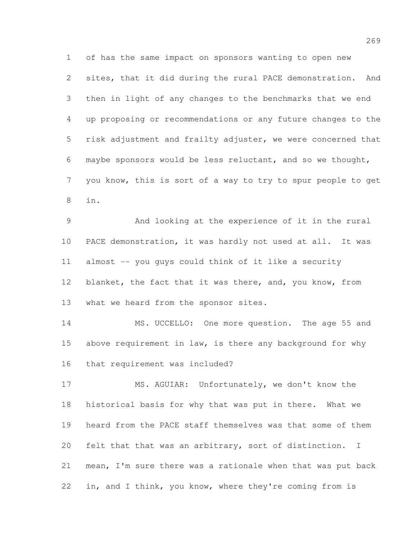of has the same impact on sponsors wanting to open new sites, that it did during the rural PACE demonstration. And then in light of any changes to the benchmarks that we end up proposing or recommendations or any future changes to the risk adjustment and frailty adjuster, we were concerned that maybe sponsors would be less reluctant, and so we thought, you know, this is sort of a way to try to spur people to get in.

 And looking at the experience of it in the rural PACE demonstration, it was hardly not used at all. It was almost -- you guys could think of it like a security blanket, the fact that it was there, and, you know, from what we heard from the sponsor sites.

14 MS. UCCELLO: One more question. The age 55 and 15 above requirement in law, is there any background for why that requirement was included?

 MS. AGUIAR: Unfortunately, we don't know the historical basis for why that was put in there. What we heard from the PACE staff themselves was that some of them felt that that was an arbitrary, sort of distinction. I mean, I'm sure there was a rationale when that was put back in, and I think, you know, where they're coming from is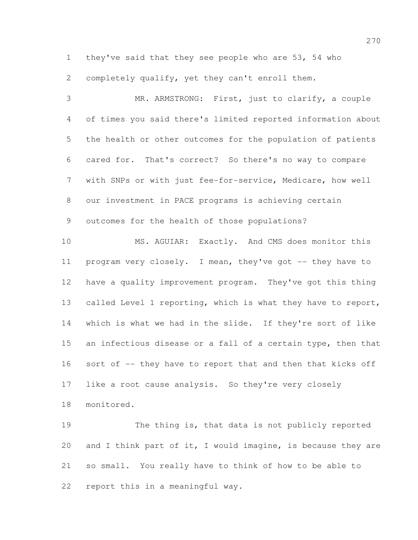they've said that they see people who are 53, 54 who completely qualify, yet they can't enroll them.

 MR. ARMSTRONG: First, just to clarify, a couple of times you said there's limited reported information about the health or other outcomes for the population of patients cared for. That's correct? So there's no way to compare with SNPs or with just fee-for-service, Medicare, how well our investment in PACE programs is achieving certain outcomes for the health of those populations? MS. AGUIAR: Exactly. And CMS does monitor this program very closely. I mean, they've got -- they have to have a quality improvement program. They've got this thing called Level 1 reporting, which is what they have to report, which is what we had in the slide. If they're sort of like an infectious disease or a fall of a certain type, then that sort of -- they have to report that and then that kicks off like a root cause analysis. So they're very closely monitored.

 The thing is, that data is not publicly reported and I think part of it, I would imagine, is because they are so small. You really have to think of how to be able to report this in a meaningful way.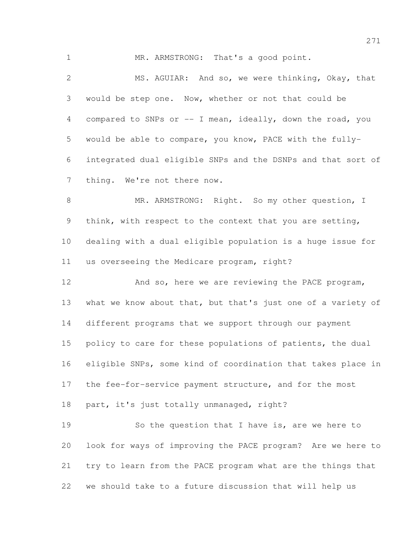1 MR. ARMSTRONG: That's a good point.

 MS. AGUIAR: And so, we were thinking, Okay, that would be step one. Now, whether or not that could be compared to SNPs or -- I mean, ideally, down the road, you would be able to compare, you know, PACE with the fully- integrated dual eligible SNPs and the DSNPs and that sort of thing. We're not there now.

8 MR. ARMSTRONG: Right. So my other question, I think, with respect to the context that you are setting, dealing with a dual eligible population is a huge issue for us overseeing the Medicare program, right?

 And so, here we are reviewing the PACE program, what we know about that, but that's just one of a variety of different programs that we support through our payment 15 policy to care for these populations of patients, the dual eligible SNPs, some kind of coordination that takes place in the fee-for-service payment structure, and for the most part, it's just totally unmanaged, right?

 So the question that I have is, are we here to look for ways of improving the PACE program? Are we here to try to learn from the PACE program what are the things that we should take to a future discussion that will help us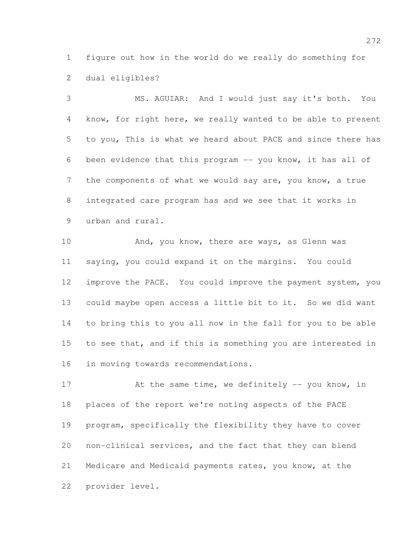figure out how in the world do we really do something for dual eligibles?

 MS. AGUIAR: And I would just say it's both. You know, for right here, we really wanted to be able to present to you, This is what we heard about PACE and since there has been evidence that this program -- you know, it has all of the components of what we would say are, you know, a true integrated care program has and we see that it works in urban and rural.

10 And, you know, there are ways, as Glenn was saying, you could expand it on the margins. You could improve the PACE. You could improve the payment system, you could maybe open access a little bit to it. So we did want to bring this to you all now in the fall for you to be able to see that, and if this is something you are interested in in moving towards recommendations.

17 At the same time, we definitely -- you know, in places of the report we're noting aspects of the PACE program, specifically the flexibility they have to cover non-clinical services, and the fact that they can blend Medicare and Medicaid payments rates, you know, at the provider level.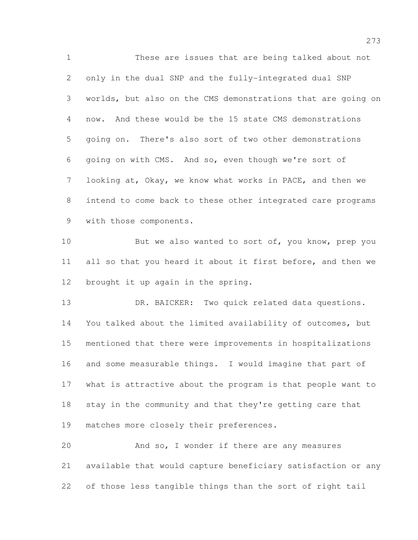These are issues that are being talked about not only in the dual SNP and the fully-integrated dual SNP worlds, but also on the CMS demonstrations that are going on now. And these would be the 15 state CMS demonstrations going on. There's also sort of two other demonstrations going on with CMS. And so, even though we're sort of looking at, Okay, we know what works in PACE, and then we intend to come back to these other integrated care programs with those components.

10 But we also wanted to sort of, you know, prep you 11 all so that you heard it about it first before, and then we brought it up again in the spring.

13 DR. BAICKER: Two quick related data questions. You talked about the limited availability of outcomes, but mentioned that there were improvements in hospitalizations and some measurable things. I would imagine that part of what is attractive about the program is that people want to stay in the community and that they're getting care that 19 matches more closely their preferences.

 And so, I wonder if there are any measures available that would capture beneficiary satisfaction or any of those less tangible things than the sort of right tail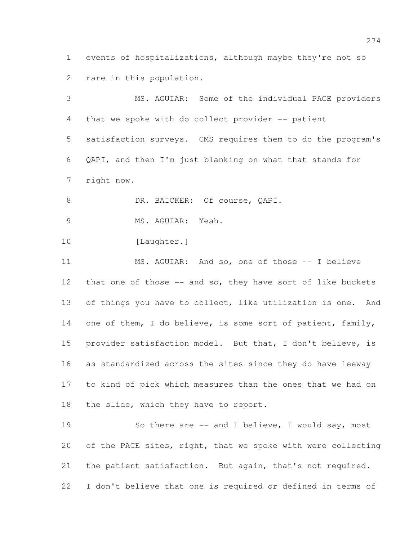events of hospitalizations, although maybe they're not so rare in this population.

 MS. AGUIAR: Some of the individual PACE providers that we spoke with do collect provider -- patient satisfaction surveys. CMS requires them to do the program's QAPI, and then I'm just blanking on what that stands for right now. 8 DR. BAICKER: Of course, QAPI. MS. AGUIAR: Yeah. 10 [Laughter.] MS. AGUIAR: And so, one of those -- I believe 12 that one of those -- and so, they have sort of like buckets 13 of things you have to collect, like utilization is one. And 14 one of them, I do believe, is some sort of patient, family, provider satisfaction model. But that, I don't believe, is as standardized across the sites since they do have leeway to kind of pick which measures than the ones that we had on 18 the slide, which they have to report.

19 So there are -- and I believe, I would say, most of the PACE sites, right, that we spoke with were collecting the patient satisfaction. But again, that's not required. I don't believe that one is required or defined in terms of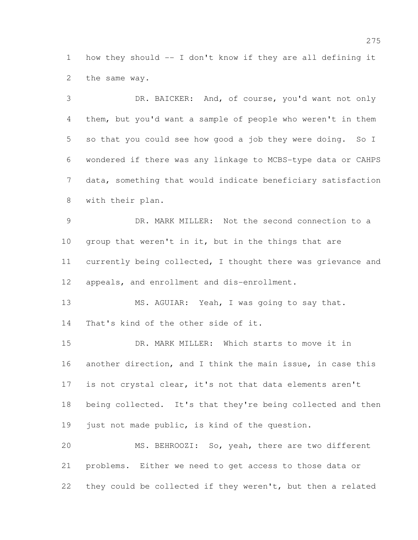how they should -- I don't know if they are all defining it the same way.

 DR. BAICKER: And, of course, you'd want not only them, but you'd want a sample of people who weren't in them so that you could see how good a job they were doing. So I wondered if there was any linkage to MCBS-type data or CAHPS data, something that would indicate beneficiary satisfaction with their plan.

 DR. MARK MILLER: Not the second connection to a group that weren't in it, but in the things that are currently being collected, I thought there was grievance and appeals, and enrollment and dis-enrollment.

 MS. AGUIAR: Yeah, I was going to say that. That's kind of the other side of it.

 DR. MARK MILLER: Which starts to move it in another direction, and I think the main issue, in case this is not crystal clear, it's not that data elements aren't being collected. It's that they're being collected and then just not made public, is kind of the question. MS. BEHROOZI: So, yeah, there are two different

 problems. Either we need to get access to those data or they could be collected if they weren't, but then a related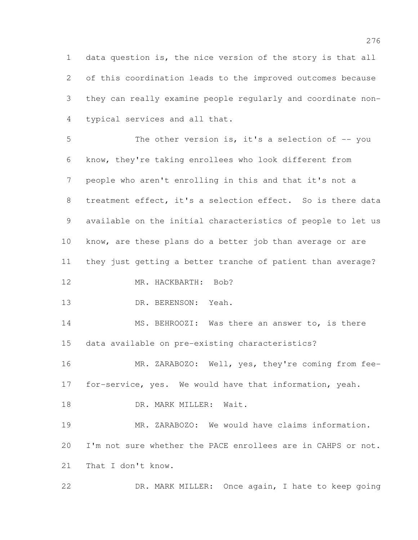data question is, the nice version of the story is that all of this coordination leads to the improved outcomes because they can really examine people regularly and coordinate non-typical services and all that.

 The other version is, it's a selection of -- you know, they're taking enrollees who look different from people who aren't enrolling in this and that it's not a treatment effect, it's a selection effect. So is there data available on the initial characteristics of people to let us know, are these plans do a better job than average or are they just getting a better tranche of patient than average? 12 MR. HACKBARTH: Bob? DR. BERENSON: Yeah. MS. BEHROOZI: Was there an answer to, is there data available on pre-existing characteristics?

16 MR. ZARABOZO: Well, yes, they're coming from fee-for-service, yes. We would have that information, yeah.

18 DR. MARK MILLER: Wait.

 MR. ZARABOZO: We would have claims information. I'm not sure whether the PACE enrollees are in CAHPS or not. That I don't know.

DR. MARK MILLER: Once again, I hate to keep going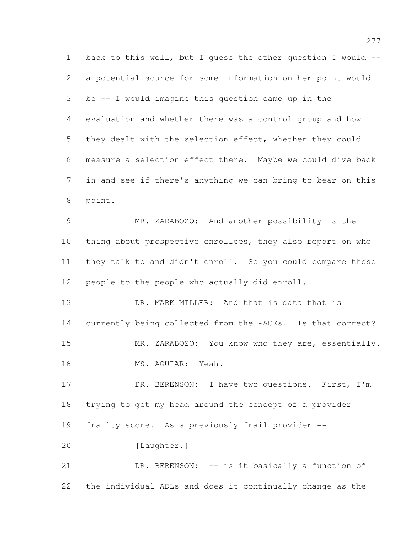back to this well, but I guess the other question I would -- a potential source for some information on her point would be -- I would imagine this question came up in the evaluation and whether there was a control group and how they dealt with the selection effect, whether they could measure a selection effect there. Maybe we could dive back in and see if there's anything we can bring to bear on this point. MR. ZARABOZO: And another possibility is the thing about prospective enrollees, they also report on who they talk to and didn't enroll. So you could compare those people to the people who actually did enroll. DR. MARK MILLER: And that is data that is currently being collected from the PACEs. Is that correct? 15 MR. ZARABOZO: You know who they are, essentially. MS. AGUIAR: Yeah. 17 DR. BERENSON: I have two questions. First, I'm trying to get my head around the concept of a provider frailty score. As a previously frail provider -- [Laughter.] 21 DR. BERENSON: -- is it basically a function of the individual ADLs and does it continually change as the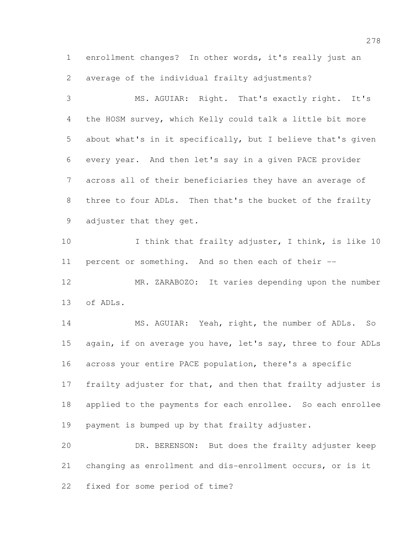enrollment changes? In other words, it's really just an average of the individual frailty adjustments?

 MS. AGUIAR: Right. That's exactly right. It's the HOSM survey, which Kelly could talk a little bit more about what's in it specifically, but I believe that's given every year. And then let's say in a given PACE provider across all of their beneficiaries they have an average of three to four ADLs. Then that's the bucket of the frailty adjuster that they get.

10 I think that frailty adjuster, I think, is like 10 percent or something. And so then each of their --

 MR. ZARABOZO: It varies depending upon the number of ADLs.

 MS. AGUIAR: Yeah, right, the number of ADLs. So again, if on average you have, let's say, three to four ADLs across your entire PACE population, there's a specific 17 frailty adjuster for that, and then that frailty adjuster is applied to the payments for each enrollee. So each enrollee payment is bumped up by that frailty adjuster.

 DR. BERENSON: But does the frailty adjuster keep changing as enrollment and dis-enrollment occurs, or is it fixed for some period of time?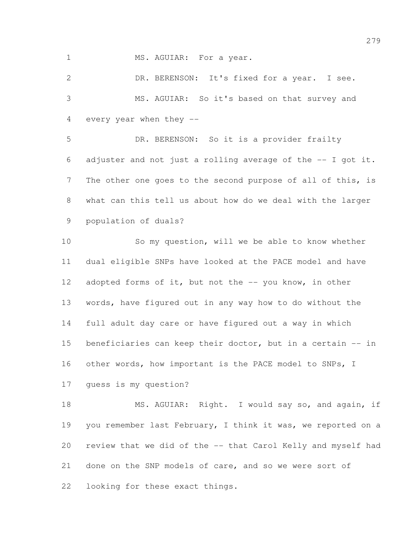1 MS. AGUIAR: For a year.

 DR. BERENSON: It's fixed for a year. I see. MS. AGUIAR: So it's based on that survey and every year when they --

 DR. BERENSON: So it is a provider frailty 6 adjuster and not just a rolling average of the  $-$ - I got it. The other one goes to the second purpose of all of this, is what can this tell us about how do we deal with the larger population of duals?

 So my question, will we be able to know whether dual eligible SNPs have looked at the PACE model and have 12 adopted forms of it, but not the -- you know, in other words, have figured out in any way how to do without the full adult day care or have figured out a way in which beneficiaries can keep their doctor, but in a certain -- in other words, how important is the PACE model to SNPs, I guess is my question?

18 MS. AGUIAR: Right. I would say so, and again, if you remember last February, I think it was, we reported on a review that we did of the -- that Carol Kelly and myself had done on the SNP models of care, and so we were sort of looking for these exact things.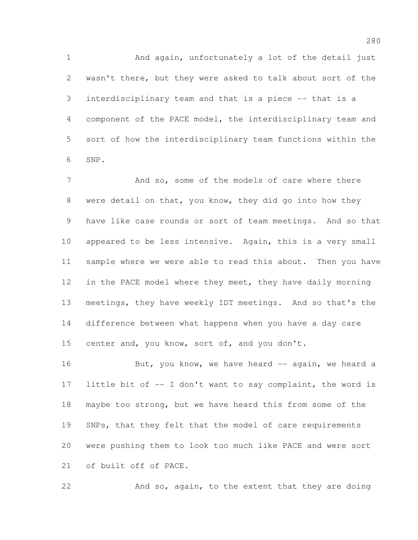And again, unfortunately a lot of the detail just wasn't there, but they were asked to talk about sort of the interdisciplinary team and that is a piece -- that is a component of the PACE model, the interdisciplinary team and sort of how the interdisciplinary team functions within the SNP.

7 And so, some of the models of care where there were detail on that, you know, they did go into how they have like case rounds or sort of team meetings. And so that appeared to be less intensive. Again, this is a very small sample where we were able to read this about. Then you have 12 in the PACE model where they meet, they have daily morning meetings, they have weekly IDT meetings. And so that's the difference between what happens when you have a day care 15 center and, you know, sort of, and you don't.

16 But, you know, we have heard -- again, we heard a 17 little bit of -- I don't want to say complaint, the word is maybe too strong, but we have heard this from some of the 19 SNPs, that they felt that the model of care requirements were pushing them to look too much like PACE and were sort of built off of PACE.

And so, again, to the extent that they are doing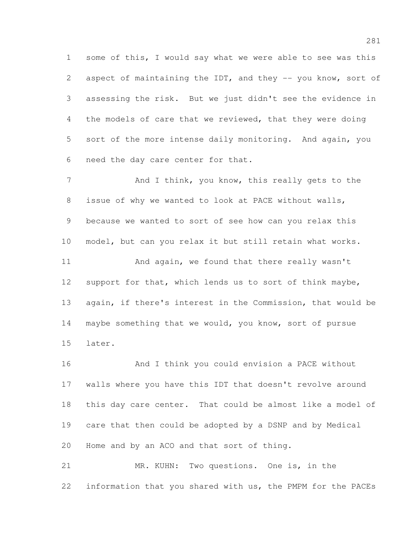some of this, I would say what we were able to see was this 2 aspect of maintaining the IDT, and they -- you know, sort of assessing the risk. But we just didn't see the evidence in the models of care that we reviewed, that they were doing sort of the more intense daily monitoring. And again, you need the day care center for that.

7 And I think, you know, this really gets to the issue of why we wanted to look at PACE without walls, because we wanted to sort of see how can you relax this model, but can you relax it but still retain what works. 11 And again, we found that there really wasn't support for that, which lends us to sort of think maybe, again, if there's interest in the Commission, that would be maybe something that we would, you know, sort of pursue later.

 And I think you could envision a PACE without walls where you have this IDT that doesn't revolve around this day care center. That could be almost like a model of care that then could be adopted by a DSNP and by Medical Home and by an ACO and that sort of thing.

 MR. KUHN: Two questions. One is, in the information that you shared with us, the PMPM for the PACEs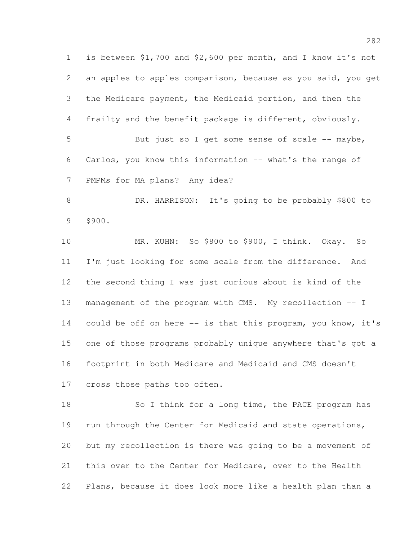is between \$1,700 and \$2,600 per month, and I know it's not an apples to apples comparison, because as you said, you get the Medicare payment, the Medicaid portion, and then the frailty and the benefit package is different, obviously. 5 But just so I get some sense of scale -- maybe, Carlos, you know this information -- what's the range of PMPMs for MA plans? Any idea? DR. HARRISON: It's going to be probably \$800 to \$900. MR. KUHN: So \$800 to \$900, I think. Okay. So I'm just looking for some scale from the difference. And the second thing I was just curious about is kind of the management of the program with CMS. My recollection -- I 14 could be off on here -- is that this program, you know, it's one of those programs probably unique anywhere that's got a footprint in both Medicare and Medicaid and CMS doesn't cross those paths too often.

18 So I think for a long time, the PACE program has run through the Center for Medicaid and state operations, but my recollection is there was going to be a movement of this over to the Center for Medicare, over to the Health Plans, because it does look more like a health plan than a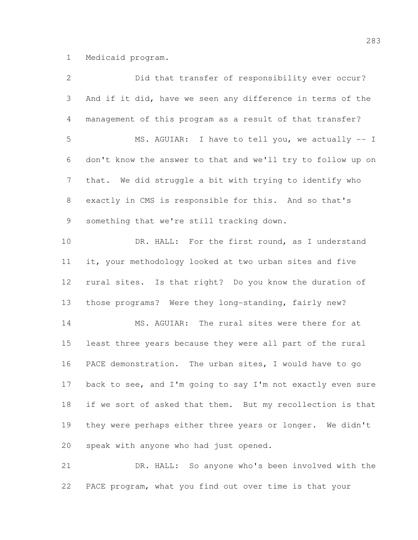Medicaid program.

| 2              | Did that transfer of responsibility ever occur?             |
|----------------|-------------------------------------------------------------|
| $\mathfrak{Z}$ | And if it did, have we seen any difference in terms of the  |
| 4              | management of this program as a result of that transfer?    |
| 5              | MS. AGUIAR: I have to tell you, we actually -- I            |
| 6              | don't know the answer to that and we'll try to follow up on |
| $\overline{7}$ | that. We did struggle a bit with trying to identify who     |
| $8\,$          | exactly in CMS is responsible for this. And so that's       |
| 9              | something that we're still tracking down.                   |
| 10             | DR. HALL: For the first round, as I understand              |
| 11             | it, your methodology looked at two urban sites and five     |
| 12             | rural sites. Is that right? Do you know the duration of     |
| 13             | those programs? Were they long-standing, fairly new?        |
| 14             | MS. AGUIAR: The rural sites were there for at               |
| 15             | least three years because they were all part of the rural   |
| 16             | PACE demonstration. The urban sites, I would have to go     |
| 17             | back to see, and I'm going to say I'm not exactly even sure |
| 18             | if we sort of asked that them. But my recollection is that  |
| 19             | they were perhaps either three years or longer. We didn't   |
| 20             | speak with anyone who had just opened.                      |
| 21             | So anyone who's been involved with the<br>DR. HALL:         |

PACE program, what you find out over time is that your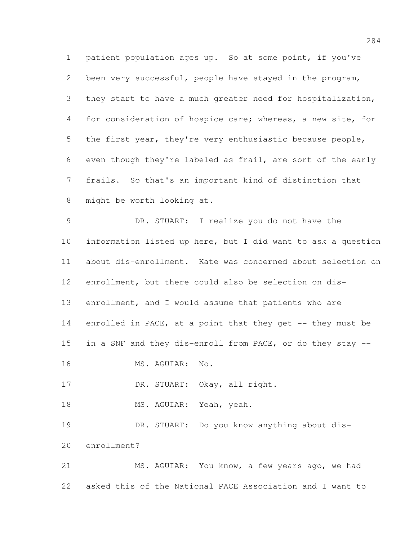patient population ages up. So at some point, if you've been very successful, people have stayed in the program, they start to have a much greater need for hospitalization, for consideration of hospice care; whereas, a new site, for the first year, they're very enthusiastic because people, even though they're labeled as frail, are sort of the early frails. So that's an important kind of distinction that might be worth looking at.

 DR. STUART: I realize you do not have the information listed up here, but I did want to ask a question about dis-enrollment. Kate was concerned about selection on enrollment, but there could also be selection on dis- enrollment, and I would assume that patients who are enrolled in PACE, at a point that they get -- they must be in a SNF and they dis-enroll from PACE, or do they stay -- MS. AGUIAR: No.

17 DR. STUART: Okay, all right.

18 MS. AGUIAR: Yeah, yeah.

 DR. STUART: Do you know anything about dis-enrollment?

 MS. AGUIAR: You know, a few years ago, we had asked this of the National PACE Association and I want to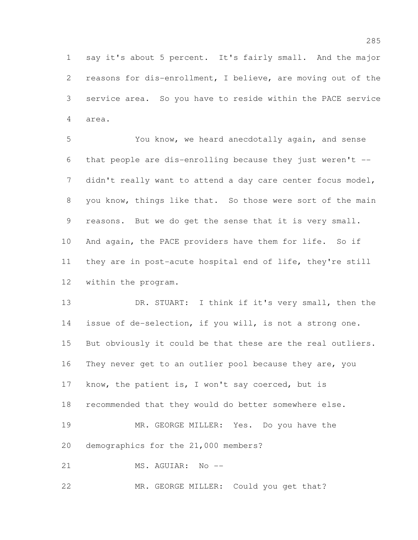say it's about 5 percent. It's fairly small. And the major reasons for dis-enrollment, I believe, are moving out of the service area. So you have to reside within the PACE service area.

 You know, we heard anecdotally again, and sense that people are dis-enrolling because they just weren't -- didn't really want to attend a day care center focus model, you know, things like that. So those were sort of the main reasons. But we do get the sense that it is very small. And again, the PACE providers have them for life. So if they are in post-acute hospital end of life, they're still within the program.

 DR. STUART: I think if it's very small, then the issue of de-selection, if you will, is not a strong one. But obviously it could be that these are the real outliers. They never get to an outlier pool because they are, you know, the patient is, I won't say coerced, but is recommended that they would do better somewhere else. MR. GEORGE MILLER: Yes. Do you have the demographics for the 21,000 members? MS. AGUIAR: No --

MR. GEORGE MILLER: Could you get that?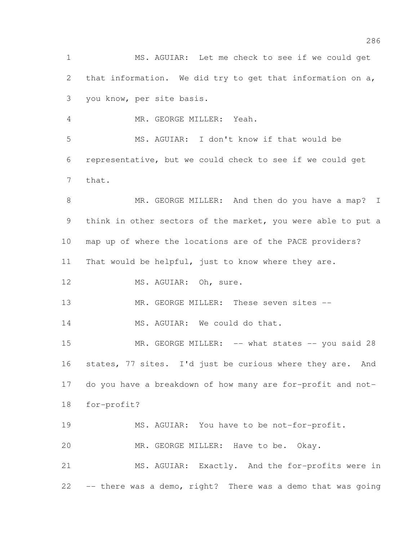MS. AGUIAR: Let me check to see if we could get that information. We did try to get that information on a, you know, per site basis.

MR. GEORGE MILLER: Yeah.

 MS. AGUIAR: I don't know if that would be representative, but we could check to see if we could get that.

8 MR. GEORGE MILLER: And then do you have a map? I think in other sectors of the market, you were able to put a map up of where the locations are of the PACE providers? That would be helpful, just to know where they are. 12 MS. AGUIAR: Oh, sure. 13 MR. GEORGE MILLER: These seven sites --

14 MS. AGUIAR: We could do that.

15 MR. GEORGE MILLER: -- what states -- you said 28 16 states, 77 sites. I'd just be curious where they are. And do you have a breakdown of how many are for-profit and not-for-profit?

MS. AGUIAR: You have to be not-for-profit.

MR. GEORGE MILLER: Have to be. Okay.

 MS. AGUIAR: Exactly. And the for-profits were in -- there was a demo, right? There was a demo that was going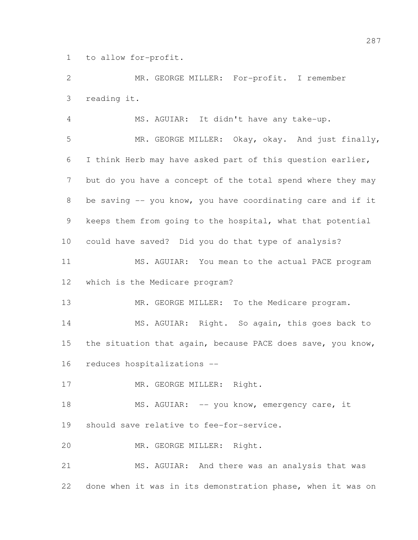to allow for-profit.

 MR. GEORGE MILLER: For-profit. I remember reading it.

 MS. AGUIAR: It didn't have any take-up. MR. GEORGE MILLER: Okay, okay. And just finally, I think Herb may have asked part of this question earlier, but do you have a concept of the total spend where they may be saving -- you know, you have coordinating care and if it keeps them from going to the hospital, what that potential could have saved? Did you do that type of analysis? MS. AGUIAR: You mean to the actual PACE program which is the Medicare program? 13 MR. GEORGE MILLER: To the Medicare program. MS. AGUIAR: Right. So again, this goes back to 15 the situation that again, because PACE does save, you know, reduces hospitalizations -- 17 MR. GEORGE MILLER: Right. 18 MS. AGUIAR: -- you know, emergency care, it should save relative to fee-for-service. MR. GEORGE MILLER: Right. MS. AGUIAR: And there was an analysis that was done when it was in its demonstration phase, when it was on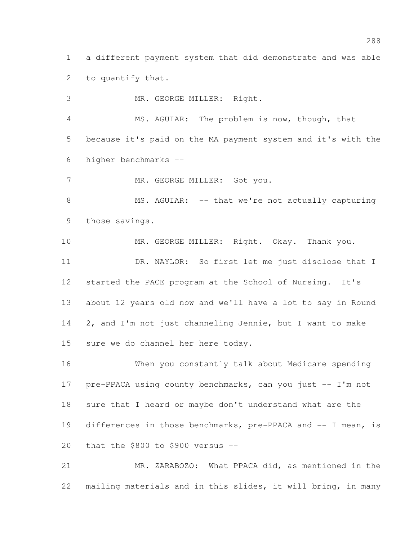a different payment system that did demonstrate and was able to quantify that.

 MR. GEORGE MILLER: Right. MS. AGUIAR: The problem is now, though, that because it's paid on the MA payment system and it's with the higher benchmarks --

7 MR. GEORGE MILLER: Got you.

8 MS. AGUIAR: -- that we're not actually capturing those savings.

10 MR. GEORGE MILLER: Right. Okay. Thank you. DR. NAYLOR: So first let me just disclose that I started the PACE program at the School of Nursing. It's about 12 years old now and we'll have a lot to say in Round 2, and I'm not just channeling Jennie, but I want to make sure we do channel her here today.

 When you constantly talk about Medicare spending 17 pre-PPACA using county benchmarks, can you just -- I'm not sure that I heard or maybe don't understand what are the 19 differences in those benchmarks, pre-PPACA and -- I mean, is that the \$800 to \$900 versus --

 MR. ZARABOZO: What PPACA did, as mentioned in the mailing materials and in this slides, it will bring, in many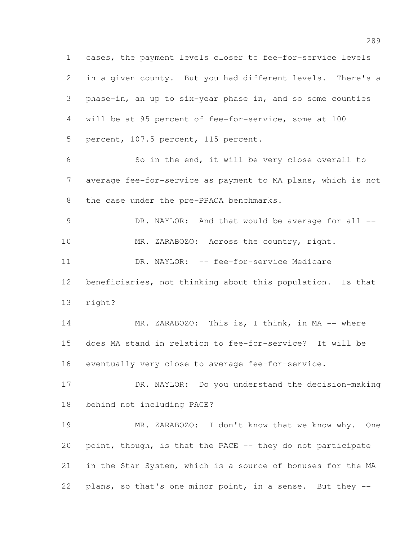cases, the payment levels closer to fee-for-service levels in a given county. But you had different levels. There's a phase-in, an up to six-year phase in, and so some counties will be at 95 percent of fee-for-service, some at 100 percent, 107.5 percent, 115 percent. So in the end, it will be very close overall to average fee-for-service as payment to MA plans, which is not 8 the case under the pre-PPACA benchmarks. 9 DR. NAYLOR: And that would be average for all --10 MR. ZARABOZO: Across the country, right. 11 DR. NAYLOR: -- fee-for-service Medicare beneficiaries, not thinking about this population. Is that right? 14 MR. ZARABOZO: This is, I think, in MA -- where does MA stand in relation to fee-for-service? It will be eventually very close to average fee-for-service. DR. NAYLOR: Do you understand the decision-making behind not including PACE? MR. ZARABOZO: I don't know that we know why. One 20 point, though, is that the PACE -- they do not participate in the Star System, which is a source of bonuses for the MA plans, so that's one minor point, in a sense. But they --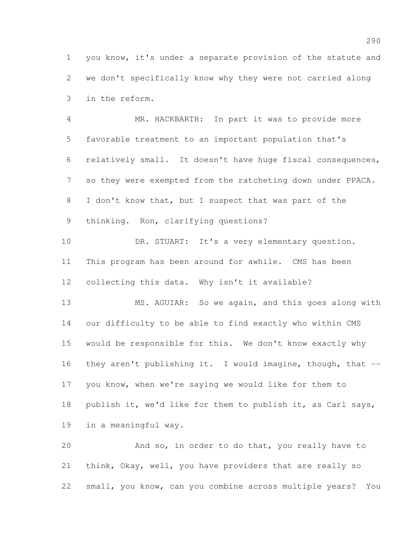you know, it's under a separate provision of the statute and we don't specifically know why they were not carried along in the reform.

 MR. HACKBARTH: In part it was to provide more favorable treatment to an important population that's relatively small. It doesn't have huge fiscal consequences, so they were exempted from the ratcheting down under PPACA. I don't know that, but I suspect that was part of the thinking. Ron, clarifying questions?

10 DR. STUART: It's a very elementary question. This program has been around for awhile. CMS has been collecting this data. Why isn't it available?

 MS. AGUIAR: So we again, and this goes along with our difficulty to be able to find exactly who within CMS would be responsible for this. We don't know exactly why they aren't publishing it. I would imagine, though, that -- you know, when we're saying we would like for them to publish it, we'd like for them to publish it, as Carl says, in a meaningful way.

 And so, in order to do that, you really have to think, Okay, well, you have providers that are really so small, you know, can you combine across multiple years? You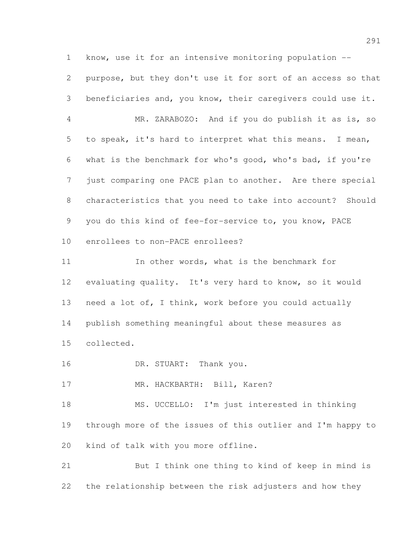know, use it for an intensive monitoring population --

 purpose, but they don't use it for sort of an access so that beneficiaries and, you know, their caregivers could use it.

 MR. ZARABOZO: And if you do publish it as is, so to speak, it's hard to interpret what this means. I mean, what is the benchmark for who's good, who's bad, if you're just comparing one PACE plan to another. Are there special characteristics that you need to take into account? Should you do this kind of fee-for-service to, you know, PACE enrollees to non-PACE enrollees?

11 In other words, what is the benchmark for evaluating quality. It's very hard to know, so it would need a lot of, I think, work before you could actually publish something meaningful about these measures as collected.

16 DR. STUART: Thank you.

17 MR. HACKBARTH: Bill, Karen?

 MS. UCCELLO: I'm just interested in thinking through more of the issues of this outlier and I'm happy to kind of talk with you more offline.

 But I think one thing to kind of keep in mind is the relationship between the risk adjusters and how they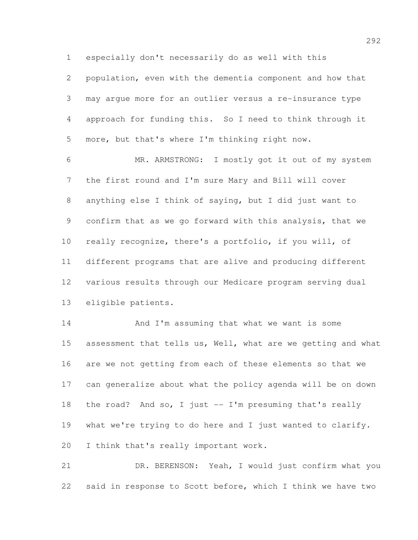especially don't necessarily do as well with this

 population, even with the dementia component and how that may argue more for an outlier versus a re-insurance type approach for funding this. So I need to think through it more, but that's where I'm thinking right now.

 MR. ARMSTRONG: I mostly got it out of my system the first round and I'm sure Mary and Bill will cover anything else I think of saying, but I did just want to confirm that as we go forward with this analysis, that we really recognize, there's a portfolio, if you will, of different programs that are alive and producing different various results through our Medicare program serving dual eligible patients.

14 And I'm assuming that what we want is some 15 assessment that tells us, Well, what are we getting and what are we not getting from each of these elements so that we can generalize about what the policy agenda will be on down the road? And so, I just -- I'm presuming that's really what we're trying to do here and I just wanted to clarify. I think that's really important work.

 DR. BERENSON: Yeah, I would just confirm what you said in response to Scott before, which I think we have two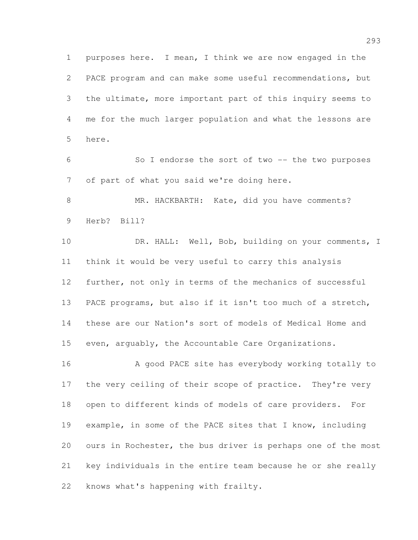purposes here. I mean, I think we are now engaged in the PACE program and can make some useful recommendations, but the ultimate, more important part of this inquiry seems to me for the much larger population and what the lessons are here.

 So I endorse the sort of two -- the two purposes of part of what you said we're doing here.

8 MR. HACKBARTH: Kate, did you have comments? Herb? Bill?

10 DR. HALL: Well, Bob, building on your comments, I think it would be very useful to carry this analysis further, not only in terms of the mechanics of successful PACE programs, but also if it isn't too much of a stretch, these are our Nation's sort of models of Medical Home and even, arguably, the Accountable Care Organizations.

16 A good PACE site has everybody working totally to 17 the very ceiling of their scope of practice. They're very open to different kinds of models of care providers. For example, in some of the PACE sites that I know, including ours in Rochester, the bus driver is perhaps one of the most key individuals in the entire team because he or she really knows what's happening with frailty.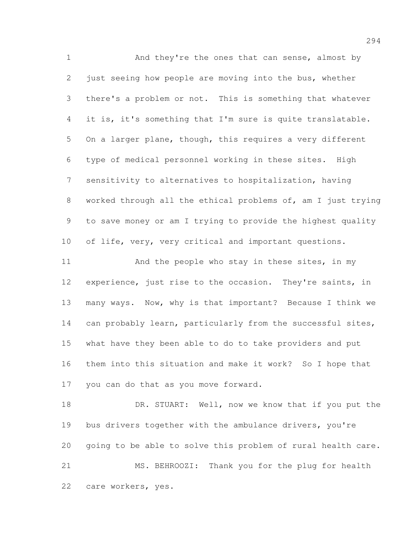And they're the ones that can sense, almost by just seeing how people are moving into the bus, whether there's a problem or not. This is something that whatever it is, it's something that I'm sure is quite translatable. On a larger plane, though, this requires a very different type of medical personnel working in these sites. High sensitivity to alternatives to hospitalization, having worked through all the ethical problems of, am I just trying to save money or am I trying to provide the highest quality of life, very, very critical and important questions. 11 And the people who stay in these sites, in my experience, just rise to the occasion. They're saints, in many ways. Now, why is that important? Because I think we 14 can probably learn, particularly from the successful sites, what have they been able to do to take providers and put them into this situation and make it work? So I hope that you can do that as you move forward. 18 DR. STUART: Well, now we know that if you put the

19 bus drivers together with the ambulance drivers, you're going to be able to solve this problem of rural health care. MS. BEHROOZI: Thank you for the plug for health care workers, yes.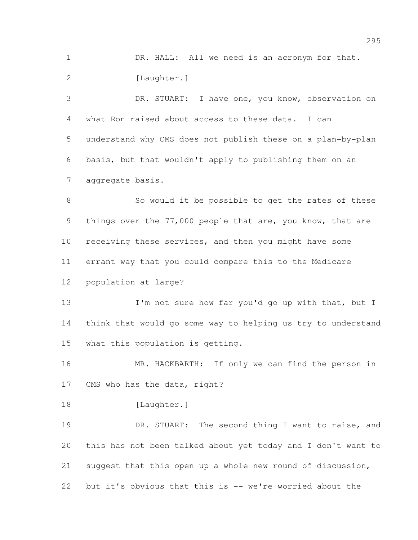DR. HALL: All we need is an acronym for that. 2 [Laughter.]

 DR. STUART: I have one, you know, observation on what Ron raised about access to these data. I can understand why CMS does not publish these on a plan-by-plan basis, but that wouldn't apply to publishing them on an aggregate basis.

8 So would it be possible to get the rates of these things over the 77,000 people that are, you know, that are receiving these services, and then you might have some errant way that you could compare this to the Medicare population at large?

13 I'm not sure how far you'd go up with that, but I think that would go some way to helping us try to understand what this population is getting.

16 MR. HACKBARTH: If only we can find the person in CMS who has the data, right?

18 [Laughter.]

19 DR. STUART: The second thing I want to raise, and this has not been talked about yet today and I don't want to suggest that this open up a whole new round of discussion, but it's obvious that this is -- we're worried about the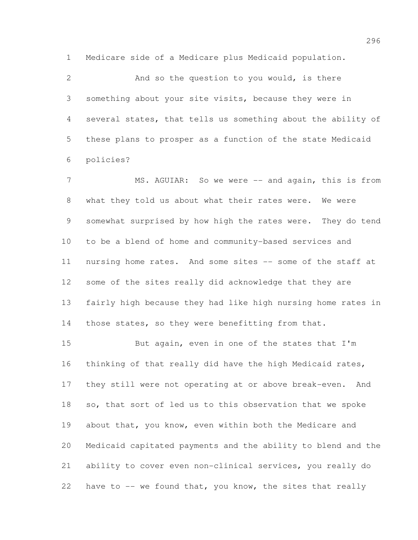Medicare side of a Medicare plus Medicaid population.

 And so the question to you would, is there something about your site visits, because they were in several states, that tells us something about the ability of these plans to prosper as a function of the state Medicaid policies?

7 MS. AGUIAR: So we were -- and again, this is from what they told us about what their rates were. We were somewhat surprised by how high the rates were. They do tend to be a blend of home and community-based services and nursing home rates. And some sites -- some of the staff at some of the sites really did acknowledge that they are fairly high because they had like high nursing home rates in 14 those states, so they were benefitting from that.

 But again, even in one of the states that I'm thinking of that really did have the high Medicaid rates, they still were not operating at or above break-even. And so, that sort of led us to this observation that we spoke about that, you know, even within both the Medicare and Medicaid capitated payments and the ability to blend and the ability to cover even non-clinical services, you really do have to -- we found that, you know, the sites that really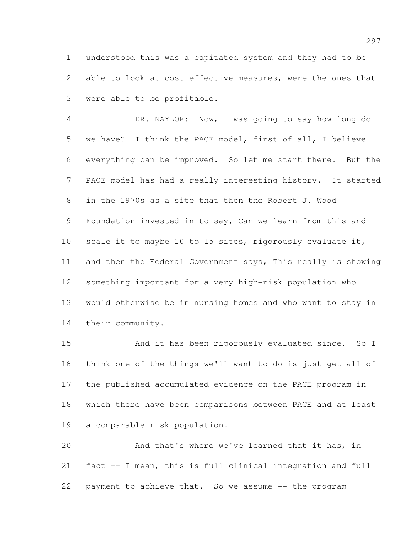understood this was a capitated system and they had to be able to look at cost-effective measures, were the ones that were able to be profitable.

 DR. NAYLOR: Now, I was going to say how long do we have? I think the PACE model, first of all, I believe everything can be improved. So let me start there. But the PACE model has had a really interesting history. It started in the 1970s as a site that then the Robert J. Wood Foundation invested in to say, Can we learn from this and 10 scale it to maybe 10 to 15 sites, rigorously evaluate it, and then the Federal Government says, This really is showing something important for a very high-risk population who would otherwise be in nursing homes and who want to stay in their community.

 And it has been rigorously evaluated since. So I think one of the things we'll want to do is just get all of the published accumulated evidence on the PACE program in which there have been comparisons between PACE and at least a comparable risk population.

 And that's where we've learned that it has, in fact -- I mean, this is full clinical integration and full payment to achieve that. So we assume -- the program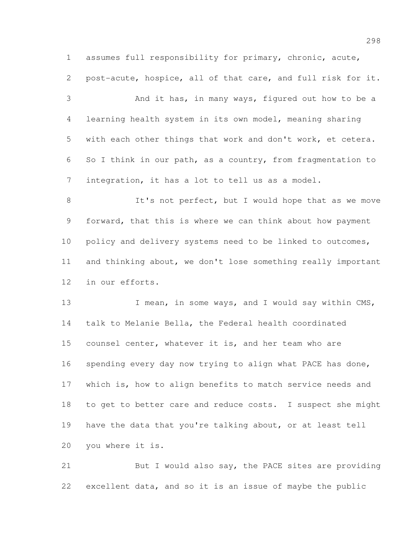assumes full responsibility for primary, chronic, acute, post-acute, hospice, all of that care, and full risk for it.

 And it has, in many ways, figured out how to be a learning health system in its own model, meaning sharing with each other things that work and don't work, et cetera. So I think in our path, as a country, from fragmentation to integration, it has a lot to tell us as a model.

8 It's not perfect, but I would hope that as we move forward, that this is where we can think about how payment 10 policy and delivery systems need to be linked to outcomes, and thinking about, we don't lose something really important in our efforts.

13 I mean, in some ways, and I would say within CMS, talk to Melanie Bella, the Federal health coordinated counsel center, whatever it is, and her team who are 16 spending every day now trying to align what PACE has done, which is, how to align benefits to match service needs and to get to better care and reduce costs. I suspect she might have the data that you're talking about, or at least tell you where it is.

 But I would also say, the PACE sites are providing excellent data, and so it is an issue of maybe the public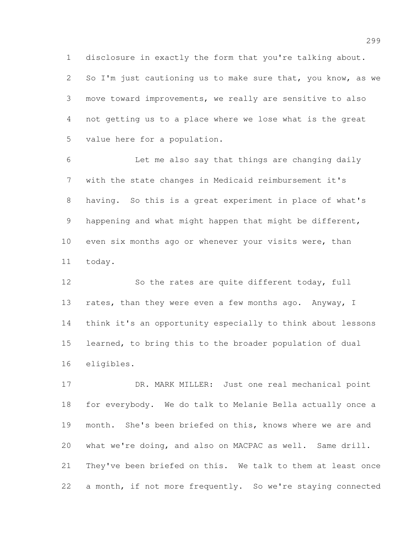disclosure in exactly the form that you're talking about.

2 So I'm just cautioning us to make sure that, you know, as we move toward improvements, we really are sensitive to also not getting us to a place where we lose what is the great value here for a population.

 Let me also say that things are changing daily with the state changes in Medicaid reimbursement it's having. So this is a great experiment in place of what's happening and what might happen that might be different, 10 even six months ago or whenever your visits were, than today.

 So the rates are quite different today, full 13 rates, than they were even a few months ago. Anyway, I think it's an opportunity especially to think about lessons learned, to bring this to the broader population of dual eligibles.

 DR. MARK MILLER: Just one real mechanical point for everybody. We do talk to Melanie Bella actually once a month. She's been briefed on this, knows where we are and what we're doing, and also on MACPAC as well. Same drill. They've been briefed on this. We talk to them at least once 22 a month, if not more frequently. So we're staying connected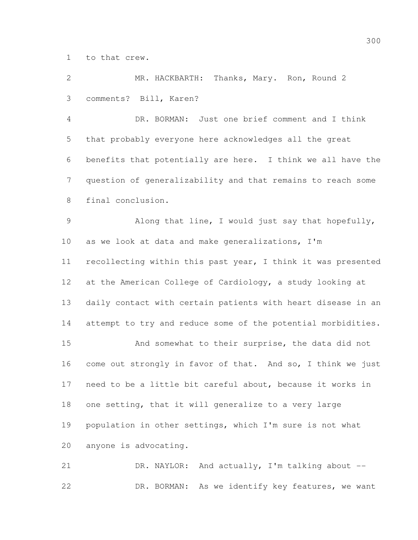to that crew.

 MR. HACKBARTH: Thanks, Mary. Ron, Round 2 comments? Bill, Karen?

 DR. BORMAN: Just one brief comment and I think that probably everyone here acknowledges all the great benefits that potentially are here. I think we all have the question of generalizability and that remains to reach some final conclusion.

 Along that line, I would just say that hopefully, as we look at data and make generalizations, I'm recollecting within this past year, I think it was presented at the American College of Cardiology, a study looking at daily contact with certain patients with heart disease in an attempt to try and reduce some of the potential morbidities.

 And somewhat to their surprise, the data did not come out strongly in favor of that. And so, I think we just need to be a little bit careful about, because it works in one setting, that it will generalize to a very large population in other settings, which I'm sure is not what anyone is advocating.

 DR. NAYLOR: And actually, I'm talking about -- DR. BORMAN: As we identify key features, we want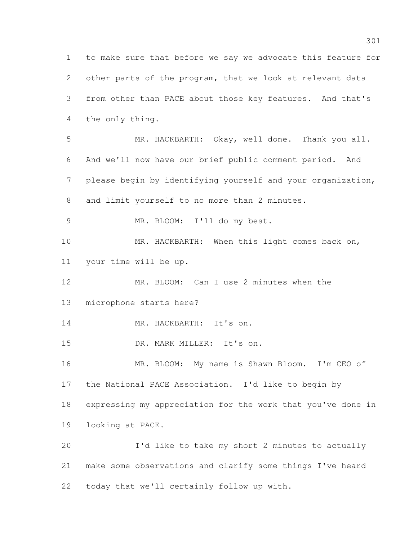to make sure that before we say we advocate this feature for other parts of the program, that we look at relevant data from other than PACE about those key features. And that's the only thing. MR. HACKBARTH: Okay, well done. Thank you all. And we'll now have our brief public comment period. And please begin by identifying yourself and your organization, and limit yourself to no more than 2 minutes. MR. BLOOM: I'll do my best. 10 MR. HACKBARTH: When this light comes back on, your time will be up. MR. BLOOM: Can I use 2 minutes when the microphone starts here? 14 MR. HACKBARTH: It's on. DR. MARK MILLER: It's on. MR. BLOOM: My name is Shawn Bloom. I'm CEO of the National PACE Association. I'd like to begin by expressing my appreciation for the work that you've done in looking at PACE. I'd like to take my short 2 minutes to actually make some observations and clarify some things I've heard today that we'll certainly follow up with.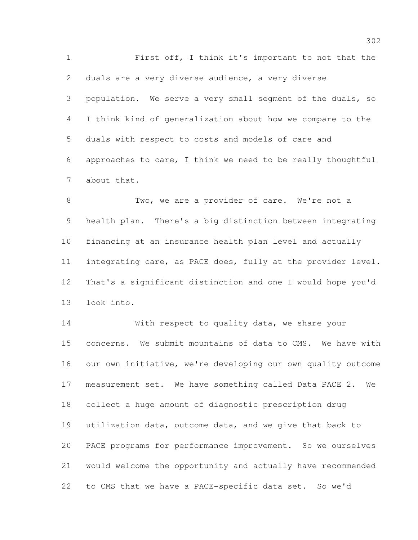First off, I think it's important to not that the duals are a very diverse audience, a very diverse population. We serve a very small segment of the duals, so I think kind of generalization about how we compare to the duals with respect to costs and models of care and approaches to care, I think we need to be really thoughtful about that.

8 Two, we are a provider of care. We're not a health plan. There's a big distinction between integrating financing at an insurance health plan level and actually integrating care, as PACE does, fully at the provider level. That's a significant distinction and one I would hope you'd look into.

14 With respect to quality data, we share your concerns. We submit mountains of data to CMS. We have with our own initiative, we're developing our own quality outcome measurement set. We have something called Data PACE 2. We collect a huge amount of diagnostic prescription drug utilization data, outcome data, and we give that back to PACE programs for performance improvement. So we ourselves would welcome the opportunity and actually have recommended to CMS that we have a PACE-specific data set. So we'd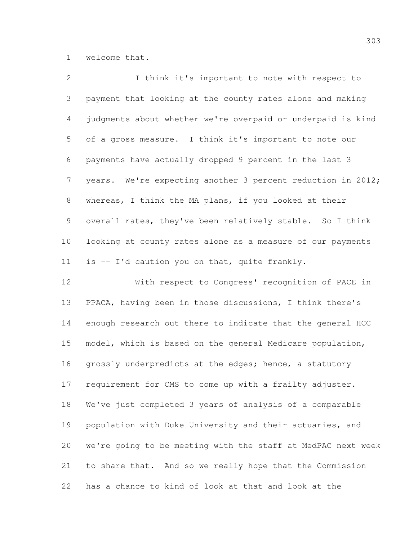welcome that.

| $\overline{2}$  | I think it's important to note with respect to              |
|-----------------|-------------------------------------------------------------|
| 3               | payment that looking at the county rates alone and making   |
| $4\overline{ }$ | judgments about whether we're overpaid or underpaid is kind |
| 5 <sup>5</sup>  | of a gross measure. I think it's important to note our      |
| 6               | payments have actually dropped 9 percent in the last 3      |
| 7 <sup>7</sup>  | years. We're expecting another 3 percent reduction in 2012; |
| 8               | whereas, I think the MA plans, if you looked at their       |
| 9               | overall rates, they've been relatively stable. So I think   |
| 10              | looking at county rates alone as a measure of our payments  |
| 11              | is -- I'd caution you on that, quite frankly.               |
|                 |                                                             |

 With respect to Congress' recognition of PACE in PPACA, having been in those discussions, I think there's enough research out there to indicate that the general HCC model, which is based on the general Medicare population, 16 grossly underpredicts at the edges; hence, a statutory requirement for CMS to come up with a frailty adjuster. We've just completed 3 years of analysis of a comparable population with Duke University and their actuaries, and we're going to be meeting with the staff at MedPAC next week to share that. And so we really hope that the Commission has a chance to kind of look at that and look at the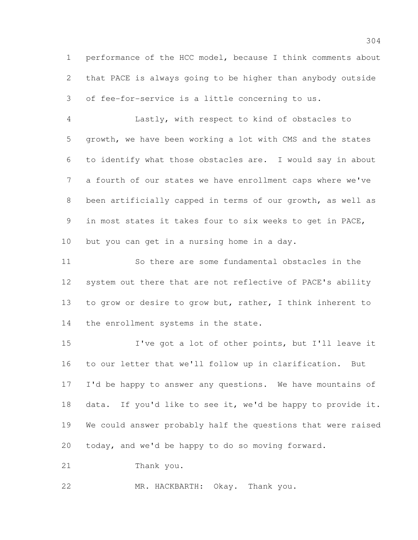performance of the HCC model, because I think comments about that PACE is always going to be higher than anybody outside of fee-for-service is a little concerning to us.

 Lastly, with respect to kind of obstacles to growth, we have been working a lot with CMS and the states to identify what those obstacles are. I would say in about a fourth of our states we have enrollment caps where we've been artificially capped in terms of our growth, as well as in most states it takes four to six weeks to get in PACE, but you can get in a nursing home in a day.

 So there are some fundamental obstacles in the system out there that are not reflective of PACE's ability to grow or desire to grow but, rather, I think inherent to 14 the enrollment systems in the state.

 I've got a lot of other points, but I'll leave it to our letter that we'll follow up in clarification. But 17 I'd be happy to answer any questions. We have mountains of data. If you'd like to see it, we'd be happy to provide it. We could answer probably half the questions that were raised today, and we'd be happy to do so moving forward.

Thank you.

MR. HACKBARTH: Okay. Thank you.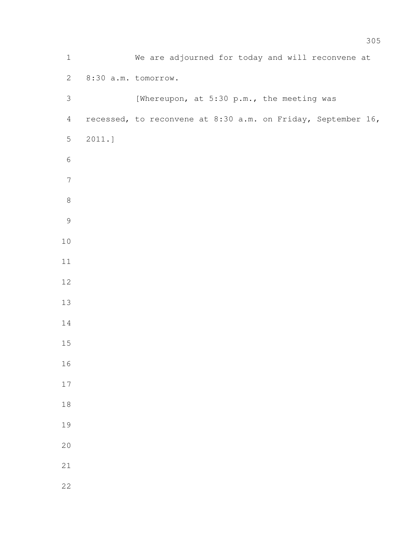| $\mathbbm{1}$  |           | We are adjourned for today and will reconvene at             |
|----------------|-----------|--------------------------------------------------------------|
| $\mathbf{2}$   |           | 8:30 a.m. tomorrow.                                          |
| 3              |           | [Whereupon, at 5:30 p.m., the meeting was                    |
| $\overline{4}$ |           | recessed, to reconvene at 8:30 a.m. on Friday, September 16, |
| 5              | $2011.$ ] |                                                              |
| $\epsilon$     |           |                                                              |
| $\sqrt{ }$     |           |                                                              |
| $\,8\,$        |           |                                                              |
| $\mathsf 9$    |           |                                                              |
| $10$           |           |                                                              |
| 11             |           |                                                              |
| $12$           |           |                                                              |
| 13             |           |                                                              |
| 14             |           |                                                              |
| $15$           |           |                                                              |
| 16             |           |                                                              |
| $17$           |           |                                                              |
| $1\,8$         |           |                                                              |
| 19             |           |                                                              |
| 20             |           |                                                              |
| $21\,$         |           |                                                              |
| 22             |           |                                                              |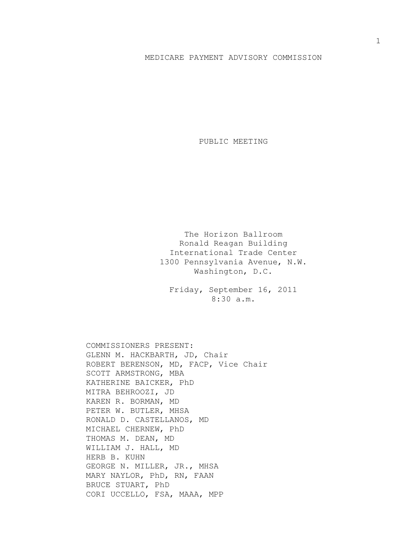## MEDICARE PAYMENT ADVISORY COMMISSION

PUBLIC MEETING

The Horizon Ballroom Ronald Reagan Building International Trade Center 1300 Pennsylvania Avenue, N.W. Washington, D.C.

Friday, September 16, 2011 8:30 a.m.

COMMISSIONERS PRESENT: GLENN M. HACKBARTH, JD, Chair ROBERT BERENSON, MD, FACP, Vice Chair SCOTT ARMSTRONG, MBA KATHERINE BAICKER, PhD MITRA BEHROOZI, JD KAREN R. BORMAN, MD PETER W. BUTLER, MHSA RONALD D. CASTELLANOS, MD MICHAEL CHERNEW, PhD THOMAS M. DEAN, MD WILLIAM J. HALL, MD HERB B. KUHN GEORGE N. MILLER, JR., MHSA MARY NAYLOR, PhD, RN, FAAN BRUCE STUART, PhD CORI UCCELLO, FSA, MAAA, MPP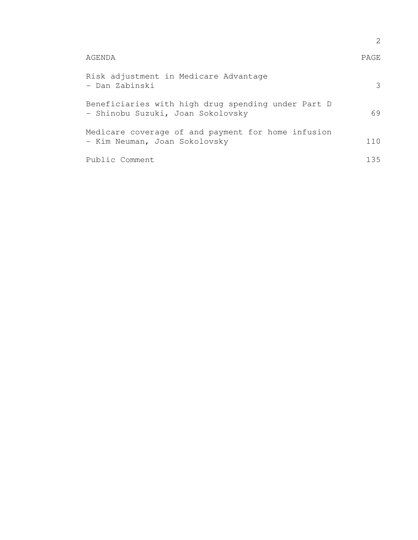|                                                                                         | 2.   |
|-----------------------------------------------------------------------------------------|------|
| AGENDA                                                                                  | PAGE |
| Risk adjustment in Medicare Advantage<br>- Dan Zabinski                                 | 3    |
| Beneficiaries with high drug spending under Part D<br>- Shinobu Suzuki, Joan Sokolovsky | 69   |
| Medicare coverage of and payment for home infusion<br>- Kim Neuman, Joan Sokolovsky     | 110  |
| Public Comment                                                                          | 135  |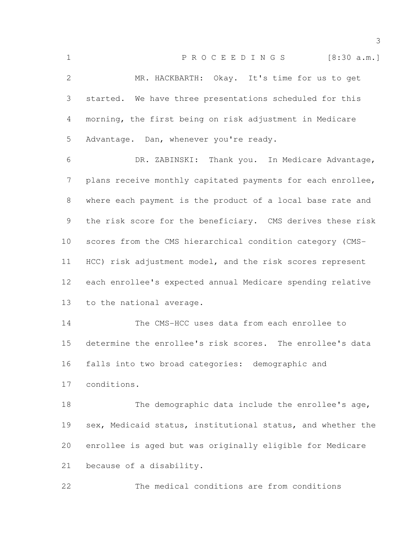1 P R O C E E D I N G S [8:30 a.m.] MR. HACKBARTH: Okay. It's time for us to get started. We have three presentations scheduled for this morning, the first being on risk adjustment in Medicare Advantage. Dan, whenever you're ready. DR. ZABINSKI: Thank you. In Medicare Advantage, plans receive monthly capitated payments for each enrollee, where each payment is the product of a local base rate and the risk score for the beneficiary. CMS derives these risk scores from the CMS hierarchical condition category (CMS- HCC) risk adjustment model, and the risk scores represent each enrollee's expected annual Medicare spending relative to the national average. The CMS-HCC uses data from each enrollee to determine the enrollee's risk scores. The enrollee's data falls into two broad categories: demographic and conditions. 18 The demographic data include the enrollee's age, sex, Medicaid status, institutional status, and whether the enrollee is aged but was originally eligible for Medicare because of a disability. The medical conditions are from conditions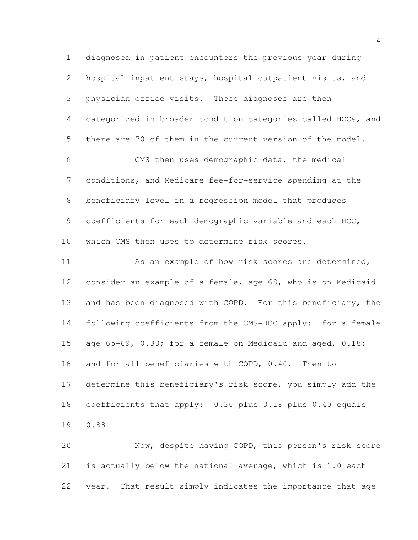diagnosed in patient encounters the previous year during hospital inpatient stays, hospital outpatient visits, and physician office visits. These diagnoses are then categorized in broader condition categories called HCCs, and there are 70 of them in the current version of the model. CMS then uses demographic data, the medical conditions, and Medicare fee-for-service spending at the beneficiary level in a regression model that produces 9 coefficients for each demographic variable and each HCC, which CMS then uses to determine risk scores. 11 As an example of how risk scores are determined, consider an example of a female, age 68, who is on Medicaid and has been diagnosed with COPD. For this beneficiary, the following coefficients from the CMS-HCC apply: for a female 15 age 65-69, 0.30; for a female on Medicaid and aged, 0.18; and for all beneficiaries with COPD, 0.40. Then to

 determine this beneficiary's risk score, you simply add the coefficients that apply: 0.30 plus 0.18 plus 0.40 equals 0.88.

 Now, despite having COPD, this person's risk score is actually below the national average, which is 1.0 each year. That result simply indicates the importance that age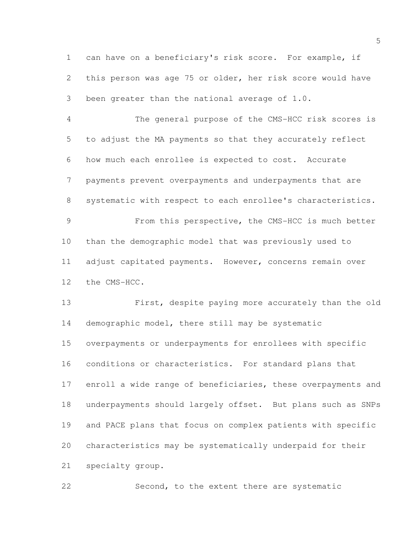can have on a beneficiary's risk score. For example, if this person was age 75 or older, her risk score would have been greater than the national average of 1.0.

 The general purpose of the CMS-HCC risk scores is to adjust the MA payments so that they accurately reflect how much each enrollee is expected to cost. Accurate payments prevent overpayments and underpayments that are systematic with respect to each enrollee's characteristics. From this perspective, the CMS-HCC is much better than the demographic model that was previously used to adjust capitated payments. However, concerns remain over the CMS-HCC.

 First, despite paying more accurately than the old demographic model, there still may be systematic overpayments or underpayments for enrollees with specific conditions or characteristics. For standard plans that enroll a wide range of beneficiaries, these overpayments and underpayments should largely offset. But plans such as SNPs and PACE plans that focus on complex patients with specific characteristics may be systematically underpaid for their specialty group.

Second, to the extent there are systematic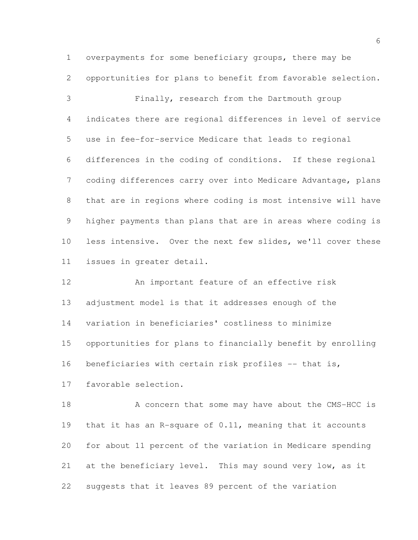overpayments for some beneficiary groups, there may be opportunities for plans to benefit from favorable selection.

 Finally, research from the Dartmouth group indicates there are regional differences in level of service use in fee-for-service Medicare that leads to regional differences in the coding of conditions. If these regional coding differences carry over into Medicare Advantage, plans that are in regions where coding is most intensive will have higher payments than plans that are in areas where coding is less intensive. Over the next few slides, we'll cover these issues in greater detail.

 An important feature of an effective risk adjustment model is that it addresses enough of the variation in beneficiaries' costliness to minimize opportunities for plans to financially benefit by enrolling 16 beneficiaries with certain risk profiles -- that is, favorable selection.

18 A concern that some may have about the CMS-HCC is that it has an R-square of 0.11, meaning that it accounts for about 11 percent of the variation in Medicare spending at the beneficiary level. This may sound very low, as it suggests that it leaves 89 percent of the variation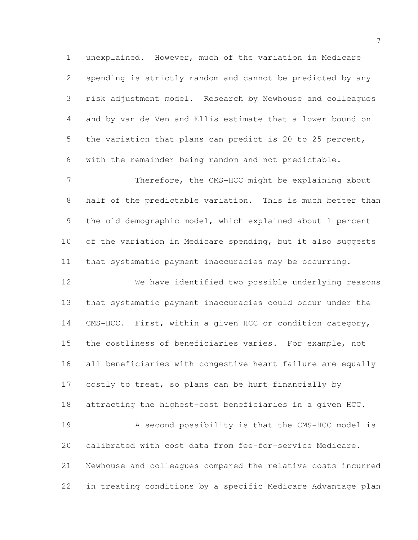unexplained. However, much of the variation in Medicare spending is strictly random and cannot be predicted by any risk adjustment model. Research by Newhouse and colleagues and by van de Ven and Ellis estimate that a lower bound on the variation that plans can predict is 20 to 25 percent, with the remainder being random and not predictable. 7 Therefore, the CMS-HCC might be explaining about

 half of the predictable variation. This is much better than the old demographic model, which explained about 1 percent of the variation in Medicare spending, but it also suggests that systematic payment inaccuracies may be occurring.

 We have identified two possible underlying reasons that systematic payment inaccuracies could occur under the CMS-HCC. First, within a given HCC or condition category, the costliness of beneficiaries varies. For example, not all beneficiaries with congestive heart failure are equally 17 costly to treat, so plans can be hurt financially by attracting the highest-cost beneficiaries in a given HCC. A second possibility is that the CMS-HCC model is calibrated with cost data from fee-for-service Medicare. Newhouse and colleagues compared the relative costs incurred

in treating conditions by a specific Medicare Advantage plan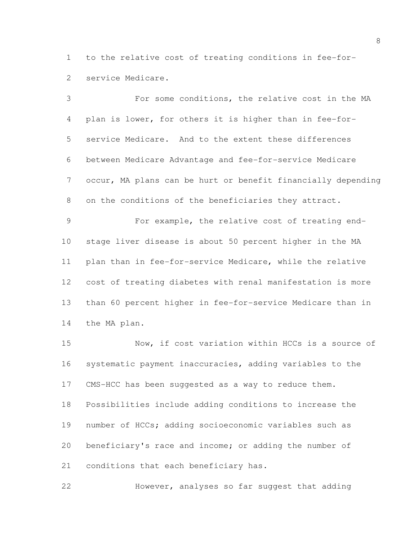to the relative cost of treating conditions in fee-for-service Medicare.

 For some conditions, the relative cost in the MA plan is lower, for others it is higher than in fee-for- service Medicare. And to the extent these differences between Medicare Advantage and fee-for-service Medicare occur, MA plans can be hurt or benefit financially depending on the conditions of the beneficiaries they attract. For example, the relative cost of treating end-

 stage liver disease is about 50 percent higher in the MA plan than in fee-for-service Medicare, while the relative cost of treating diabetes with renal manifestation is more than 60 percent higher in fee-for-service Medicare than in the MA plan.

 Now, if cost variation within HCCs is a source of systematic payment inaccuracies, adding variables to the CMS-HCC has been suggested as a way to reduce them. Possibilities include adding conditions to increase the number of HCCs; adding socioeconomic variables such as beneficiary's race and income; or adding the number of conditions that each beneficiary has.

However, analyses so far suggest that adding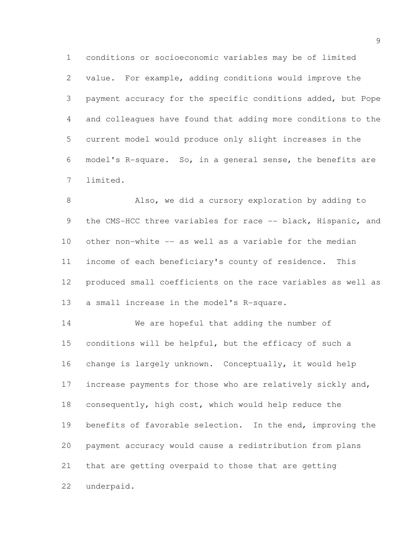conditions or socioeconomic variables may be of limited value. For example, adding conditions would improve the payment accuracy for the specific conditions added, but Pope and colleagues have found that adding more conditions to the current model would produce only slight increases in the model's R-square. So, in a general sense, the benefits are limited.

 Also, we did a cursory exploration by adding to 9 the CMS-HCC three variables for race -- black, Hispanic, and other non-white -- as well as a variable for the median income of each beneficiary's county of residence. This produced small coefficients on the race variables as well as a small increase in the model's R-square.

 We are hopeful that adding the number of conditions will be helpful, but the efficacy of such a change is largely unknown. Conceptually, it would help 17 increase payments for those who are relatively sickly and, consequently, high cost, which would help reduce the benefits of favorable selection. In the end, improving the payment accuracy would cause a redistribution from plans that are getting overpaid to those that are getting underpaid.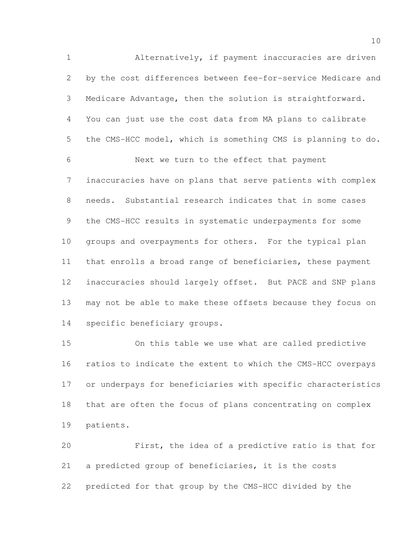Alternatively, if payment inaccuracies are driven by the cost differences between fee-for-service Medicare and Medicare Advantage, then the solution is straightforward. You can just use the cost data from MA plans to calibrate the CMS-HCC model, which is something CMS is planning to do. Next we turn to the effect that payment inaccuracies have on plans that serve patients with complex needs. Substantial research indicates that in some cases the CMS-HCC results in systematic underpayments for some groups and overpayments for others. For the typical plan that enrolls a broad range of beneficiaries, these payment inaccuracies should largely offset. But PACE and SNP plans may not be able to make these offsets because they focus on specific beneficiary groups.

 On this table we use what are called predictive ratios to indicate the extent to which the CMS-HCC overpays or underpays for beneficiaries with specific characteristics that are often the focus of plans concentrating on complex patients.

 First, the idea of a predictive ratio is that for a predicted group of beneficiaries, it is the costs predicted for that group by the CMS-HCC divided by the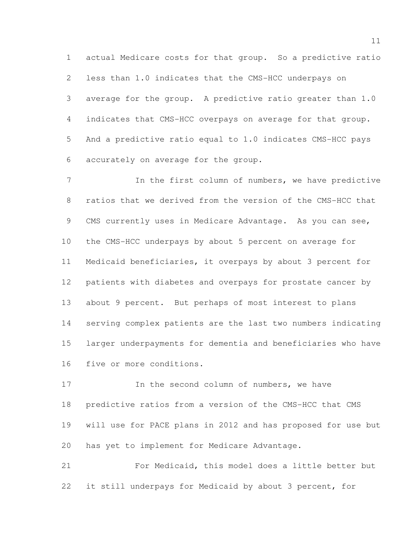actual Medicare costs for that group. So a predictive ratio less than 1.0 indicates that the CMS-HCC underpays on average for the group. A predictive ratio greater than 1.0 indicates that CMS-HCC overpays on average for that group. And a predictive ratio equal to 1.0 indicates CMS-HCC pays accurately on average for the group.

7 11 In the first column of numbers, we have predictive ratios that we derived from the version of the CMS-HCC that 9 CMS currently uses in Medicare Advantage. As you can see, the CMS-HCC underpays by about 5 percent on average for Medicaid beneficiaries, it overpays by about 3 percent for patients with diabetes and overpays for prostate cancer by about 9 percent. But perhaps of most interest to plans serving complex patients are the last two numbers indicating larger underpayments for dementia and beneficiaries who have five or more conditions.

17 17 In the second column of numbers, we have predictive ratios from a version of the CMS-HCC that CMS will use for PACE plans in 2012 and has proposed for use but has yet to implement for Medicare Advantage.

 For Medicaid, this model does a little better but it still underpays for Medicaid by about 3 percent, for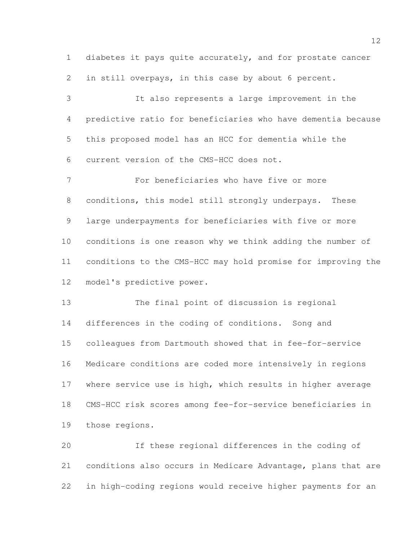diabetes it pays quite accurately, and for prostate cancer in still overpays, in this case by about 6 percent.

 It also represents a large improvement in the predictive ratio for beneficiaries who have dementia because this proposed model has an HCC for dementia while the current version of the CMS-HCC does not.

 For beneficiaries who have five or more conditions, this model still strongly underpays. These large underpayments for beneficiaries with five or more conditions is one reason why we think adding the number of conditions to the CMS-HCC may hold promise for improving the model's predictive power.

 The final point of discussion is regional differences in the coding of conditions. Song and colleagues from Dartmouth showed that in fee-for-service Medicare conditions are coded more intensively in regions 17 where service use is high, which results in higher average CMS-HCC risk scores among fee-for-service beneficiaries in those regions.

 If these regional differences in the coding of conditions also occurs in Medicare Advantage, plans that are in high-coding regions would receive higher payments for an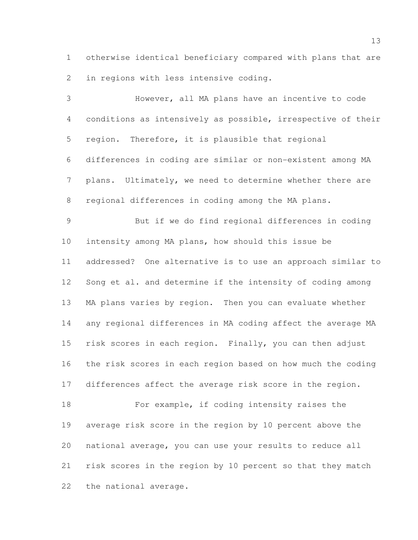otherwise identical beneficiary compared with plans that are in regions with less intensive coding.

 However, all MA plans have an incentive to code conditions as intensively as possible, irrespective of their region. Therefore, it is plausible that regional differences in coding are similar or non-existent among MA plans. Ultimately, we need to determine whether there are regional differences in coding among the MA plans. But if we do find regional differences in coding intensity among MA plans, how should this issue be addressed? One alternative is to use an approach similar to 12 Song et al. and determine if the intensity of coding among MA plans varies by region. Then you can evaluate whether any regional differences in MA coding affect the average MA risk scores in each region. Finally, you can then adjust the risk scores in each region based on how much the coding differences affect the average risk score in the region. For example, if coding intensity raises the average risk score in the region by 10 percent above the national average, you can use your results to reduce all risk scores in the region by 10 percent so that they match

the national average.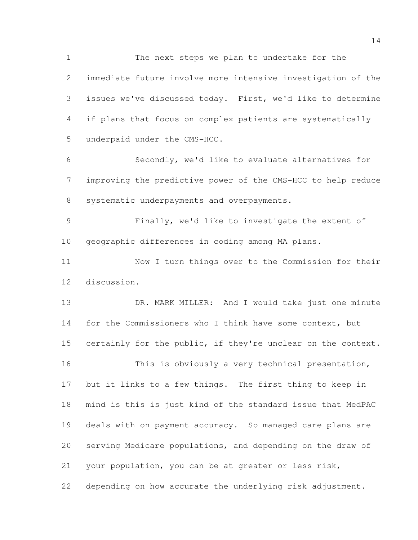The next steps we plan to undertake for the immediate future involve more intensive investigation of the issues we've discussed today. First, we'd like to determine if plans that focus on complex patients are systematically underpaid under the CMS-HCC.

 Secondly, we'd like to evaluate alternatives for improving the predictive power of the CMS-HCC to help reduce systematic underpayments and overpayments.

 Finally, we'd like to investigate the extent of geographic differences in coding among MA plans.

 Now I turn things over to the Commission for their discussion.

 DR. MARK MILLER: And I would take just one minute 14 for the Commissioners who I think have some context, but 15 certainly for the public, if they're unclear on the context. This is obviously a very technical presentation, but it links to a few things. The first thing to keep in mind is this is just kind of the standard issue that MedPAC deals with on payment accuracy. So managed care plans are serving Medicare populations, and depending on the draw of your population, you can be at greater or less risk, depending on how accurate the underlying risk adjustment.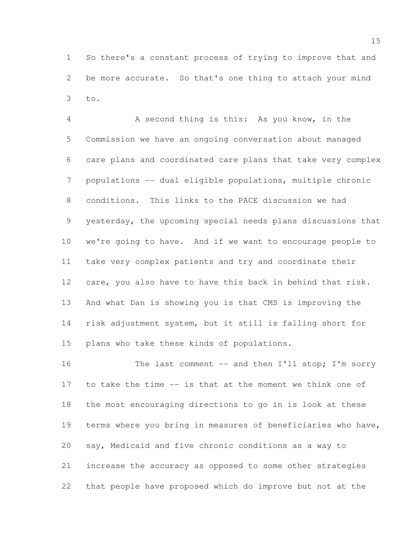So there's a constant process of trying to improve that and be more accurate. So that's one thing to attach your mind to.

 A second thing is this: As you know, in the Commission we have an ongoing conversation about managed care plans and coordinated care plans that take very complex populations -- dual eligible populations, multiple chronic conditions. This links to the PACE discussion we had yesterday, the upcoming special needs plans discussions that we're going to have. And if we want to encourage people to take very complex patients and try and coordinate their care, you also have to have this back in behind that risk. And what Dan is showing you is that CMS is improving the risk adjustment system, but it still is falling short for plans who take these kinds of populations.

16 The last comment -- and then I'll stop; I'm sorry to take the time -- is that at the moment we think one of the most encouraging directions to go in is look at these terms where you bring in measures of beneficiaries who have, say, Medicaid and five chronic conditions as a way to increase the accuracy as opposed to some other strategies that people have proposed which do improve but not at the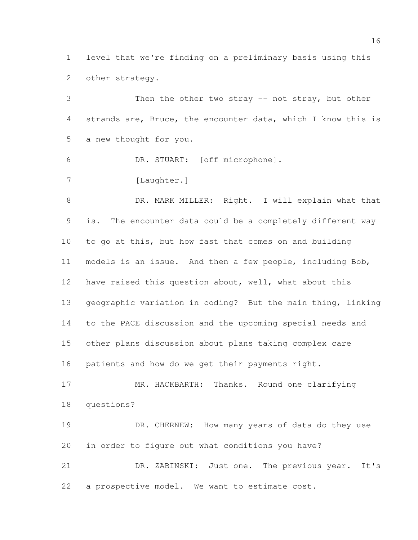level that we're finding on a preliminary basis using this other strategy.

 Then the other two stray -- not stray, but other strands are, Bruce, the encounter data, which I know this is a new thought for you. DR. STUART: [off microphone]. 7 [Laughter.] 8 DR. MARK MILLER: Right. I will explain what that is. The encounter data could be a completely different way to go at this, but how fast that comes on and building models is an issue. And then a few people, including Bob, have raised this question about, well, what about this geographic variation in coding? But the main thing, linking to the PACE discussion and the upcoming special needs and other plans discussion about plans taking complex care patients and how do we get their payments right. 17 MR. HACKBARTH: Thanks. Round one clarifying questions? 19 DR. CHERNEW: How many years of data do they use in order to figure out what conditions you have? DR. ZABINSKI: Just one. The previous year. It's

a prospective model. We want to estimate cost.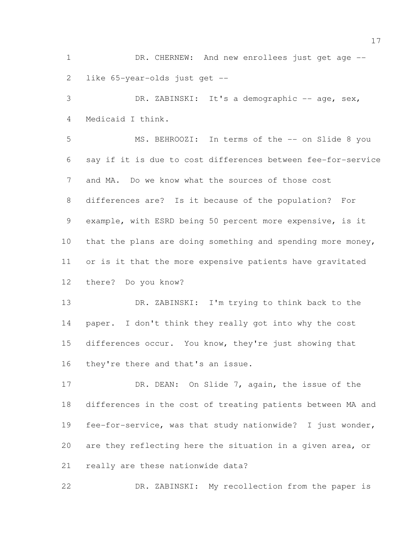1 DR. CHERNEW: And new enrollees just get age --like 65-year-olds just get --

3 DR. ZABINSKI: It's a demographic -- age, sex, Medicaid I think.

 MS. BEHROOZI: In terms of the -- on Slide 8 you say if it is due to cost differences between fee-for-service and MA. Do we know what the sources of those cost differences are? Is it because of the population? For example, with ESRD being 50 percent more expensive, is it 10 that the plans are doing something and spending more money, or is it that the more expensive patients have gravitated there? Do you know?

 DR. ZABINSKI: I'm trying to think back to the 14 paper. I don't think they really got into why the cost differences occur. You know, they're just showing that they're there and that's an issue.

17 DR. DEAN: On Slide 7, again, the issue of the differences in the cost of treating patients between MA and fee-for-service, was that study nationwide? I just wonder, are they reflecting here the situation in a given area, or really are these nationwide data?

DR. ZABINSKI: My recollection from the paper is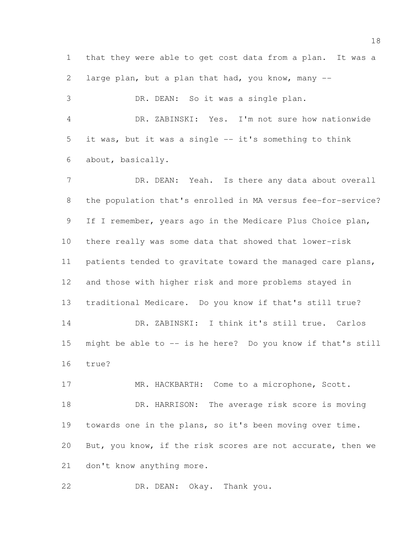that they were able to get cost data from a plan. It was a large plan, but a plan that had, you know, many -- DR. DEAN: So it was a single plan. DR. ZABINSKI: Yes. I'm not sure how nationwide it was, but it was a single -- it's something to think about, basically. 7 DR. DEAN: Yeah. Is there any data about overall the population that's enrolled in MA versus fee-for-service? If I remember, years ago in the Medicare Plus Choice plan, there really was some data that showed that lower-risk patients tended to gravitate toward the managed care plans, and those with higher risk and more problems stayed in traditional Medicare. Do you know if that's still true? DR. ZABINSKI: I think it's still true. Carlos might be able to -- is he here? Do you know if that's still true? 17 MR. HACKBARTH: Come to a microphone, Scott. 18 DR. HARRISON: The average risk score is moving towards one in the plans, so it's been moving over time. But, you know, if the risk scores are not accurate, then we don't know anything more.

DR. DEAN: Okay. Thank you.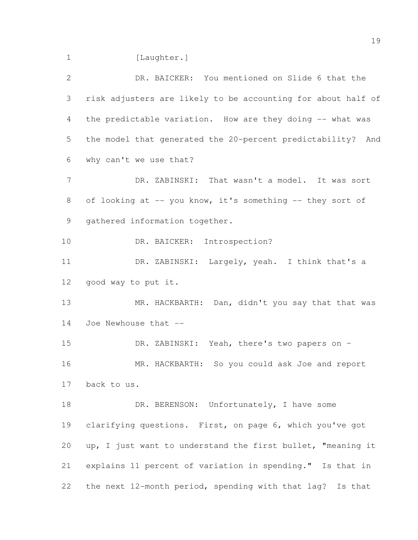1 [Laughter.]

| $\mathbf{2}$   | DR. BAICKER: You mentioned on Slide 6 that the               |
|----------------|--------------------------------------------------------------|
| 3              | risk adjusters are likely to be accounting for about half of |
| 4              | the predictable variation. How are they doing -- what was    |
| 5              | the model that generated the 20-percent predictability? And  |
| 6              | why can't we use that?                                       |
| $\overline{7}$ | DR. ZABINSKI: That wasn't a model. It was sort               |
| 8              | of looking at -- you know, it's something -- they sort of    |
| 9              | gathered information together.                               |
| 10             | DR. BAICKER: Introspection?                                  |
| 11             | DR. ZABINSKI: Largely, yeah. I think that's a                |
| 12             | good way to put it.                                          |
| 13             | MR. HACKBARTH: Dan, didn't you say that that was             |
| 14             | Joe Newhouse that --                                         |
| 15             | DR. ZABINSKI: Yeah, there's two papers on -                  |
| 16             | MR. HACKBARTH: So you could ask Joe and report               |
| 17             | back to us.                                                  |
| 18             | DR. BERENSON: Unfortunately, I have some                     |
| 19             | clarifying questions. First, on page 6, which you've got     |
| 20             | up, I just want to understand the first bullet, "meaning it  |
| 21             | explains 11 percent of variation in spending." Is that in    |
| 22             | the next 12-month period, spending with that lag? Is that    |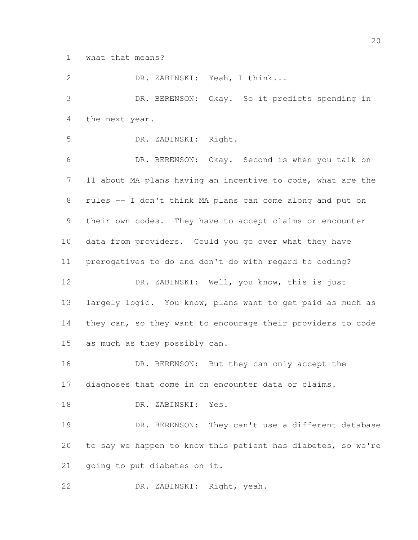what that means?

 DR. ZABINSKI: Yeah, I think... DR. BERENSON: Okay. So it predicts spending in the next year. DR. ZABINSKI: Right. DR. BERENSON: Okay. Second is when you talk on 11 about MA plans having an incentive to code, what are the rules -- I don't think MA plans can come along and put on their own codes. They have to accept claims or encounter data from providers. Could you go over what they have prerogatives to do and don't do with regard to coding? DR. ZABINSKI: Well, you know, this is just 13 largely logic. You know, plans want to get paid as much as they can, so they want to encourage their providers to code as much as they possibly can. 16 DR. BERENSON: But they can only accept the diagnoses that come in on encounter data or claims. DR. ZABINSKI: Yes. DR. BERENSON: They can't use a different database to say we happen to know this patient has diabetes, so we're going to put diabetes on it. DR. ZABINSKI: Right, yeah.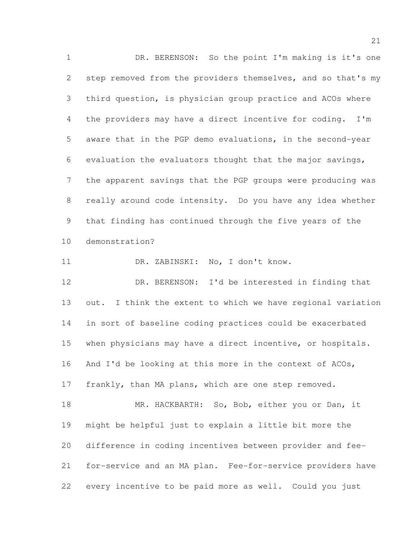DR. BERENSON: So the point I'm making is it's one step removed from the providers themselves, and so that's my third question, is physician group practice and ACOs where the providers may have a direct incentive for coding. I'm aware that in the PGP demo evaluations, in the second-year evaluation the evaluators thought that the major savings, the apparent savings that the PGP groups were producing was really around code intensity. Do you have any idea whether that finding has continued through the five years of the demonstration?

DR. ZABINSKI: No, I don't know.

 DR. BERENSON: I'd be interested in finding that 13 out. I think the extent to which we have regional variation in sort of baseline coding practices could be exacerbated when physicians may have a direct incentive, or hospitals. And I'd be looking at this more in the context of ACOs, frankly, than MA plans, which are one step removed.

 MR. HACKBARTH: So, Bob, either you or Dan, it might be helpful just to explain a little bit more the difference in coding incentives between provider and fee- for-service and an MA plan. Fee-for-service providers have every incentive to be paid more as well. Could you just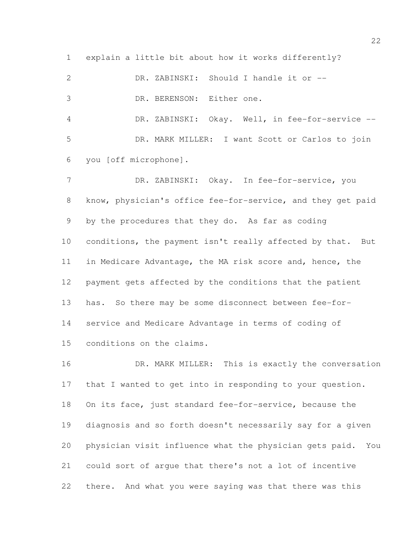explain a little bit about how it works differently? DR. ZABINSKI: Should I handle it or -- DR. BERENSON: Either one. DR. ZABINSKI: Okay. Well, in fee-for-service -- DR. MARK MILLER: I want Scott or Carlos to join you [off microphone]. 7 DR. ZABINSKI: Okay. In fee-for-service, you know, physician's office fee-for-service, and they get paid by the procedures that they do. As far as coding 10 conditions, the payment isn't really affected by that. But in Medicare Advantage, the MA risk score and, hence, the payment gets affected by the conditions that the patient has. So there may be some disconnect between fee-for- service and Medicare Advantage in terms of coding of conditions on the claims.

16 DR. MARK MILLER: This is exactly the conversation that I wanted to get into in responding to your question. On its face, just standard fee-for-service, because the diagnosis and so forth doesn't necessarily say for a given physician visit influence what the physician gets paid. You could sort of argue that there's not a lot of incentive there. And what you were saying was that there was this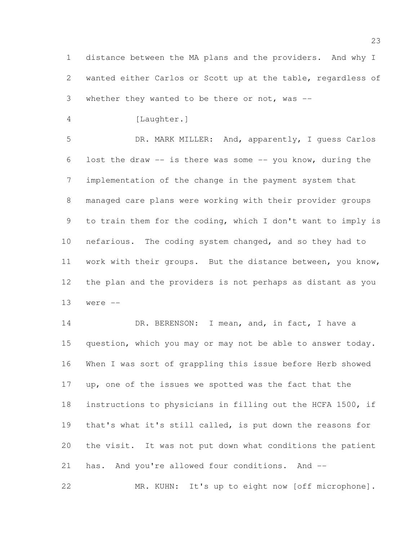distance between the MA plans and the providers. And why I wanted either Carlos or Scott up at the table, regardless of whether they wanted to be there or not, was --

[Laughter.]

 DR. MARK MILLER: And, apparently, I guess Carlos lost the draw -- is there was some -- you know, during the implementation of the change in the payment system that managed care plans were working with their provider groups to train them for the coding, which I don't want to imply is nefarious. The coding system changed, and so they had to work with their groups. But the distance between, you know, the plan and the providers is not perhaps as distant as you were --

14 DR. BERENSON: I mean, and, in fact, I have a question, which you may or may not be able to answer today. When I was sort of grappling this issue before Herb showed up, one of the issues we spotted was the fact that the instructions to physicians in filling out the HCFA 1500, if that's what it's still called, is put down the reasons for the visit. It was not put down what conditions the patient has. And you're allowed four conditions. And -- MR. KUHN: It's up to eight now [off microphone].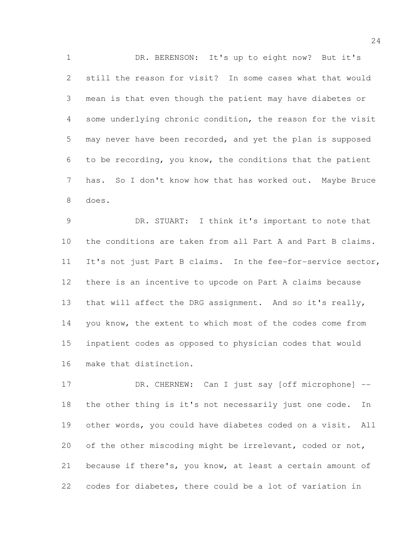DR. BERENSON: It's up to eight now? But it's still the reason for visit? In some cases what that would mean is that even though the patient may have diabetes or some underlying chronic condition, the reason for the visit may never have been recorded, and yet the plan is supposed to be recording, you know, the conditions that the patient has. So I don't know how that has worked out. Maybe Bruce does.

 DR. STUART: I think it's important to note that the conditions are taken from all Part A and Part B claims. It's not just Part B claims. In the fee-for-service sector, there is an incentive to upcode on Part A claims because 13 that will affect the DRG assignment. And so it's really, you know, the extent to which most of the codes come from inpatient codes as opposed to physician codes that would make that distinction.

17 DR. CHERNEW: Can I just say [off microphone] -- the other thing is it's not necessarily just one code. In other words, you could have diabetes coded on a visit. All of the other miscoding might be irrelevant, coded or not, because if there's, you know, at least a certain amount of codes for diabetes, there could be a lot of variation in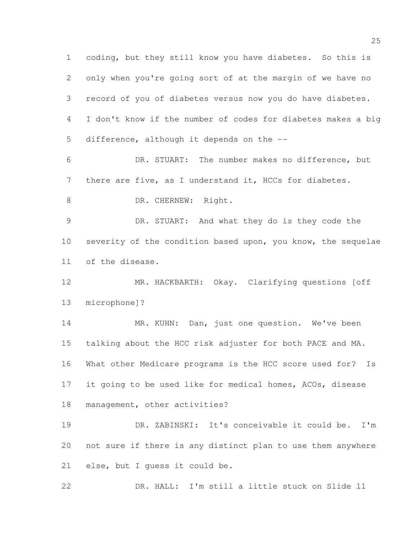coding, but they still know you have diabetes. So this is only when you're going sort of at the margin of we have no record of you of diabetes versus now you do have diabetes. I don't know if the number of codes for diabetes makes a big difference, although it depends on the -- DR. STUART: The number makes no difference, but there are five, as I understand it, HCCs for diabetes. 8 DR. CHERNEW: Right. DR. STUART: And what they do is they code the severity of the condition based upon, you know, the sequelae of the disease. MR. HACKBARTH: Okay. Clarifying questions [off microphone]? 14 MR. KUHN: Dan, just one question. We've been talking about the HCC risk adjuster for both PACE and MA. What other Medicare programs is the HCC score used for? Is it going to be used like for medical homes, ACOs, disease management, other activities? DR. ZABINSKI: It's conceivable it could be. I'm not sure if there is any distinct plan to use them anywhere else, but I guess it could be.

DR. HALL: I'm still a little stuck on Slide 11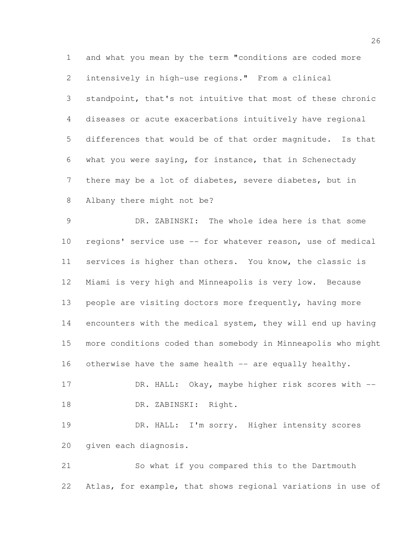and what you mean by the term "conditions are coded more intensively in high-use regions." From a clinical standpoint, that's not intuitive that most of these chronic diseases or acute exacerbations intuitively have regional differences that would be of that order magnitude. Is that what you were saying, for instance, that in Schenectady there may be a lot of diabetes, severe diabetes, but in Albany there might not be?

 DR. ZABINSKI: The whole idea here is that some regions' service use -- for whatever reason, use of medical services is higher than others. You know, the classic is Miami is very high and Minneapolis is very low. Because people are visiting doctors more frequently, having more encounters with the medical system, they will end up having more conditions coded than somebody in Minneapolis who might 16 otherwise have the same health -- are equally healthy. 17 DR. HALL: Okay, maybe higher risk scores with --DR. ZABINSKI: Right.

 DR. HALL: I'm sorry. Higher intensity scores given each diagnosis.

 So what if you compared this to the Dartmouth Atlas, for example, that shows regional variations in use of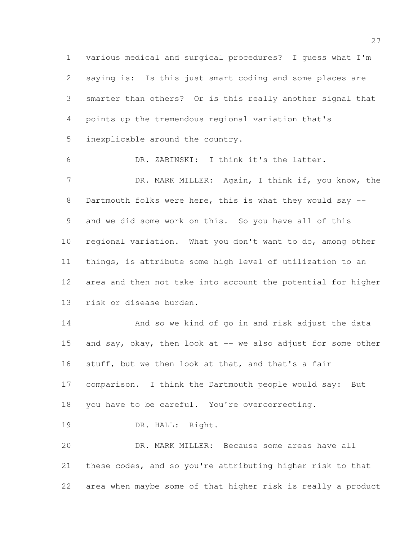various medical and surgical procedures? I guess what I'm saying is: Is this just smart coding and some places are smarter than others? Or is this really another signal that points up the tremendous regional variation that's inexplicable around the country.

 DR. ZABINSKI: I think it's the latter. 7 DR. MARK MILLER: Again, I think if, you know, the 8 Dartmouth folks were here, this is what they would say -- and we did some work on this. So you have all of this regional variation. What you don't want to do, among other things, is attribute some high level of utilization to an area and then not take into account the potential for higher risk or disease burden.

 And so we kind of go in and risk adjust the data 15 and say, okay, then look at -- we also adjust for some other stuff, but we then look at that, and that's a fair comparison. I think the Dartmouth people would say: But you have to be careful. You're overcorrecting. 19 DR. HALL: Right.

 DR. MARK MILLER: Because some areas have all these codes, and so you're attributing higher risk to that area when maybe some of that higher risk is really a product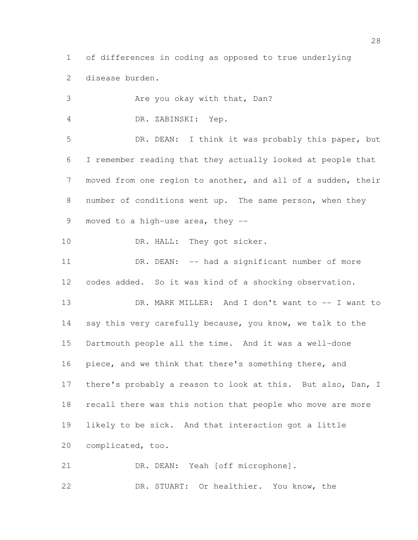of differences in coding as opposed to true underlying disease burden.

| 3               | Are you okay with that, Dan?                                 |
|-----------------|--------------------------------------------------------------|
| 4               | DR. ZABINSKI: Yep.                                           |
| 5               | DR. DEAN: I think it was probably this paper, but            |
| 6               | I remember reading that they actually looked at people that  |
| $\overline{7}$  | moved from one region to another, and all of a sudden, their |
| 8               | number of conditions went up. The same person, when they     |
| 9               | moved to a high-use area, they --                            |
| 10              | DR. HALL: They got sicker.                                   |
| 11              | DR. DEAN: -- had a significant number of more                |
| 12              | codes added. So it was kind of a shocking observation.       |
| 13              | DR. MARK MILLER: And I don't want to -- I want to            |
| 14              | say this very carefully because, you know, we talk to the    |
| 15 <sub>1</sub> | Dartmouth people all the time. And it was a well-done        |
| 16              | piece, and we think that there's something there, and        |
| 17              | there's probably a reason to look at this. But also, Dan, I  |
| 18              | recall there was this notion that people who move are more   |
| 19              | likely to be sick. And that interaction got a little         |
| 20              | complicated, too.                                            |
| 21              | DR. DEAN: Yeah [off microphone].                             |
|                 |                                                              |

DR. STUART: Or healthier. You know, the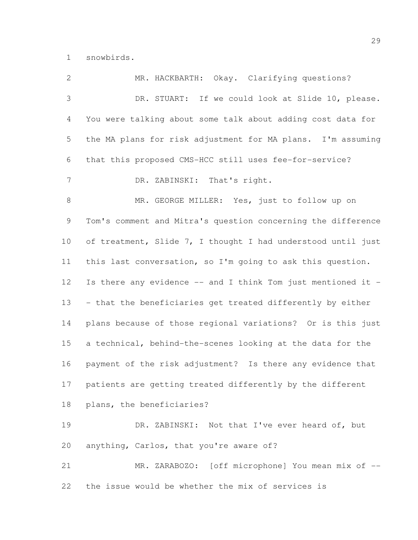snowbirds.

| $\mathbf{2}$ | MR. HACKBARTH: Okay. Clarifying questions?                   |
|--------------|--------------------------------------------------------------|
| 3            | DR. STUART: If we could look at Slide 10, please.            |
| 4            | You were talking about some talk about adding cost data for  |
| 5            | the MA plans for risk adjustment for MA plans. I'm assuming  |
| 6            | that this proposed CMS-HCC still uses fee-for-service?       |
| 7            | DR. ZABINSKI: That's right.                                  |
| $\,8\,$      | MR. GEORGE MILLER: Yes, just to follow up on                 |
| 9            | Tom's comment and Mitra's question concerning the difference |
| 10           | of treatment, Slide 7, I thought I had understood until just |
| 11           | this last conversation, so I'm going to ask this question.   |
| 12           | Is there any evidence -- and I think Tom just mentioned it - |
| 13           | - that the beneficiaries get treated differently by either   |
| 14           | plans because of those regional variations? Or is this just  |
| 15           | a technical, behind-the-scenes looking at the data for the   |
| 16           | payment of the risk adjustment? Is there any evidence that   |
| 17           | patients are getting treated differently by the different    |
| 18           | plans, the beneficiaries?                                    |
| 19           | DR. ZABINSKI: Not that I've ever heard of, but               |
| 20           | anything, Carlos, that you're aware of?                      |
| 21           | MR. ZARABOZO: [off microphone] You mean mix of --            |
| 22           | the issue would be whether the mix of services is            |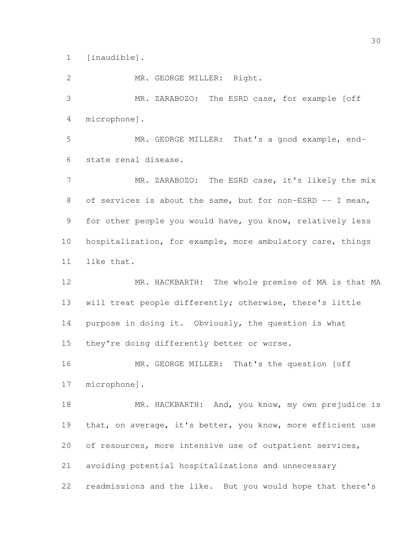[inaudible].

MR. GEORGE MILLER: Right.

 MR. ZARABOZO: The ESRD case, for example [off microphone].

 MR. GEORGE MILLER: That's a good example, end-state renal disease.

7 MR. ZARABOZO: The ESRD case, it's likely the mix 8 of services is about the same, but for non-ESRD -- I mean, for other people you would have, you know, relatively less hospitalization, for example, more ambulatory care, things like that.

 MR. HACKBARTH: The whole premise of MA is that MA will treat people differently; otherwise, there's little 14 purpose in doing it. Obviously, the question is what they're doing differently better or worse.

16 MR. GEORGE MILLER: That's the question [off microphone].

18 MR. HACKBARTH: And, you know, my own prejudice is 19 that, on average, it's better, you know, more efficient use of resources, more intensive use of outpatient services, avoiding potential hospitalizations and unnecessary readmissions and the like. But you would hope that there's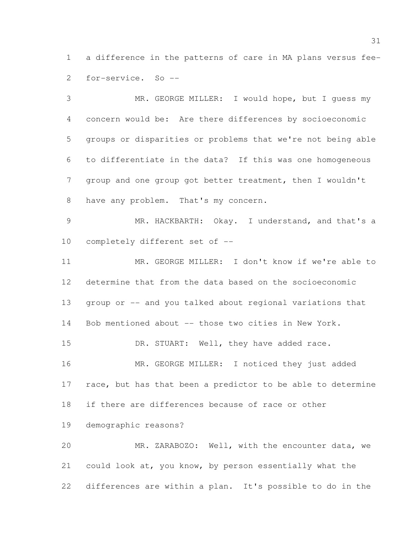a difference in the patterns of care in MA plans versus fee-for-service. So --

 MR. GEORGE MILLER: I would hope, but I guess my concern would be: Are there differences by socioeconomic groups or disparities or problems that we're not being able to differentiate in the data? If this was one homogeneous group and one group got better treatment, then I wouldn't have any problem. That's my concern. MR. HACKBARTH: Okay. I understand, and that's a completely different set of -- MR. GEORGE MILLER: I don't know if we're able to determine that from the data based on the socioeconomic group or -- and you talked about regional variations that Bob mentioned about -- those two cities in New York. 15 DR. STUART: Well, they have added race. 16 MR. GEORGE MILLER: I noticed they just added 17 race, but has that been a predictor to be able to determine if there are differences because of race or other demographic reasons? MR. ZARABOZO: Well, with the encounter data, we could look at, you know, by person essentially what the differences are within a plan. It's possible to do in the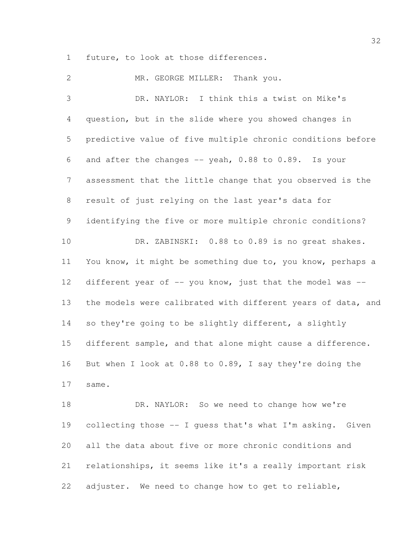future, to look at those differences.

2 MR. GEORGE MILLER: Thank you. DR. NAYLOR: I think this a twist on Mike's question, but in the slide where you showed changes in predictive value of five multiple chronic conditions before and after the changes -- yeah, 0.88 to 0.89. Is your assessment that the little change that you observed is the result of just relying on the last year's data for identifying the five or more multiple chronic conditions? DR. ZABINSKI: 0.88 to 0.89 is no great shakes. You know, it might be something due to, you know, perhaps a 12 different year of -- you know, just that the model was -- the models were calibrated with different years of data, and 14 so they're going to be slightly different, a slightly different sample, and that alone might cause a difference. But when I look at 0.88 to 0.89, I say they're doing the same. 18 DR. NAYLOR: So we need to change how we're collecting those -- I guess that's what I'm asking. Given all the data about five or more chronic conditions and relationships, it seems like it's a really important risk adjuster. We need to change how to get to reliable,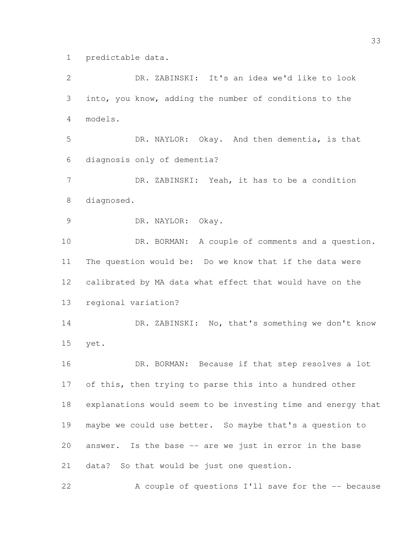predictable data.

 DR. ZABINSKI: It's an idea we'd like to look into, you know, adding the number of conditions to the models. DR. NAYLOR: Okay. And then dementia, is that diagnosis only of dementia? DR. ZABINSKI: Yeah, it has to be a condition diagnosed. DR. NAYLOR: Okay. 10 DR. BORMAN: A couple of comments and a question. The question would be: Do we know that if the data were calibrated by MA data what effect that would have on the regional variation? 14 DR. ZABINSKI: No, that's something we don't know yet. DR. BORMAN: Because if that step resolves a lot of this, then trying to parse this into a hundred other explanations would seem to be investing time and energy that maybe we could use better. So maybe that's a question to answer. Is the base -- are we just in error in the base data? So that would be just one question. 22 A couple of questions I'll save for the -- because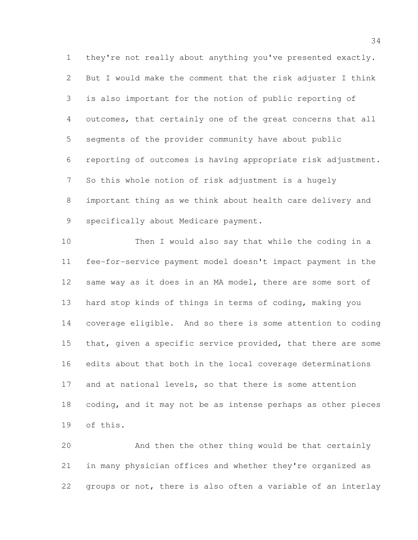they're not really about anything you've presented exactly. But I would make the comment that the risk adjuster I think is also important for the notion of public reporting of outcomes, that certainly one of the great concerns that all segments of the provider community have about public reporting of outcomes is having appropriate risk adjustment. So this whole notion of risk adjustment is a hugely important thing as we think about health care delivery and specifically about Medicare payment.

 Then I would also say that while the coding in a fee-for-service payment model doesn't impact payment in the same way as it does in an MA model, there are some sort of hard stop kinds of things in terms of coding, making you coverage eligible. And so there is some attention to coding 15 that, given a specific service provided, that there are some edits about that both in the local coverage determinations and at national levels, so that there is some attention 18 coding, and it may not be as intense perhaps as other pieces of this.

 And then the other thing would be that certainly in many physician offices and whether they're organized as groups or not, there is also often a variable of an interlay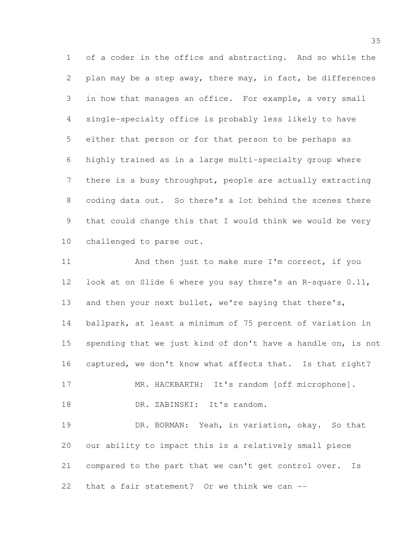of a coder in the office and abstracting. And so while the plan may be a step away, there may, in fact, be differences in how that manages an office. For example, a very small single-specialty office is probably less likely to have either that person or for that person to be perhaps as highly trained as in a large multi-specialty group where there is a busy throughput, people are actually extracting coding data out. So there's a lot behind the scenes there that could change this that I would think we would be very challenged to parse out.

11 And then just to make sure I'm correct, if you look at on Slide 6 where you say there's an R-square 0.11, 13 and then your next bullet, we're saying that there's, ballpark, at least a minimum of 75 percent of variation in spending that we just kind of don't have a handle on, is not captured, we don't know what affects that. Is that right? 17 MR. HACKBARTH: It's random [off microphone]. 18 DR. ZABINSKI: It's random. DR. BORMAN: Yeah, in variation, okay. So that our ability to impact this is a relatively small piece compared to the part that we can't get control over. Is that a fair statement? Or we think we can --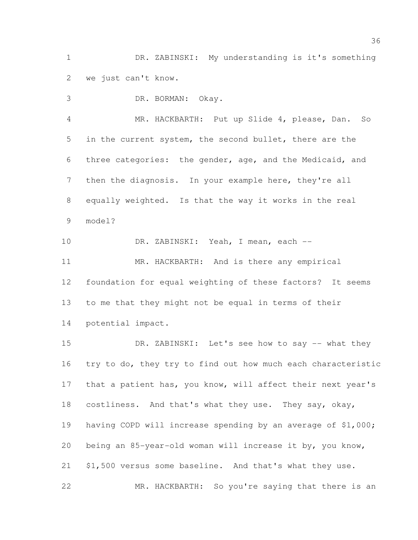DR. ZABINSKI: My understanding is it's something we just can't know.

 DR. BORMAN: Okay. MR. HACKBARTH: Put up Slide 4, please, Dan. So in the current system, the second bullet, there are the three categories: the gender, age, and the Medicaid, and then the diagnosis. In your example here, they're all equally weighted. Is that the way it works in the real model? DR. ZABINSKI: Yeah, I mean, each -- MR. HACKBARTH: And is there any empirical foundation for equal weighting of these factors? It seems to me that they might not be equal in terms of their potential impact.

15 DR. ZABINSKI: Let's see how to say -- what they try to do, they try to find out how much each characteristic that a patient has, you know, will affect their next year's costliness. And that's what they use. They say, okay, having COPD will increase spending by an average of \$1,000; being an 85-year-old woman will increase it by, you know, \$1,500 versus some baseline. And that's what they use. MR. HACKBARTH: So you're saying that there is an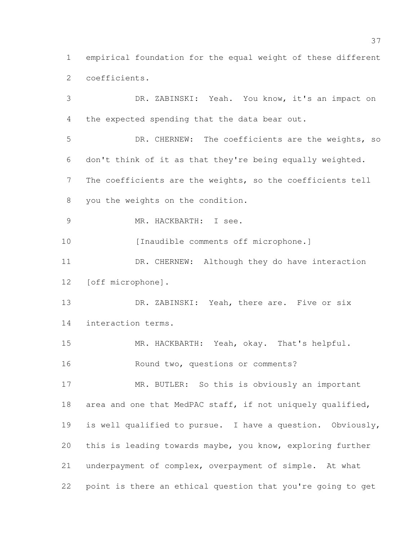empirical foundation for the equal weight of these different coefficients.

 DR. ZABINSKI: Yeah. You know, it's an impact on the expected spending that the data bear out. DR. CHERNEW: The coefficients are the weights, so don't think of it as that they're being equally weighted. The coefficients are the weights, so the coefficients tell you the weights on the condition. MR. HACKBARTH: I see. 10 [Inaudible comments off microphone.] DR. CHERNEW: Although they do have interaction [off microphone]. 13 DR. ZABINSKI: Yeah, there are. Five or six interaction terms. MR. HACKBARTH: Yeah, okay. That's helpful. Round two, questions or comments? MR. BUTLER: So this is obviously an important area and one that MedPAC staff, if not uniquely qualified, is well qualified to pursue. I have a question. Obviously, this is leading towards maybe, you know, exploring further underpayment of complex, overpayment of simple. At what point is there an ethical question that you're going to get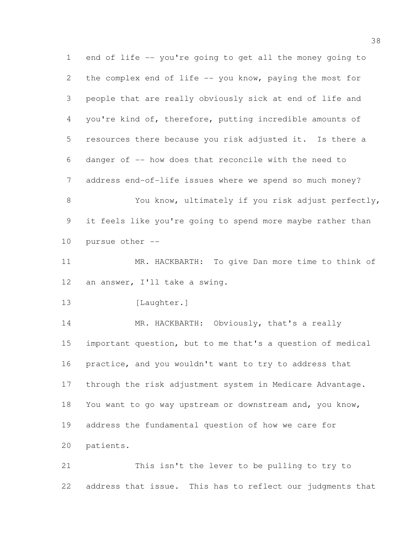end of life -- you're going to get all the money going to the complex end of life -- you know, paying the most for people that are really obviously sick at end of life and you're kind of, therefore, putting incredible amounts of resources there because you risk adjusted it. Is there a danger of -- how does that reconcile with the need to address end-of-life issues where we spend so much money? You know, ultimately if you risk adjust perfectly, it feels like you're going to spend more maybe rather than pursue other -- MR. HACKBARTH: To give Dan more time to think of an answer, I'll take a swing. 13 [Laughter.] 14 MR. HACKBARTH: Obviously, that's a really important question, but to me that's a question of medical practice, and you wouldn't want to try to address that through the risk adjustment system in Medicare Advantage. You want to go way upstream or downstream and, you know,

address the fundamental question of how we care for

patients.

 This isn't the lever to be pulling to try to address that issue. This has to reflect our judgments that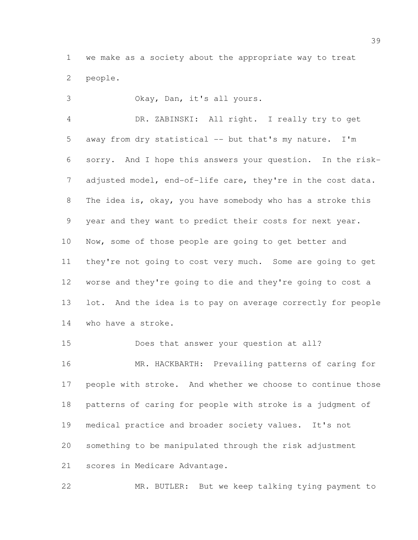we make as a society about the appropriate way to treat people.

 Okay, Dan, it's all yours. DR. ZABINSKI: All right. I really try to get away from dry statistical -- but that's my nature. I'm sorry. And I hope this answers your question. In the risk-7 adjusted model, end-of-life care, they're in the cost data. The idea is, okay, you have somebody who has a stroke this year and they want to predict their costs for next year. Now, some of those people are going to get better and they're not going to cost very much. Some are going to get worse and they're going to die and they're going to cost a lot. And the idea is to pay on average correctly for people who have a stroke.

 Does that answer your question at all? MR. HACKBARTH: Prevailing patterns of caring for people with stroke. And whether we choose to continue those patterns of caring for people with stroke is a judgment of medical practice and broader society values. It's not something to be manipulated through the risk adjustment scores in Medicare Advantage.

MR. BUTLER: But we keep talking tying payment to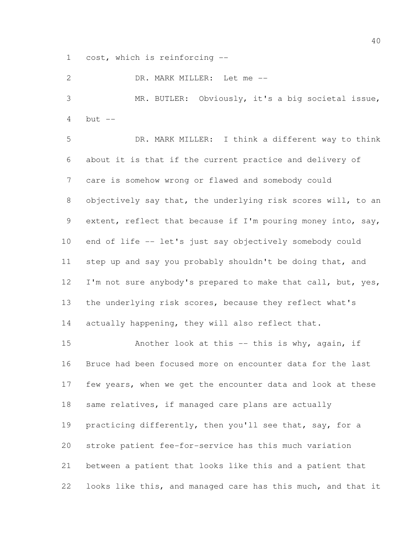cost, which is reinforcing --

DR. MARK MILLER: Let me --

 MR. BUTLER: Obviously, it's a big societal issue, but  $-$ 

 DR. MARK MILLER: I think a different way to think about it is that if the current practice and delivery of care is somehow wrong or flawed and somebody could objectively say that, the underlying risk scores will, to an 9 extent, reflect that because if I'm pouring money into, say, end of life -- let's just say objectively somebody could 11 step up and say you probably shouldn't be doing that, and 12 I'm not sure anybody's prepared to make that call, but, yes, the underlying risk scores, because they reflect what's 14 actually happening, they will also reflect that.

 Another look at this -- this is why, again, if Bruce had been focused more on encounter data for the last few years, when we get the encounter data and look at these 18 same relatives, if managed care plans are actually 19 practicing differently, then you'll see that, say, for a stroke patient fee-for-service has this much variation between a patient that looks like this and a patient that looks like this, and managed care has this much, and that it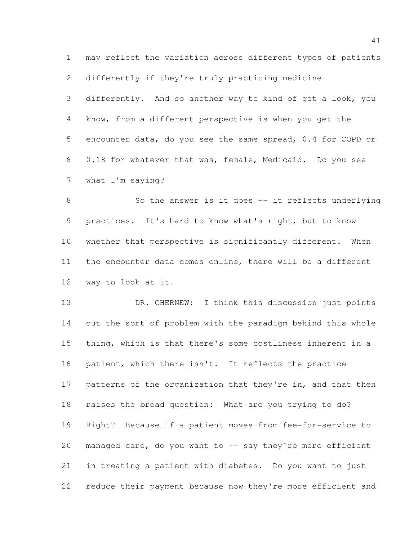may reflect the variation across different types of patients

differently if they're truly practicing medicine

 differently. And so another way to kind of get a look, you know, from a different perspective is when you get the encounter data, do you see the same spread, 0.4 for COPD or 0.18 for whatever that was, female, Medicaid. Do you see what I'm saying?

8 So the answer is it does -- it reflects underlying practices. It's hard to know what's right, but to know whether that perspective is significantly different. When the encounter data comes online, there will be a different way to look at it.

 DR. CHERNEW: I think this discussion just points out the sort of problem with the paradigm behind this whole thing, which is that there's some costliness inherent in a 16 patient, which there isn't. It reflects the practice 17 patterns of the organization that they're in, and that then raises the broad question: What are you trying to do? Right? Because if a patient moves from fee-for-service to 20 managed care, do you want to  $-$  say they're more efficient in treating a patient with diabetes. Do you want to just reduce their payment because now they're more efficient and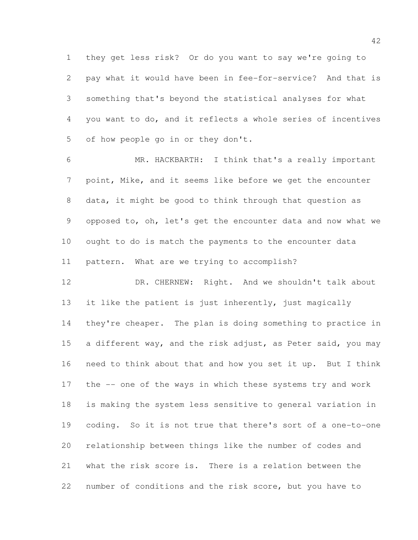they get less risk? Or do you want to say we're going to pay what it would have been in fee-for-service? And that is something that's beyond the statistical analyses for what you want to do, and it reflects a whole series of incentives of how people go in or they don't.

 MR. HACKBARTH: I think that's a really important point, Mike, and it seems like before we get the encounter data, it might be good to think through that question as opposed to, oh, let's get the encounter data and now what we ought to do is match the payments to the encounter data pattern. What are we trying to accomplish?

12 DR. CHERNEW: Right. And we shouldn't talk about it like the patient is just inherently, just magically they're cheaper. The plan is doing something to practice in 15 a different way, and the risk adjust, as Peter said, you may need to think about that and how you set it up. But I think the -- one of the ways in which these systems try and work is making the system less sensitive to general variation in coding. So it is not true that there's sort of a one-to-one relationship between things like the number of codes and what the risk score is. There is a relation between the number of conditions and the risk score, but you have to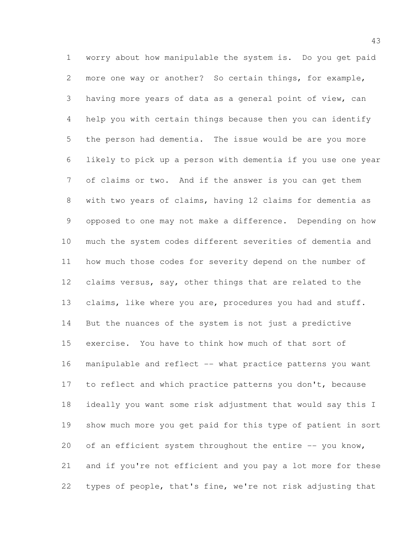worry about how manipulable the system is. Do you get paid more one way or another? So certain things, for example, having more years of data as a general point of view, can help you with certain things because then you can identify the person had dementia. The issue would be are you more likely to pick up a person with dementia if you use one year of claims or two. And if the answer is you can get them with two years of claims, having 12 claims for dementia as opposed to one may not make a difference. Depending on how much the system codes different severities of dementia and how much those codes for severity depend on the number of claims versus, say, other things that are related to the 13 claims, like where you are, procedures you had and stuff. But the nuances of the system is not just a predictive exercise. You have to think how much of that sort of manipulable and reflect -- what practice patterns you want 17 to reflect and which practice patterns you don't, because ideally you want some risk adjustment that would say this I show much more you get paid for this type of patient in sort 20 of an efficient system throughout the entire -- you know, and if you're not efficient and you pay a lot more for these types of people, that's fine, we're not risk adjusting that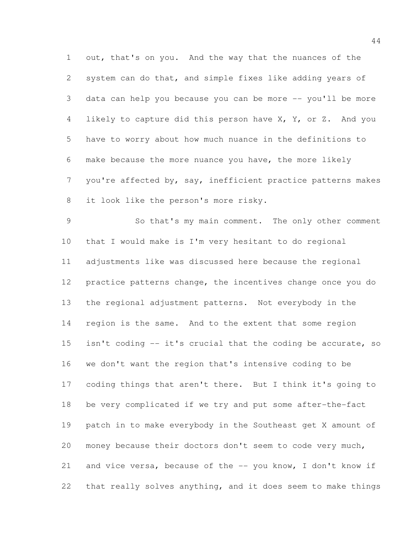out, that's on you. And the way that the nuances of the system can do that, and simple fixes like adding years of data can help you because you can be more -- you'll be more likely to capture did this person have X, Y, or Z. And you have to worry about how much nuance in the definitions to make because the more nuance you have, the more likely you're affected by, say, inefficient practice patterns makes it look like the person's more risky.

 So that's my main comment. The only other comment that I would make is I'm very hesitant to do regional adjustments like was discussed here because the regional practice patterns change, the incentives change once you do the regional adjustment patterns. Not everybody in the region is the same. And to the extent that some region isn't coding -- it's crucial that the coding be accurate, so we don't want the region that's intensive coding to be coding things that aren't there. But I think it's going to be very complicated if we try and put some after-the-fact patch in to make everybody in the Southeast get X amount of money because their doctors don't seem to code very much, and vice versa, because of the -- you know, I don't know if that really solves anything, and it does seem to make things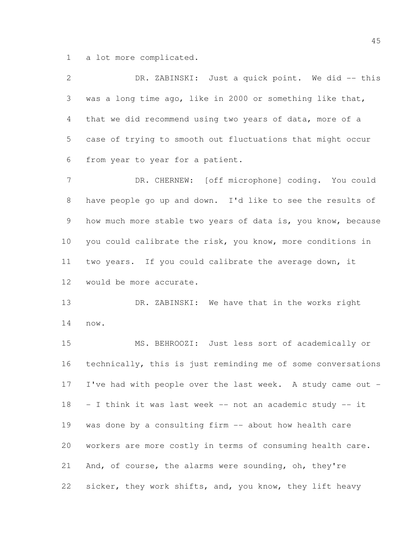a lot more complicated.

 DR. ZABINSKI: Just a quick point. We did -- this was a long time ago, like in 2000 or something like that, that we did recommend using two years of data, more of a case of trying to smooth out fluctuations that might occur from year to year for a patient.

 DR. CHERNEW: [off microphone] coding. You could have people go up and down. I'd like to see the results of 9 how much more stable two years of data is, you know, because you could calibrate the risk, you know, more conditions in two years. If you could calibrate the average down, it would be more accurate.

 DR. ZABINSKI: We have that in the works right now.

 MS. BEHROOZI: Just less sort of academically or technically, this is just reminding me of some conversations I've had with people over the last week. A study came out - - I think it was last week -- not an academic study -- it was done by a consulting firm -- about how health care workers are more costly in terms of consuming health care. And, of course, the alarms were sounding, oh, they're sicker, they work shifts, and, you know, they lift heavy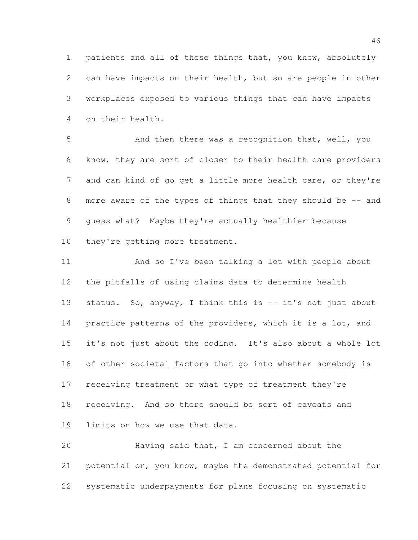patients and all of these things that, you know, absolutely can have impacts on their health, but so are people in other workplaces exposed to various things that can have impacts on their health.

5 And then there was a recognition that, well, you know, they are sort of closer to their health care providers 7 and can kind of go get a little more health care, or they're 8 more aware of the types of things that they should be -- and guess what? Maybe they're actually healthier because 10 they're getting more treatment.

 And so I've been talking a lot with people about the pitfalls of using claims data to determine health 13 status. So, anyway, I think this is -- it's not just about 14 practice patterns of the providers, which it is a lot, and it's not just about the coding. It's also about a whole lot of other societal factors that go into whether somebody is receiving treatment or what type of treatment they're receiving. And so there should be sort of caveats and limits on how we use that data.

 Having said that, I am concerned about the 21 potential or, you know, maybe the demonstrated potential for systematic underpayments for plans focusing on systematic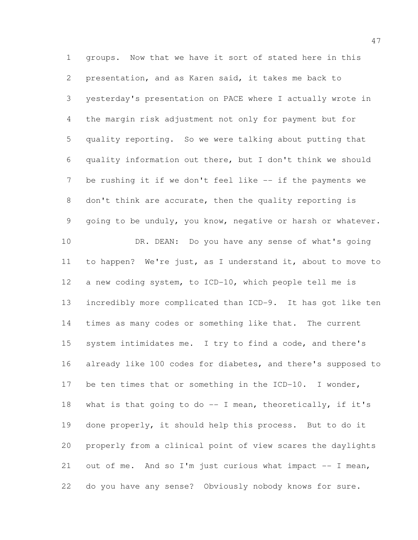groups. Now that we have it sort of stated here in this presentation, and as Karen said, it takes me back to yesterday's presentation on PACE where I actually wrote in the margin risk adjustment not only for payment but for quality reporting. So we were talking about putting that quality information out there, but I don't think we should be rushing it if we don't feel like -- if the payments we don't think are accurate, then the quality reporting is going to be unduly, you know, negative or harsh or whatever. 10 DR. DEAN: Do you have any sense of what's going to happen? We're just, as I understand it, about to move to a new coding system, to ICD-10, which people tell me is incredibly more complicated than ICD-9. It has got like ten times as many codes or something like that. The current system intimidates me. I try to find a code, and there's already like 100 codes for diabetes, and there's supposed to be ten times that or something in the ICD-10. I wonder, what is that going to do -- I mean, theoretically, if it's done properly, it should help this process. But to do it properly from a clinical point of view scares the daylights out of me. And so I'm just curious what impact -- I mean, do you have any sense? Obviously nobody knows for sure.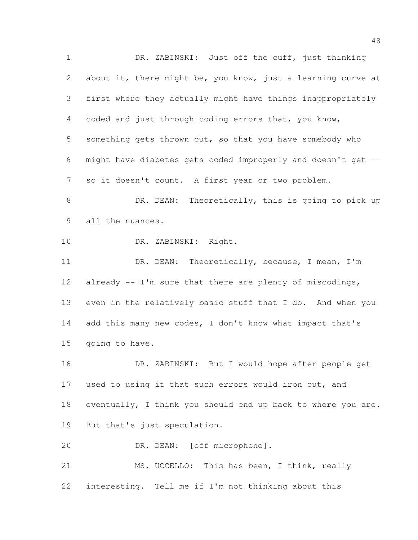DR. ZABINSKI: Just off the cuff, just thinking about it, there might be, you know, just a learning curve at first where they actually might have things inappropriately coded and just through coding errors that, you know, something gets thrown out, so that you have somebody who might have diabetes gets coded improperly and doesn't get -- so it doesn't count. A first year or two problem. 8 DR. DEAN: Theoretically, this is going to pick up all the nuances. DR. ZABINSKI: Right. DR. DEAN: Theoretically, because, I mean, I'm 12 already -- I'm sure that there are plenty of miscodings, even in the relatively basic stuff that I do. And when you add this many new codes, I don't know what impact that's going to have. DR. ZABINSKI: But I would hope after people get used to using it that such errors would iron out, and eventually, I think you should end up back to where you are. But that's just speculation. DR. DEAN: [off microphone]. MS. UCCELLO: This has been, I think, really interesting. Tell me if I'm not thinking about this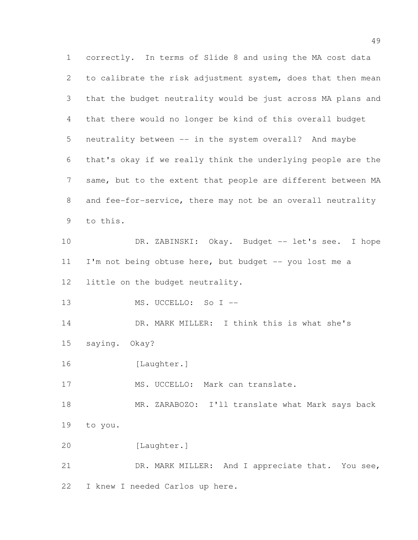correctly. In terms of Slide 8 and using the MA cost data to calibrate the risk adjustment system, does that then mean that the budget neutrality would be just across MA plans and that there would no longer be kind of this overall budget neutrality between -- in the system overall? And maybe that's okay if we really think the underlying people are the same, but to the extent that people are different between MA and fee-for-service, there may not be an overall neutrality to this. DR. ZABINSKI: Okay. Budget -- let's see. I hope 11 I'm not being obtuse here, but budget -- you lost me a little on the budget neutrality. MS. UCCELLO: So I -- DR. MARK MILLER: I think this is what she's saying. Okay? 16 [Laughter.] 17 MS. UCCELLO: Mark can translate. 18 MR. ZARABOZO: I'll translate what Mark says back to you. [Laughter.] 21 DR. MARK MILLER: And I appreciate that. You see, I knew I needed Carlos up here.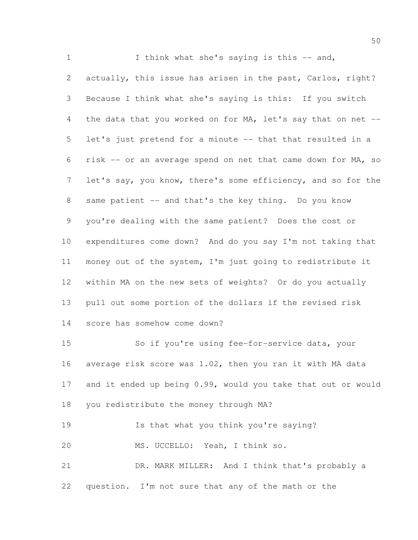1 I think what she's saving is this -- and, actually, this issue has arisen in the past, Carlos, right? Because I think what she's saying is this: If you switch the data that you worked on for MA, let's say that on net -- let's just pretend for a minute -- that that resulted in a risk -- or an average spend on net that came down for MA, so 7 let's say, you know, there's some efficiency, and so for the 8 same patient -- and that's the key thing. Do you know you're dealing with the same patient? Does the cost or expenditures come down? And do you say I'm not taking that money out of the system, I'm just going to redistribute it within MA on the new sets of weights? Or do you actually pull out some portion of the dollars if the revised risk score has somehow come down? So if you're using fee-for-service data, your average risk score was 1.02, then you ran it with MA data and it ended up being 0.99, would you take that out or would you redistribute the money through MA? Is that what you think you're saying? MS. UCCELLO: Yeah, I think so. DR. MARK MILLER: And I think that's probably a

question. I'm not sure that any of the math or the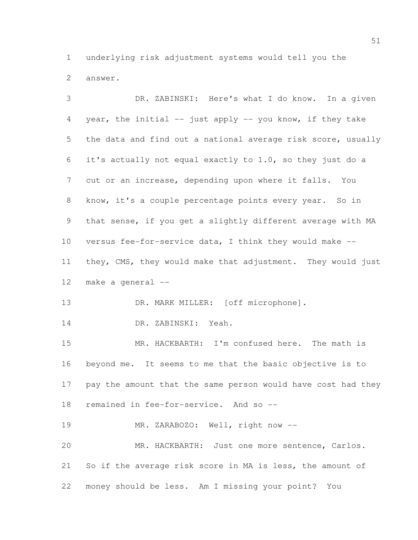underlying risk adjustment systems would tell you the answer.

 DR. ZABINSKI: Here's what I do know. In a given year, the initial -- just apply -- you know, if they take the data and find out a national average risk score, usually it's actually not equal exactly to 1.0, so they just do a cut or an increase, depending upon where it falls. You 8 know, it's a couple percentage points every year. So in that sense, if you get a slightly different average with MA versus fee-for-service data, I think they would make -- they, CMS, they would make that adjustment. They would just make a general -- 13 DR. MARK MILLER: [off microphone]. DR. ZABINSKI: Yeah. MR. HACKBARTH: I'm confused here. The math is beyond me. It seems to me that the basic objective is to pay the amount that the same person would have cost had they remained in fee-for-service. And so -- 19 MR. ZARABOZO: Well, right now -- MR. HACKBARTH: Just one more sentence, Carlos. So if the average risk score in MA is less, the amount of money should be less. Am I missing your point? You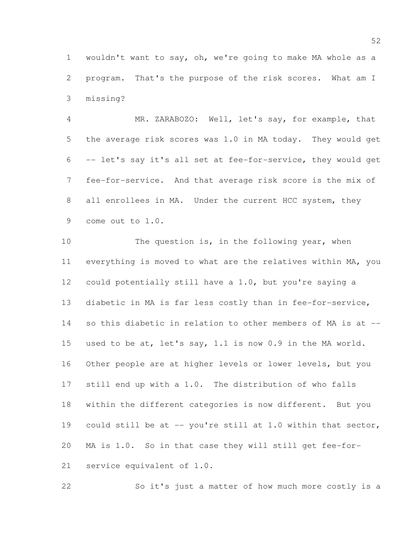wouldn't want to say, oh, we're going to make MA whole as a program. That's the purpose of the risk scores. What am I missing?

 MR. ZARABOZO: Well, let's say, for example, that the average risk scores was 1.0 in MA today. They would get -- let's say it's all set at fee-for-service, they would get fee-for-service. And that average risk score is the mix of 8 all enrollees in MA. Under the current HCC system, they come out to 1.0.

10 The question is, in the following year, when everything is moved to what are the relatives within MA, you could potentially still have a 1.0, but you're saying a diabetic in MA is far less costly than in fee-for-service, so this diabetic in relation to other members of MA is at -- used to be at, let's say, 1.1 is now 0.9 in the MA world. Other people are at higher levels or lower levels, but you still end up with a 1.0. The distribution of who falls within the different categories is now different. But you 19 could still be at -- you're still at 1.0 within that sector, MA is 1.0. So in that case they will still get fee-for-service equivalent of 1.0.

So it's just a matter of how much more costly is a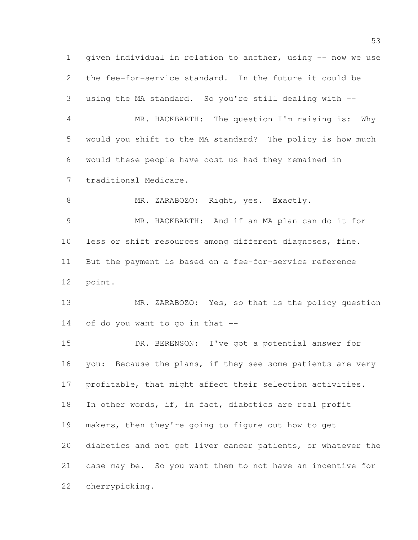given individual in relation to another, using -- now we use the fee-for-service standard. In the future it could be using the MA standard. So you're still dealing with -- MR. HACKBARTH: The question I'm raising is: Why would you shift to the MA standard? The policy is how much would these people have cost us had they remained in traditional Medicare. 8 MR. ZARABOZO: Right, yes. Exactly. MR. HACKBARTH: And if an MA plan can do it for less or shift resources among different diagnoses, fine. But the payment is based on a fee-for-service reference point. 13 MR. ZARABOZO: Yes, so that is the policy question of do you want to go in that -- DR. BERENSON: I've got a potential answer for 16 you: Because the plans, if they see some patients are very profitable, that might affect their selection activities. In other words, if, in fact, diabetics are real profit makers, then they're going to figure out how to get diabetics and not get liver cancer patients, or whatever the case may be. So you want them to not have an incentive for cherrypicking.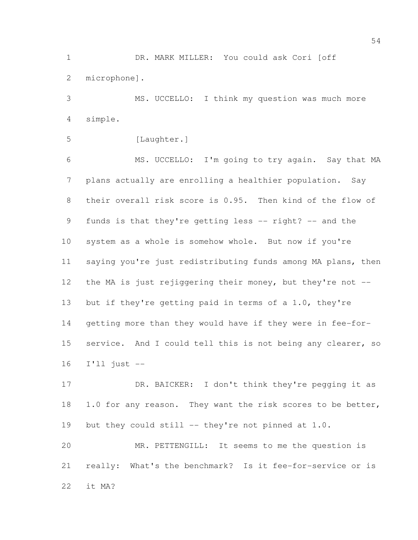DR. MARK MILLER: You could ask Cori [off microphone].

 MS. UCCELLO: I think my question was much more simple.

```
5 [Laughter.]
```
 MS. UCCELLO: I'm going to try again. Say that MA plans actually are enrolling a healthier population. Say their overall risk score is 0.95. Then kind of the flow of funds is that they're getting less -- right? -- and the system as a whole is somehow whole. But now if you're saying you're just redistributing funds among MA plans, then 12 the MA is just rejiggering their money, but they're not --13 but if they're getting paid in terms of a 1.0, they're getting more than they would have if they were in fee-for- service. And I could tell this is not being any clearer, so I'll just --

17 DR. BAICKER: I don't think they're pegging it as 18 1.0 for any reason. They want the risk scores to be better, 19 but they could still -- they're not pinned at 1.0.

 MR. PETTENGILL: It seems to me the question is really: What's the benchmark? Is it fee-for-service or is it MA?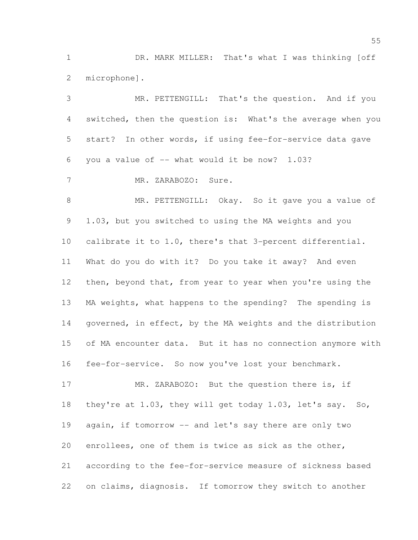DR. MARK MILLER: That's what I was thinking [off microphone].

 MR. PETTENGILL: That's the question. And if you switched, then the question is: What's the average when you start? In other words, if using fee-for-service data gave 6 you a value of  $-$  what would it be now? 1.03? MR. ZARABOZO: Sure. 8 MR. PETTENGILL: Okay. So it gave you a value of 1.03, but you switched to using the MA weights and you calibrate it to 1.0, there's that 3-percent differential. What do you do with it? Do you take it away? And even 12 then, beyond that, from year to year when you're using the MA weights, what happens to the spending? The spending is 14 governed, in effect, by the MA weights and the distribution of MA encounter data. But it has no connection anymore with fee-for-service. So now you've lost your benchmark. 17 MR. ZARABOZO: But the question there is, if they're at 1.03, they will get today 1.03, let's say. So, 19 again, if tomorrow -- and let's say there are only two

 according to the fee-for-service measure of sickness based on claims, diagnosis. If tomorrow they switch to another

enrollees, one of them is twice as sick as the other,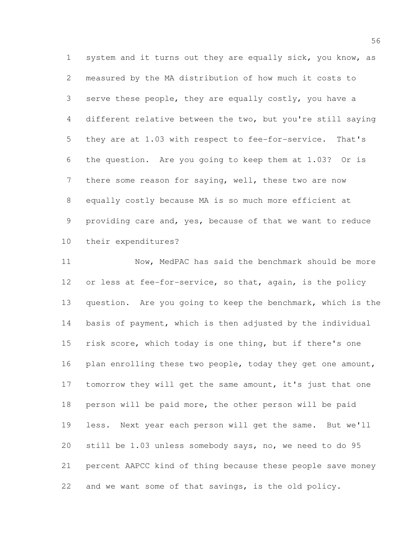system and it turns out they are equally sick, you know, as measured by the MA distribution of how much it costs to serve these people, they are equally costly, you have a different relative between the two, but you're still saying they are at 1.03 with respect to fee-for-service. That's the question. Are you going to keep them at 1.03? Or is there some reason for saying, well, these two are now equally costly because MA is so much more efficient at providing care and, yes, because of that we want to reduce their expenditures?

11 Now, MedPAC has said the benchmark should be more 12 or less at fee-for-service, so that, again, is the policy 13 question. Are you going to keep the benchmark, which is the basis of payment, which is then adjusted by the individual risk score, which today is one thing, but if there's one 16 plan enrolling these two people, today they get one amount, 17 tomorrow they will get the same amount, it's just that one person will be paid more, the other person will be paid less. Next year each person will get the same. But we'll still be 1.03 unless somebody says, no, we need to do 95 percent AAPCC kind of thing because these people save money and we want some of that savings, is the old policy.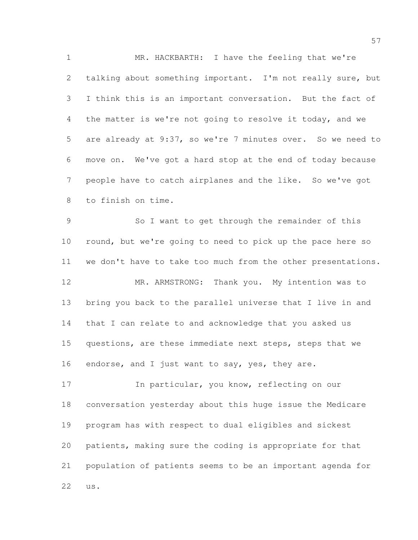MR. HACKBARTH: I have the feeling that we're talking about something important. I'm not really sure, but I think this is an important conversation. But the fact of the matter is we're not going to resolve it today, and we are already at 9:37, so we're 7 minutes over. So we need to move on. We've got a hard stop at the end of today because people have to catch airplanes and the like. So we've got to finish on time.

 So I want to get through the remainder of this 10 round, but we're going to need to pick up the pace here so we don't have to take too much from the other presentations. MR. ARMSTRONG: Thank you. My intention was to bring you back to the parallel universe that I live in and that I can relate to and acknowledge that you asked us 15 questions, are these immediate next steps, steps that we 16 endorse, and I just want to say, yes, they are.

17 In particular, you know, reflecting on our conversation yesterday about this huge issue the Medicare program has with respect to dual eligibles and sickest patients, making sure the coding is appropriate for that population of patients seems to be an important agenda for us.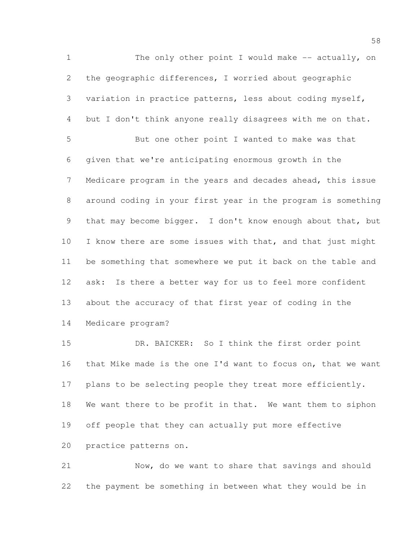1 The only other point I would make -- actually, on the geographic differences, I worried about geographic variation in practice patterns, less about coding myself, but I don't think anyone really disagrees with me on that. But one other point I wanted to make was that given that we're anticipating enormous growth in the Medicare program in the years and decades ahead, this issue around coding in your first year in the program is something that may become bigger. I don't know enough about that, but 10 I know there are some issues with that, and that just might be something that somewhere we put it back on the table and ask: Is there a better way for us to feel more confident about the accuracy of that first year of coding in the Medicare program?

 DR. BAICKER: So I think the first order point that Mike made is the one I'd want to focus on, that we want 17 plans to be selecting people they treat more efficiently. We want there to be profit in that. We want them to siphon off people that they can actually put more effective practice patterns on.

 Now, do we want to share that savings and should the payment be something in between what they would be in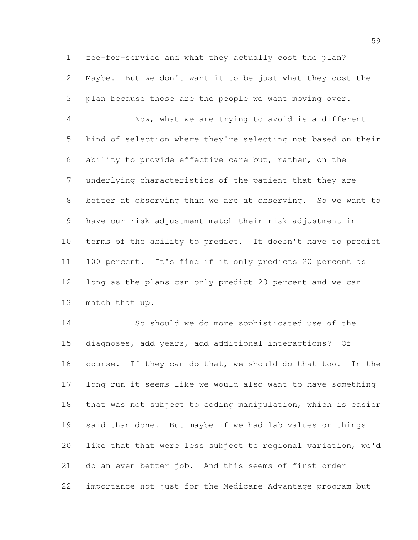fee-for-service and what they actually cost the plan? Maybe. But we don't want it to be just what they cost the plan because those are the people we want moving over.

 Now, what we are trying to avoid is a different kind of selection where they're selecting not based on their ability to provide effective care but, rather, on the underlying characteristics of the patient that they are 8 better at observing than we are at observing. So we want to have our risk adjustment match their risk adjustment in terms of the ability to predict. It doesn't have to predict 100 percent. It's fine if it only predicts 20 percent as long as the plans can only predict 20 percent and we can match that up.

 So should we do more sophisticated use of the diagnoses, add years, add additional interactions? Of course. If they can do that, we should do that too. In the long run it seems like we would also want to have something that was not subject to coding manipulation, which is easier said than done. But maybe if we had lab values or things like that that were less subject to regional variation, we'd do an even better job. And this seems of first order importance not just for the Medicare Advantage program but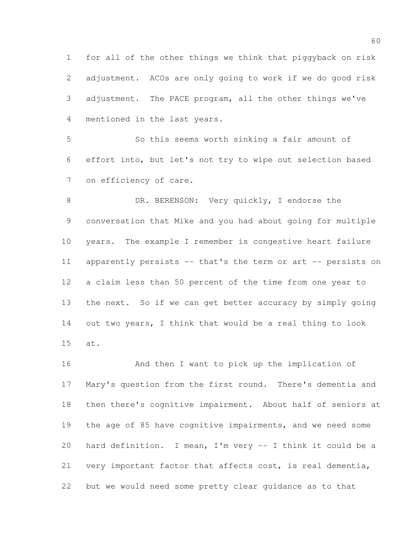for all of the other things we think that piggyback on risk adjustment. ACOs are only going to work if we do good risk adjustment. The PACE program, all the other things we've mentioned in the last years.

 So this seems worth sinking a fair amount of effort into, but let's not try to wipe out selection based on efficiency of care.

8 DR. BERENSON: Very quickly, I endorse the conversation that Mike and you had about going for multiple years. The example I remember is congestive heart failure apparently persists -- that's the term or art -- persists on a claim less than 50 percent of the time from one year to the next. So if we can get better accuracy by simply going out two years, I think that would be a real thing to look at.

 And then I want to pick up the implication of Mary's question from the first round. There's dementia and then there's cognitive impairment. About half of seniors at the age of 85 have cognitive impairments, and we need some hard definition. I mean, I'm very -- I think it could be a very important factor that affects cost, is real dementia, but we would need some pretty clear guidance as to that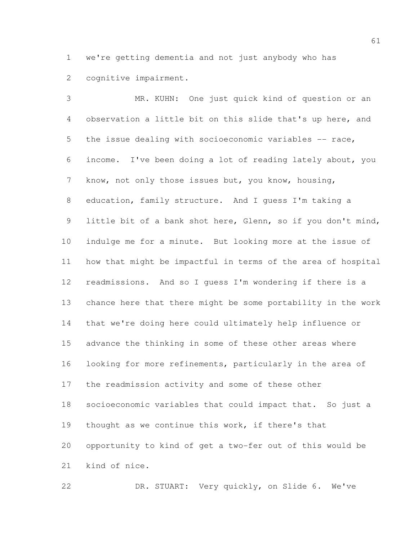we're getting dementia and not just anybody who has cognitive impairment.

 MR. KUHN: One just quick kind of question or an observation a little bit on this slide that's up here, and the issue dealing with socioeconomic variables -- race, income. I've been doing a lot of reading lately about, you know, not only those issues but, you know, housing, education, family structure. And I guess I'm taking a little bit of a bank shot here, Glenn, so if you don't mind, indulge me for a minute. But looking more at the issue of how that might be impactful in terms of the area of hospital readmissions. And so I guess I'm wondering if there is a chance here that there might be some portability in the work that we're doing here could ultimately help influence or advance the thinking in some of these other areas where looking for more refinements, particularly in the area of the readmission activity and some of these other socioeconomic variables that could impact that. So just a thought as we continue this work, if there's that opportunity to kind of get a two-fer out of this would be kind of nice.

DR. STUART: Very quickly, on Slide 6. We've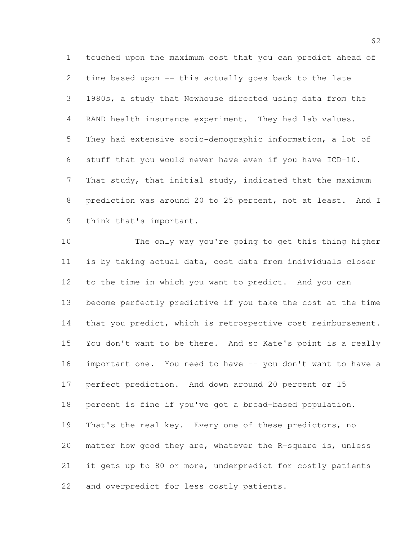touched upon the maximum cost that you can predict ahead of time based upon -- this actually goes back to the late 1980s, a study that Newhouse directed using data from the RAND health insurance experiment. They had lab values. They had extensive socio-demographic information, a lot of stuff that you would never have even if you have ICD-10. That study, that initial study, indicated that the maximum prediction was around 20 to 25 percent, not at least. And I think that's important.

 The only way you're going to get this thing higher is by taking actual data, cost data from individuals closer to the time in which you want to predict. And you can become perfectly predictive if you take the cost at the time 14 that you predict, which is retrospective cost reimbursement. You don't want to be there. And so Kate's point is a really important one. You need to have -- you don't want to have a perfect prediction. And down around 20 percent or 15 percent is fine if you've got a broad-based population. 19 That's the real key. Every one of these predictors, no matter how good they are, whatever the R-square is, unless it gets up to 80 or more, underpredict for costly patients and overpredict for less costly patients.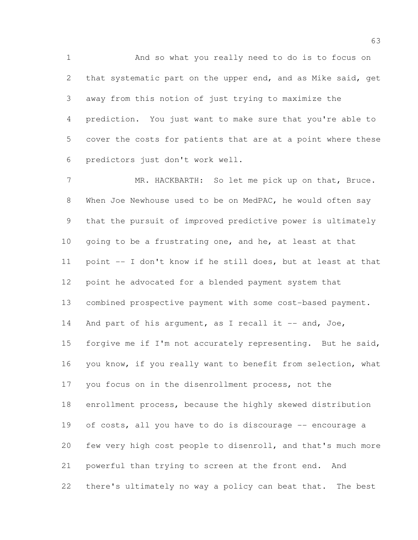And so what you really need to do is to focus on that systematic part on the upper end, and as Mike said, get away from this notion of just trying to maximize the prediction. You just want to make sure that you're able to cover the costs for patients that are at a point where these predictors just don't work well.

7 MR. HACKBARTH: So let me pick up on that, Bruce. When Joe Newhouse used to be on MedPAC, he would often say that the pursuit of improved predictive power is ultimately going to be a frustrating one, and he, at least at that point -- I don't know if he still does, but at least at that point he advocated for a blended payment system that combined prospective payment with some cost-based payment. 14 And part of his argument, as I recall it -- and, Joe, forgive me if I'm not accurately representing. But he said, you know, if you really want to benefit from selection, what you focus on in the disenrollment process, not the enrollment process, because the highly skewed distribution of costs, all you have to do is discourage -- encourage a few very high cost people to disenroll, and that's much more powerful than trying to screen at the front end. And there's ultimately no way a policy can beat that. The best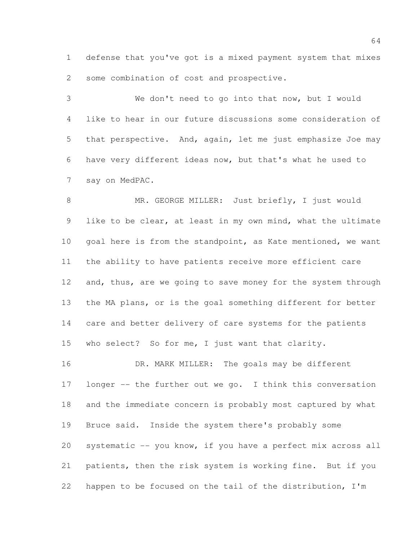defense that you've got is a mixed payment system that mixes some combination of cost and prospective.

 We don't need to go into that now, but I would like to hear in our future discussions some consideration of that perspective. And, again, let me just emphasize Joe may have very different ideas now, but that's what he used to say on MedPAC.

8 MR. GEORGE MILLER: Just briefly, I just would like to be clear, at least in my own mind, what the ultimate goal here is from the standpoint, as Kate mentioned, we want the ability to have patients receive more efficient care 12 and, thus, are we going to save money for the system through the MA plans, or is the goal something different for better care and better delivery of care systems for the patients who select? So for me, I just want that clarity.

16 DR. MARK MILLER: The goals may be different longer -- the further out we go. I think this conversation and the immediate concern is probably most captured by what Bruce said. Inside the system there's probably some systematic -- you know, if you have a perfect mix across all patients, then the risk system is working fine. But if you happen to be focused on the tail of the distribution, I'm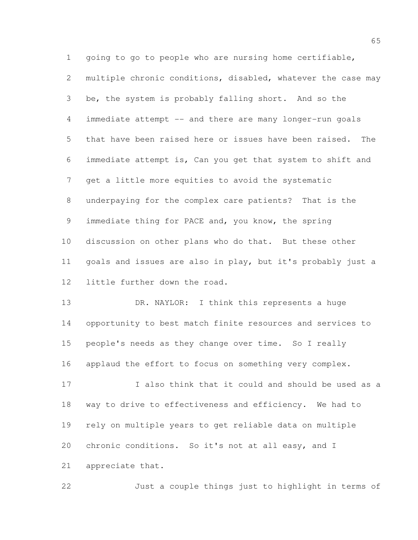going to go to people who are nursing home certifiable, multiple chronic conditions, disabled, whatever the case may be, the system is probably falling short. And so the immediate attempt -- and there are many longer-run goals that have been raised here or issues have been raised. The immediate attempt is, Can you get that system to shift and get a little more equities to avoid the systematic underpaying for the complex care patients? That is the immediate thing for PACE and, you know, the spring discussion on other plans who do that. But these other goals and issues are also in play, but it's probably just a little further down the road.

13 DR. NAYLOR: I think this represents a huge opportunity to best match finite resources and services to people's needs as they change over time. So I really applaud the effort to focus on something very complex.

 I also think that it could and should be used as a way to drive to effectiveness and efficiency. We had to rely on multiple years to get reliable data on multiple chronic conditions. So it's not at all easy, and I appreciate that.

Just a couple things just to highlight in terms of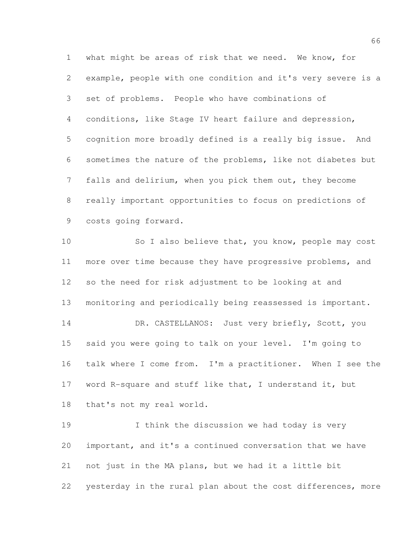what might be areas of risk that we need. We know, for example, people with one condition and it's very severe is a set of problems. People who have combinations of conditions, like Stage IV heart failure and depression, cognition more broadly defined is a really big issue. And sometimes the nature of the problems, like not diabetes but falls and delirium, when you pick them out, they become really important opportunities to focus on predictions of costs going forward.

10 So I also believe that, you know, people may cost 11 more over time because they have progressive problems, and so the need for risk adjustment to be looking at and monitoring and periodically being reassessed is important. 14 DR. CASTELLANOS: Just very briefly, Scott, you said you were going to talk on your level. I'm going to talk where I come from. I'm a practitioner. When I see the word R-square and stuff like that, I understand it, but that's not my real world.

 I think the discussion we had today is very important, and it's a continued conversation that we have not just in the MA plans, but we had it a little bit yesterday in the rural plan about the cost differences, more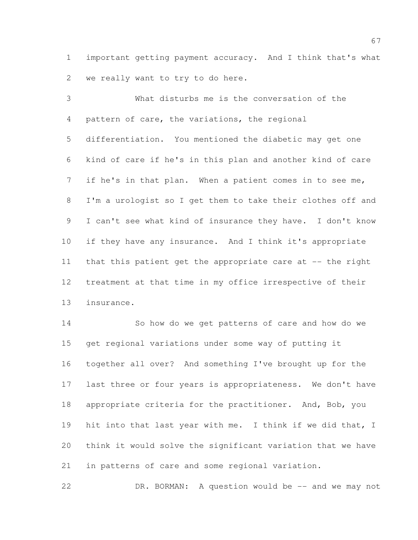important getting payment accuracy. And I think that's what we really want to try to do here.

 What disturbs me is the conversation of the pattern of care, the variations, the regional differentiation. You mentioned the diabetic may get one kind of care if he's in this plan and another kind of care if he's in that plan. When a patient comes in to see me, I'm a urologist so I get them to take their clothes off and I can't see what kind of insurance they have. I don't know if they have any insurance. And I think it's appropriate 11 that this patient get the appropriate care at -- the right treatment at that time in my office irrespective of their insurance.

 So how do we get patterns of care and how do we get regional variations under some way of putting it together all over? And something I've brought up for the last three or four years is appropriateness. We don't have appropriate criteria for the practitioner. And, Bob, you 19 hit into that last year with me. I think if we did that, I think it would solve the significant variation that we have in patterns of care and some regional variation.

DR. BORMAN: A question would be -- and we may not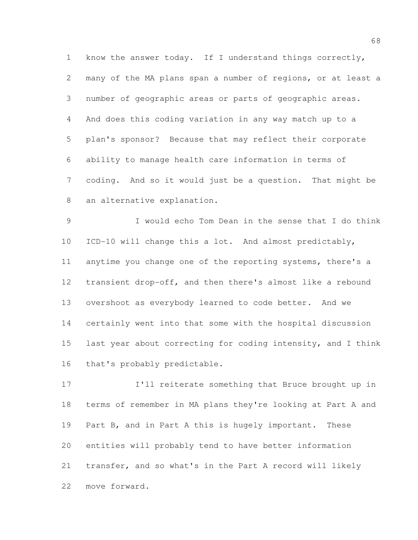know the answer today. If I understand things correctly, many of the MA plans span a number of regions, or at least a number of geographic areas or parts of geographic areas. And does this coding variation in any way match up to a plan's sponsor? Because that may reflect their corporate ability to manage health care information in terms of coding. And so it would just be a question. That might be an alternative explanation.

 I would echo Tom Dean in the sense that I do think ICD-10 will change this a lot. And almost predictably, anytime you change one of the reporting systems, there's a transient drop-off, and then there's almost like a rebound overshoot as everybody learned to code better. And we certainly went into that some with the hospital discussion last year about correcting for coding intensity, and I think that's probably predictable.

 I'll reiterate something that Bruce brought up in terms of remember in MA plans they're looking at Part A and 19 Part B, and in Part A this is hugely important. These entities will probably tend to have better information transfer, and so what's in the Part A record will likely move forward.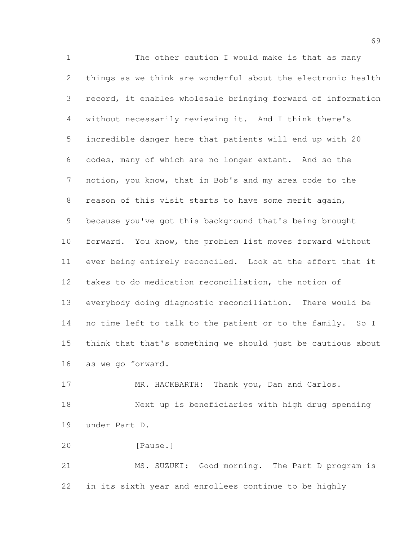The other caution I would make is that as many things as we think are wonderful about the electronic health record, it enables wholesale bringing forward of information without necessarily reviewing it. And I think there's incredible danger here that patients will end up with 20 codes, many of which are no longer extant. And so the notion, you know, that in Bob's and my area code to the reason of this visit starts to have some merit again, because you've got this background that's being brought forward. You know, the problem list moves forward without ever being entirely reconciled. Look at the effort that it takes to do medication reconciliation, the notion of everybody doing diagnostic reconciliation. There would be 14 no time left to talk to the patient or to the family. So I think that that's something we should just be cautious about as we go forward.

17 MR. HACKBARTH: Thank you, Dan and Carlos. Next up is beneficiaries with high drug spending under Part D.

20 [Pause.]

 MS. SUZUKI: Good morning. The Part D program is in its sixth year and enrollees continue to be highly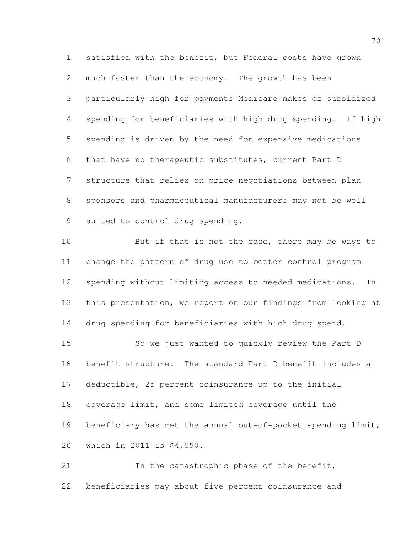satisfied with the benefit, but Federal costs have grown much faster than the economy. The growth has been particularly high for payments Medicare makes of subsidized spending for beneficiaries with high drug spending. If high spending is driven by the need for expensive medications that have no therapeutic substitutes, current Part D structure that relies on price negotiations between plan sponsors and pharmaceutical manufacturers may not be well suited to control drug spending.

10 But if that is not the case, there may be ways to change the pattern of drug use to better control program spending without limiting access to needed medications. In this presentation, we report on our findings from looking at drug spending for beneficiaries with high drug spend.

 So we just wanted to quickly review the Part D benefit structure. The standard Part D benefit includes a deductible, 25 percent coinsurance up to the initial coverage limit, and some limited coverage until the 19 beneficiary has met the annual out-of-pocket spending limit, which in 2011 is \$4,550.

 In the catastrophic phase of the benefit, beneficiaries pay about five percent coinsurance and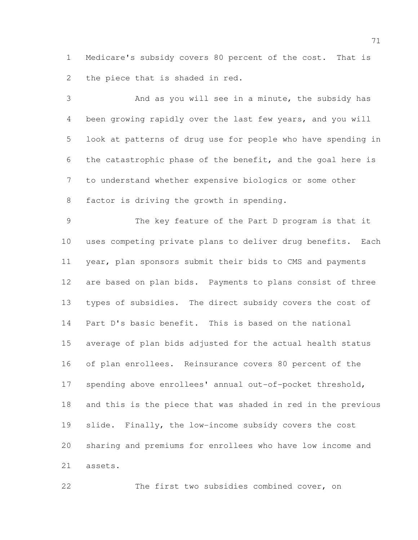Medicare's subsidy covers 80 percent of the cost. That is the piece that is shaded in red.

 And as you will see in a minute, the subsidy has been growing rapidly over the last few years, and you will look at patterns of drug use for people who have spending in the catastrophic phase of the benefit, and the goal here is to understand whether expensive biologics or some other factor is driving the growth in spending.

 The key feature of the Part D program is that it uses competing private plans to deliver drug benefits. Each year, plan sponsors submit their bids to CMS and payments are based on plan bids. Payments to plans consist of three types of subsidies. The direct subsidy covers the cost of Part D's basic benefit. This is based on the national average of plan bids adjusted for the actual health status of plan enrollees. Reinsurance covers 80 percent of the spending above enrollees' annual out-of-pocket threshold, and this is the piece that was shaded in red in the previous slide. Finally, the low-income subsidy covers the cost sharing and premiums for enrollees who have low income and assets.

The first two subsidies combined cover, on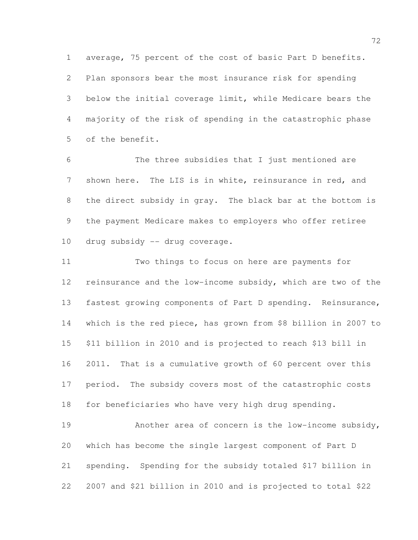average, 75 percent of the cost of basic Part D benefits. Plan sponsors bear the most insurance risk for spending below the initial coverage limit, while Medicare bears the majority of the risk of spending in the catastrophic phase of the benefit.

 The three subsidies that I just mentioned are shown here. The LIS is in white, reinsurance in red, and the direct subsidy in gray. The black bar at the bottom is the payment Medicare makes to employers who offer retiree drug subsidy -- drug coverage.

 Two things to focus on here are payments for reinsurance and the low-income subsidy, which are two of the fastest growing components of Part D spending. Reinsurance, which is the red piece, has grown from \$8 billion in 2007 to \$11 billion in 2010 and is projected to reach \$13 bill in 2011. That is a cumulative growth of 60 percent over this period. The subsidy covers most of the catastrophic costs for beneficiaries who have very high drug spending.

 Another area of concern is the low-income subsidy, which has become the single largest component of Part D spending. Spending for the subsidy totaled \$17 billion in 2007 and \$21 billion in 2010 and is projected to total \$22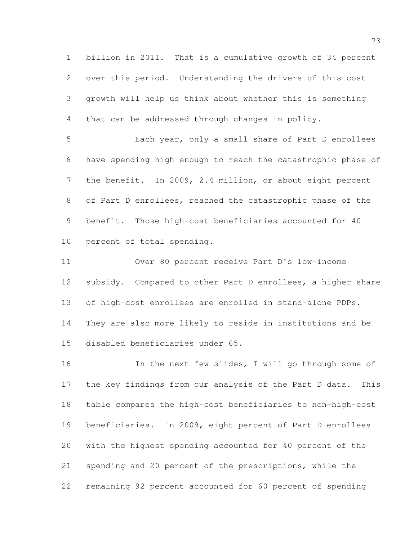billion in 2011. That is a cumulative growth of 34 percent over this period. Understanding the drivers of this cost growth will help us think about whether this is something that can be addressed through changes in policy.

 Each year, only a small share of Part D enrollees have spending high enough to reach the catastrophic phase of the benefit. In 2009, 2.4 million, or about eight percent of Part D enrollees, reached the catastrophic phase of the benefit. Those high-cost beneficiaries accounted for 40 percent of total spending.

 Over 80 percent receive Part D's low-income subsidy. Compared to other Part D enrollees, a higher share of high-cost enrollees are enrolled in stand-alone PDPs. They are also more likely to reside in institutions and be disabled beneficiaries under 65.

 In the next few slides, I will go through some of the key findings from our analysis of the Part D data. This table compares the high-cost beneficiaries to non-high-cost beneficiaries. In 2009, eight percent of Part D enrollees with the highest spending accounted for 40 percent of the spending and 20 percent of the prescriptions, while the remaining 92 percent accounted for 60 percent of spending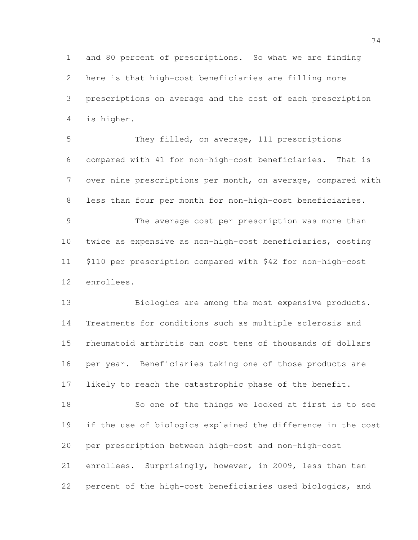and 80 percent of prescriptions. So what we are finding here is that high-cost beneficiaries are filling more prescriptions on average and the cost of each prescription is higher.

 They filled, on average, 111 prescriptions compared with 41 for non-high-cost beneficiaries. That is over nine prescriptions per month, on average, compared with less than four per month for non-high-cost beneficiaries. The average cost per prescription was more than twice as expensive as non-high-cost beneficiaries, costing \$110 per prescription compared with \$42 for non-high-cost enrollees.

13 Biologics are among the most expensive products. Treatments for conditions such as multiple sclerosis and rheumatoid arthritis can cost tens of thousands of dollars per year. Beneficiaries taking one of those products are likely to reach the catastrophic phase of the benefit. So one of the things we looked at first is to see if the use of biologics explained the difference in the cost

 enrollees. Surprisingly, however, in 2009, less than ten percent of the high-cost beneficiaries used biologics, and

per prescription between high-cost and non-high-cost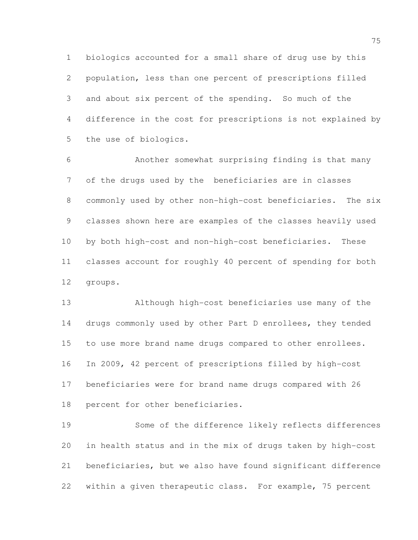biologics accounted for a small share of drug use by this population, less than one percent of prescriptions filled and about six percent of the spending. So much of the difference in the cost for prescriptions is not explained by the use of biologics.

 Another somewhat surprising finding is that many of the drugs used by the beneficiaries are in classes commonly used by other non-high-cost beneficiaries. The six classes shown here are examples of the classes heavily used by both high-cost and non-high-cost beneficiaries. These classes account for roughly 40 percent of spending for both groups.

 Although high-cost beneficiaries use many of the 14 drugs commonly used by other Part D enrollees, they tended to use more brand name drugs compared to other enrollees. In 2009, 42 percent of prescriptions filled by high-cost beneficiaries were for brand name drugs compared with 26 percent for other beneficiaries.

 Some of the difference likely reflects differences in health status and in the mix of drugs taken by high-cost beneficiaries, but we also have found significant difference within a given therapeutic class. For example, 75 percent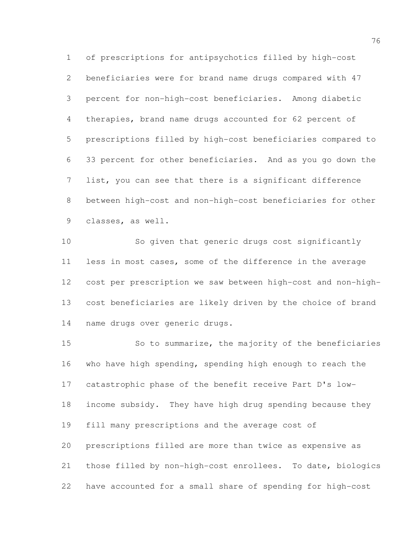of prescriptions for antipsychotics filled by high-cost beneficiaries were for brand name drugs compared with 47 percent for non-high-cost beneficiaries. Among diabetic therapies, brand name drugs accounted for 62 percent of prescriptions filled by high-cost beneficiaries compared to 33 percent for other beneficiaries. And as you go down the list, you can see that there is a significant difference between high-cost and non-high-cost beneficiaries for other classes, as well.

 So given that generic drugs cost significantly less in most cases, some of the difference in the average cost per prescription we saw between high-cost and non-high- cost beneficiaries are likely driven by the choice of brand name drugs over generic drugs.

 So to summarize, the majority of the beneficiaries who have high spending, spending high enough to reach the catastrophic phase of the benefit receive Part D's low- income subsidy. They have high drug spending because they fill many prescriptions and the average cost of prescriptions filled are more than twice as expensive as those filled by non-high-cost enrollees. To date, biologics have accounted for a small share of spending for high-cost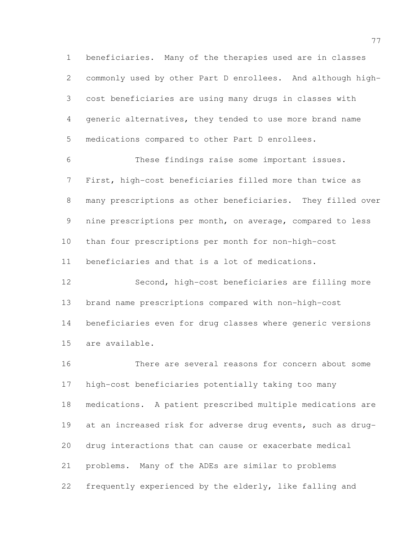beneficiaries. Many of the therapies used are in classes commonly used by other Part D enrollees. And although high- cost beneficiaries are using many drugs in classes with generic alternatives, they tended to use more brand name medications compared to other Part D enrollees.

 These findings raise some important issues. First, high-cost beneficiaries filled more than twice as many prescriptions as other beneficiaries. They filled over nine prescriptions per month, on average, compared to less than four prescriptions per month for non-high-cost beneficiaries and that is a lot of medications.

 Second, high-cost beneficiaries are filling more brand name prescriptions compared with non-high-cost beneficiaries even for drug classes where generic versions are available.

 There are several reasons for concern about some high-cost beneficiaries potentially taking too many medications. A patient prescribed multiple medications are at an increased risk for adverse drug events, such as drug- drug interactions that can cause or exacerbate medical problems. Many of the ADEs are similar to problems frequently experienced by the elderly, like falling and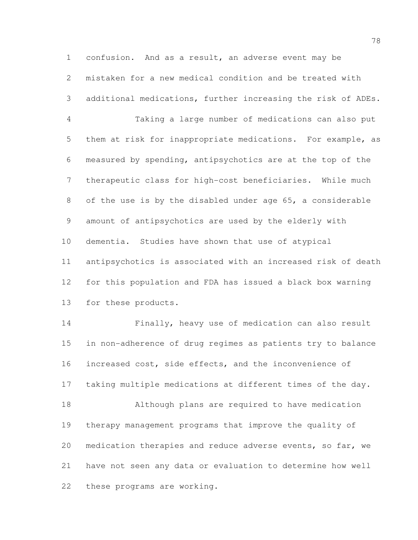confusion. And as a result, an adverse event may be mistaken for a new medical condition and be treated with additional medications, further increasing the risk of ADEs.

 Taking a large number of medications can also put them at risk for inappropriate medications. For example, as measured by spending, antipsychotics are at the top of the therapeutic class for high-cost beneficiaries. While much of the use is by the disabled under age 65, a considerable amount of antipsychotics are used by the elderly with dementia. Studies have shown that use of atypical antipsychotics is associated with an increased risk of death for this population and FDA has issued a black box warning for these products.

 Finally, heavy use of medication can also result in non-adherence of drug regimes as patients try to balance increased cost, side effects, and the inconvenience of taking multiple medications at different times of the day. Although plans are required to have medication therapy management programs that improve the quality of medication therapies and reduce adverse events, so far, we have not seen any data or evaluation to determine how well these programs are working.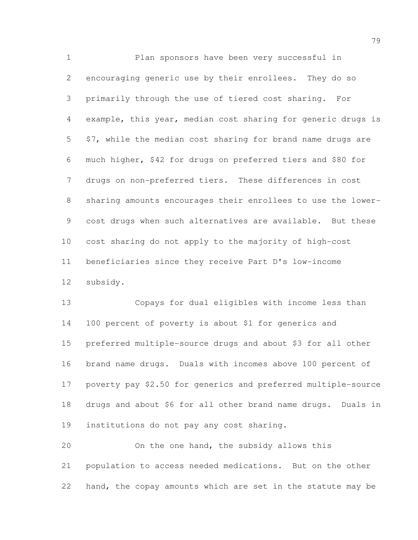Plan sponsors have been very successful in encouraging generic use by their enrollees. They do so primarily through the use of tiered cost sharing. For example, this year, median cost sharing for generic drugs is \$7, while the median cost sharing for brand name drugs are much higher, \$42 for drugs on preferred tiers and \$80 for drugs on non-preferred tiers. These differences in cost sharing amounts encourages their enrollees to use the lower- cost drugs when such alternatives are available. But these cost sharing do not apply to the majority of high-cost beneficiaries since they receive Part D's low-income subsidy.

 Copays for dual eligibles with income less than 100 percent of poverty is about \$1 for generics and preferred multiple-source drugs and about \$3 for all other brand name drugs. Duals with incomes above 100 percent of poverty pay \$2.50 for generics and preferred multiple-source drugs and about \$6 for all other brand name drugs. Duals in institutions do not pay any cost sharing.

 On the one hand, the subsidy allows this population to access needed medications. But on the other hand, the copay amounts which are set in the statute may be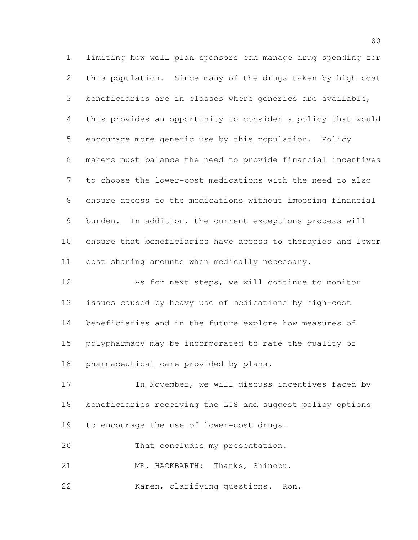limiting how well plan sponsors can manage drug spending for this population. Since many of the drugs taken by high-cost beneficiaries are in classes where generics are available, this provides an opportunity to consider a policy that would encourage more generic use by this population. Policy makers must balance the need to provide financial incentives to choose the lower-cost medications with the need to also ensure access to the medications without imposing financial burden. In addition, the current exceptions process will ensure that beneficiaries have access to therapies and lower cost sharing amounts when medically necessary.

 As for next steps, we will continue to monitor issues caused by heavy use of medications by high-cost beneficiaries and in the future explore how measures of polypharmacy may be incorporated to rate the quality of pharmaceutical care provided by plans.

17 17 In November, we will discuss incentives faced by beneficiaries receiving the LIS and suggest policy options to encourage the use of lower-cost drugs.

That concludes my presentation.

MR. HACKBARTH: Thanks, Shinobu.

Karen, clarifying questions. Ron.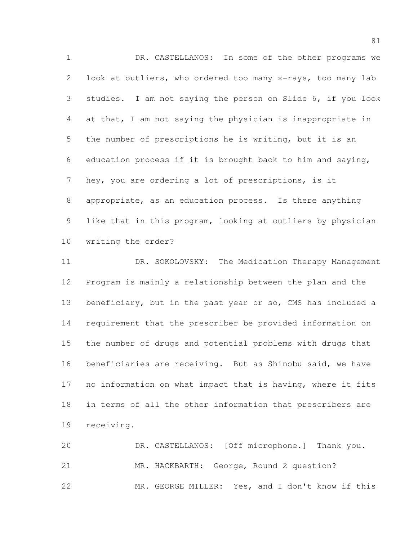DR. CASTELLANOS: In some of the other programs we look at outliers, who ordered too many x-rays, too many lab studies. I am not saying the person on Slide 6, if you look at that, I am not saying the physician is inappropriate in the number of prescriptions he is writing, but it is an education process if it is brought back to him and saying, hey, you are ordering a lot of prescriptions, is it appropriate, as an education process. Is there anything like that in this program, looking at outliers by physician writing the order?

 DR. SOKOLOVSKY: The Medication Therapy Management Program is mainly a relationship between the plan and the beneficiary, but in the past year or so, CMS has included a requirement that the prescriber be provided information on the number of drugs and potential problems with drugs that beneficiaries are receiving. But as Shinobu said, we have no information on what impact that is having, where it fits in terms of all the other information that prescribers are receiving.

 DR. CASTELLANOS: [Off microphone.] Thank you. MR. HACKBARTH: George, Round 2 question? MR. GEORGE MILLER: Yes, and I don't know if this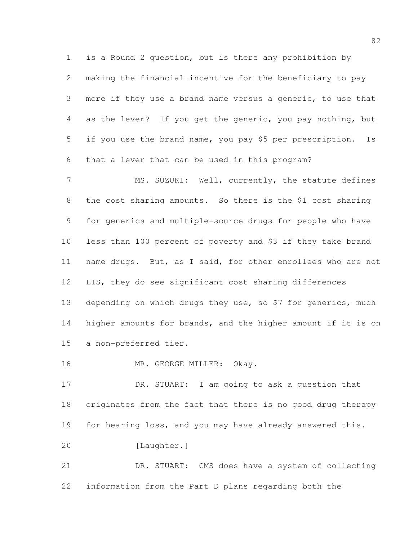is a Round 2 question, but is there any prohibition by making the financial incentive for the beneficiary to pay more if they use a brand name versus a generic, to use that as the lever? If you get the generic, you pay nothing, but if you use the brand name, you pay \$5 per prescription. Is that a lever that can be used in this program?

7 MS. SUZUKI: Well, currently, the statute defines the cost sharing amounts. So there is the \$1 cost sharing for generics and multiple-source drugs for people who have less than 100 percent of poverty and \$3 if they take brand name drugs. But, as I said, for other enrollees who are not LIS, they do see significant cost sharing differences depending on which drugs they use, so \$7 for generics, much higher amounts for brands, and the higher amount if it is on a non-preferred tier.

16 MR. GEORGE MILLER: Okay.

 DR. STUART: I am going to ask a question that originates from the fact that there is no good drug therapy for hearing loss, and you may have already answered this. [Laughter.]

 DR. STUART: CMS does have a system of collecting information from the Part D plans regarding both the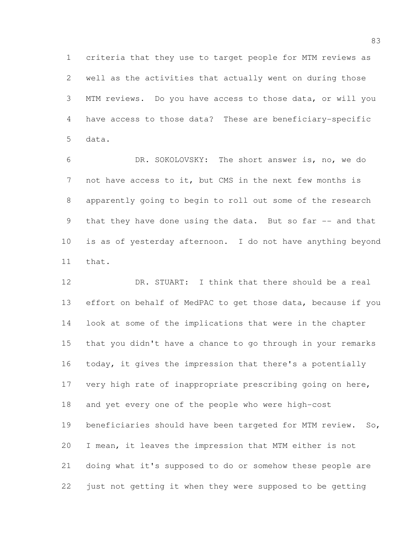criteria that they use to target people for MTM reviews as well as the activities that actually went on during those MTM reviews. Do you have access to those data, or will you have access to those data? These are beneficiary-specific data.

 DR. SOKOLOVSKY: The short answer is, no, we do not have access to it, but CMS in the next few months is apparently going to begin to roll out some of the research 9 that they have done using the data. But so far -- and that is as of yesterday afternoon. I do not have anything beyond that.

 DR. STUART: I think that there should be a real effort on behalf of MedPAC to get those data, because if you look at some of the implications that were in the chapter that you didn't have a chance to go through in your remarks today, it gives the impression that there's a potentially 17 very high rate of inappropriate prescribing going on here, and yet every one of the people who were high-cost 19 beneficiaries should have been targeted for MTM review. So, I mean, it leaves the impression that MTM either is not doing what it's supposed to do or somehow these people are just not getting it when they were supposed to be getting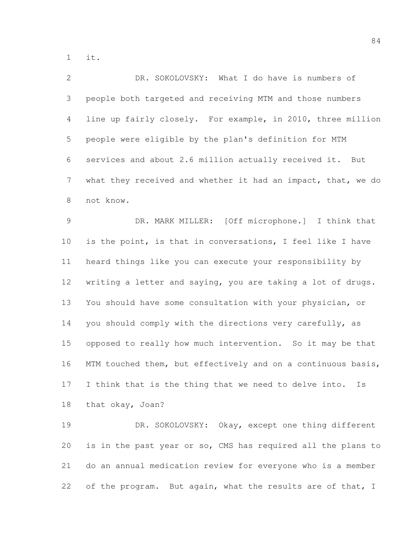it.

| $\mathbf{2}$   | DR. SOKOLOVSKY: What I do have is numbers of                 |
|----------------|--------------------------------------------------------------|
| 3              | people both targeted and receiving MTM and those numbers     |
| $\overline{4}$ | line up fairly closely. For example, in 2010, three million  |
| 5              | people were eligible by the plan's definition for MTM        |
| 6              | services and about 2.6 million actually received it. But     |
| 7              | what they received and whether it had an impact, that, we do |
| $8\,$          | not know.                                                    |
| $\mathcal{G}$  | DR. MARK MILLER: [Off microphone.] I think that              |
| 10             | is the point, is that in conversations, I feel like I have   |
| 11             | heard things like you can execute your responsibility by     |
| 12             | writing a letter and saying, you are taking a lot of drugs.  |
| 13             | You should have some consultation with your physician, or    |
| 14             | you should comply with the directions very carefully, as     |
| 15             | opposed to really how much intervention. So it may be that   |
| 16             | MTM touched them, but effectively and on a continuous basis, |
| 17             | I think that is the thing that we need to delve into.<br>Ιs  |
| 18             | that okay, Joan?                                             |
| 19             | DR. SOKOLOVSKY: Okay, except one thing different             |
| 20             | is in the past year or so, CMS has required all the plans to |
|                |                                                              |

of the program. But again, what the results are of that, I

do an annual medication review for everyone who is a member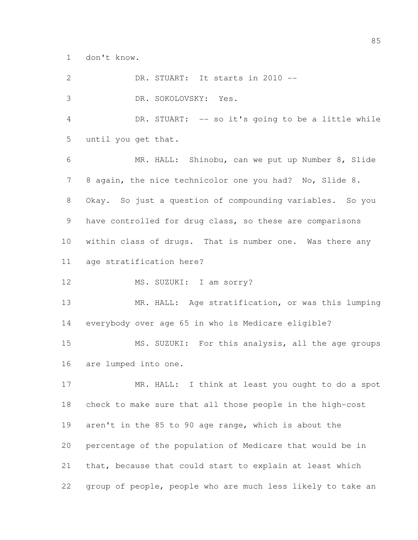don't know.

| $\mathbf{2}$   | DR. STUART: It starts in 2010 --                            |
|----------------|-------------------------------------------------------------|
| 3              | DR. SOKOLOVSKY: Yes.                                        |
| $\overline{4}$ | DR. STUART: -- so it's going to be a little while           |
| 5              | until you get that.                                         |
| 6              | MR. HALL: Shinobu, can we put up Number 8, Slide            |
| 7              | 8 again, the nice technicolor one you had? No, Slide 8.     |
| 8              | Okay. So just a question of compounding variables. So you   |
| 9              | have controlled for drug class, so these are comparisons    |
| 10             | within class of drugs. That is number one. Was there any    |
| 11             | age stratification here?                                    |
| 12             | MS. SUZUKI: I am sorry?                                     |
| 13             | MR. HALL: Age stratification, or was this lumping           |
| 14             | everybody over age 65 in who is Medicare eligible?          |
| 15             | MS. SUZUKI: For this analysis, all the age groups           |
| 16             | are lumped into one.                                        |
| 17             | MR. HALL: I think at least you ought to do a spot           |
| 18             | check to make sure that all those people in the high-cost   |
| 19             | aren't in the 85 to 90 age range, which is about the        |
| 20             | percentage of the population of Medicare that would be in   |
| 21             | that, because that could start to explain at least which    |
| 22             | group of people, people who are much less likely to take an |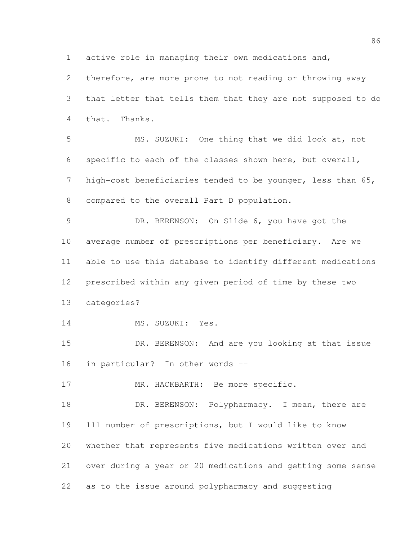active role in managing their own medications and,

 therefore, are more prone to not reading or throwing away that letter that tells them that they are not supposed to do that. Thanks.

 MS. SUZUKI: One thing that we did look at, not specific to each of the classes shown here, but overall, high-cost beneficiaries tended to be younger, less than 65, compared to the overall Part D population.

 DR. BERENSON: On Slide 6, you have got the average number of prescriptions per beneficiary. Are we able to use this database to identify different medications prescribed within any given period of time by these two categories?

14 MS. SUZUKI: Yes.

15 DR. BERENSON: And are you looking at that issue in particular? In other words --

17 MR. HACKBARTH: Be more specific.

18 DR. BERENSON: Polypharmacy. I mean, there are 111 number of prescriptions, but I would like to know whether that represents five medications written over and over during a year or 20 medications and getting some sense as to the issue around polypharmacy and suggesting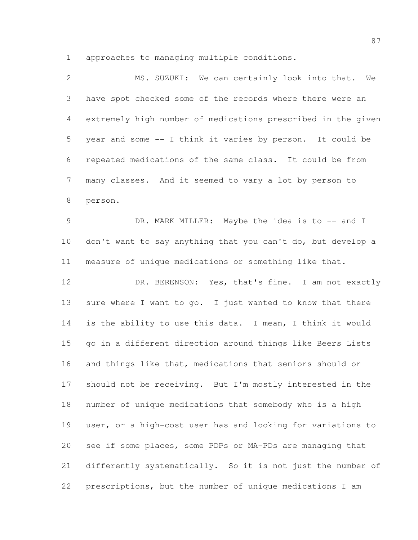approaches to managing multiple conditions.

| $\overline{2}$ | MS. SUZUKI: We can certainly look into that. We              |
|----------------|--------------------------------------------------------------|
| 3              | have spot checked some of the records where there were an    |
| 4              | extremely high number of medications prescribed in the given |
| 5              | year and some -- I think it varies by person. It could be    |
| 6              | repeated medications of the same class. It could be from     |
| 7              | many classes. And it seemed to vary a lot by person to       |
| $8\,$          | person.                                                      |
| $\mathcal{G}$  | DR. MARK MILLER: Maybe the idea is to -- and I               |
| 10             | don't want to say anything that you can't do, but develop a  |
| 11             | measure of unique medications or something like that.        |
| 12             | DR. BERENSON: Yes, that's fine. I am not exactly             |
| 13             | sure where I want to go. I just wanted to know that there    |
| 14             | is the ability to use this data. I mean, I think it would    |
| 15             | go in a different direction around things like Beers Lists   |
| 16             | and things like that, medications that seniors should or     |
| 17             | should not be receiving. But I'm mostly interested in the    |
| 18             | number of unique medications that somebody who is a high     |
| 19             | user, or a high-cost user has and looking for variations to  |
| 20             | see if some places, some PDPs or MA-PDs are managing that    |
| 21             | differently systematically. So it is not just the number of  |
| 22             | prescriptions, but the number of unique medications I am     |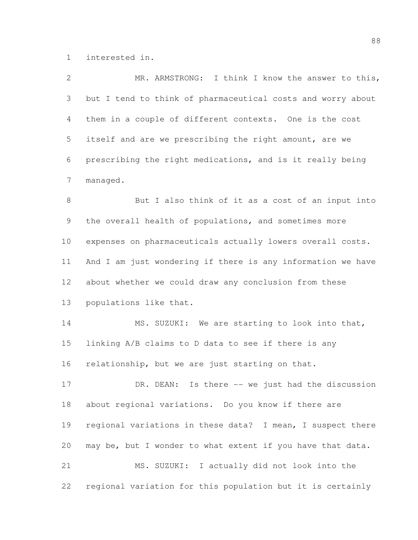interested in.

| $\overline{2}$  | MR. ARMSTRONG: I think I know the answer to this,           |
|-----------------|-------------------------------------------------------------|
| 3               | but I tend to think of pharmaceutical costs and worry about |
| 4               | them in a couple of different contexts. One is the cost     |
| 5               | itself and are we prescribing the right amount, are we      |
| 6               | prescribing the right medications, and is it really being   |
| $7\phantom{.0}$ | managed.                                                    |
| $8\,$           | But I also think of it as a cost of an input into           |
| 9               | the overall health of populations, and sometimes more       |
| 10 <sub>o</sub> | expenses on pharmaceuticals actually lowers overall costs.  |
| 11              | And I am just wondering if there is any information we have |
| 12              | about whether we could draw any conclusion from these       |
| 13              | populations like that.                                      |
| 14              | MS. SUZUKI: We are starting to look into that,              |
| 15              | linking A/B claims to D data to see if there is any         |
| 16              | relationship, but we are just starting on that.             |
| 17              | DR. DEAN: Is there -- we just had the discussion            |
| 18              | about regional variations. Do you know if there are         |
| 19              | regional variations in these data? I mean, I suspect there  |
| 20              | may be, but I wonder to what extent if you have that data.  |
| 21              | MS. SUZUKI: I actually did not look into the                |
| 22              | regional variation for this population but it is certainly  |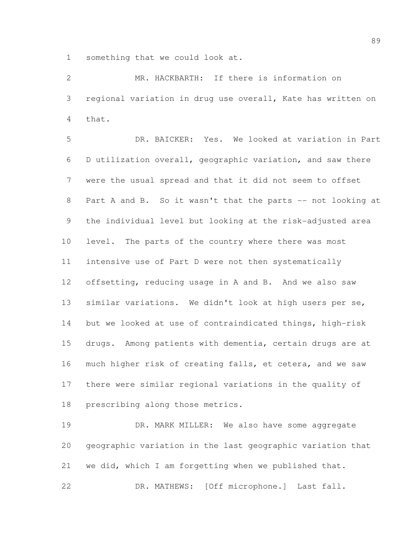something that we could look at.

 MR. HACKBARTH: If there is information on regional variation in drug use overall, Kate has written on that.

 DR. BAICKER: Yes. We looked at variation in Part D utilization overall, geographic variation, and saw there were the usual spread and that it did not seem to offset 8 Part A and B. So it wasn't that the parts -- not looking at the individual level but looking at the risk-adjusted area level. The parts of the country where there was most intensive use of Part D were not then systematically offsetting, reducing usage in A and B. And we also saw similar variations. We didn't look at high users per se, but we looked at use of contraindicated things, high-risk drugs. Among patients with dementia, certain drugs are at much higher risk of creating falls, et cetera, and we saw there were similar regional variations in the quality of prescribing along those metrics.

 DR. MARK MILLER: We also have some aggregate geographic variation in the last geographic variation that we did, which I am forgetting when we published that. DR. MATHEWS: [Off microphone.] Last fall.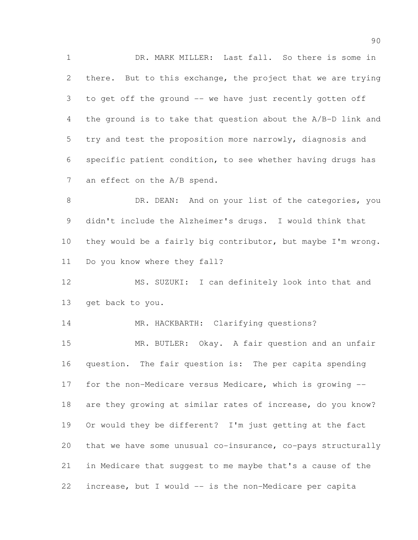DR. MARK MILLER: Last fall. So there is some in there. But to this exchange, the project that we are trying to get off the ground -- we have just recently gotten off the ground is to take that question about the A/B-D link and try and test the proposition more narrowly, diagnosis and specific patient condition, to see whether having drugs has 7 an effect on the A/B spend.

8 DR. DEAN: And on your list of the categories, you didn't include the Alzheimer's drugs. I would think that they would be a fairly big contributor, but maybe I'm wrong. Do you know where they fall?

 MS. SUZUKI: I can definitely look into that and get back to you.

14 MR. HACKBARTH: Clarifying questions?

 MR. BUTLER: Okay. A fair question and an unfair question. The fair question is: The per capita spending for the non-Medicare versus Medicare, which is growing -- are they growing at similar rates of increase, do you know? Or would they be different? I'm just getting at the fact that we have some unusual co-insurance, co-pays structurally in Medicare that suggest to me maybe that's a cause of the increase, but I would -- is the non-Medicare per capita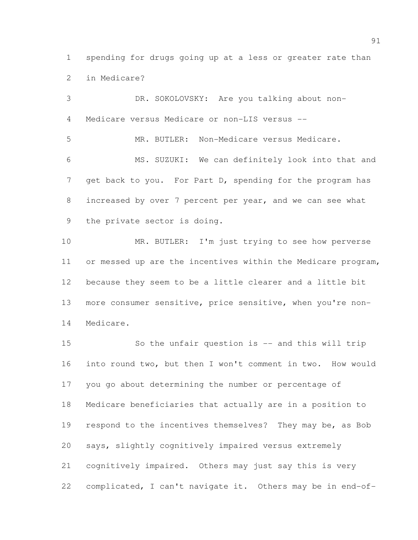spending for drugs going up at a less or greater rate than in Medicare?

 DR. SOKOLOVSKY: Are you talking about non- Medicare versus Medicare or non-LIS versus -- MR. BUTLER: Non-Medicare versus Medicare. MS. SUZUKI: We can definitely look into that and 7 get back to you. For Part D, spending for the program has increased by over 7 percent per year, and we can see what the private sector is doing. 10 MR. BUTLER: I'm just trying to see how perverse or messed up are the incentives within the Medicare program,

 because they seem to be a little clearer and a little bit more consumer sensitive, price sensitive, when you're non-Medicare.

 So the unfair question is -- and this will trip into round two, but then I won't comment in two. How would you go about determining the number or percentage of Medicare beneficiaries that actually are in a position to 19 respond to the incentives themselves? They may be, as Bob says, slightly cognitively impaired versus extremely cognitively impaired. Others may just say this is very complicated, I can't navigate it. Others may be in end-of-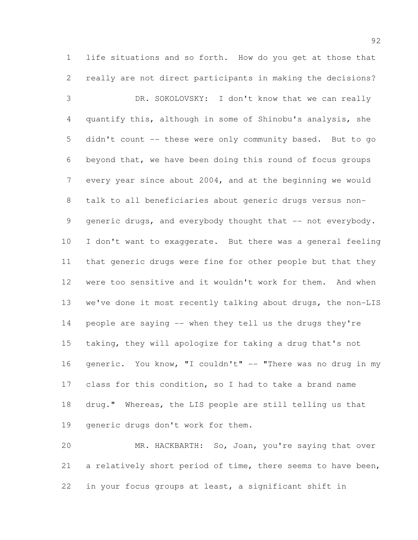life situations and so forth. How do you get at those that really are not direct participants in making the decisions?

 DR. SOKOLOVSKY: I don't know that we can really quantify this, although in some of Shinobu's analysis, she didn't count -- these were only community based. But to go beyond that, we have been doing this round of focus groups every year since about 2004, and at the beginning we would talk to all beneficiaries about generic drugs versus non-9 generic drugs, and everybody thought that -- not everybody. I don't want to exaggerate. But there was a general feeling that generic drugs were fine for other people but that they were too sensitive and it wouldn't work for them. And when we've done it most recently talking about drugs, the non-LIS people are saying -- when they tell us the drugs they're taking, they will apologize for taking a drug that's not 16 generic. You know, "I couldn't" -- "There was no drug in my class for this condition, so I had to take a brand name drug." Whereas, the LIS people are still telling us that generic drugs don't work for them.

 MR. HACKBARTH: So, Joan, you're saying that over a relatively short period of time, there seems to have been, in your focus groups at least, a significant shift in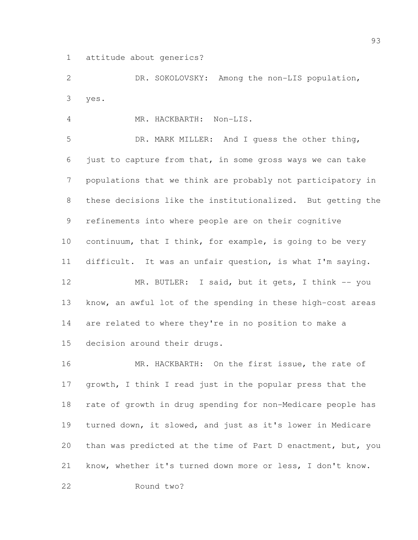attitude about generics?

 DR. SOKOLOVSKY: Among the non-LIS population, yes.

MR. HACKBARTH: Non-LIS.

 DR. MARK MILLER: And I guess the other thing, just to capture from that, in some gross ways we can take populations that we think are probably not participatory in these decisions like the institutionalized. But getting the refinements into where people are on their cognitive continuum, that I think, for example, is going to be very difficult. It was an unfair question, is what I'm saying. 12 MR. BUTLER: I said, but it gets, I think -- you know, an awful lot of the spending in these high-cost areas are related to where they're in no position to make a decision around their drugs.

16 MR. HACKBARTH: On the first issue, the rate of growth, I think I read just in the popular press that the rate of growth in drug spending for non-Medicare people has turned down, it slowed, and just as it's lower in Medicare than was predicted at the time of Part D enactment, but, you know, whether it's turned down more or less, I don't know.

Round two?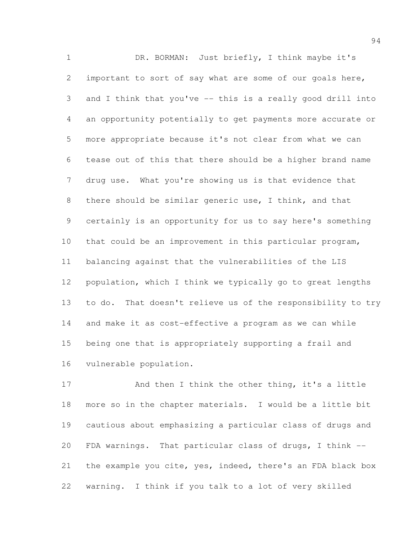DR. BORMAN: Just briefly, I think maybe it's important to sort of say what are some of our goals here, and I think that you've -- this is a really good drill into an opportunity potentially to get payments more accurate or more appropriate because it's not clear from what we can tease out of this that there should be a higher brand name drug use. What you're showing us is that evidence that there should be similar generic use, I think, and that certainly is an opportunity for us to say here's something that could be an improvement in this particular program, balancing against that the vulnerabilities of the LIS population, which I think we typically go to great lengths to do. That doesn't relieve us of the responsibility to try and make it as cost-effective a program as we can while being one that is appropriately supporting a frail and vulnerable population.

 And then I think the other thing, it's a little more so in the chapter materials. I would be a little bit cautious about emphasizing a particular class of drugs and FDA warnings. That particular class of drugs, I think -- the example you cite, yes, indeed, there's an FDA black box warning. I think if you talk to a lot of very skilled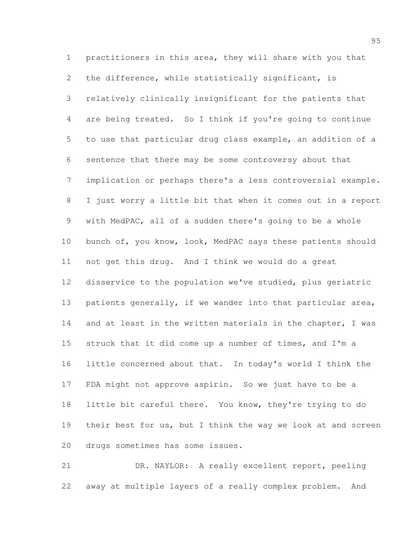practitioners in this area, they will share with you that the difference, while statistically significant, is relatively clinically insignificant for the patients that are being treated. So I think if you're going to continue to use that particular drug class example, an addition of a sentence that there may be some controversy about that implication or perhaps there's a less controversial example. I just worry a little bit that when it comes out in a report with MedPAC, all of a sudden there's going to be a whole bunch of, you know, look, MedPAC says these patients should not get this drug. And I think we would do a great disservice to the population we've studied, plus geriatric patients generally, if we wander into that particular area, 14 and at least in the written materials in the chapter, I was struck that it did come up a number of times, and I'm a little concerned about that. In today's world I think the FDA might not approve aspirin. So we just have to be a little bit careful there. You know, they're trying to do 19 their best for us, but I think the way we look at and screen drugs sometimes has some issues.

 DR. NAYLOR: A really excellent report, peeling away at multiple layers of a really complex problem. And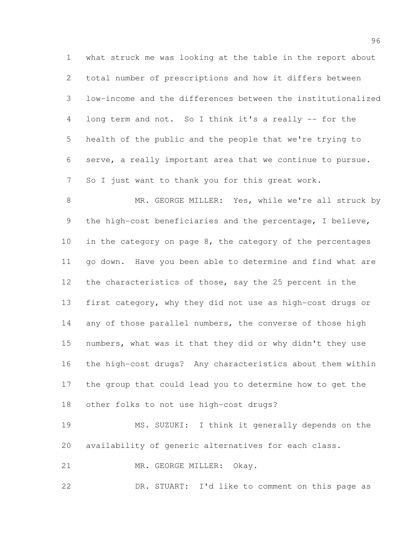what struck me was looking at the table in the report about total number of prescriptions and how it differs between low-income and the differences between the institutionalized long term and not. So I think it's a really -- for the health of the public and the people that we're trying to serve, a really important area that we continue to pursue. So I just want to thank you for this great work.

 MR. GEORGE MILLER: Yes, while we're all struck by the high-cost beneficiaries and the percentage, I believe, 10 in the category on page 8, the category of the percentages go down. Have you been able to determine and find what are the characteristics of those, say the 25 percent in the first category, why they did not use as high-cost drugs or 14 any of those parallel numbers, the converse of those high numbers, what was it that they did or why didn't they use the high-cost drugs? Any characteristics about them within the group that could lead you to determine how to get the other folks to not use high-cost drugs?

 MS. SUZUKI: I think it generally depends on the availability of generic alternatives for each class.

21 MR. GEORGE MILLER: Okay.

DR. STUART: I'd like to comment on this page as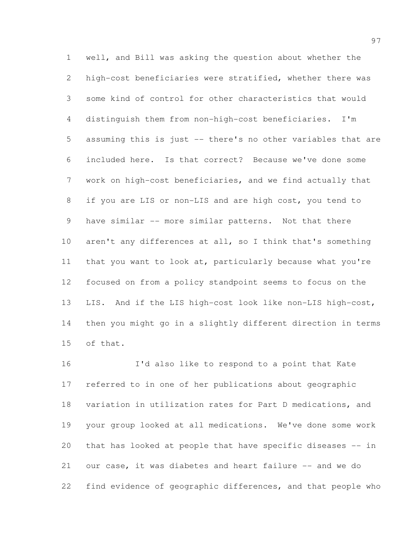well, and Bill was asking the question about whether the high-cost beneficiaries were stratified, whether there was some kind of control for other characteristics that would distinguish them from non-high-cost beneficiaries. I'm assuming this is just -- there's no other variables that are included here. Is that correct? Because we've done some work on high-cost beneficiaries, and we find actually that if you are LIS or non-LIS and are high cost, you tend to 9 have similar -- more similar patterns. Not that there 10 aren't any differences at all, so I think that's something that you want to look at, particularly because what you're focused on from a policy standpoint seems to focus on the LIS. And if the LIS high-cost look like non-LIS high-cost, then you might go in a slightly different direction in terms of that.

 I'd also like to respond to a point that Kate referred to in one of her publications about geographic variation in utilization rates for Part D medications, and your group looked at all medications. We've done some work that has looked at people that have specific diseases -- in 21 our case, it was diabetes and heart failure -- and we do find evidence of geographic differences, and that people who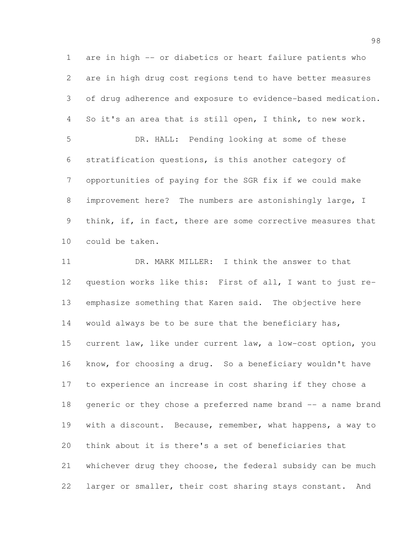are in high -- or diabetics or heart failure patients who are in high drug cost regions tend to have better measures of drug adherence and exposure to evidence-based medication. So it's an area that is still open, I think, to new work. DR. HALL: Pending looking at some of these stratification questions, is this another category of opportunities of paying for the SGR fix if we could make improvement here? The numbers are astonishingly large, I 9 think, if, in fact, there are some corrective measures that could be taken. DR. MARK MILLER: I think the answer to that question works like this: First of all, I want to just re- emphasize something that Karen said. The objective here 14 would always be to be sure that the beneficiary has, current law, like under current law, a low-cost option, you know, for choosing a drug. So a beneficiary wouldn't have to experience an increase in cost sharing if they chose a

 generic or they chose a preferred name brand -- a name brand with a discount. Because, remember, what happens, a way to think about it is there's a set of beneficiaries that whichever drug they choose, the federal subsidy can be much larger or smaller, their cost sharing stays constant. And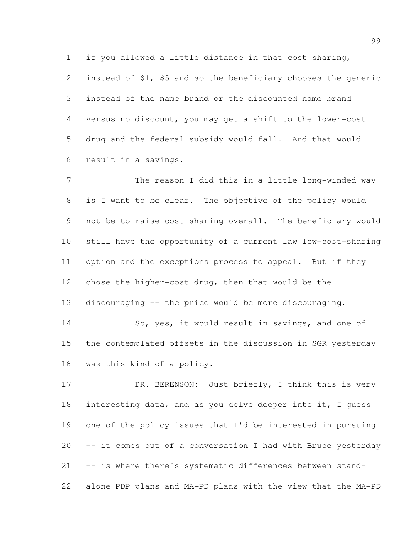if you allowed a little distance in that cost sharing,

 instead of \$1, \$5 and so the beneficiary chooses the generic instead of the name brand or the discounted name brand versus no discount, you may get a shift to the lower-cost drug and the federal subsidy would fall. And that would result in a savings.

7 The reason I did this in a little long-winded way is I want to be clear. The objective of the policy would not be to raise cost sharing overall. The beneficiary would still have the opportunity of a current law low-cost-sharing option and the exceptions process to appeal. But if they chose the higher-cost drug, then that would be the discouraging -- the price would be more discouraging.

 So, yes, it would result in savings, and one of the contemplated offsets in the discussion in SGR yesterday was this kind of a policy.

17 DR. BERENSON: Just briefly, I think this is very interesting data, and as you delve deeper into it, I guess one of the policy issues that I'd be interested in pursuing -- it comes out of a conversation I had with Bruce yesterday -- is where there's systematic differences between stand-alone PDP plans and MA-PD plans with the view that the MA-PD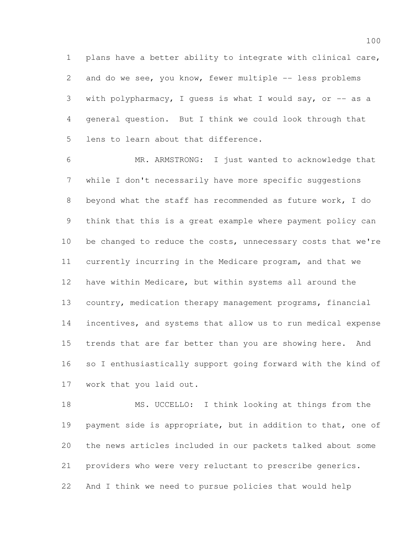plans have a better ability to integrate with clinical care, 2 and do we see, you know, fewer multiple -- less problems 3 with polypharmacy, I quess is what I would say, or  $-$  as a general question. But I think we could look through that lens to learn about that difference.

 MR. ARMSTRONG: I just wanted to acknowledge that while I don't necessarily have more specific suggestions beyond what the staff has recommended as future work, I do think that this is a great example where payment policy can 10 be changed to reduce the costs, unnecessary costs that we're currently incurring in the Medicare program, and that we have within Medicare, but within systems all around the country, medication therapy management programs, financial incentives, and systems that allow us to run medical expense trends that are far better than you are showing here. And so I enthusiastically support going forward with the kind of work that you laid out.

 MS. UCCELLO: I think looking at things from the 19 payment side is appropriate, but in addition to that, one of the news articles included in our packets talked about some providers who were very reluctant to prescribe generics. And I think we need to pursue policies that would help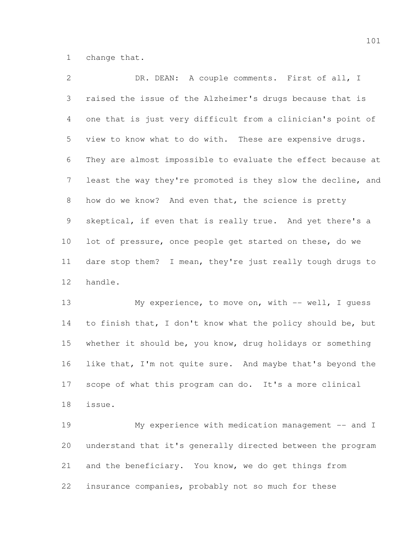change that.

 DR. DEAN: A couple comments. First of all, I raised the issue of the Alzheimer's drugs because that is one that is just very difficult from a clinician's point of view to know what to do with. These are expensive drugs. They are almost impossible to evaluate the effect because at least the way they're promoted is they slow the decline, and how do we know? And even that, the science is pretty skeptical, if even that is really true. And yet there's a lot of pressure, once people get started on these, do we dare stop them? I mean, they're just really tough drugs to handle.

 My experience, to move on, with -- well, I guess to finish that, I don't know what the policy should be, but whether it should be, you know, drug holidays or something 16 like that, I'm not quite sure. And maybe that's beyond the scope of what this program can do. It's a more clinical issue.

 My experience with medication management -- and I understand that it's generally directed between the program and the beneficiary. You know, we do get things from insurance companies, probably not so much for these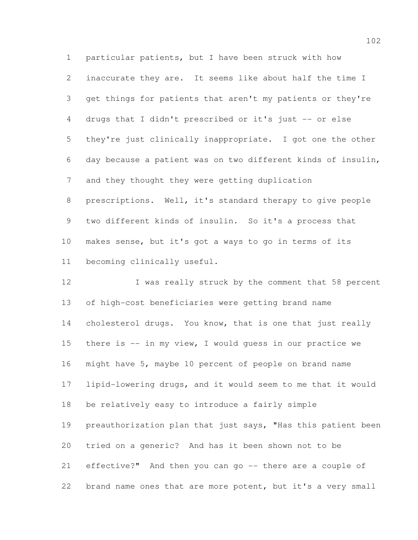particular patients, but I have been struck with how inaccurate they are. It seems like about half the time I get things for patients that aren't my patients or they're drugs that I didn't prescribed or it's just -- or else they're just clinically inappropriate. I got one the other day because a patient was on two different kinds of insulin, and they thought they were getting duplication prescriptions. Well, it's standard therapy to give people two different kinds of insulin. So it's a process that makes sense, but it's got a ways to go in terms of its becoming clinically useful.

12 I was really struck by the comment that 58 percent of high-cost beneficiaries were getting brand name 14 cholesterol drugs. You know, that is one that just really there is -- in my view, I would guess in our practice we might have 5, maybe 10 percent of people on brand name lipid-lowering drugs, and it would seem to me that it would be relatively easy to introduce a fairly simple preauthorization plan that just says, "Has this patient been tried on a generic? And has it been shown not to be effective?" And then you can go -- there are a couple of brand name ones that are more potent, but it's a very small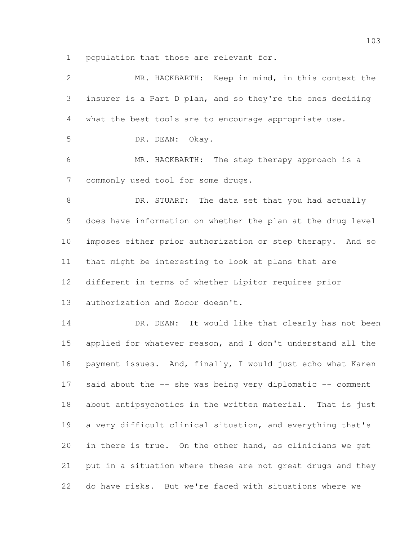population that those are relevant for.

| 2              | MR. HACKBARTH: Keep in mind, in this context the            |
|----------------|-------------------------------------------------------------|
| 3              | insurer is a Part D plan, and so they're the ones deciding  |
| 4              | what the best tools are to encourage appropriate use.       |
| 5              | DR. DEAN: Okay.                                             |
| 6              | MR. HACKBARTH: The step therapy approach is a               |
| $\overline{7}$ | commonly used tool for some drugs.                          |
| $8\,$          | DR. STUART: The data set that you had actually              |
| 9              | does have information on whether the plan at the drug level |
| 10             | imposes either prior authorization or step therapy. And so  |
| 11             | that might be interesting to look at plans that are         |
| 12             | different in terms of whether Lipitor requires prior        |
| 13             | authorization and Zocor doesn't.                            |
| 14             | DR. DEAN: It would like that clearly has not been           |
| 15             | applied for whatever reason, and I don't understand all the |
| 16             | payment issues. And, finally, I would just echo what Karen  |
| 17             | said about the -- she was being very diplomatic -- comment  |
| 18             | about antipsychotics in the written material. That is just  |
| 19             | a very difficult clinical situation, and everything that's  |
| 20             | in there is true. On the other hand, as clinicians we get   |
| 21             | put in a situation where these are not great drugs and they |
| 22             | do have risks. But we're faced with situations where we     |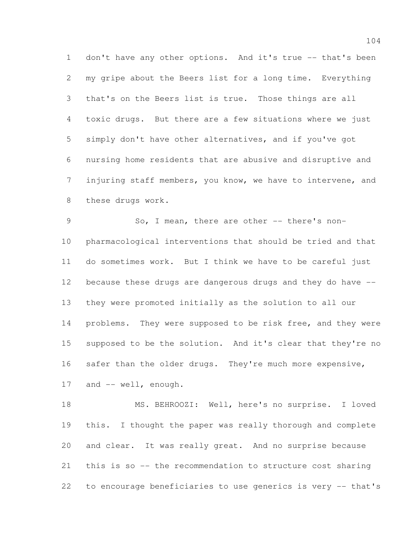1 don't have any other options. And it's true -- that's been my gripe about the Beers list for a long time. Everything that's on the Beers list is true. Those things are all toxic drugs. But there are a few situations where we just simply don't have other alternatives, and if you've got nursing home residents that are abusive and disruptive and injuring staff members, you know, we have to intervene, and these drugs work.

9 So, I mean, there are other -- there's non- pharmacological interventions that should be tried and that do sometimes work. But I think we have to be careful just because these drugs are dangerous drugs and they do have -- they were promoted initially as the solution to all our problems. They were supposed to be risk free, and they were supposed to be the solution. And it's clear that they're no 16 safer than the older drugs. They're much more expensive, 17 and -- well, enough.

 MS. BEHROOZI: Well, here's no surprise. I loved this. I thought the paper was really thorough and complete and clear. It was really great. And no surprise because this is so -- the recommendation to structure cost sharing to encourage beneficiaries to use generics is very -- that's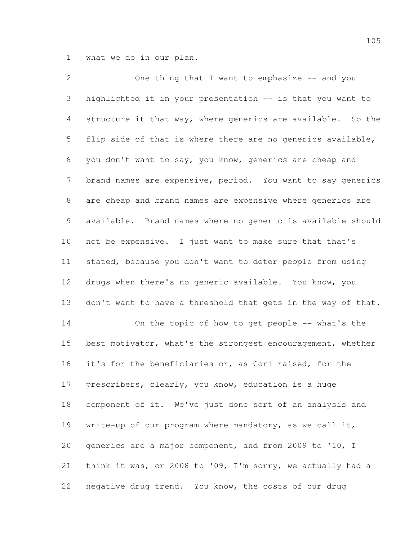what we do in our plan.

2 One thing that I want to emphasize -- and you highlighted it in your presentation -- is that you want to structure it that way, where generics are available. So the flip side of that is where there are no generics available, you don't want to say, you know, generics are cheap and brand names are expensive, period. You want to say generics are cheap and brand names are expensive where generics are available. Brand names where no generic is available should not be expensive. I just want to make sure that that's stated, because you don't want to deter people from using drugs when there's no generic available. You know, you 13 don't want to have a threshold that gets in the way of that. On the topic of how to get people -- what's the best motivator, what's the strongest encouragement, whether it's for the beneficiaries or, as Cori raised, for the prescribers, clearly, you know, education is a huge component of it. We've just done sort of an analysis and write-up of our program where mandatory, as we call it, generics are a major component, and from 2009 to '10, I think it was, or 2008 to '09, I'm sorry, we actually had a negative drug trend. You know, the costs of our drug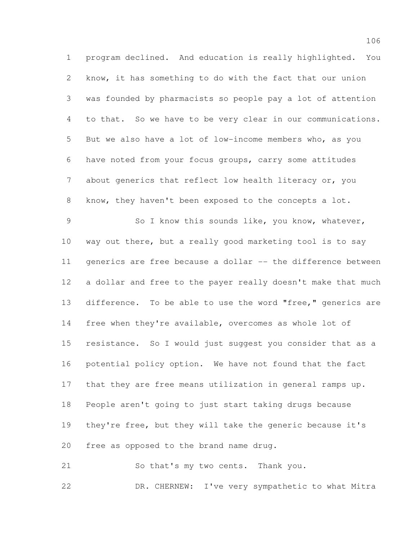program declined. And education is really highlighted. You know, it has something to do with the fact that our union was founded by pharmacists so people pay a lot of attention to that. So we have to be very clear in our communications. But we also have a lot of low-income members who, as you have noted from your focus groups, carry some attitudes about generics that reflect low health literacy or, you know, they haven't been exposed to the concepts a lot. So I know this sounds like, you know, whatever, way out there, but a really good marketing tool is to say 11 generics are free because a dollar -- the difference between a dollar and free to the payer really doesn't make that much difference. To be able to use the word "free," generics are free when they're available, overcomes as whole lot of resistance. So I would just suggest you consider that as a potential policy option. We have not found that the fact that they are free means utilization in general ramps up. People aren't going to just start taking drugs because they're free, but they will take the generic because it's free as opposed to the brand name drug.

 So that's my two cents. Thank you. DR. CHERNEW: I've very sympathetic to what Mitra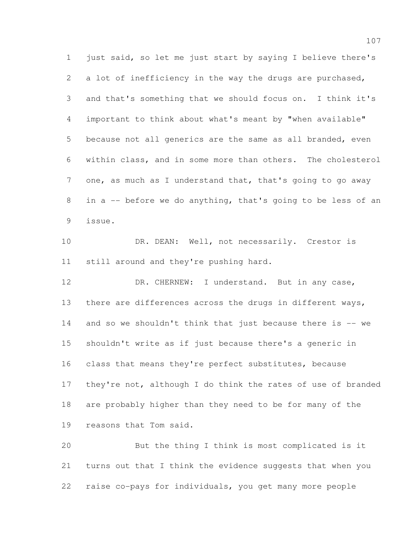just said, so let me just start by saying I believe there's 2 a lot of inefficiency in the way the drugs are purchased, and that's something that we should focus on. I think it's important to think about what's meant by "when available" because not all generics are the same as all branded, even within class, and in some more than others. The cholesterol 7 one, as much as I understand that, that's going to go away in a -- before we do anything, that's going to be less of an issue.

10 DR. DEAN: Well, not necessarily. Crestor is still around and they're pushing hard.

12 DR. CHERNEW: I understand. But in any case, there are differences across the drugs in different ways, and so we shouldn't think that just because there is -- we shouldn't write as if just because there's a generic in class that means they're perfect substitutes, because they're not, although I do think the rates of use of branded are probably higher than they need to be for many of the reasons that Tom said.

 But the thing I think is most complicated is it turns out that I think the evidence suggests that when you raise co-pays for individuals, you get many more people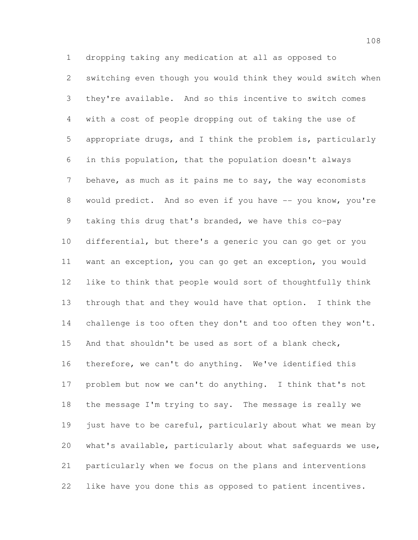dropping taking any medication at all as opposed to switching even though you would think they would switch when they're available. And so this incentive to switch comes with a cost of people dropping out of taking the use of appropriate drugs, and I think the problem is, particularly in this population, that the population doesn't always 7 behave, as much as it pains me to say, the way economists 8 would predict. And so even if you have -- you know, you're taking this drug that's branded, we have this co-pay differential, but there's a generic you can go get or you want an exception, you can go get an exception, you would like to think that people would sort of thoughtfully think through that and they would have that option. I think the 14 challenge is too often they don't and too often they won't. And that shouldn't be used as sort of a blank check, therefore, we can't do anything. We've identified this problem but now we can't do anything. I think that's not the message I'm trying to say. The message is really we 19 just have to be careful, particularly about what we mean by what's available, particularly about what safeguards we use, particularly when we focus on the plans and interventions like have you done this as opposed to patient incentives.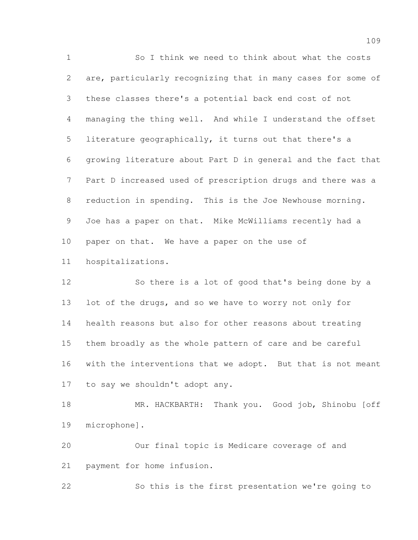So I think we need to think about what the costs are, particularly recognizing that in many cases for some of these classes there's a potential back end cost of not managing the thing well. And while I understand the offset literature geographically, it turns out that there's a growing literature about Part D in general and the fact that Part D increased used of prescription drugs and there was a reduction in spending. This is the Joe Newhouse morning. Joe has a paper on that. Mike McWilliams recently had a paper on that. We have a paper on the use of hospitalizations.

 So there is a lot of good that's being done by a lot of the drugs, and so we have to worry not only for health reasons but also for other reasons about treating them broadly as the whole pattern of care and be careful with the interventions that we adopt. But that is not meant to say we shouldn't adopt any.

 MR. HACKBARTH: Thank you. Good job, Shinobu [off microphone].

 Our final topic is Medicare coverage of and payment for home infusion.

So this is the first presentation we're going to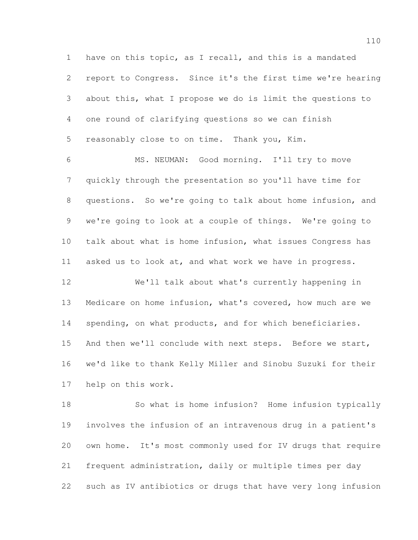have on this topic, as I recall, and this is a mandated report to Congress. Since it's the first time we're hearing about this, what I propose we do is limit the questions to one round of clarifying questions so we can finish reasonably close to on time. Thank you, Kim.

 MS. NEUMAN: Good morning. I'll try to move quickly through the presentation so you'll have time for questions. So we're going to talk about home infusion, and we're going to look at a couple of things. We're going to talk about what is home infusion, what issues Congress has asked us to look at, and what work we have in progress.

 We'll talk about what's currently happening in Medicare on home infusion, what's covered, how much are we spending, on what products, and for which beneficiaries. 15 And then we'll conclude with next steps. Before we start, we'd like to thank Kelly Miller and Sinobu Suzuki for their help on this work.

 So what is home infusion? Home infusion typically involves the infusion of an intravenous drug in a patient's own home. It's most commonly used for IV drugs that require frequent administration, daily or multiple times per day such as IV antibiotics or drugs that have very long infusion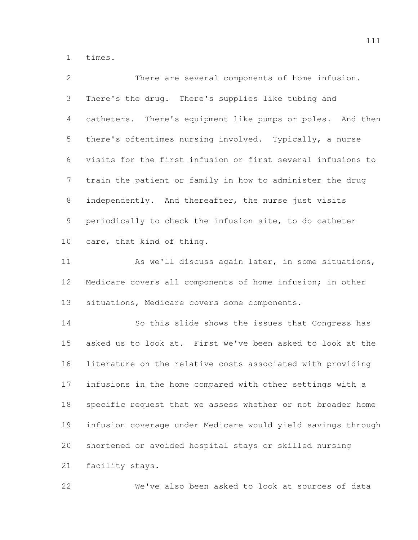times.

| 2               | There are several components of home infusion.               |
|-----------------|--------------------------------------------------------------|
| 3               | There's the drug. There's supplies like tubing and           |
| 4               | catheters. There's equipment like pumps or poles. And then   |
| 5               | there's oftentimes nursing involved. Typically, a nurse      |
| 6               | visits for the first infusion or first several infusions to  |
| 7               | train the patient or family in how to administer the drug    |
| 8               | independently. And thereafter, the nurse just visits         |
| 9               | periodically to check the infusion site, to do catheter      |
| 10 <sub>o</sub> | care, that kind of thing.                                    |
| 11              | As we'll discuss again later, in some situations,            |
| 12              | Medicare covers all components of home infusion; in other    |
| 13              | situations, Medicare covers some components.                 |
| 14              | So this slide shows the issues that Congress has             |
| 15              | asked us to look at. First we've been asked to look at the   |
| 16              | literature on the relative costs associated with providing   |
| 17              | infusions in the home compared with other settings with a    |
| 18              | specific request that we assess whether or not broader home  |
| 19              | infusion coverage under Medicare would yield savings through |

shortened or avoided hospital stays or skilled nursing

facility stays.

We've also been asked to look at sources of data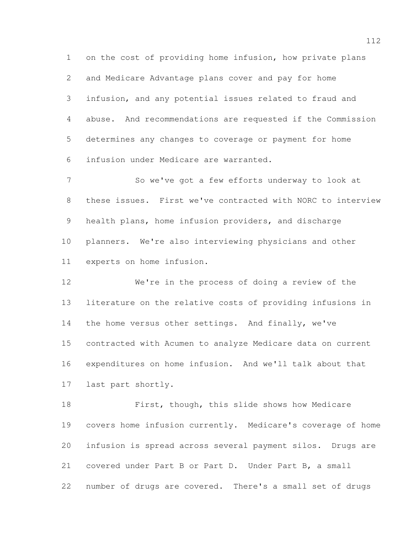on the cost of providing home infusion, how private plans and Medicare Advantage plans cover and pay for home infusion, and any potential issues related to fraud and abuse. And recommendations are requested if the Commission determines any changes to coverage or payment for home infusion under Medicare are warranted.

 So we've got a few efforts underway to look at these issues. First we've contracted with NORC to interview health plans, home infusion providers, and discharge planners. We're also interviewing physicians and other experts on home infusion.

 We're in the process of doing a review of the literature on the relative costs of providing infusions in the home versus other settings. And finally, we've contracted with Acumen to analyze Medicare data on current expenditures on home infusion. And we'll talk about that last part shortly.

 First, though, this slide shows how Medicare covers home infusion currently. Medicare's coverage of home infusion is spread across several payment silos. Drugs are covered under Part B or Part D. Under Part B, a small number of drugs are covered. There's a small set of drugs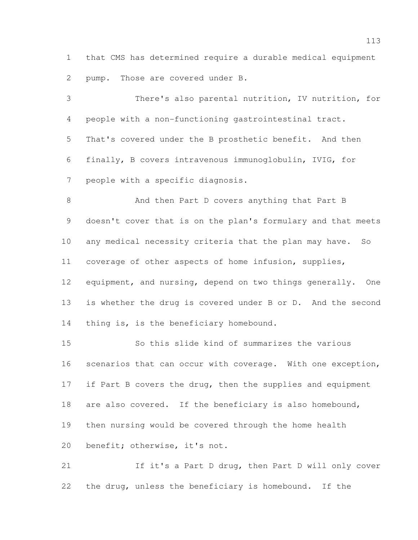that CMS has determined require a durable medical equipment pump. Those are covered under B.

 There's also parental nutrition, IV nutrition, for people with a non-functioning gastrointestinal tract. That's covered under the B prosthetic benefit. And then finally, B covers intravenous immunoglobulin, IVIG, for people with a specific diagnosis.

 And then Part D covers anything that Part B doesn't cover that is on the plan's formulary and that meets any medical necessity criteria that the plan may have. So coverage of other aspects of home infusion, supplies, 12 equipment, and nursing, depend on two things generally. One is whether the drug is covered under B or D. And the second 14 thing is, is the beneficiary homebound.

 So this slide kind of summarizes the various scenarios that can occur with coverage. With one exception, 17 if Part B covers the drug, then the supplies and equipment are also covered. If the beneficiary is also homebound, then nursing would be covered through the home health benefit; otherwise, it's not.

 If it's a Part D drug, then Part D will only cover the drug, unless the beneficiary is homebound. If the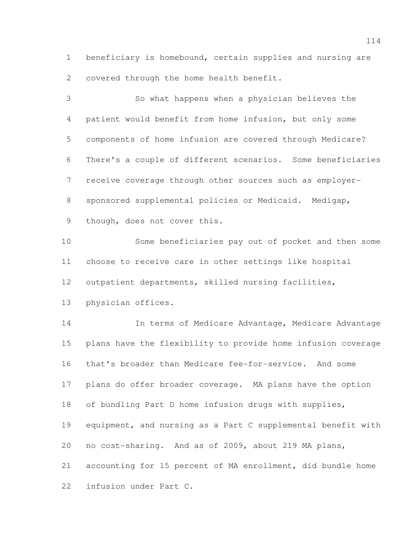beneficiary is homebound, certain supplies and nursing are covered through the home health benefit.

 So what happens when a physician believes the patient would benefit from home infusion, but only some components of home infusion are covered through Medicare? There's a couple of different scenarios. Some beneficiaries receive coverage through other sources such as employer- sponsored supplemental policies or Medicaid. Medigap, though, does not cover this. Some beneficiaries pay out of pocket and then some choose to receive care in other settings like hospital outpatient departments, skilled nursing facilities, physician offices. In terms of Medicare Advantage, Medicare Advantage plans have the flexibility to provide home infusion coverage that's broader than Medicare fee-for-service. And some plans do offer broader coverage. MA plans have the option of bundling Part D home infusion drugs with supplies, equipment, and nursing as a Part C supplemental benefit with no cost-sharing. And as of 2009, about 219 MA plans, accounting for 15 percent of MA enrollment, did bundle home infusion under Part C.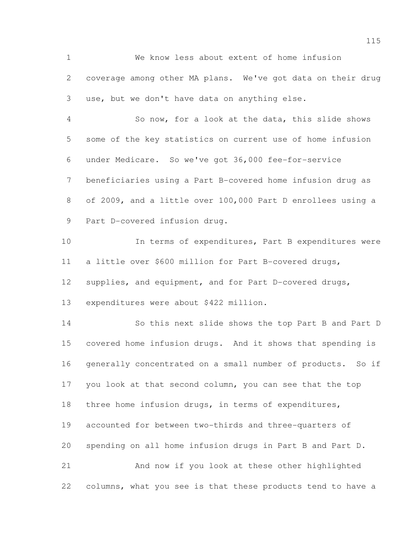We know less about extent of home infusion coverage among other MA plans. We've got data on their drug use, but we don't have data on anything else.

 So now, for a look at the data, this slide shows some of the key statistics on current use of home infusion under Medicare. So we've got 36,000 fee-for-service beneficiaries using a Part B-covered home infusion drug as of 2009, and a little over 100,000 Part D enrollees using a Part D-covered infusion drug.

10 10 In terms of expenditures, Part B expenditures were a little over \$600 million for Part B-covered drugs, supplies, and equipment, and for Part D-covered drugs,

expenditures were about \$422 million.

 So this next slide shows the top Part B and Part D covered home infusion drugs. And it shows that spending is generally concentrated on a small number of products. So if you look at that second column, you can see that the top three home infusion drugs, in terms of expenditures, accounted for between two-thirds and three-quarters of spending on all home infusion drugs in Part B and Part D. And now if you look at these other highlighted columns, what you see is that these products tend to have a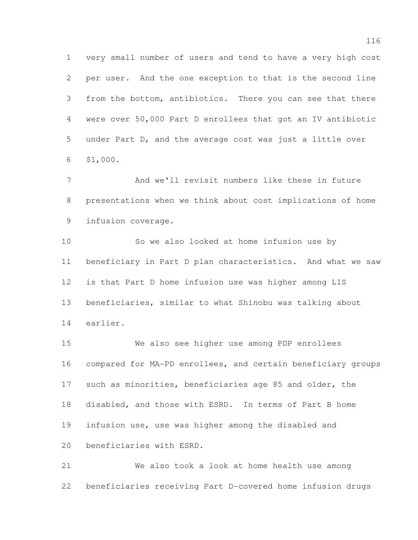very small number of users and tend to have a very high cost per user. And the one exception to that is the second line from the bottom, antibiotics. There you can see that there were over 50,000 Part D enrollees that got an IV antibiotic under Part D, and the average cost was just a little over \$1,000.

 And we'll revisit numbers like these in future presentations when we think about cost implications of home infusion coverage.

 So we also looked at home infusion use by beneficiary in Part D plan characteristics. And what we saw is that Part D home infusion use was higher among LIS beneficiaries, similar to what Shinobu was talking about earlier.

 We also see higher use among PDP enrollees compared for MA-PD enrollees, and certain beneficiary groups such as minorities, beneficiaries age 85 and older, the disabled, and those with ESRD. In terms of Part B home infusion use, use was higher among the disabled and beneficiaries with ESRD.

 We also took a look at home health use among beneficiaries receiving Part D-covered home infusion drugs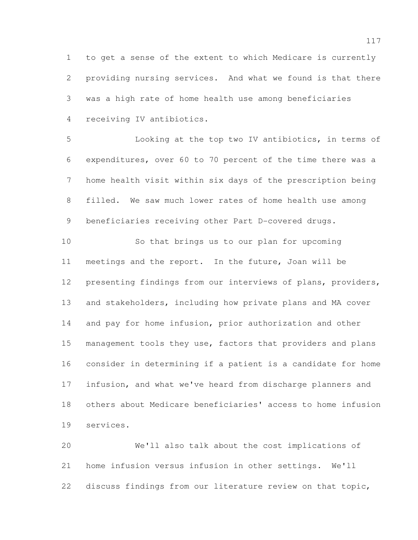to get a sense of the extent to which Medicare is currently providing nursing services. And what we found is that there was a high rate of home health use among beneficiaries receiving IV antibiotics.

 Looking at the top two IV antibiotics, in terms of expenditures, over 60 to 70 percent of the time there was a home health visit within six days of the prescription being filled. We saw much lower rates of home health use among beneficiaries receiving other Part D-covered drugs.

 So that brings us to our plan for upcoming meetings and the report. In the future, Joan will be presenting findings from our interviews of plans, providers, and stakeholders, including how private plans and MA cover and pay for home infusion, prior authorization and other 15 management tools they use, factors that providers and plans consider in determining if a patient is a candidate for home infusion, and what we've heard from discharge planners and others about Medicare beneficiaries' access to home infusion services.

 We'll also talk about the cost implications of home infusion versus infusion in other settings. We'll discuss findings from our literature review on that topic,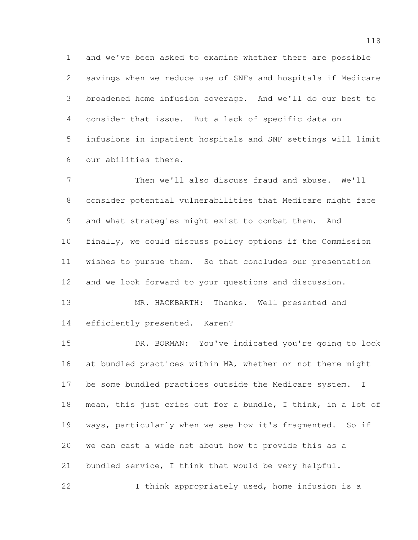and we've been asked to examine whether there are possible savings when we reduce use of SNFs and hospitals if Medicare broadened home infusion coverage. And we'll do our best to consider that issue. But a lack of specific data on infusions in inpatient hospitals and SNF settings will limit our abilities there.

 Then we'll also discuss fraud and abuse. We'll consider potential vulnerabilities that Medicare might face and what strategies might exist to combat them. And finally, we could discuss policy options if the Commission wishes to pursue them. So that concludes our presentation and we look forward to your questions and discussion.

 MR. HACKBARTH: Thanks. Well presented and efficiently presented. Karen?

 DR. BORMAN: You've indicated you're going to look at bundled practices within MA, whether or not there might be some bundled practices outside the Medicare system. I mean, this just cries out for a bundle, I think, in a lot of ways, particularly when we see how it's fragmented. So if we can cast a wide net about how to provide this as a bundled service, I think that would be very helpful. I think appropriately used, home infusion is a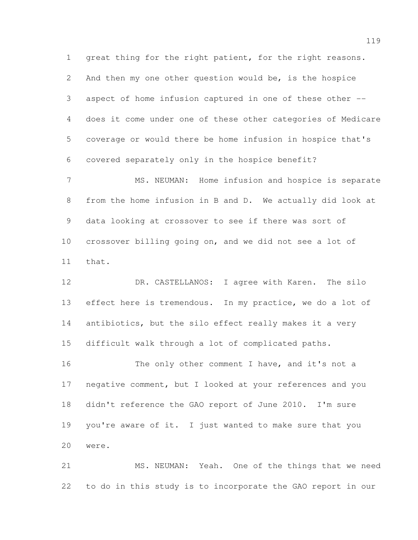great thing for the right patient, for the right reasons. And then my one other question would be, is the hospice aspect of home infusion captured in one of these other -- does it come under one of these other categories of Medicare coverage or would there be home infusion in hospice that's covered separately only in the hospice benefit?

 MS. NEUMAN: Home infusion and hospice is separate from the home infusion in B and D. We actually did look at data looking at crossover to see if there was sort of crossover billing going on, and we did not see a lot of that.

 DR. CASTELLANOS: I agree with Karen. The silo 13 effect here is tremendous. In my practice, we do a lot of antibiotics, but the silo effect really makes it a very difficult walk through a lot of complicated paths.

16 The only other comment I have, and it's not a negative comment, but I looked at your references and you didn't reference the GAO report of June 2010. I'm sure you're aware of it. I just wanted to make sure that you were.

 MS. NEUMAN: Yeah. One of the things that we need to do in this study is to incorporate the GAO report in our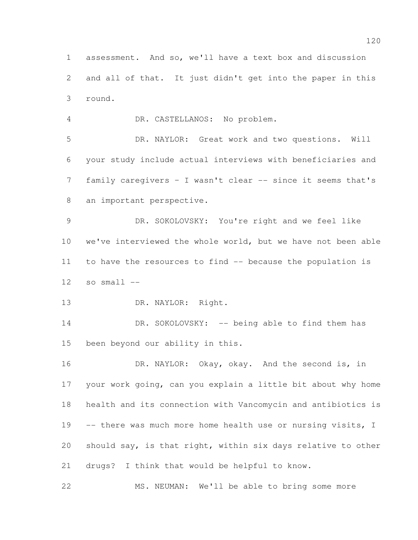assessment. And so, we'll have a text box and discussion and all of that. It just didn't get into the paper in this round.

DR. CASTELLANOS: No problem.

 DR. NAYLOR: Great work and two questions. Will your study include actual interviews with beneficiaries and family caregivers – I wasn't clear -- since it seems that's an important perspective.

 DR. SOKOLOVSKY: You're right and we feel like we've interviewed the whole world, but we have not been able to have the resources to find -- because the population is so small  $-$ 

DR. NAYLOR: Right.

14 DR. SOKOLOVSKY: -- being able to find them has been beyond our ability in this.

 DR. NAYLOR: Okay, okay. And the second is, in your work going, can you explain a little bit about why home health and its connection with Vancomycin and antibiotics is 19 -- there was much more home health use or nursing visits, I should say, is that right, within six days relative to other drugs? I think that would be helpful to know.

MS. NEUMAN: We'll be able to bring some more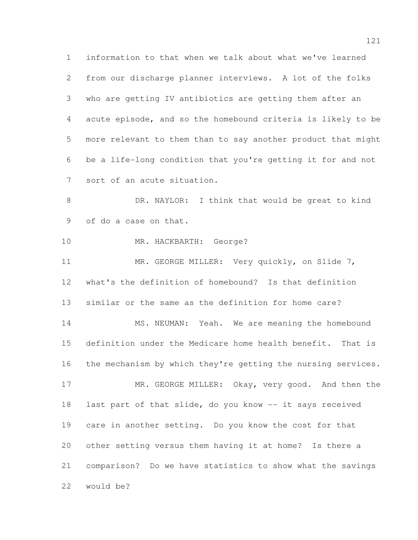information to that when we talk about what we've learned from our discharge planner interviews. A lot of the folks who are getting IV antibiotics are getting them after an acute episode, and so the homebound criteria is likely to be more relevant to them than to say another product that might be a life-long condition that you're getting it for and not sort of an acute situation. 8 DR. NAYLOR: I think that would be great to kind of do a case on that. MR. HACKBARTH: George? 11 MR. GEORGE MILLER: Very quickly, on Slide 7, what's the definition of homebound? Is that definition similar or the same as the definition for home care? 14 MS. NEUMAN: Yeah. We are meaning the homebound definition under the Medicare home health benefit. That is the mechanism by which they're getting the nursing services. 17 MR. GEORGE MILLER: Okay, very good. And then the last part of that slide, do you know -- it says received care in another setting. Do you know the cost for that other setting versus them having it at home? Is there a comparison? Do we have statistics to show what the savings would be?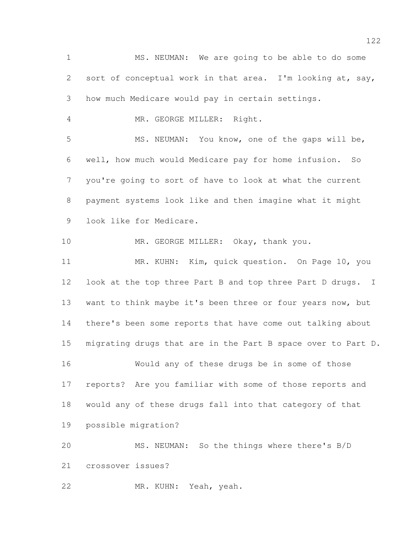MS. NEUMAN: We are going to be able to do some sort of conceptual work in that area. I'm looking at, say, how much Medicare would pay in certain settings. MR. GEORGE MILLER: Right. MS. NEUMAN: You know, one of the gaps will be, well, how much would Medicare pay for home infusion. So you're going to sort of have to look at what the current payment systems look like and then imagine what it might look like for Medicare. MR. GEORGE MILLER: Okay, thank you. MR. KUHN: Kim, quick question. On Page 10, you 12 look at the top three Part B and top three Part D drugs. I want to think maybe it's been three or four years now, but there's been some reports that have come out talking about migrating drugs that are in the Part B space over to Part D. Would any of these drugs be in some of those reports? Are you familiar with some of those reports and would any of these drugs fall into that category of that possible migration? MS. NEUMAN: So the things where there's B/D crossover issues? MR. KUHN: Yeah, yeah.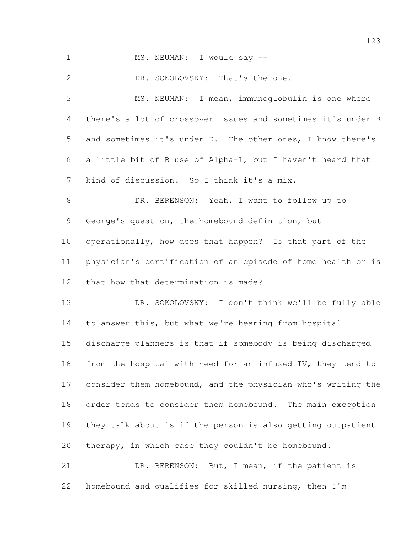1 MS. NEUMAN: I would say --

DR. SOKOLOVSKY: That's the one.

 MS. NEUMAN: I mean, immunoglobulin is one where there's a lot of crossover issues and sometimes it's under B and sometimes it's under D. The other ones, I know there's a little bit of B use of Alpha-1, but I haven't heard that kind of discussion. So I think it's a mix. DR. BERENSON: Yeah, I want to follow up to George's question, the homebound definition, but operationally, how does that happen? Is that part of the physician's certification of an episode of home health or is that how that determination is made? DR. SOKOLOVSKY: I don't think we'll be fully able to answer this, but what we're hearing from hospital discharge planners is that if somebody is being discharged from the hospital with need for an infused IV, they tend to consider them homebound, and the physician who's writing the order tends to consider them homebound. The main exception they talk about is if the person is also getting outpatient therapy, in which case they couldn't be homebound.

 DR. BERENSON: But, I mean, if the patient is homebound and qualifies for skilled nursing, then I'm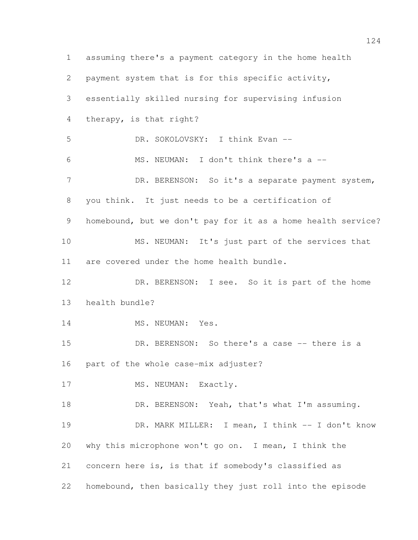assuming there's a payment category in the home health payment system that is for this specific activity, essentially skilled nursing for supervising infusion therapy, is that right? DR. SOKOLOVSKY: I think Evan -- MS. NEUMAN: I don't think there's a -- 7 DR. BERENSON: So it's a separate payment system, you think. It just needs to be a certification of homebound, but we don't pay for it as a home health service? MS. NEUMAN: It's just part of the services that are covered under the home health bundle. DR. BERENSON: I see. So it is part of the home health bundle? 14 MS. NEUMAN: Yes. 15 DR. BERENSON: So there's a case -- there is a part of the whole case-mix adjuster? 17 MS. NEUMAN: Exactly. 18 DR. BERENSON: Yeah, that's what I'm assuming. DR. MARK MILLER: I mean, I think -- I don't know why this microphone won't go on. I mean, I think the concern here is, is that if somebody's classified as homebound, then basically they just roll into the episode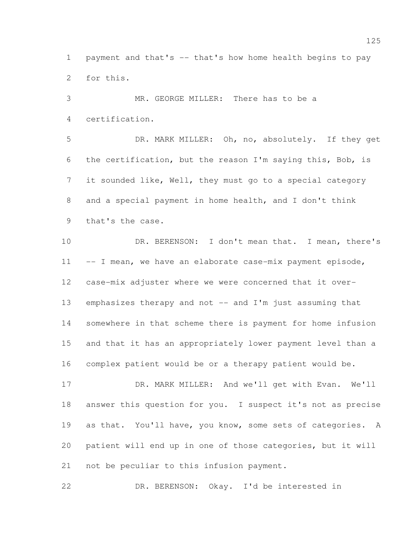payment and that's -- that's how home health begins to pay for this.

 MR. GEORGE MILLER: There has to be a certification. DR. MARK MILLER: Oh, no, absolutely. If they get

 the certification, but the reason I'm saying this, Bob, is it sounded like, Well, they must go to a special category and a special payment in home health, and I don't think that's the case.

10 DR. BERENSON: I don't mean that. I mean, there's 11 -- I mean, we have an elaborate case-mix payment episode, case-mix adjuster where we were concerned that it over- emphasizes therapy and not -- and I'm just assuming that somewhere in that scheme there is payment for home infusion and that it has an appropriately lower payment level than a complex patient would be or a therapy patient would be.

 DR. MARK MILLER: And we'll get with Evan. We'll answer this question for you. I suspect it's not as precise 19 as that. You'll have, you know, some sets of categories. A patient will end up in one of those categories, but it will not be peculiar to this infusion payment.

DR. BERENSON: Okay. I'd be interested in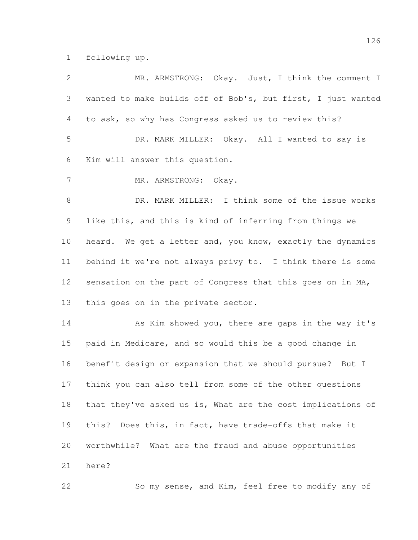following up.

| $\overline{2}$ | MR. ARMSTRONG: Okay. Just, I think the comment I             |
|----------------|--------------------------------------------------------------|
| 3              | wanted to make builds off of Bob's, but first, I just wanted |
| 4              | to ask, so why has Congress asked us to review this?         |
| 5              | DR. MARK MILLER: Okay. All I wanted to say is                |
| 6              | Kim will answer this question.                               |
| 7              | MR. ARMSTRONG: Okay.                                         |
| $\,8\,$        | DR. MARK MILLER: I think some of the issue works             |
| $\mathcal{G}$  | like this, and this is kind of inferring from things we      |
| 10             | heard. We get a letter and, you know, exactly the dynamics   |
| 11             | behind it we're not always privy to. I think there is some   |
| 12             | sensation on the part of Congress that this goes on in MA,   |
| 13             | this goes on in the private sector.                          |
| 14             | As Kim showed you, there are gaps in the way it's            |
| 15             | paid in Medicare, and so would this be a good change in      |
| 16             | benefit design or expansion that we should pursue? But I     |
| 17             | think you can also tell from some of the other questions     |
| 18             | that they've asked us is, What are the cost implications of  |
| 19             | this? Does this, in fact, have trade-offs that make it       |
| 20             | worthwhile? What are the fraud and abuse opportunities       |
| 21             | here?                                                        |
| 22             | So my sense, and Kim, feel free to modify any of             |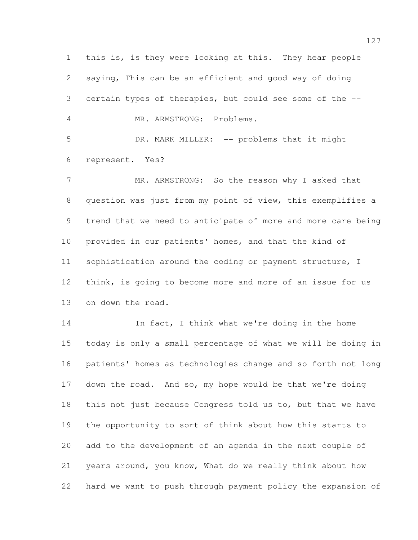this is, is they were looking at this. They hear people saying, This can be an efficient and good way of doing certain types of therapies, but could see some of the -- MR. ARMSTRONG: Problems. DR. MARK MILLER: -- problems that it might represent. Yes? MR. ARMSTRONG: So the reason why I asked that question was just from my point of view, this exemplifies a trend that we need to anticipate of more and more care being provided in our patients' homes, and that the kind of sophistication around the coding or payment structure, I think, is going to become more and more of an issue for us on down the road. 14 In fact, I think what we're doing in the home today is only a small percentage of what we will be doing in patients' homes as technologies change and so forth not long down the road. And so, my hope would be that we're doing this not just because Congress told us to, but that we have the opportunity to sort of think about how this starts to add to the development of an agenda in the next couple of years around, you know, What do we really think about how hard we want to push through payment policy the expansion of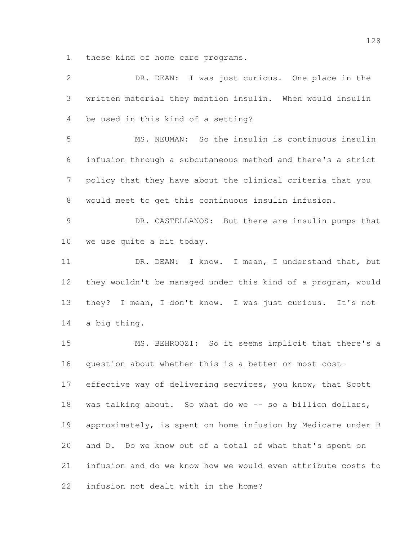these kind of home care programs.

| $\mathbf{2}$   | DR. DEAN: I was just curious. One place in the               |
|----------------|--------------------------------------------------------------|
| 3              | written material they mention insulin. When would insulin    |
| 4              | be used in this kind of a setting?                           |
| 5              | MS. NEUMAN: So the insulin is continuous insulin             |
| 6              | infusion through a subcutaneous method and there's a strict  |
| $\overline{7}$ | policy that they have about the clinical criteria that you   |
| 8              | would meet to get this continuous insulin infusion.          |
| $\mathcal{G}$  | DR. CASTELLANOS: But there are insulin pumps that            |
| 10             | we use quite a bit today.                                    |
| 11             | DR. DEAN: I know. I mean, I understand that, but             |
| 12             | they wouldn't be managed under this kind of a program, would |
| 13             | they? I mean, I don't know. I was just curious. It's not     |
| 14             | a big thing.                                                 |
| 15             | MS. BEHROOZI: So it seems implicit that there's a            |
| 16             | question about whether this is a better or most cost-        |
| 17             | effective way of delivering services, you know, that Scott   |
| 18             | was talking about. So what do we -- so a billion dollars,    |
| 19             | approximately, is spent on home infusion by Medicare under B |
| 20             | and D. Do we know out of a total of what that's spent on     |
| 21             | infusion and do we know how we would even attribute costs to |
| 22             | infusion not dealt with in the home?                         |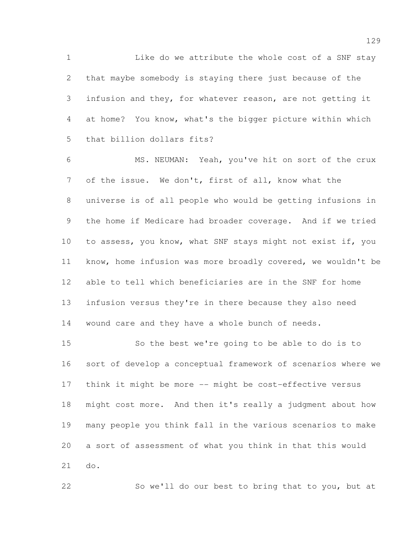1 Like do we attribute the whole cost of a SNF stay that maybe somebody is staying there just because of the infusion and they, for whatever reason, are not getting it at home? You know, what's the bigger picture within which that billion dollars fits?

 MS. NEUMAN: Yeah, you've hit on sort of the crux of the issue. We don't, first of all, know what the universe is of all people who would be getting infusions in the home if Medicare had broader coverage. And if we tried to assess, you know, what SNF stays might not exist if, you know, home infusion was more broadly covered, we wouldn't be able to tell which beneficiaries are in the SNF for home infusion versus they're in there because they also need wound care and they have a whole bunch of needs.

 So the best we're going to be able to do is to sort of develop a conceptual framework of scenarios where we think it might be more -- might be cost-effective versus might cost more. And then it's really a judgment about how many people you think fall in the various scenarios to make a sort of assessment of what you think in that this would do.

So we'll do our best to bring that to you, but at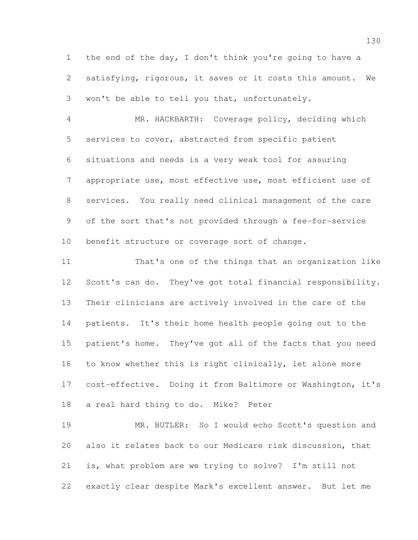the end of the day, I don't think you're going to have a satisfying, rigorous, it saves or it costs this amount. We won't be able to tell you that, unfortunately.

 MR. HACKBARTH: Coverage policy, deciding which services to cover, abstracted from specific patient situations and needs is a very weak tool for assuring appropriate use, most effective use, most efficient use of services. You really need clinical management of the care of the sort that's not provided through a fee-for-service benefit structure or coverage sort of change.

 That's one of the things that an organization like Scott's can do. They've got total financial responsibility. Their clinicians are actively involved in the care of the patients. It's their home health people going out to the patient's home. They've got all of the facts that you need to know whether this is right clinically, let alone more cost-effective. Doing it from Baltimore or Washington, it's a real hard thing to do. Mike? Peter

 MR. BUTLER: So I would echo Scott's question and also it relates back to our Medicare risk discussion, that is, what problem are we trying to solve? I'm still not exactly clear despite Mark's excellent answer. But let me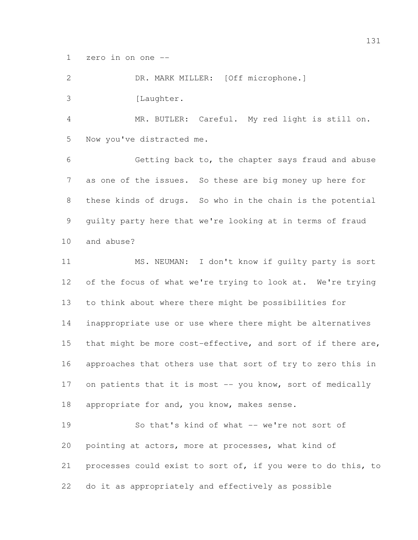zero in on one --

 DR. MARK MILLER: [Off microphone.] 3 [Laughter. MR. BUTLER: Careful. My red light is still on. Now you've distracted me. Getting back to, the chapter says fraud and abuse

 as one of the issues. So these are big money up here for these kinds of drugs. So who in the chain is the potential guilty party here that we're looking at in terms of fraud and abuse?

 MS. NEUMAN: I don't know if guilty party is sort 12 of the focus of what we're trying to look at. We're trying to think about where there might be possibilities for inappropriate use or use where there might be alternatives 15 that might be more cost-effective, and sort of if there are, approaches that others use that sort of try to zero this in 17 on patients that it is most -- you know, sort of medically 18 appropriate for and, you know, makes sense.

 So that's kind of what -- we're not sort of pointing at actors, more at processes, what kind of processes could exist to sort of, if you were to do this, to do it as appropriately and effectively as possible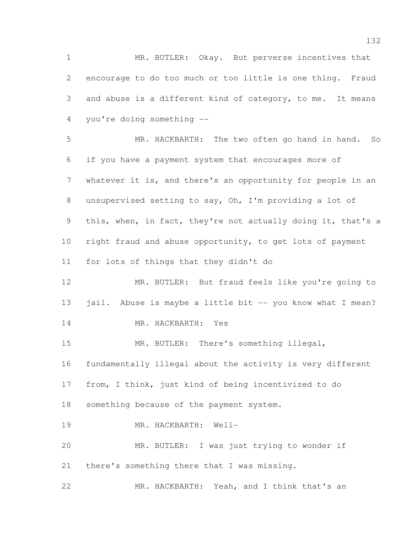MR. BUTLER: Okay. But perverse incentives that encourage to do too much or too little is one thing. Fraud and abuse is a different kind of category, to me. It means you're doing something --

 MR. HACKBARTH: The two often go hand in hand. So if you have a payment system that encourages more of whatever it is, and there's an opportunity for people in an unsupervised setting to say, Oh, I'm providing a lot of this, when, in fact, they're not actually doing it, that's a right fraud and abuse opportunity, to get lots of payment for lots of things that they didn't do

 MR. BUTLER: But fraud feels like you're going to 13 jail. Abuse is maybe a little bit -- you know what I mean?

MR. HACKBARTH: Yes

MR. BUTLER: There's something illegal,

fundamentally illegal about the activity is very different

from, I think, just kind of being incentivized to do

something because of the payment system.

MR. HACKBARTH: Well-

 MR. BUTLER: I was just trying to wonder if there's something there that I was missing.

MR. HACKBARTH: Yeah, and I think that's an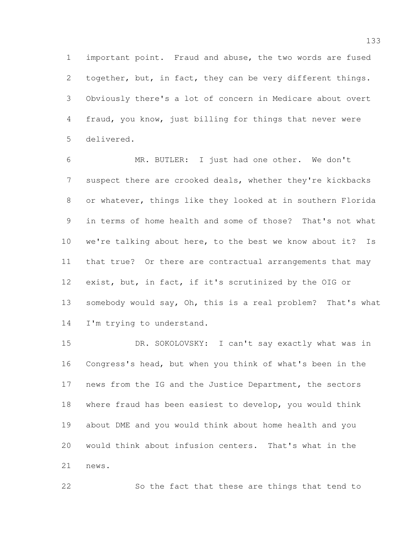important point. Fraud and abuse, the two words are fused 2 together, but, in fact, they can be very different things. Obviously there's a lot of concern in Medicare about overt fraud, you know, just billing for things that never were delivered.

 MR. BUTLER: I just had one other. We don't suspect there are crooked deals, whether they're kickbacks or whatever, things like they looked at in southern Florida in terms of home health and some of those? That's not what we're talking about here, to the best we know about it? Is that true? Or there are contractual arrangements that may exist, but, in fact, if it's scrutinized by the OIG or somebody would say, Oh, this is a real problem? That's what 14 I'm trying to understand.

 DR. SOKOLOVSKY: I can't say exactly what was in Congress's head, but when you think of what's been in the news from the IG and the Justice Department, the sectors where fraud has been easiest to develop, you would think about DME and you would think about home health and you would think about infusion centers. That's what in the news.

So the fact that these are things that tend to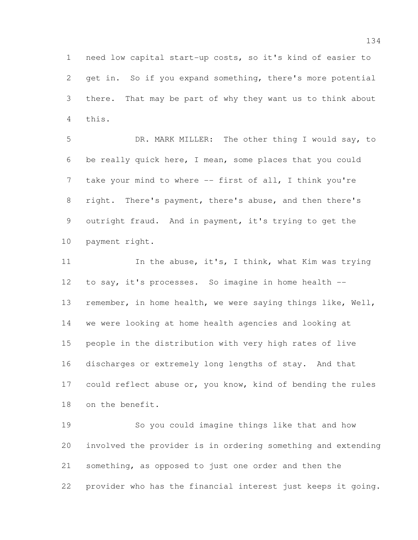need low capital start-up costs, so it's kind of easier to get in. So if you expand something, there's more potential there. That may be part of why they want us to think about this.

 DR. MARK MILLER: The other thing I would say, to be really quick here, I mean, some places that you could 7 take your mind to where -- first of all, I think you're right. There's payment, there's abuse, and then there's outright fraud. And in payment, it's trying to get the payment right.

11 In the abuse, it's, I think, what Kim was trying to say, it's processes. So imagine in home health -- remember, in home health, we were saying things like, Well, we were looking at home health agencies and looking at people in the distribution with very high rates of live discharges or extremely long lengths of stay. And that 17 could reflect abuse or, you know, kind of bending the rules on the benefit.

 So you could imagine things like that and how involved the provider is in ordering something and extending something, as opposed to just one order and then the provider who has the financial interest just keeps it going.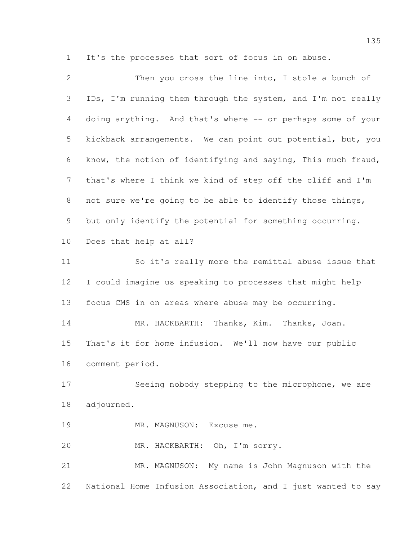It's the processes that sort of focus in on abuse.

| $\overline{2}$ | Then you cross the line into, I stole a bunch of             |
|----------------|--------------------------------------------------------------|
| 3              | IDs, I'm running them through the system, and I'm not really |
| $\overline{4}$ | doing anything. And that's where -- or perhaps some of your  |
| 5              | kickback arrangements. We can point out potential, but, you  |
| 6              | know, the notion of identifying and saying, This much fraud, |
| $\overline{7}$ | that's where I think we kind of step off the cliff and I'm   |
| 8              | not sure we're going to be able to identify those things,    |
| 9              | but only identify the potential for something occurring.     |
| 10             | Does that help at all?                                       |
| 11             | So it's really more the remittal abuse issue that            |
| 12             | I could imagine us speaking to processes that might help     |
| 13             | focus CMS in on areas where abuse may be occurring.          |
| 14             | MR. HACKBARTH: Thanks, Kim. Thanks, Joan.                    |
| 15             | That's it for home infusion. We'll now have our public       |
| 16             | comment period.                                              |
| 17             | Seeing nobody stepping to the microphone, we are             |
| 18             | adjourned.                                                   |
| 19             | MR. MAGNUSON: Excuse me.                                     |
| 20             | MR. HACKBARTH: Oh, I'm sorry.                                |
| 21             | MR. MAGNUSON: My name is John Magnuson with the              |
| 22             | National Home Infusion Association, and I just wanted to say |